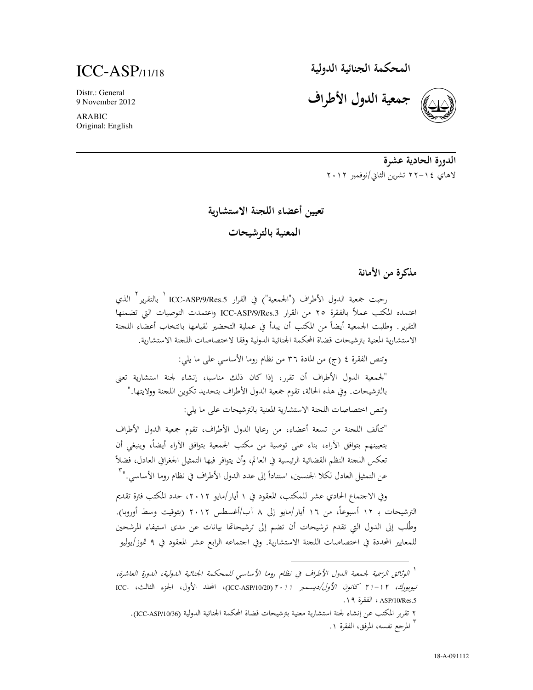# $ICC-ASP<sub>111/18</sub>$

Distr.: General 9 November 2012

**ARABIC** Original: English

جمعية الدول الأطراف

الدورة الحادية عشرة لاهاي ٢٠١٤ تشرين الثاني/نوفمبر ٢٠١٢

تعيين أعضاء اللجنة الاستشارية المعنية بالتوشيحات

## مذكرة من الأمانة

رحبت جمعية الدول الأطراف ("الجمعية") في القرار ICC-ASP/9/Res.5 <sup>\</sup> بالتقرير<sup>؟</sup> الذي اعتمده المكتب عملاً بالفقرة ٢٥ من القرار ICC-ASP/9/Res.3 واعتمدت التوصيات التي تضمنها التقرير. وطلبت الجمعية أيضاً من المكتب أن يبدأ في عملية التحضير لقيامها بانتخاب أعضاء اللجنة الاستشارية المعنية بترشيحات قضاة المحكمة الجنائية الدولية وفقا لاختصاصات اللحنة الاستشارية.

وتنص الفقرة ٤ (ج) من المادة ٣٦ من نظام روما الأساسي على ما يلي: "لجمعية الدول الأطراف أن تقرر، إذا كان ذلك مناسبا، إنشاء لجنة استشارية تعني بالترشيحات. وفي هذه الحالة، تقوم جمعية الدول الأطراف بتحديد تكوين اللحنة وولايتها." وتنص اختصاصات اللجنة الاستشارية المعنية بالترشيحات على ما يلي:

"تتألف اللحنة من تسعة أعضاء، من رعايا الدول الأطراف، تقوم جمعية الدول الأطراف بتعيينهم بتوافق الآراء، بناء على توصية من مكتب الجمعية بتوافق الآراء أيضاً، وينبغي أن تعكس اللجنة النظم القضائية الرئيسية في العالم، وأن يتوافر فيها التمثيل الجغرافي العادل، فضلاً عن التمثيل العادل لكلا الجنسين، استناداً إلى عدد الدول الأطراف في نظام روما الأساسى.''<sup>٣</sup>

وفي الاجتماع الحادي عشر للمكتب، المعقود في ١ أيار/مايو ٢٠١٢، حدد المكتب فترة تقديم الترشيحات بـ ١٢ أسبوعاً، من ١٦ أيار/مايو إلى ٨ آب/أغسطس ٢٠١٢ (بتوقيت وسط أوروبا). وطُلب إلى الدول التي تقدم ترشيحات أن تضم إلى ترشيحاتها بيانات عن مدى استيفاء المرشحين للمعايير المحددة في اختصاصات اللحنة الاستشارية. وفي احتماعه الرابع عشر المعقود في ٩ تموز/يوليو

٢ تقرير المكتب عن إنشاء لجنة استشارية معنية بترشيحات قضاة المحكمة الجنائية الدولية (ICC-ASP/10/36). <sup>1</sup> المرجع نفسه، المرفق، الفقرة ١.

<sup>`</sup> الوثائق الرسمية لجمعية اللهول الأطراف في نظام روما الأساسي للمحكمة الجنائية اللهولية، اللهورة العاشرة، نيويورك، ١٢-٢١ كانون الأول/ديسمبر ٢٠١١(ICC-ASP/10/20)، المجلد الأول، الجزء الثالث، -ICC . ASP/10/Res.5 ، الفقرة ١٩.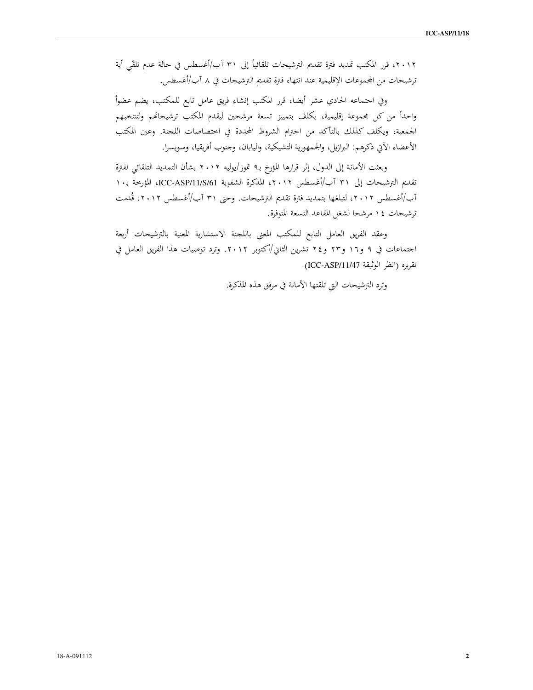٢٠١٢، قرر المكتب تمديد فترة تقديم الترشيحات تلقائياً إلى ٣١ آب/أغسطس في حالة عدم تلقّي أية ترشيحات من المجموعات الإقليمية عند انتهاء فترة تقديم الترشيحات في ٨ آب/أغسطس.

وفي اجتماعه الحادي عشر أيضا، قرر المكتب إنشاء فريق عامل تابع للمكتب، يضم عضواً واحداً من كل مجموعة إقليمية، يكلف بتمييز تسعة مرشحين ليقدم المكتب ترشيحاتهم ولتنتخبهم الجمعية، ويكلف كذلك بالتأكد من احترام الشروط المحددة في اختصاصات اللحنة. وعين المكتب الأعضاء الآتي ذكرهم: البرازيل، والجمهورية التشيكية، واليابان، وحنوب أفريقيا، وسويسرا.

وبعثت الأمانة إلى الدول، إثر قرارها المؤرخ بـ٩ تموز/يوليه ٢٠١٢ بشأن التمديد التلقائي لفترة تقديم الترشيحات إلى ٣١ آب/أغسطس ٢٠١٢، المذكرة الشفوية ICC-ASP/11/S/61، المؤرخة بـ١٠ آب/أغسطس ٢٠١٢، لتبلغها بتمديد فترة تقديم الترشيحات. وحتى ٣١ آب/أغسطس ٢٠١٢، قُدمت ترشيحات ١٤ مرشحا لشغل المقاعد التسعة المتوفرة.

وعقد الفريق العامل التابع للمكتب المعنى باللجنة الاستشارية المعنية بالترشيحات أربعة اجتماعات في ٩ و١٦ و٢٣ و٢٤ تشرين الثاني/أكتوبر ٢٠١٢. وترد توصيات هذا الفريق العامل في تقريره (انظر الوثيقة ICC-ASP/11/47).

وترد الترشيحات التي تلقتها الأمانة في مرفق هذه المذكرة.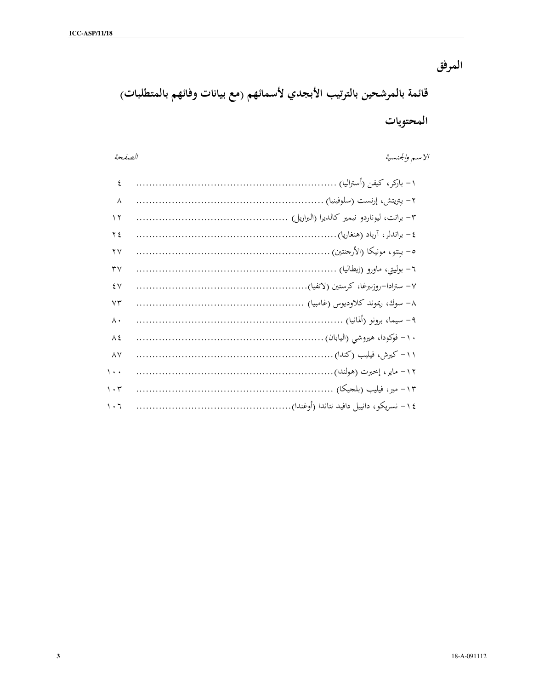المرفق

قائمة بالمرشحين بالترتيب الأبجدي لأسمائهم (مع بيانات وفائهم بالمتطلبات)

# المحتويات

#### الصفحة

# الاسم والجنسية

| ٤                           |  |
|-----------------------------|--|
| $\lambda$                   |  |
| $\sqrt{ }$                  |  |
| ۲٤                          |  |
| $\mathsf{Y}\mathsf{Y}$      |  |
| ٣٧                          |  |
| ٤V                          |  |
| $Y\Upsilon$                 |  |
| $\wedge$ .                  |  |
| $\lambda$ 2                 |  |
| $\wedge$ Y                  |  |
| $\cdots$                    |  |
| $\cdot$ ٣                   |  |
| $\mathsf{r}$ . $\mathsf{r}$ |  |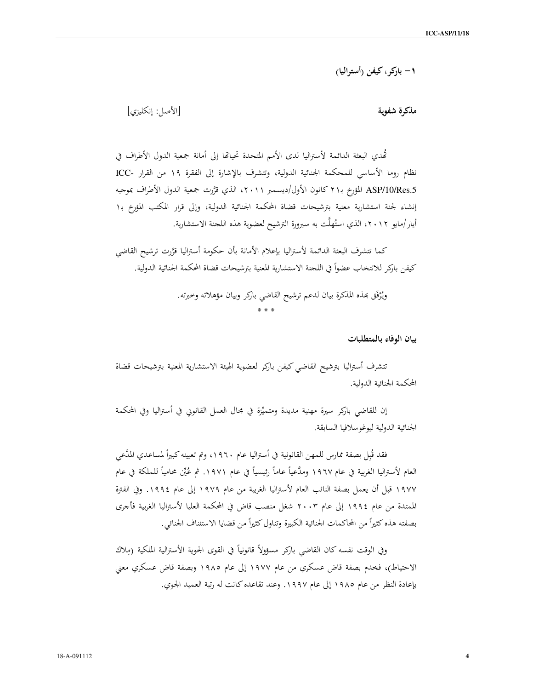۱ – بارکر ، کیفن (أسترالیا)

مذكرة شفوية

[الأصل: إنكليزي]

.<br>تُهدي البعثة الدائمة لأستراليا لدى الأمم المتحدة تحياتها إلى أمانة جمعية الدول الأطراف في نظام روما الأساسي للمحكمة الجنائية الدولية، وتتشرف بالإشارة إلى الفقرة ١٩ من القرار -ICC ASP/10/Res.5 المؤرخ بـ٢١ كانون الأول/ديسمبر ٢٠١١، الذي قرَّرت جمعية الدول الأطراف بموجبه إنشاء لجنة استشارية معنية بترشيحات قضاة المحكمة الجنائية الدولية، وإلى قرار المكتب المؤرخ بـ١ أيار/مايو ٢٠١٢، الذي استُهلَّت به سيرورة الترشيح لعضوية هذه اللحنة الاستشارية.

كما تتشرف البعثة الدائمة لأستراليا بإعلام الأمانة بأن حكومة أستراليا قرَّرت ترشيح القاضى كيفن باركر للانتخاب عضواً في اللحنة الاستشارية المعنية بترشيحات قضاة المحكمة الجنائية الدولية.

ويُرْفَق بَمِذه المذكرة بيان لدعم ترشيح القاضي باركر وبيان مؤهلاته وخبرته.

بيان الوفاء بالمتطلبات

تتشرف أستراليا بترشيح القاضي كيفن باركر لعضوية الهيئة الاستشارية المعنية بترشيحات قضاة المحكمة الجنائية الدولية.

إن للقاضي باركر سيرة مهنية مديدة ومتميِّزة في مجال العمل القانويي في أستراليا وفي المحكمة الجنائية الدولية ليوغوسلافيا السابقة.

فقد قُبِل بصفة ممارس للمهن القانونية في أستراليا عام ١٩٦٠، وتم تعيينه كبيراً لمساعدي المدَّعى العام لأستراليا الغربية في عام ١٩٦٧ ومدَّعياً عاماً رئيسياً في عام ١٩٧١. ثم عُيِّن محامياً للملكة في عام ١٩٧٧ قبل أن يعمل بصفة النائب العام لأستراليا الغربية من عام ١٩٧٩ إلى عام ١٩٩٤. وفي الفترة الممتدة من عام ١٩٩٤ إلى عام ٢٠٠٣ شغل منصب قاضٍ في المحكمة العليا لأستراليا الغربية فأجرى بصفته هذه كثيراً من المحاكمات الجنائية الكبيرة وتناول كثيراً من قضايا الاستئناف الجنائي.

وفي الوقت نفسه كان القاضي باركر مسؤولاً قانونياً في القوى الجوية الأسترالية الملكية (مِلاك الاحتياط)، فخدم بصفة قاض عسكري من عام ١٩٧٧ إلى عام ١٩٨٥ وبصفة قاض عسكري معنى بإعادة النظر من عام ١٩٨٥ إلى عام ١٩٩٧. وعند تقاعده كانت له رتبة العميد الجوي.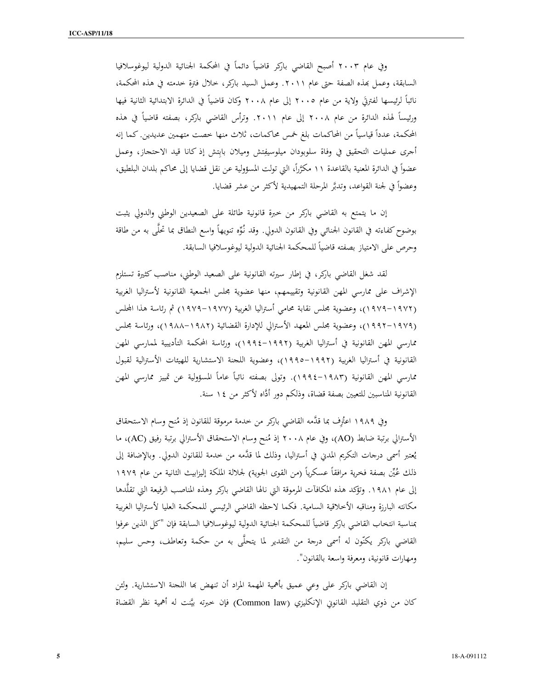وفي عام ٢٠٠٣ أصبح القاضى باركر قاضياً دائماً في المحكمة الجنائية الدولية ليوغوسلافيا السابقة، وعمل بهذه الصفة حتى عام ٢٠١١. وعمل السيد باركر، خلال فترة خدمته في هذه المحكمة، نائباً لرئيسها لفترتَي ولاية من عام ٢٠٠٥ إلى عام ٢٠٠٨ وكان قاضياً في الدائرة الابتدائية الثانية فيها ورئيساً لهذه الدائرة من عام ٢٠٠٨ إلى عام ٢٠١١. وترأس القاضي باركر، بصفته قاضياً في هذه المحكمة، عدداً قياسياً من المحاكمات بلغ خمس محاكمات، ثلاث منها خصت متهمين عديدين. كما إنه أجرى عمليات التحقيق في وفاة سلوبودان ميلوسيفِتش وميلان بابتش إذ كانا قيد الاحتجاز، وعمل عضواً في الدائرة المعنية بالقاعدة ١١ مكرَّراً، التي تولت المسؤولية عن نقل قضايا إلى محاكم بلدان البلطيق، وعضواً في لجنة القواعد، وتدبَّر المرحلة التمهيدية لأكثر من عشر قضايا.

إن ما يتمتع به القاضي باركر من خبرة قانونية طائلة على الصعيدين الوطني والدولي يثبت بوضوح كفاءته في القانون الجنائي وفي القانون الدولي. وقد نُوِّه تنويهاً واسع النطاق بما تحلَّى به من طاقة وحرص على الامتياز بصفته قاضياً للمحكمة الجنائية الدولية ليوغوسلافيا السابقة.

لقد شغل القاضي باركر، في إطار سيرته القانونية على الصعيد الوطني، مناصب كثيرة تستلزم الإشراف على ممارسي المهن القانونية وتقييمهم، منها عضوية مجلس الجمعية القانونية لأستراليا الغربية (١٩٧٢–١٩٧٩)، وعضوية مجلس نقابة محامى أستراليا الغربية (١٩٧٧–١٩٧٩) ثم رئاسة هذا المجلس (١٩٧٩–١٩٩٢)، وعضوية مجلس المعهد الأسترالي للإدارة القضائية (١٩٨٢–١٩٨٨)، ورئاسة مجلس ممارسي المهن القانونية في أستراليا الغربية (١٩٩٢–١٩٩٤)، ورئاسة المحكمة التأديبية لممارسي المهن القانونية في أستراليا الغربية (١٩٩٢–١٩٩٥)، وعضوية اللجنة الاستشارية للهيئات الأسترالية لقبول ممارسي المهن القانونية (١٩٨٣–١٩٩٤). وتولى بصفته نائباً عاماً المسؤولية عن تمييز ممارسي المهن القانونية المناسبين للتعيين بصفة قضاة، وذلكم دور أدَّاه لأكثر من ١٤ سنة.

وفي ١٩٨٩ اعتُرُف بما قدَّمه القاضي باركر من خدمة مرموقة للقانون إذ مُنح وسام الاستحقاق الأسترالي برتبة ضابط (AO)، وفي عام ٢٠٠٨ إذ مُنح وسام الاستحقاق الأسترالي برتبة رفيق (AC)، ما يُعتبر أسمى درجات التكريم المدني في أستراليا، وذلك لما قدَّمه من حدمة للقانون الدولي. وبالإضافة إلى ذلك عُبِّن بصفة فخرية مرافقاً عسكرياً (من القوى الجوية) لجلالة الملكة إليزابيث الثانية من عام ١٩٧٩ إلى عام ١٩٨١. وتؤكد هذه المكافآت المرموقة التي نالها القاضي باركر وهذه المناصب الرفيعة التي تقلَّدها مكانته البارزة ومناقبه الأخلاقية السامية. فكما لاحظه القاضي الرئيسي للمحكمة العليا لأستراليا الغربية بمناسبة انتخاب القاضى باركر قاضياً للمحكمة الجنائية الدولية ليوغوسلافيا السابقة فإن "كل الذين عرفوا القاضي باركر يكنُّون له أسمى درجة من التقدير لما يتحلَّى به من حكمة وتعاطف، وحس سليم، ومهارات قانونية، ومعرفة واسعة بالقانون".

إن القاضي باركر على وعي عميق بأهمية المهمة المراد أن تنهض بما اللجنة الاستشارية. ولئن كان من ذوي التقليد القانوني الإنكليزي (Common law) فإن خبرته بيَّنت له أهمية نظر القضاة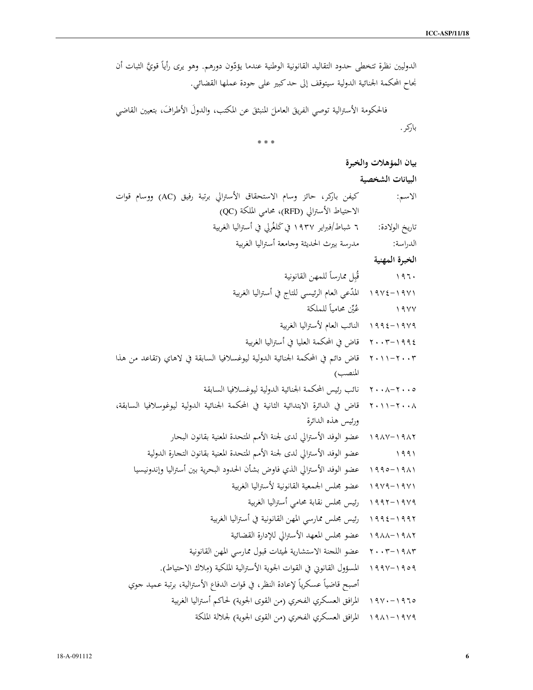```
الدوليين نظرة تتخطى حدود التقاليد القانونية الوطنية عندما يؤدّون دورهم. وهو يرى رأياً قويَّ الثبات أن
                        نجاح المحكمة الجنائية الدولية سيتوقف إلى حد كبير على جودة عملها القضائي.
فالحكومة الأسترالية توصى الفريقَ العاملَ المنبثقَ عن المكتب، والدولَ الأطرافَ، بتعيين القاضي
                                                                                         باركر .
                                             * * *
                                                                        بيان المؤهلات والخبرة
                                                                             البيانات الشخصية
كيفن باركر، حائز وسام الاستحقاق الأسترالي برتبة رفيق (AC) ووسام قوات
                                                                                        الاسم:
                                الاحتياط الأسترالي (RFD)، محامى الملكة (QC)
                              ٦ شباط/فبراير ١٩٣٧ في كَلغُمرلي في أستراليا الغربية
                                                                                تاريخ الولادة:
                                      مدرسة بيرث الحديثة وجامعة أستراليا الغربية
                                                                                       الدراسة:
                                                                                الخبرة المهنية
                                                     قُبل ممارساً للمهن القانونية
                                                                                        197.المدّعى العام الرئيسي للتاج في أستراليا الغربية
                                                                               19V\xi - 19V1عُيِّن محامياً للملكة
                                                                                        19YY١٩٧٩–١٩٩٤     النائب العام لأستراليا الغربية
                                         ٢٠٠٣–٢٠٠٣ _ قاضٍ في المحكمة العليا في أستراليا الغربية
٢٠١١-٢٠١١ قاض دائم في المحكمة الجنائية الدولية ليوغسلافيا السابقة في لاهاي (تقاعد من هذا
                                                                    المنصب)
                           ٢٠٠٨-٢٠٠٨    نائب رئيس المحكمة الجنائية الدولية ليوغسلافيا السابقة
٢٠١١-٢٠١١ قاض في الدائرة الابتدائية الثانية في المحكمة الجنائية الدولية ليوغوسلافيا السابقة،
                                                            ورئيس هذه الدائرة
                 ١٩٨٢–١٩٨٧   عضو الوفد الأسترالي لدى لجنة الأمم المتحدة المعنية بقانون البحار
          عضو الوفد الأسترالي لدى لجنة الأمم المتحدة المعنية بقانون التحارة الدولية
                                                                                        1991١٩٨١–١٩٩٥ - عضو الوفد الأسترالي الذي فاوض بشأن الحدود البحرية بين أستراليا وإندونيسيا
                                    ١٩٧١–١٩٧٩    عضو مجلس الجمعية القانونية لأستراليا الغربية
                                          ١٩٧٩–١٩٩٢    رئيس مجلس نقابة محامى أستراليا الغربية
                              ١٩٩٢–١٩٩٤    رئيس مجلس ممارسي المهن القانونية في أستراليا الغربية
                                    ١٩٨٢–١٩٨٨    عضو مجلس المعهد الأسترالي للإدارة القضائية
                       ٢٠٠٣- - ٢ مضو اللجنة الاستشارية لهيئات قبول ممارسي المهن القانونية
              المسؤول القانوني في القوات الجوية الأسترالية الملكية (مِلاكِ الاحتياط).
                                                                              أصبح قاضياً عسكرياً لإعادة النظر، في قوات الدفاع الأسترالية، برتبة عميد جوي
                  ١٩٦٥ - ١٩٧٠     المرافق العسكري الفخري (من القوى الجوية) لحاكم أستراليا الغربية
                         ١٩٧٩–١٩٨١    المرافق العسكري الفخري (من القوى الجوية) لجلالة الملكة
```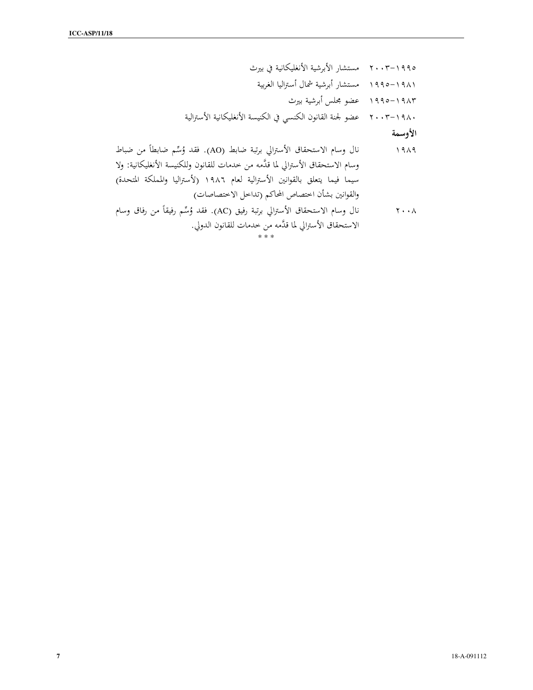$* * *$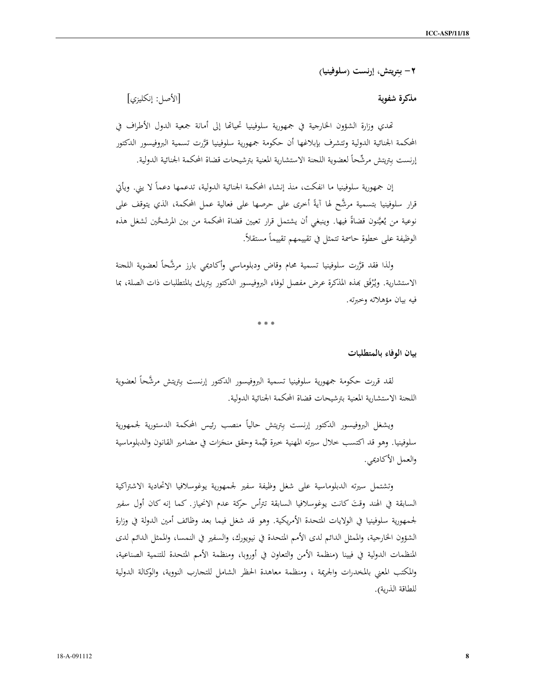٢– بتريتش، إرنست (سلوفينيا)

[الأصل: إنكليزي]

مذكرة شفوية

تَّهدى وزارة الشؤون الخارجية في جمهورية سلوفينيا تحياتها إلى أمانة جمعية الدول الأطراف في المحكمة الجنائية الدولية وتتشرف بإبلاغها أن حكومة جمهورية سلوفينيا قرَّرت تسمية البروفيسور الدكتور إرنست بِتريتش مرشِّحاً لعضوية اللحنة الاستشارية المعنية بترشيحات قضاة المحكمة الجنائية الدولية.

إن جمهورية سلوفينيا ما انفكت، منذ إنشاء المحكمة الجنائية الدولية، تدعمها دعماً لا يني. ويأتي قرار سلوفينيا بتسمية مرشَّح لها آيةً أخرى على حرصها على فعالية عمل المحكمة، الذي يتوقف على نوعية من يُعيَّنون قضاةً فيها. وينبغي أن يشتمل قرار تعيين قضاة المحكمة من بين المرشحَّين لشغل هذه الوظيفة على خطوة حاسمة تتمثل في تقييمهم تقييماً مستقلاً.

ولذا فقد قرَّرت سلوفينيا تسمية محام وقاض ودبلوماسي وأكاديمي بارز مرشَّحاً لعضوية اللجنة الاستشارية. ويُرْفَق بهذه المذكرة عرض مفصل لوفاء البروفيسور الدكتور بتريك بالمتطلبات ذات الصلة، بما فيه بيان مؤهلاته وخبرته.

بيان الوفاء بالمتطلبات

لقد قررت حكومة جمهورية سلوفينيا تسمية البروفيسور الدكتور إرنست بِتريتش مرشَّحاً لعضوية اللجنة الاستشارية المعنية بترشيحات قضاة المحكمة الجنائية الدولية.

ويشغل البروفيسور الدكتور إرنست بتريتش حالياً منصب رئيس المحكمة الدستورية لجمهورية سلوفينيا. وهو قد اكتسب خلال سيرته المهنية خبرة قيِّمة وحقق منحَزات في مضامير القانون والدبلوماسية والعمل الأكاديمي.

وتشتمل سيرته الدبلوماسية على شغل وظيفة سفير لجمهورية يوغوسلافيا الاتحادية الاشتراكية السابقة في الهند وقتَ كانت يوغوسلافيا السابقة تترأس حركة عدم الانحياز. كما إنه كان أول سفير لجمهورية سلوفينيا في الولايات المتحدة الأمريكية. وهو قد شغل فيما بعد وظائف أمين الدولة في وزارة الشؤون الخارجية، والممثل الدائم لدى الأمم المتحدة في نيويورك، والسفير في النمسا، والممثل الدائم لدى المنظمات الدولية في فيينا (منظمة الأمن والتعاون في أوروبا، ومنظمة الأمم المتحدة للتنمية الصناعية، والمكتب المعنى بالمخدرات والجريمة ، ومنظمة معاهدة الحظر الشامل للتحارب النووية، والوكالة الدولية للطاقة الذرية).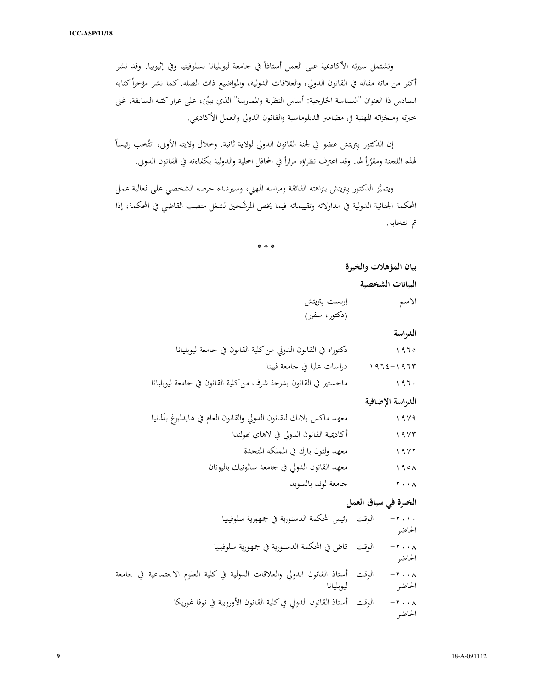وتشتمل سيرته الأكاديمية على العمل أستاذاً في جامعة ليوبليانا بسلوفينيا وفي إثيوبيا. وقد نشر أكثر من مائة مقالة في القانون الدولي، والعلاقات الدولية، والمواضيع ذات الصلة. كما نشر مؤخراً كتابه السادس ذا العنوان "السياسة الخارجية: أساس النظرية والممارسة" الذي يبيِّن، على غرار كتبه السابقة، غني خبرته ومنحَزاته المهنية في مضامير الدبلوماسية والقانون الدولي والعمل الأكاديمي.

إن الدكتور بِتريتش عضو في لجنة القانون الدولي لولاية ثانية. وخلال ولايته الأولى، انتُخب رئيساً لهذه اللحنة ومقرِّراً لها. وقد اعترف نظراؤه مراراً في المحافل المحلية والدولية بكفاءته في القانون الدولي.

ويتميَّز الدكتور بتريتش بنزاهته الفائقة ومراسه المهنى، وسيرشده حرصه الشخصي على فعالية عمل المحكمة الجنائية الدولية في مداولاته وتقييماته فيما يخص المرشَّحين لشغل منصب القاضي في المحكمة، إذا تم انتخابه.

\* \* \*

بيان المؤهلات والخبرة

المانات الشخصية

| إرنست بتريتش  | الاسم |
|---------------|-------|
| (دکتور، سفیر) |       |

الدراسة

| 1970          | دكتوراه في القانون الدولي من كلية القانون في جامعة ليوبليانا    |
|---------------|-----------------------------------------------------------------|
| $1972 - 1977$ | دراسات عليا في جامعة فيينا                                      |
| 197.          | ماجستير في القانون بدرجة شرف من كلية القانون في جامعة ليوبليانا |

#### الدراسة الإضافية

| 1949                          | معهد ماكس بلانك للقانون الدولي والقانون العام في هايدلبرغ بألمانيا |
|-------------------------------|--------------------------------------------------------------------|
| 19Yr                          | أكاديمية القانون الدولي في لاهاي بهولندا                           |
| 1917                          | معهد ولتون بارك في المملكة المتحدة                                 |
| 190A                          | معهد القانون الدولي في جامعة سالونيك باليونان                      |
| $\mathbf{y} \cdot \mathbf{y}$ | جامعة لوند بالسويد                                                 |

### الخبرة في سياق العمل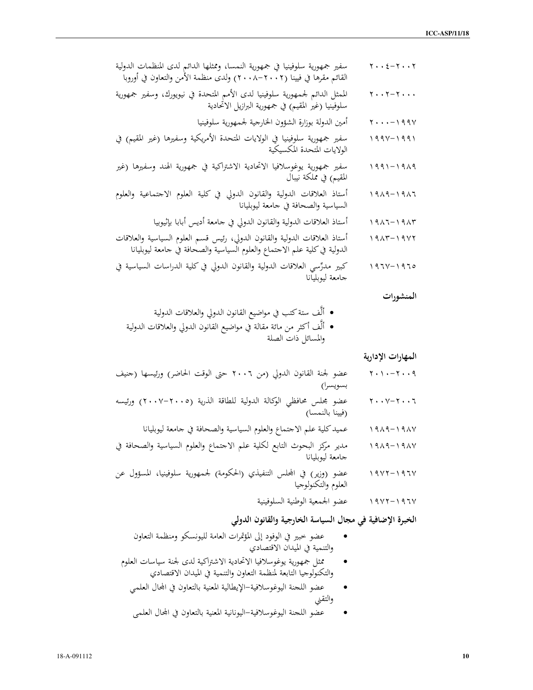| سفير جمهورية سلوفينيا في جمهورية النمسا، وممثلها الدائم لدى المنظمات الدولية<br>القائم مقرها في فيينا (٢٠٠٢–٢٠٠٨) ولدى منظمة الأمن والتعاون في أوروبا   | $\gamma \cdot \cdot \xi - \gamma \cdot \cdot \gamma$         |
|---------------------------------------------------------------------------------------------------------------------------------------------------------|--------------------------------------------------------------|
| الممثل الدائم لجمهورية سلوفينيا لدى الأمم المتحدة في نيويورك، وسفير جمهورية<br>سلوفينيا (غير المقيم) في جمهورية البرازيل الاتحادية                      | $\mathbf{y} \cdot \mathbf{y} - \mathbf{y} \cdot \mathbf{y}$  |
| أمين الدولة بوزارة الشؤون الخارجية لجمهورية سلوفينيا                                                                                                    | $\mathbf{y} \cdot \cdot \cdot - \mathbf{y} \cdot \mathbf{y}$ |
| سفير جمهورية سلوفينيا في الولايات المتحدة الأمريكية وسفيرها (غير المقيم) في<br>الولايات المتحدة المكسيكية                                               | $199 \vee - 1991$                                            |
| سفير جمهورية يوغوسلافيا الاتحادية الاشتراكية في جمهورية الهند وسفيرها (غير<br>المقيم) في مملكة نيبال                                                    | $1991 - 1919$                                                |
| أستاذ العلاقات الدولية والقانون الدولي في كلية العلوم الاجتماعية والعلوم<br>السياسية والصحافة في جامعة ليوبليانا                                        | $1919 - 1917$                                                |
| أستاذ العلاقات الدولية والقانون الدولي في جامعة أديس أبابا بإثيوبيا                                                                                     | $1917 - 1917$                                                |
| أستاذ العلاقات الدولية والقانون الدولي، رئيس قسم العلوم السياسية والعلاقات<br>الدولية في كلية علم الاحتماع والعلوم السياسية والصحافة في حامعة ليوبليانا | $1917 - 1917$                                                |
| كبير مدرِّسي العلاقات الدولية والقانون الدولي في كلية الدراسات السياسية في<br>جامعة ليوبليانا                                                           | $197Y - 1970$                                                |
|                                                                                                                                                         |                                                              |
|                                                                                                                                                         | المنشورات                                                    |
| • ألَّف ستة كتب في مواضيع القانون الدولي والعلاقات الدولية                                                                                              |                                                              |
| • ألَّف أكثر من مائة مقالة في مواضيع القانون الدولي والعلاقات الدولية<br>والمسائل ذات الصلة                                                             |                                                              |
|                                                                                                                                                         | المهارات الإدارية                                            |
| عضو لجنة القانون الدولي (من ٢٠٠٦ حتى الوقت الحاضر) ورئيسها (جنيف<br>بسويسرا)                                                                            | $\mathbf{y} \cdot \mathbf{y} \cdot \mathbf{y}$               |
| عضو مجلس محافظي الوكالة الدولية للطاقة الذرية (٢٠٠٥–٢٠٠٧) ورئيسه<br>(فيينا بالنمسا)                                                                     | $\mathbf{y} \cdot \mathbf{y} - \mathbf{y} \cdot \mathbf{y}$  |
| عميد كلية علم الاجتماع والعلوم السياسية والصحافة في جامعة ليوبليانا                                                                                     | $\mathsf{VAP} \mathsf{I} - \mathsf{PAP} \mathsf{I}$          |
| مدير مركز البحوث التابع لكلية علم الاحتماع والعلوم السياسية والصحافة في<br>جامعة ليوبليانا                                                              | $1919 - 1911$                                                |
| عضو (وزير) في المحلس التنفيذي (الحكومة) لجمهورية سلوفينيا، المسؤول عن<br>العلوم والتكنولوجيا                                                            | $1907 - 1977$                                                |
| عضو الجمعية الوطنية السلوفينية                                                                                                                          | $19YY - 197Y$                                                |

- عضو خبير في الوفود إلى المؤتمرات العامة لليونسكو ومنظمة التعاون<br>والتنمية في الميدان الاقتصادي  $\bullet$
- ممثل جمهورية يوغوسلافيا الاتحادية الاشتراكية لدى لجنة سياسات العلوم  $\bullet$ والتكنولوجيا التابعة لمنظمة التعاون والتنمية في الميدان الاقتصادي
	- عضو اللحنة اليوغوسلافية–الإيطالية المعنية بالتعاون في المجال العلمي  $\bullet$ والتقني
	- عضو اللحنة اليوغوسلافية–اليونانية المعنية بالتعاون في المحال العلمي  $\bullet$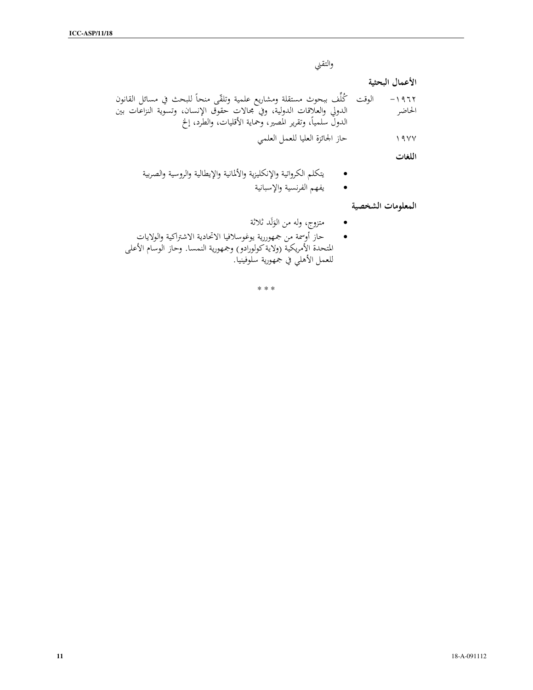والتقني

الأعمال البحثية الوقت كُلِّف ببحوث مستقلة ومشاريع علمية وتلقَّى منحاً للبحث في مسائل القانون  $-1977$ الدولي والعلَّاقات الدولية، وفيَّ مجالات حقوق الإنسان، وتسوَّية النزاعات بيَّن الحاضر الدولُّ سلَّميًّا، وتقرير المَصير، وْحماية الأقليات، والطَّرد، إلخ حاز الجائزة العليا للعمل العلمي  $19YY$ 

اللغات

- يتكلم الكرواتية والإنكليزية والألمانية والإيطالية والروسية والصربية  $\bullet$ 
	- يفهم الفرنسية والإسبانية

المعلومات الشخصية

- متزوج، وله من الوَلَد ثلاثة
- حاز أوسمة من جمهوررية يوغوسلافيا الاتحادية الاشتراكية والولايات<br>المتحدة الأمريكية (ولاية كولورادو) وجمهورية النمسا. وحاز الوسام الأعلى  $\bullet$ للعمل الأهليّ في جُمّهورية سُلّوفينيّا. ۖ

 $* * *$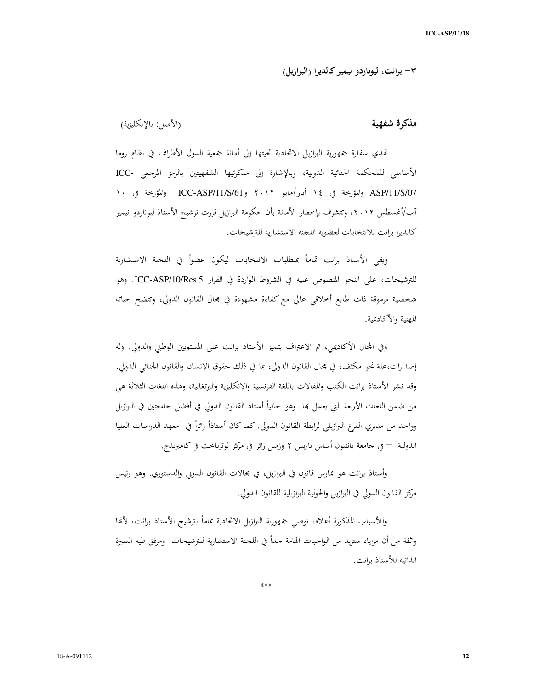۳– برانت، ليوناردو نيمير كالديرا (البرازيل)

#### مذكرة شفهية

## (الأصل: بالإنكليزية)

تَحدي سفارة جمهورية البرازيل الاتحادية تحيتها إلى أمانة جمعية الدول الأطراف في نظام روما الأساسي للمحكمة الجنائية الدولية، وبالإشارة إلى مذكرتيها الشفهيتين بالرمز المرجعي -ICC ASP/11/S/07 والمؤرخة في ١٤ أيار/مايو ٢٠١٢ و70/NCC-ASP/11/S والمؤرخة في ١٠ آب/أغسطس ٢٠١٢، وتتشرف بإخطار الأمانة بأن حكومة البرازيل قررت ترشيح الأستاذ ليوناردو نيمير كالديرا برانت للانتخابات لعضوية اللجنة الاستشارية للترشيحات.

ويفي الأستاذ برانت تماماً بمتطلبات الانتخابات ليكون عضواً في اللجنة الاستشارية للترشيحات، على النحو المنصوص عليه في الشروط الواردة في القرار ICC-ASP/10/Res.5. وهو شخصية مرموقة ذات طابع أخلاقي عالي مع كفاءة مشهودة في مجال القانون الدولي، وتتضح حياته المهنية والأكاديمية.

وفي المحال الأكاديمي، تم الاعتراف بتميز الأستاذ برانت على المستويين الوطني والدولي. وله إصدارات،علة نحو مكثف، في مجال القانون الدولي، بما في ذلك حقوق الإنسان والقانون الجنائي الدولي. وقد نشر الأستاذ برانت الكتب والمقالات باللغة الفرنسية والإنكليزية والبرتغالية، وهذه اللغات الثلاثة هي من ضمن اللغات الأربعة التي يعمل بَما. وهو حالياً أستاذ القانون الدولي في أفضل جامعتين في البرازيل وواحد من مديري الفرع البرازيلي لرابطة القانون الدولي. كما كان أستاذاً زائراً في "معهد الدراسات العليا الدولية" — في جامعة بانتيون أساس باريس ٢ وزميل زائر في مركز لوترباخت في كامبريدج.

وأستاذ برانت هو ممارس قانون في البرازيل، في مجالات القانون الدولي والدستوري. وهو رئيس مركز القانون الدولي في البرازيل والحولية البرازيلية للقانون الدولي.

وللأسباب المذكورة أعلاه، توصى جمهورية البرازيل الاتحادية تماماً بترشيح الأستاذ برانت، لأنها واثقة من أن مزاياه ستزيد من الواجبات الهامة جداً في اللجنة الاستشارية للترشيحات. ومرفق طيه السيرة الذاتية للأستاذ برانت.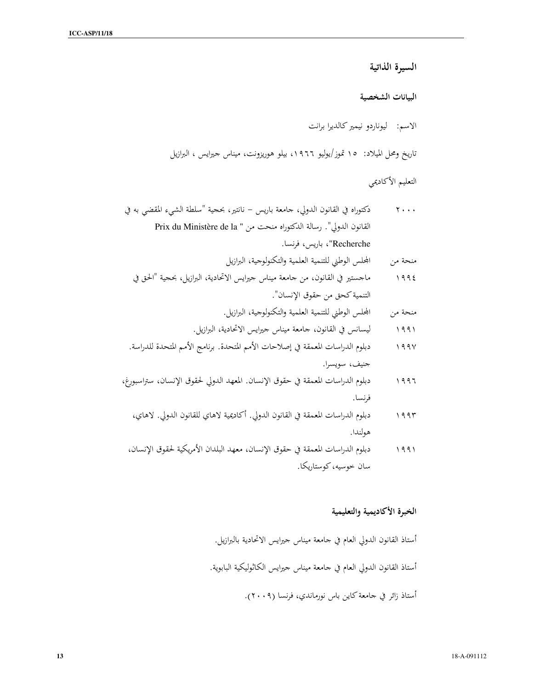السيرة الذاتية

البيانات الشخصية

الاسم: ليوناردو نيمير كالديرا برانت

تاریخ ومحل المیلاد: ۱۰ تموز/یولیو ۱۹۲۲، بیلو هوریزونت، میناس جیرایس ، البرازیل

التعليم الأكاديمي

# الخبرة الأكاديمية والتعليمية

أستاذ القانون الدولي العام في جامعة ميناس جيرايس الاتحادية بالبرازيل.

أستاذ القانون الدولي العام في جامعة ميناس جيرايس الكاثوليكية البابوية.

أستاذ زائر في جامعة كاين باس نورماندي، فرنسا (٢٠٠٩).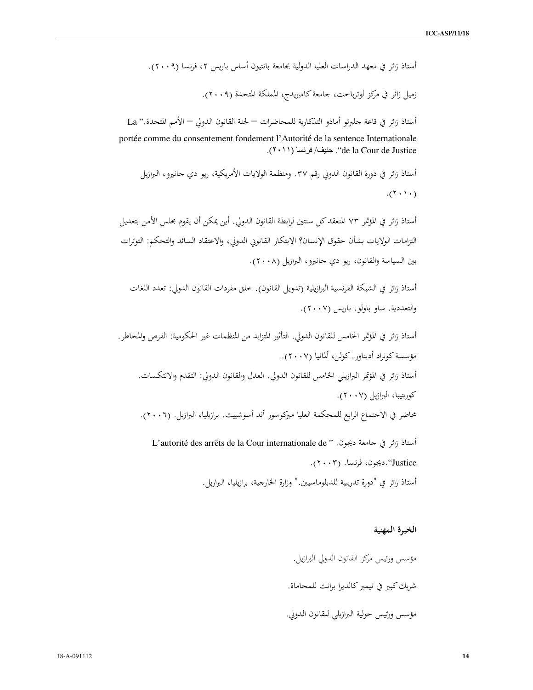أستاذ زائر في معهد الدراسات العليا الدولية بجامعة بانتيون أساس باريس ٢، فرنسا (٢٠٠٩).

زميل زائر في مركز لوترباخت، جامعة كامبريدج، المملكة المتحدة (٢٠٠٩).

أستاذ زائر في قاعة جلبرتو أمادو التذكارية للمحاضرات — لجنة القانون الدولي — الأمم المتحدة.'' La

portée comme du consentement fondement l'Autorité de la sentence Internationale de la Cour de Justice". جنيف/ فرنسا (٢٠١١).

أستاذ زائر في دورة القانون الدولي رقم ٣٧. ومنظمة الولايات الأمريكية، ريو دي جانيرو، البرازيا ِ  $(1 \cdot 1 \cdot)$ 

أستاذ زائر في المؤتمر ٧٣ المنعقد كل سنتين لرابطة القانون الدولي. أين يمكن أن يقوم مجلس الأمن بتعديل التزامات الولايات بشأن حقوق الإنسان؟ الابتكار القانوني الدولي، والاعتقاد السائد والتحكم: التوترات بين السياسة والقانون، ريو دي جانيرو، البرازيل (٢٠٠٨).

أستاذ زائر في الشبكة الفرنسية البرازيلية (تدويل القانون). خلق مفردات القانون الدولي: تعدد اللغات والتعددية. ساو باولو، باريس (٢٠٠٧).

أستاذ زائر في المؤتمر الخامس للقانون الدولي. التأثير المتزايد من المنظمات غير الحكومية: الفرص والمخاطر. مؤسسة كونراد أديناور . كولن، ألمانيا (٢٠٠٧). أستاذ زائر في المؤتمر البرازيلي الخامس للقانون الدولي. العدل والقانون الدولي: التقدم والانتكسات. كوريتيبا، البرازيل (٢٠٠٧). محاضر في الاجتماع الرابع للمحكمة العليا ميركوسور أند أسوشييت. برازيليا، البرازيل. (٢٠٠٦).

> L'autorité des arrêts de la Cour internationale de " متتاذ زائر في جامعة ديجون. " Justice".ديجون، فرنسا. (٢٠٠٣).

أستاذ زائر في "دورة تدريبية للدبلوماسيين." وزارة الخارجية، برازيليا، البرازيل.

#### الخبرة المهنية

مؤسس ورئيس مركز القانون الدولي البرازيل. شريك كبير في نيمير كالديرا برانت للمحاماة. مؤسس ورئيس حولية البرازيلي للقانون الدولي.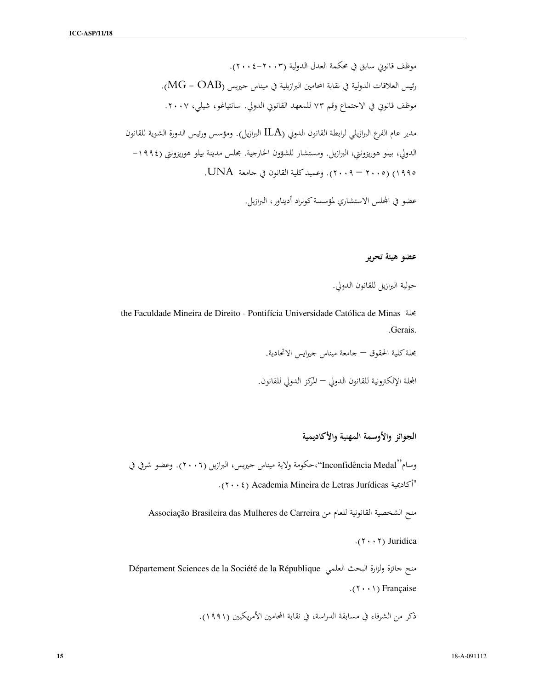.( W) #\*+ )+ #5© - h/-L 
-S fº
; .( MG OAB) nFr -=; - #D p;-R #/-, - #\*+ @-S2 nQ . `YDM `
w-.-L .®\*+ 
-, +<D W jS\* q-.r - 
-S fº
; E
-,D #
 8\*+ nQ\* nL;\* .(l ILA) ®\*+ E
-, #v/ YD q9 Z-3 +; ) ?\*

D/ #=+; nD .#r-¹ E\*D -.e;\* .l `?\*

D/ `®\*+ . UNA #;r - E
-, #Dc +3\* .( – :) (: .l `\*-=UC U
c #eL6 -.L nD - 
>3

عضو هيئة تحرير

حولية البرازيل للقانون الدولي.

the Faculdade Mineira de Direito - Pontifícia Universidade Católica de Minas  $\pm$ . Gerais.

مجلة كلية الحقوق — جامعة ميناس جيرايس الاتحادية.

.E
-,D ®\*+ c6 – ®\*+ E
-,D #\*N5 #D

الجوائز والأوسمة المهنية والأكاديمية

وسام''Inconfidência Medal''،حكومة ولاية ميناس جيريس، البرازيل (٢٠٠٦). وعضو شرفي في .(٢٠٠٤) Academia Mineira de Letras Jurídicas (٢٠٠٤)

Associação Brasileira das Mulheres de Carreira من Associação Brasileira das Mulheres de Carreira

 $(7 \cdot \cdot 7)$  Juridica

Département Sciences de la Société de la République منح جائزة ولزارة البحث العلمي  $(7 \cdot \cdot)$  Française

ذكر من الشرفاء في مسابقة الدراسة، في نقابة المحامين الأمريكيين (١٩٩١).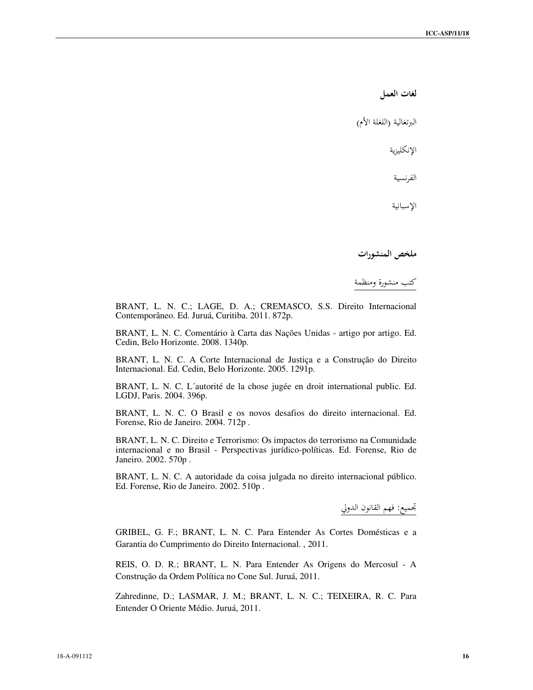لغات العمل البرتغالية (اللغلة الأم) الإنكليزية الفرنسية الإسبانية

ملخص المنشورات

كتب منشورة ومنظمة

BRANT, L. N. C.; LAGE, D. A.; CREMASCO, S.S. Direito Internacional Contemporâneo. Ed. Juruá, Curitiba. 2011. 872p.

BRANT, L. N. C. Comentário à Carta das Nações Unidas - artigo por artigo. Ed. Cedin, Belo Horizonte. 2008. 1340p.

BRANT, L. N. C. A Corte Internacional de Justiça e a Construção do Direito Internacional. Ed. Cedin, Belo Horizonte. 2005. 1291p.

BRANT, L. N. C. L´autorité de la chose jugée en droit international public. Ed. LGDJ, Paris. 2004. 396p.

BRANT, L. N. C. O Brasil e os novos desafios do direito internacional. Ed. Forense, Rio de Janeiro. 2004. 712p .

BRANT, L. N. C. Direito e Terrorismo: Os impactos do terrorismo na Comunidade internacional e no Brasil - Perspectivas jurídico-políticas. Ed. Forense, Rio de Janeiro. 2002. 570p .

BRANT, L. N. C. A autoridade da coisa julgada no direito internacional público. Ed. Forense, Rio de Janeiro. 2002. 510p .

تحميع: فهم القانون الدولي

GRIBEL, G. F.; BRANT, L. N. C. Para Entender As Cortes Domésticas e a Garantia do Cumprimento do Direito Internacional. , 2011.

REIS, O. D. R.; BRANT, L. N. Para Entender As Origens do Mercosul - A Construção da Ordem Política no Cone Sul. Juruá, 2011.

Zahredinne, D.; LASMAR, J. M.; BRANT, L. N. C.; TEIXEIRA, R. C. Para Entender O Oriente Médio. Juruá, 2011.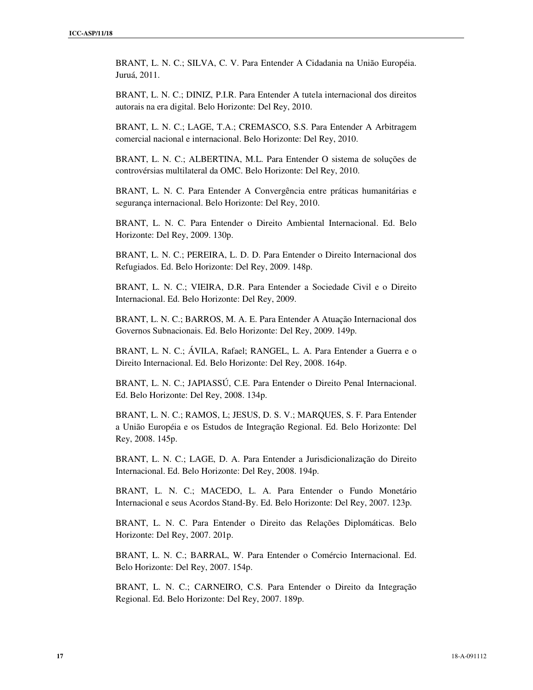BRANT, L. N. C.; SILVA, C. V. Para Entender A Cidadania na União Européia. Juruá, 2011.

BRANT, L. N. C.; DINIZ, P.I.R. Para Entender A tutela internacional dos direitos autorais na era digital. Belo Horizonte: Del Rey, 2010.

BRANT, L. N. C.; LAGE, T.A.; CREMASCO, S.S. Para Entender A Arbitragem comercial nacional e internacional. Belo Horizonte: Del Rey, 2010.

BRANT, L. N. C.; ALBERTINA, M.L. Para Entender O sistema de soluções de controvérsias multilateral da OMC. Belo Horizonte: Del Rey, 2010.

BRANT, L. N. C. Para Entender A Convergência entre práticas humanitárias e segurança internacional. Belo Horizonte: Del Rey, 2010.

BRANT, L. N. C. Para Entender o Direito Ambiental Internacional. Ed. Belo Horizonte: Del Rey, 2009. 130p.

BRANT, L. N. C.; PEREIRA, L. D. D. Para Entender o Direito Internacional dos Refugiados. Ed. Belo Horizonte: Del Rey, 2009. 148p.

BRANT, L. N. C.; VIEIRA, D.R. Para Entender a Sociedade Civil e o Direito Internacional. Ed. Belo Horizonte: Del Rey, 2009.

BRANT, L. N. C.; BARROS, M. A. E. Para Entender A Atuação Internacional dos Governos Subnacionais. Ed. Belo Horizonte: Del Rey, 2009. 149p.

BRANT, L. N. C.; ÁVILA, Rafael; RANGEL, L. A. Para Entender a Guerra e o Direito Internacional. Ed. Belo Horizonte: Del Rey, 2008. 164p.

BRANT, L. N. C.; JAPIASSÚ, C.E. Para Entender o Direito Penal Internacional. Ed. Belo Horizonte: Del Rey, 2008. 134p.

BRANT, L. N. C.; RAMOS, L; JESUS, D. S. V.; MARQUES, S. F. Para Entender a União Européia e os Estudos de Integração Regional. Ed. Belo Horizonte: Del Rey, 2008. 145p.

BRANT, L. N. C.; LAGE, D. A. Para Entender a Jurisdicionalização do Direito Internacional. Ed. Belo Horizonte: Del Rey, 2008. 194p.

BRANT, L. N. C.; MACEDO, L. A. Para Entender o Fundo Monetário Internacional e seus Acordos Stand-By. Ed. Belo Horizonte: Del Rey, 2007. 123p.

BRANT, L. N. C. Para Entender o Direito das Relações Diplomáticas. Belo Horizonte: Del Rey, 2007. 201p.

BRANT, L. N. C.; BARRAL, W. Para Entender o Comércio Internacional. Ed. Belo Horizonte: Del Rey, 2007. 154p.

BRANT, L. N. C.; CARNEIRO, C.S. Para Entender o Direito da Integração Regional. Ed. Belo Horizonte: Del Rey, 2007. 189p.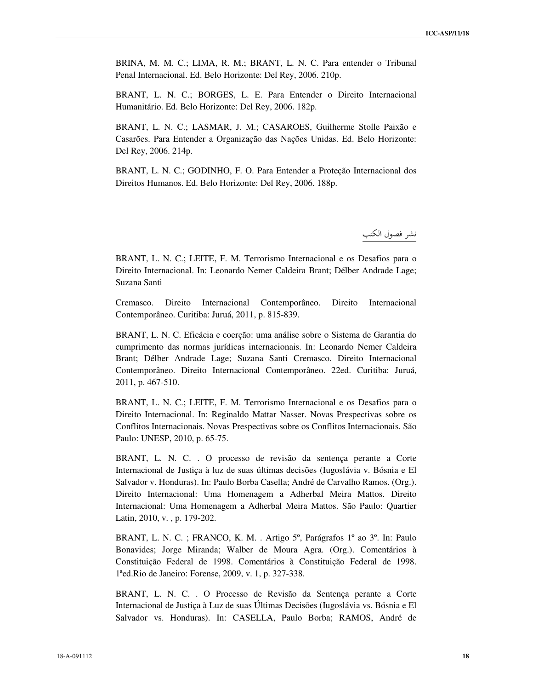BRINA, M. M. C.; LIMA, R. M.; BRANT, L. N. C. Para entender o Tribunal Penal Internacional. Ed. Belo Horizonte: Del Rey, 2006. 210p.

BRANT, L. N. C.; BORGES, L. E. Para Entender o Direito Internacional Humanitário. Ed. Belo Horizonte: Del Rey, 2006. 182p.

BRANT, L. N. C.; LASMAR, J. M.; CASAROES, Guilherme Stolle Paixão e Casarões. Para Entender a Organização das Nações Unidas. Ed. Belo Horizonte: Del Rey, 2006. 214p.

BRANT, L. N. C.; GODINHO, F. O. Para Entender a Proteção Internacional dos Direitos Humanos. Ed. Belo Horizonte: Del Rey, 2006. 188p.

نشر فصول الكتب

BRANT, L. N. C.; LEITE, F. M. Terrorismo Internacional e os Desafios para o Direito Internacional. In: Leonardo Nemer Caldeira Brant; Délber Andrade Lage; Suzana Santi

Cremasco. Direito Internacional Contemporâneo. Direito Internacional Contemporâneo. Curitiba: Juruá, 2011, p. 815-839.

BRANT, L. N. C. Eficácia e coerção: uma análise sobre o Sistema de Garantia do cumprimento das normas jurídicas internacionais. In: Leonardo Nemer Caldeira Brant; Délber Andrade Lage; Suzana Santi Cremasco. Direito Internacional Contemporâneo. Direito Internacional Contemporâneo. 22ed. Curitiba: Juruá, 2011, p. 467-510.

BRANT, L. N. C.; LEITE, F. M. Terrorismo Internacional e os Desafios para o Direito Internacional. In: Reginaldo Mattar Nasser. Novas Prespectivas sobre os Conflitos Internacionais. Novas Prespectivas sobre os Conflitos Internacionais. São Paulo: UNESP, 2010, p. 65-75.

BRANT, L. N. C. . O processo de revisão da sentença perante a Corte Internacional de Justiça à luz de suas últimas decisões (Iugoslávia v. Bósnia e El Salvador v. Honduras). In: Paulo Borba Casella; André de Carvalho Ramos. (Org.). Direito Internacional: Uma Homenagem a Adherbal Meira Mattos. Direito Internacional: Uma Homenagem a Adherbal Meira Mattos. São Paulo: Quartier Latin, 2010, v. , p. 179-202.

BRANT, L. N. C. ; FRANCO, K. M. . Artigo 5º, Parágrafos 1º ao 3º. In: Paulo Bonavides; Jorge Miranda; Walber de Moura Agra. (Org.). Comentários à Constituição Federal de 1998. Comentários à Constituição Federal de 1998. 1ªed.Rio de Janeiro: Forense, 2009, v. 1, p. 327-338.

BRANT, L. N. C. . O Processo de Revisão da Sentença perante a Corte Internacional de Justiça à Luz de suas Últimas Decisões (Iugoslávia vs. Bósnia e El Salvador vs. Honduras). In: CASELLA, Paulo Borba; RAMOS, André de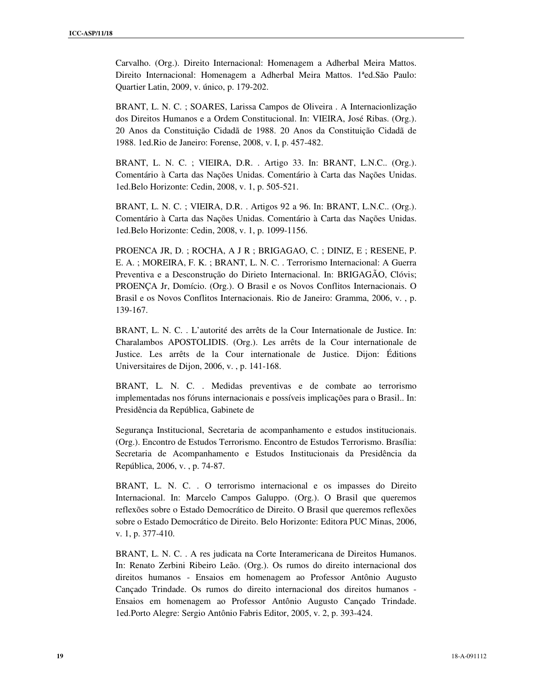Carvalho. (Org.). Direito Internacional: Homenagem a Adherbal Meira Mattos. Direito Internacional: Homenagem a Adherbal Meira Mattos. 1ªed.São Paulo: Quartier Latin, 2009, v. único, p. 179-202.

BRANT, L. N. C. ; SOARES, Larissa Campos de Oliveira . A Internacionlização dos Direitos Humanos e a Ordem Constitucional. In: VIEIRA, José Ribas. (Org.). 20 Anos da Constituição Cidadã de 1988. 20 Anos da Constituição Cidadã de 1988. 1ed.Rio de Janeiro: Forense, 2008, v. I, p. 457-482.

BRANT, L. N. C. ; VIEIRA, D.R. . Artigo 33. In: BRANT, L.N.C.. (Org.). Comentário à Carta das Nações Unidas. Comentário à Carta das Nações Unidas. 1ed.Belo Horizonte: Cedin, 2008, v. 1, p. 505-521.

BRANT, L. N. C. ; VIEIRA, D.R. . Artigos 92 a 96. In: BRANT, L.N.C.. (Org.). Comentário à Carta das Nações Unidas. Comentário à Carta das Nações Unidas. 1ed.Belo Horizonte: Cedin, 2008, v. 1, p. 1099-1156.

PROENCA JR, D. ; ROCHA, A J R ; BRIGAGAO, C. ; DINIZ, E ; RESENE, P. E. A. ; MOREIRA, F. K. ; BRANT, L. N. C. . Terrorismo Internacional: A Guerra Preventiva e a Desconstrução do Dirieto Internacional. In: BRIGAGÃO, Clóvis; PROENÇA Jr, Domício. (Org.). O Brasil e os Novos Conflitos Internacionais. O Brasil e os Novos Conflitos Internacionais. Rio de Janeiro: Gramma, 2006, v. , p. 139-167.

BRANT, L. N. C. . L'autorité des arrêts de la Cour Internationale de Justice. In: Charalambos APOSTOLIDIS. (Org.). Les arrêts de la Cour internationale de Justice. Les arrêts de la Cour internationale de Justice. Dijon: Éditions Universitaires de Dijon, 2006, v. , p. 141-168.

BRANT, L. N. C. . Medidas preventivas e de combate ao terrorismo implementadas nos fóruns internacionais e possíveis implicações para o Brasil.. In: Presidência da República, Gabinete de

Segurança Institucional, Secretaria de acompanhamento e estudos institucionais. (Org.). Encontro de Estudos Terrorismo. Encontro de Estudos Terrorismo. Brasília: Secretaria de Acompanhamento e Estudos Institucionais da Presidência da República, 2006, v. , p. 74-87.

BRANT, L. N. C. . O terrorismo internacional e os impasses do Direito Internacional. In: Marcelo Campos Galuppo. (Org.). O Brasil que queremos reflexões sobre o Estado Democrático de Direito. O Brasil que queremos reflexões sobre o Estado Democrático de Direito. Belo Horizonte: Editora PUC Minas, 2006, v. 1, p. 377-410.

BRANT, L. N. C. . A res judicata na Corte Interamericana de Direitos Humanos. In: Renato Zerbini Ribeiro Leão. (Org.). Os rumos do direito internacional dos direitos humanos - Ensaios em homenagem ao Professor Antônio Augusto Cançado Trindade. Os rumos do direito internacional dos direitos humanos - Ensaios em homenagem ao Professor Antônio Augusto Cançado Trindade. 1ed.Porto Alegre: Sergio Antônio Fabris Editor, 2005, v. 2, p. 393-424.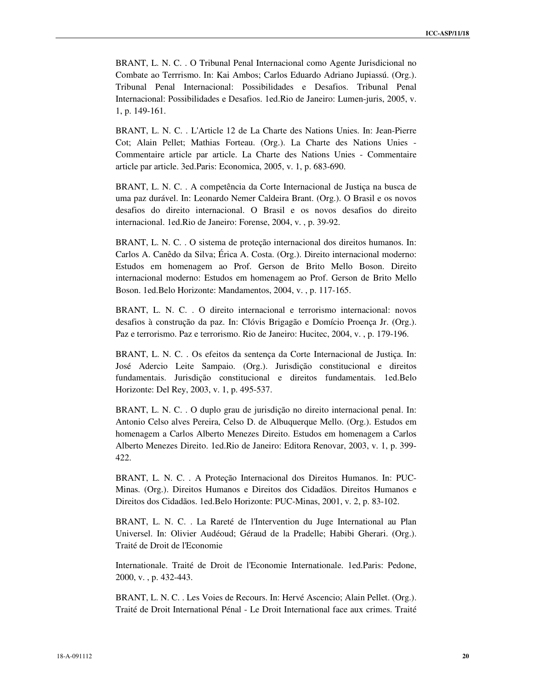BRANT, L. N. C. . O Tribunal Penal Internacional como Agente Jurisdicional no Combate ao Terrrismo. In: Kai Ambos; Carlos Eduardo Adriano Jupiassú. (Org.). Tribunal Penal Internacional: Possibilidades e Desafios. Tribunal Penal Internacional: Possibilidades e Desafios. 1ed.Rio de Janeiro: Lumen-juris, 2005, v. 1, p. 149-161.

BRANT, L. N. C. . L'Article 12 de La Charte des Nations Unies. In: Jean-Pierre Cot; Alain Pellet; Mathias Forteau. (Org.). La Charte des Nations Unies - Commentaire article par article. La Charte des Nations Unies - Commentaire article par article. 3ed.Paris: Economica, 2005, v. 1, p. 683-690.

BRANT, L. N. C. . A competência da Corte Internacional de Justiça na busca de uma paz durável. In: Leonardo Nemer Caldeira Brant. (Org.). O Brasil e os novos desafios do direito internacional. O Brasil e os novos desafios do direito internacional. 1ed.Rio de Janeiro: Forense, 2004, v. , p. 39-92.

BRANT, L. N. C. . O sistema de proteção internacional dos direitos humanos. In: Carlos A. Canêdo da Silva; Érica A. Costa. (Org.). Direito internacional moderno: Estudos em homenagem ao Prof. Gerson de Brito Mello Boson. Direito internacional moderno: Estudos em homenagem ao Prof. Gerson de Brito Mello Boson. 1ed.Belo Horizonte: Mandamentos, 2004, v. , p. 117-165.

BRANT, L. N. C. . O direito internacional e terrorismo internacional: novos desafios à construção da paz. In: Clóvis Brigagão e Domício Proença Jr. (Org.). Paz e terrorismo. Paz e terrorismo. Rio de Janeiro: Hucitec, 2004, v. , p. 179-196.

BRANT, L. N. C. . Os efeitos da sentença da Corte Internacional de Justiça. In: José Adercio Leite Sampaio. (Org.). Jurisdição constitucional e direitos fundamentais. Jurisdição constitucional e direitos fundamentais. 1ed.Belo Horizonte: Del Rey, 2003, v. 1, p. 495-537.

BRANT, L. N. C. . O duplo grau de jurisdição no direito internacional penal. In: Antonio Celso alves Pereira, Celso D. de Albuquerque Mello. (Org.). Estudos em homenagem a Carlos Alberto Menezes Direito. Estudos em homenagem a Carlos Alberto Menezes Direito. 1ed.Rio de Janeiro: Editora Renovar, 2003, v. 1, p. 399- 422.

BRANT, L. N. C. . A Proteção Internacional dos Direitos Humanos. In: PUC-Minas. (Org.). Direitos Humanos e Direitos dos Cidadãos. Direitos Humanos e Direitos dos Cidadãos. 1ed.Belo Horizonte: PUC-Minas, 2001, v. 2, p. 83-102.

BRANT, L. N. C. . La Rareté de l'Intervention du Juge International au Plan Universel. In: Olivier Audéoud; Géraud de la Pradelle; Habibi Gherari. (Org.). Traité de Droit de l'Economie

Internationale. Traité de Droit de l'Economie Internationale. 1ed.Paris: Pedone, 2000, v. , p. 432-443.

BRANT, L. N. C. . Les Voies de Recours. In: Hervé Ascencio; Alain Pellet. (Org.). Traité de Droit International Pénal - Le Droit International face aux crimes. Traité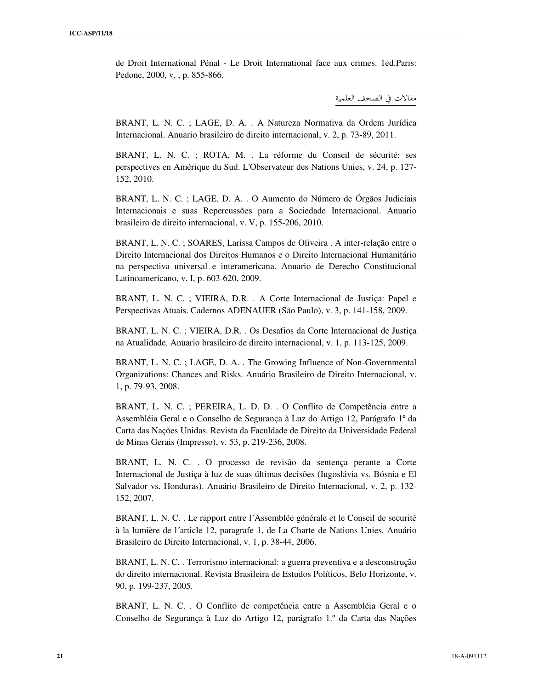de Droit International Pénal - Le Droit International face aux crimes. 1ed.Paris: Pedone, 2000, v. , p. 855-866.

مقالات في الصحف العلمية

BRANT, L. N. C. ; LAGE, D. A. . A Natureza Normativa da Ordem Jurídica Internacional. Anuario brasileiro de direito internacional, v. 2, p. 73-89, 2011.

BRANT, L. N. C. ; ROTA, M. . La réforme du Conseil de sécurité: ses perspectives en Amérique du Sud. L'Observateur des Nations Unies, v. 24, p. 127- 152, 2010.

BRANT, L. N. C. ; LAGE, D. A. . O Aumento do Número de Órgãos Judiciais Internacionais e suas Repercussões para a Sociedade Internacional. Anuario brasileiro de direito internacional, v. V, p. 155-206, 2010.

BRANT, L. N. C. ; SOARES, Larissa Campos de Oliveira . A inter-relação entre o Direito Internacional dos Direitos Humanos e o Direito Internacional Humanitário na perspectiva universal e interamericana. Anuario de Derecho Constitucional Latinoamericano, v. I, p. 603-620, 2009.

BRANT, L. N. C. ; VIEIRA, D.R. . A Corte Internacional de Justiça: Papel e Perspectivas Atuais. Cadernos ADENAUER (São Paulo), v. 3, p. 141-158, 2009.

BRANT, L. N. C. ; VIEIRA, D.R. . Os Desafios da Corte Internacional de Justiça na Atualidade. Anuario brasileiro de direito internacional, v. 1, p. 113-125, 2009.

BRANT, L. N. C. ; LAGE, D. A. . The Growing Influence of Non-Governmental Organizations: Chances and Risks. Anuário Brasileiro de Direito Internacional, v. 1, p. 79-93, 2008.

BRANT, L. N. C. ; PEREIRA, L. D. D. . O Conflito de Competência entre a Assembléia Geral e o Conselho de Segurança à Luz do Artigo 12, Parágrafo 1º da Carta das Nações Unidas. Revista da Faculdade de Direito da Universidade Federal de Minas Gerais (Impresso), v. 53, p. 219-236, 2008.

BRANT, L. N. C. . O processo de revisão da sentença perante a Corte Internacional de Justiça à luz de suas últimas decisões (Iugoslávia vs. Bósnia e El Salvador vs. Honduras). Anuário Brasileiro de Direito Internacional, v. 2, p. 132- 152, 2007.

BRANT, L. N. C. . Le rapport entre l´Assemblée générale et le Conseil de securité à la lumière de l´article 12, paragrafe 1, de La Charte de Nations Unies. Anuário Brasileiro de Direito Internacional, v. 1, p. 38-44, 2006.

BRANT, L. N. C. . Terrorismo internacional: a guerra preventiva e a desconstrução do direito internacional. Revista Brasileira de Estudos Políticos, Belo Horizonte, v. 90, p. 199-237, 2005.

BRANT, L. N. C. . O Conflito de competência entre a Assembléia Geral e o Conselho de Segurança à Luz do Artigo 12, parágrafo 1.º da Carta das Nações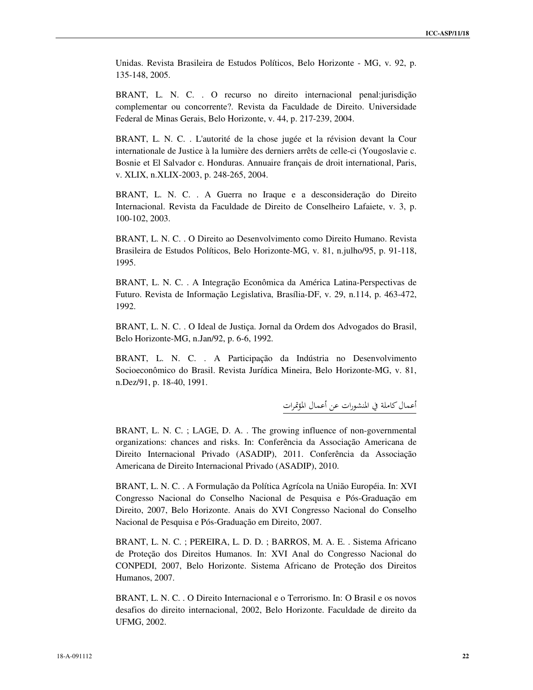Unidas. Revista Brasileira de Estudos Políticos, Belo Horizonte - MG, v. 92, p. 135-148, 2005.

BRANT, L. N. C. . O recurso no direito internacional penal:jurisdição complementar ou concorrente?. Revista da Faculdade de Direito. Universidade Federal de Minas Gerais, Belo Horizonte, v. 44, p. 217-239, 2004.

BRANT, L. N. C. . L'autorité de la chose jugée et la révision devant la Cour internationale de Justice à la lumière des derniers arrêts de celle-ci (Yougoslavie c. Bosnie et El Salvador c. Honduras. Annuaire français de droit international, Paris, v. XLIX, n.XLIX-2003, p. 248-265, 2004.

BRANT, L. N. C. . A Guerra no Iraque e a desconsideração do Direito Internacional. Revista da Faculdade de Direito de Conselheiro Lafaiete, v. 3, p. 100-102, 2003.

BRANT, L. N. C. . O Direito ao Desenvolvimento como Direito Humano. Revista Brasileira de Estudos Políticos, Belo Horizonte-MG, v. 81, n.julho/95, p. 91-118, 1995.

BRANT, L. N. C. . A Integração Econômica da América Latina-Perspectivas de Futuro. Revista de Informação Legislativa, Brasília-DF, v. 29, n.114, p. 463-472, 1992.

BRANT, L. N. C. . O Ideal de Justiça. Jornal da Ordem dos Advogados do Brasil, Belo Horizonte-MG, n.Jan/92, p. 6-6, 1992.

BRANT, L. N. C. . A Participação da Indústria no Desenvolvimento Socioeconômico do Brasil. Revista Jurídica Mineira, Belo Horizonte-MG, v. 81, n.Dez/91, p. 18-40, 1991.

أعمال كاملة في المنشورات عن أعمال المؤتمرات

BRANT, L. N. C. ; LAGE, D. A. . The growing influence of non-governmental organizations: chances and risks. In: Conferência da Associação Americana de Direito Internacional Privado (ASADIP), 2011. Conferência da Associação Americana de Direito Internacional Privado (ASADIP), 2010.

BRANT, L. N. C. . A Formulação da Política Agrícola na União Européia. In: XVI Congresso Nacional do Conselho Nacional de Pesquisa e Pós-Graduação em Direito, 2007, Belo Horizonte. Anais do XVI Congresso Nacional do Conselho Nacional de Pesquisa e Pós-Graduação em Direito, 2007.

BRANT, L. N. C. ; PEREIRA, L. D. D. ; BARROS, M. A. E. . Sistema Africano de Proteção dos Direitos Humanos. In: XVI Anal do Congresso Nacional do CONPEDI, 2007, Belo Horizonte. Sistema Africano de Proteção dos Direitos Humanos, 2007.

BRANT, L. N. C. . O Direito Internacional e o Terrorismo. In: O Brasil e os novos desafios do direito internacional, 2002, Belo Horizonte. Faculdade de direito da UFMG, 2002.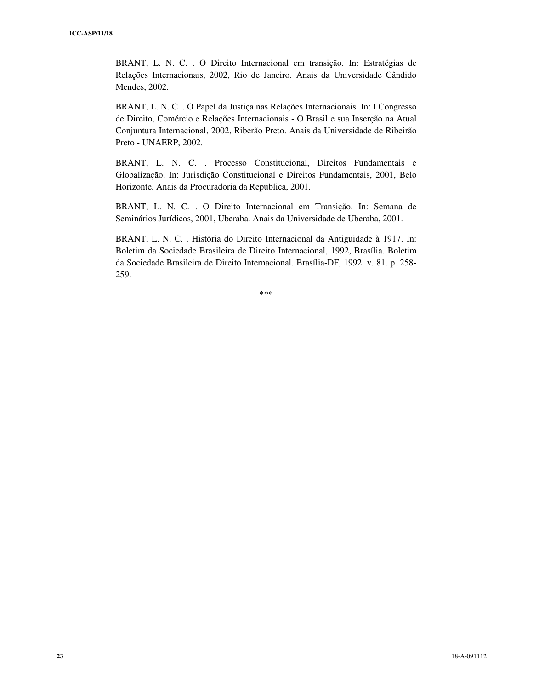BRANT, L. N. C. . O Direito Internacional em transição. In: Estratégias de Relações Internacionais, 2002, Rio de Janeiro. Anais da Universidade Cândido Mendes, 2002.

BRANT, L. N. C. . O Papel da Justiça nas Relações Internacionais. In: I Congresso de Direito, Comércio e Relações Internacionais - O Brasil e sua Inserção na Atual Conjuntura Internacional, 2002, Riberão Preto. Anais da Universidade de Ribeirão Preto - UNAERP, 2002.

BRANT, L. N. C. . Processo Constitucional, Direitos Fundamentais e Globalização. In: Jurisdição Constitucional e Direitos Fundamentais, 2001, Belo Horizonte. Anais da Procuradoria da República, 2001.

BRANT, L. N. C. . O Direito Internacional em Transição. In: Semana de Seminários Jurídicos, 2001, Uberaba. Anais da Universidade de Uberaba, 2001.

BRANT, L. N. C. . História do Direito Internacional da Antiguidade à 1917. In: Boletim da Sociedade Brasileira de Direito Internacional, 1992, Brasília. Boletim da Sociedade Brasileira de Direito Internacional. Brasília-DF, 1992. v. 81. p. 258- 259.

\*\*\*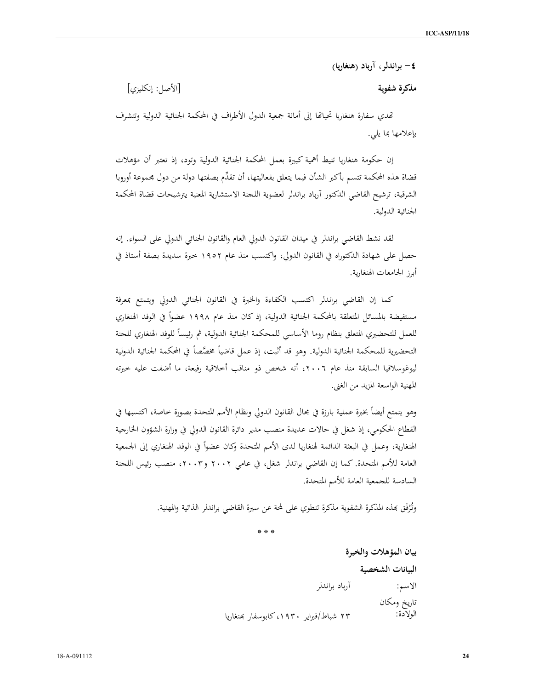٤– براندلر ، آرباد (هنغاریا)

[الأصل: إنكليزي]

مذكرة شفوية

تمدي سفارة هنغاريا تحياتما إلى أمانة جمعية الدول الأطراف في المحكمة الجنائية الدولية وتتشرف بإعلامها بما يلي.

إن حكومة هنغاريا تنيط أهمية كبيرة بعمل المحكمة الجنائية الدولية وتود، إذ تعتبر أن مؤهلات قضاة هذه المحكمة تتسم بأكبر الشأن فيما يتعلق بفعاليتها، أن تقدِّم بصفتها دولة من دول مجموعة أوروبا الشرقية، ترشيح القاضي الدكتور آرباد براندلر لعضوية اللجنة الاستشارية المعنية يترشيحات قضاة المحكمة الجنائية الدولية.

لقد نشط القاضي براندلر في ميدان القانون الدولي العام والقانون الجنائي الدولي على السواء. إنه حصل على شهادة الدكتوراه في القانون الدولى، واكتسب منذ عام ١٩٥٢ خبرة سديدة بصفة أستاذ في أبرز الجامعات الهنغارية.

كما إن القاضي براندلر اكتسب الكفاءة والخبرة في القانون الجنائي الدولي ويتمتع بمعرفة مستفيضة بالمسائل المتعلقة بالمحكمة الجنائية الدولية، إذ كان منذ عام ١٩٩٨ عضواً في الوفد الهنغاري للعمل للتحضيري المتعلق بنظام روما الأساسي للمحكمة الجنائية الدولية، ثم رئيساً للوفد الهنغاري للجنة التحضيرية للمحكمة الجنائية الدولية. وهو قد أثبت، إذ عملٍ قاضياً مخصَّصاً في المحكمة الجنائية الدولية ليوغوسلافيا السابقة منذ عام ٢٠٠٦، أنه شخص ذو مناقب أخلاقية رفيعة، ما أضفت عليه خبرته المهنية الواسعة المزيد من الغني.

وهو يتمتع أيضاً بخبرة عملية بارزة في مجال القانون الدولي ونظام الأمم المتحدة بصورة خاصة، اكتسبها في القطاع الحكومي، إذ شغل في حالات عديدة منصب مدير دائرة القانون الدولي في وزارة الشؤون الخارجية الهنغارية، وعمل في البعثة الدائمة لهنغاريا لدى الأمم المتحدة وكان عضواً في الوفد الهنغاري إلى الجمعية العامة للأمم المتحدة. كما إن القاضي براندلر شغل، في عامي ٢٠٠٢ و٢٠٠٣، منصب رئيس اللجنة السادسة للجمعية العامة للأمم المتحدة.

وتُرْفَق بِمذه المذكرة الشفوية مذكرة تنطوي على لمحة عن سيرة القاضي براندلر الذاتية والمهنية.

\* \* \*

بيان المؤهلات والخبرة البيانات الشخصية آرباد براندلر الاسم: تاريخ ومكان<br>الولادة: ۲۳ شباط/فبرایر ۱۹۳۰،کابوسفار بهنغاریا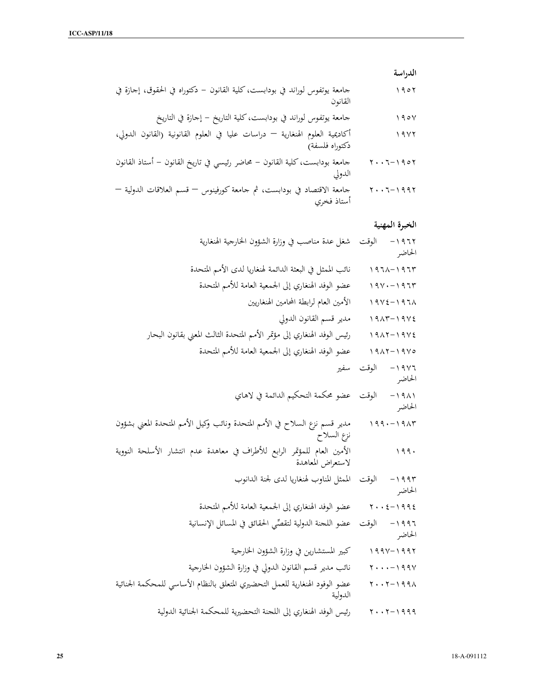## الخبرة المهنية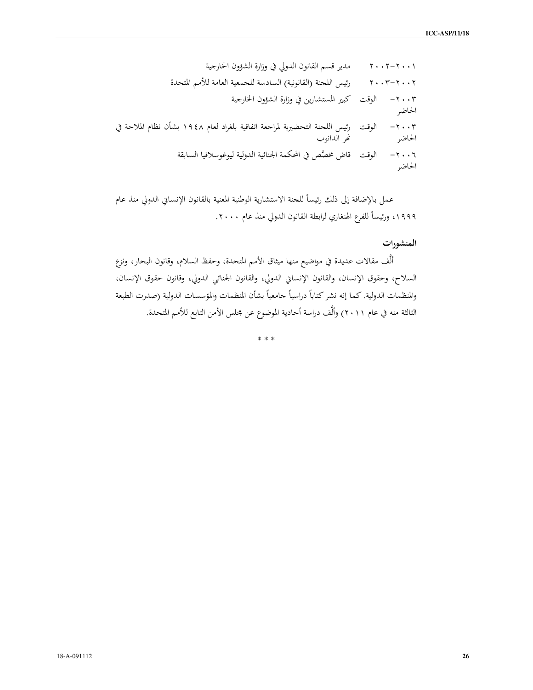عمل بالإضافة إلى ذلك رئيساً للحنة الاستشارية الوطنية المعنية بالقانون الإنساني الدولي منذ عام ١٩٩٩، ورئيساً للفرع الهنغاري لرابطة القانون الدولي منذ عام ٢٠٠٠.

### المنشورات

ألَّف مقالات عديدة في مواضيع منها ميثاق الأمم المتحدة، وحفظ السلام، وقانون البحار، ونزع السلاح، وحقوق الإنسان، والقانون الإنساني الدولي، والقانون الجنائي الدولي، وقانون حقوق الإنسان، والمنظمات الدولية. كما إنه نشر كتاباً دراسياً جامعياً بشأن المنظمات والمؤسسات الدولية (صدرت الطبعة الثالثة منه في عام ٢٠١١) وألَّف دراسة أحادية الموضوع عن مجلس الأمن التابع للأمم المتحدة.

 $* * *$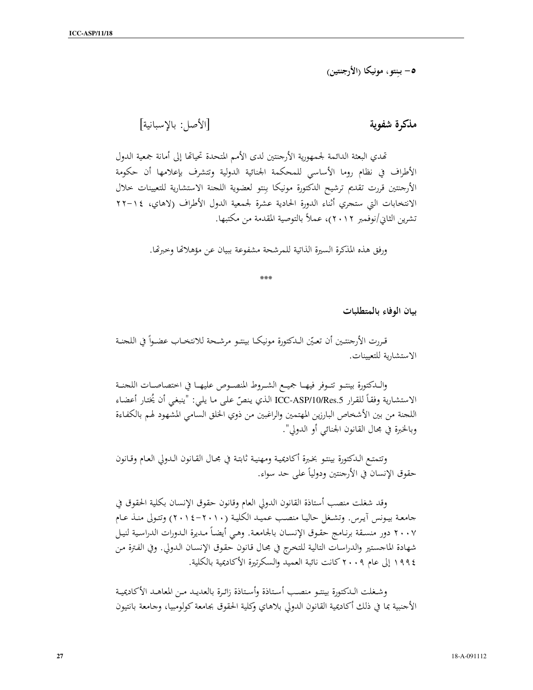٥– بنتو، مونيكا (الأرجنتين)

مذكرة شفوية

[الأصل: بالإسبانية]

تهدي البعثة الدائمة لجمهورية الأرجنتين لدى الأمم المتحدة تحياتها إلى أمانة جمعية الدول الأطراف في نظام روما الأساسي للمحكمة الجنائية الدولية وتتشرف بإعلامها أن حكومة الأرجنتين قررت تقديم ترشيح الدكتورة مونيكا بنتو لعضوية اللحنة الاستشارية للتعيينات خلال الانتخابات التي ستجرى أثناء الدورة الحادية عشرة لجمعية الدول الأطراف (لاهاي، ١٤–٢٢ تشرين الثاني/نوفمبر ٢٠١٢)، عملاً بالتوصية المقدمة من مكتبها.

ورفق هذه المذكرة السيرة الذاتية للمرشحة مشفوعة ببيان عن مؤهلاتها وحبرتها.

 $***$ 

بيان الوفاء بالمتطلبات

قررت الأرجنتين أن تعيّن الـدكتورة مونيكـا بينتـو مرشـحة للانتخـاب عضـواً في اللحنـة الاستشارية للتعيينات.

والمدكتورة بينتـو تتـوفر فيهـا جميـع الشـروط المنصـوص عليهـا في اختصاصـات اللجنـة الاستشارية وفقاً للقرار ICC-ASP/10/Res.5 الذي ينصّ على ما يلي: "ينبغي أن يُختار أعضاء اللحنة من بين الأشخاص البارزين المهتمين والراغبين من ذوي الخلق السامي المشهود لهم بالكفاءة وبالخبرة في مجال القانون الجنائبي أو الدولي".

وتتمتع الدكتورة بينتو بخبرة أكاديمية ومهنية ثابتة في مجال القانون الدولي العام وقانون حقوق الإنسان في الأرجنتين ودولياً على حد سواء.

وقد شغلت منصب أستاذة القانون الدولي العام وقانون حقوق الإنسان بكلية الحقوق في جامعة بيونس آيرس. وتشغل حاليا منصب عميد الكلية (٢٠١٠-٢٠١٤) وتتولى منذ عـام ٢٠٠٧ دور منسقة برنامج حقوق الإنسان بالجامعة. وهي أيضاً مديرة الدورات الدراسية لنيل شهادة الماجستير والدراسات التالية للتخرج في مجال قانون حقوق الإنسان الدولي. وفي الفترة من ١٩٩٤ إلى عام ٢٠٠٩ كانت نائبة العميد والسكرتيرة الأكاديمية بالكلية.

وشغلت الـدكتورة بينتـو منصب أستاذة وأستاذة زائـرة بالعديـد مـن المعاهـد الأكاديميـة الأجنبية بما في ذلك أكاديمية القانون الدولي بلاهاي وكلية الحقوق بجامعة كولومبيا، وجامعة بانتيون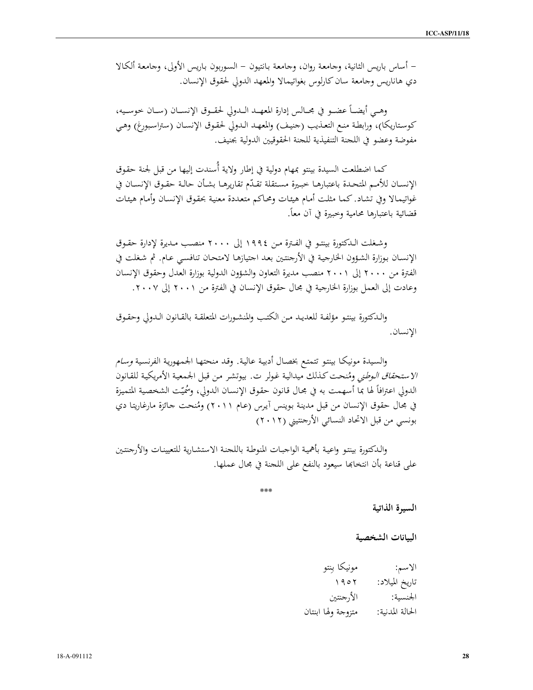– أساس باريس الثانية، وحامعة روان، وحامعة بانتيون – السوربون باريس الأولى، وحامعة ألكالا دي هاناريس وجامعة سان كارلوس بغواتيمالا والمعهد الدولي لحقوق الإنسان.

وهـي أيضــأ عضـو في مجــالس إدارة المعهــد الــدولي لحقــوق الإنســان (ســان خوسـيه، كوستاريكا)، ورابطة منع التعذيب (جنيف) والمعهد الدولي لحقوق الإنسان (ستراسبورغ) وهي مفوضة وعضو في اللجنة التنفيذية للجنة الحقوقيين الدولية بجنيف.

كما اضطلعت السيدة بينتو بمهام دولية في إطار ولاية أُسندت إليها من قبل لجنة حقوق الإنسـان للأمـم المتحـدة باعتبارهـا خبـيرة مسـتقلة تقـدّم تقاريرهـا بشـأن حالـة حقـوق الإنسـان في غواتيمالا وفي تشاد. كما مثلت أمام هيئات ومحاكم متعددة معنية بحقوق الإنسان وأمام هيئات قضائية باعتبارها محامية وخبيرة في أن معاً.

وشغلت الدكتورة بينتـو في الفـترة مـن ١٩٩٤ إلى ٢٠٠٠ منصب مـديرة لإدارة حقـوق الإنسان بوزارة الشؤون الخارجية في الأرجنتين بعد اجتيازها لامتحان تنافسي عام. ثم شغلت في الفترة من ٢٠٠٠ إلى ٢٠٠١ منصب مديرة التعاون والشؤون الدولية بوزارة العدل وحقوق الإنسان وعادت إلى العمل بوزارة الخارجية في مجال حقوق الإنسان في الفترة من ٢٠٠١ إلى ٢٠٠٧.

والدكتورة بينتو مؤلفة للعديد من الكتب والمنشورات المتعلقة بالقانون الدولي وحقوق الإنسان.

والسيدة مونيكا بينتو تتمتع بخصال أدبية عالية. وقد منحتها الجمهورية الفرنسية وسام /لاستح*قاق الوطني* ومُنحت كذلك ميدالية غولر ت. بيوتشر من قبل الجمعية الأمريكية للقانون الدولي اعترافاً لها بما أسهمت به في مجال قانون حقوق الإنسان الدولي، وسُمِّيت الشخصية المتميزة في مجال حقوق الإنسان من قبل مدينة بوينس آيرس (عام ٢٠١١) ومُنحت جائزة مارغاريتا دي بونسي من قبل الاتحاد النسائي الأرجنتيني (٢٠١٢)

والدكتورة بينتو واعية بأهمية الواجبات المنوطة باللحنة الاستشارية للتعيينات والأرجنتين على قناعة بأن انتخابَها سيعود بالنفع على اللجنة في مجال عملها.

\*\*\*

السيرة الذاتية

السانات الشخصية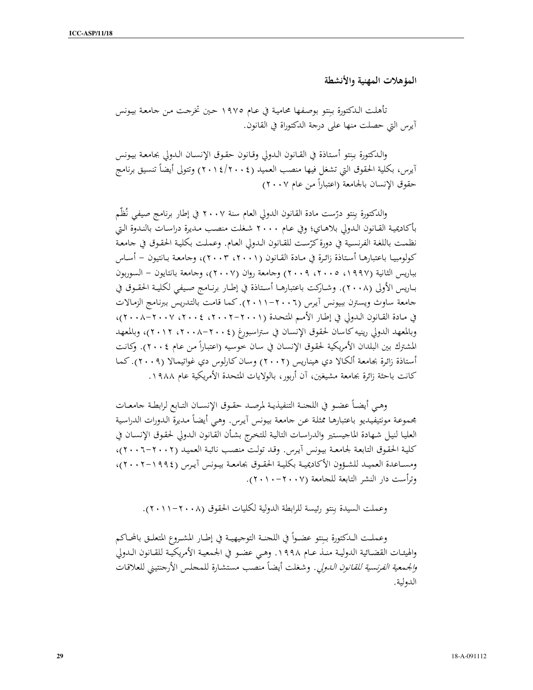المؤهلات المهنية والأنشطة

تأهلت الدكتورة بنتو بوصفها محامية في عـام ١٩٧٥ حـين تخرجـت مـن جامعة بيـونس آيرس التي حصلت منها على درجة الدكتوراة في القانون.

والدكتورة ببتو أستاذة في القانون الدولي وقانون حقوق الإنسان الدولي بجامعة بيونس آيرس، بكلية الحقوق التي تشغل فيها منصب العميد (٢٠٠٤/٢٠٠٤) وتتولى أيضاً تنسيق برنامج حقوق الإنسان بالجامعة (اعتباراً من عام ٢٠٠٧)

والدكتورة بِنتو درّست مادة القانون الدولي العام سنة ٢٠٠٧ في إطار برنامج صيفي نُظّم بأكاديمية القـانون الـدولي بلاهـاي؛ وفي عـام ٢٠٠٠ شـغلت منصب مـديرة دراسـات بالنـدوة الـتي نظمت باللغة الفرنسية في دورة كرّست للقـانون الـدولي العـام. وعملت بكليـة الحقـوق في جامعـة كولومبيـا باعتبارهـا أستاذة زائـرة في مـادة القـانون (٢٠٠١، ٢٠٠٣)، وجامعـة بـانتيون – أسـاس بباريس الثانية (١٩٩٧، ٢٠٠٥، ٢٠٠٩) وجامعة روان (٢٠٠٧)، وجامعة بانتايون – السوربون بـاريس الأولى (٢٠٠٨). وشـاركت باعتبارهـا أسـتاذة في إطـار برنـامج صـيفي لكليـة الحقـوق في جامعة ساوث ويسترن ببيونس آيرس (٢٠٠٦–٢٠١١). كما قامت بالتدريس ببرنامج الزمالات في مادة القانون الـدولي في إطـار الأمـم المتحـدة (٢٠٠١-٢٠٠٢، ٢٠٠٤، ٢٠٠٧-٢٠٠٨)، وبالمعهد الدولي رينيه كاسان لحقوق الإنسان في ستراسبورغ (٢٠٠٤–٢٠٠٨)، وبالمعهد المشترك بين البلدان الأمريكية لحقوق الإنسان في سان خوسيه (اعتباراً من عام ٢٠٠٤). وكانت أستاذة زائرة بجامعة ألكالا دي هيناريس (٢٠٠٢) وسان كارلوس دي غواتيمالا (٢٠٠٩). كما كانت باحثة زائرة بجامعة مشيغين، آن أربور، بالولايات المتحدة الأمريكية عام ١٩٨٨.

وهي أيضاً عضوٍ في اللجنة التنفيذية لمرصد حقوق الإنسـان التـابع لرابطـة جامعـات مجموعة مونتيفيديو باعتبارها ممثلة عن جامعة بيونس آيرس. وهي أيضاً مديرة الدورات الدراسية العليا لنيل شهادة الماجيستير والدراسات التالية للتخرج بشأن القانون الدولي لحقوق الإنسان في كلية الحقوق التابعة لجامعـة بيونس أيرس. وقـد تولت منصب نائبة العميـد (٢٠٠٢–٢٠٠٦)، ومسـاعدة العميـد للشـؤون الأكاديميـة بكليـة الحقـوق بجامعـة بيـونس أيـرس (١٩٩٤-٢٠٠٢)، وترأست دار النشر التابعة للجامعة (٢٠٠٧–٢٠١٠).

وعملت السبدة بنتو رئيسة للرابطة الدولية لكليات الحقوق (٢٠٠٨-٢٠١١).

وعملت الـدكتورة بـنتو عضـواً في اللجنــة التوجيهيــة في إطــار المشــروع المتعلــق بالمحـاكم والهيئات القضائية الدولية منذ عـام ١٩٩٨. وهـي عضـو في الجمعيـة الأمريكيـة للقـانون الـدولي *والجمعية الفرنسية للقانون الدولى*. وشغلت أيضاً منصب مستشارة للمجلس الأرجنتيني للعلاقات الدولية.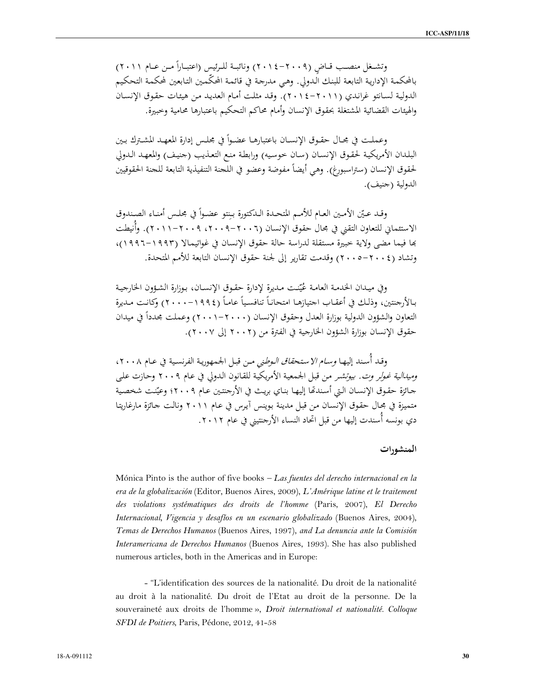وتشغل منصب قـاض (٢٠٠٩-٢٠١٤) ونائبـة للـرئيس (اعتبـاراً مـن عـام ٢٠١١) بالمحكمة الإدارية التابعة للبنك الدولي. وهي مدرجة في قائمة المحكّمين التابعين لمحكمة التحكيم الدولية لسانتو غراندي (٢٠١١-٢٠١٤). وقد مثلت أمام العديد من هيئات حقوق الإنسان والهيئات القضائية المشتغلة بحقوق الإنسان وأمام محاكم التحكيم باعتبارها محامية وخبيرة.

وعملت في مجـال حقـوق الانسـان باعتبارهـا عضـواً في مجلـس إدارة المعهـد المشـترك بـين البلدان الأمريكية لحقوق الإنسان (سان خوسيه) ورابطة منع التعذيب (حنيف) والمعهد الدولي لحقوق الإنسان (ستراسبورغ). وهي أيضاً مفوضة وعضو في اللجنة التنفيذية التابعة للجنة الحقوقيين الدولية (جنيف).

وقـد عـيّن الأمـين العـام للأمـم المتحـدة الـدكتورة بـنتو عضـواً في مجلـس أمنـاء الصـندوق الاستئماني للتعاون التقني في مجال حقوق الإنسان (٢٠٠٦-٢٠٠٩، ٢٠٠٩-٢٠١١). وأُنيطت بِما فيما مضى ولاية خبيرة مستقلة لدراسة حالة حقوق الإنسان في غواتيمالا (١٩٩٣–١٩٩٦)، وتشاد (٢٠٠٤–٢٠٠٥) وقدمت تقارير إلى لجنة حقوق الإنسان التابعة للأمم المتحدة.

وفي ميدان الخدمة العامة عُيّنت مديرة لإدارة حقوق الإنسـان، بـوزارة الشـؤون الخارجيـة بـالأرجنتين، وذلـك في أعقـاب اجتيازهـا امتحانـاً تنافسـياً عـامـاً (١٩٩٤-٢٠٠٠) وكـانـت مـديرة التعاون والشؤون الدولية بوزارة العدل وحقوق الإنسان (٢٠٠٠-٢٠٠١) وعملت مجدداً في ميدان حقوق الإنسان بوزارة الشؤون الخارجية في الفترة من (٢٠٠٢ إلى ٢٠٠٧).

وقـد أُسـند إليهـا *وسـام الاستحقاق الـوطني* مـن قبـل الجمهوريـة الفرنسـية في عـام ٢٠٠٨، *وميدالية غولر وت. بيوتشر م*ن قبل الجمعية الأمريكية للقانون الدولي في عام ٢٠٠٩ وحازت علم جائزة حقوق الإنسان التي أسندتما إليها بناي بريث في الأرجنتين عـام ٩ ٢٠٠٩ وعيّنت شخصية متميزة في مجال حقوق الإنسان من قبل مدينة بوينس آيرس في عام ٢٠١١ ونالت حائزة مارغاريتا دى بونسه أُسندت إليها من قبل اتحاد النساء الأرجنتيني في عام ٢٠١٢.

#### المنشورات

Mónica Pinto is the author of five books - Las fuentes del derecho internacional en la era de la globalización (Editor, Buenos Aires, 2009), L'Amérique latine et le traitement des violations systématiques des droits de l'homme (Paris, 2007), El Derecho Internacional, Vigencia y desafíos en un escenario globalizado (Buenos Aires, 2004), Temas de Derechos Humanos (Buenos Aires, 1997), and La denuncia ante la Comisión Interamericana de Derechos Humanos (Buenos Aires, 1993). She has also published numerous articles, both in the Americas and in Europe:

- "L'identification des sources de la nationalité. Du droit de la nationalité au droit à la nationalité. Du droit de l'Etat au droit de la personne. De la souveraineté aux droits de l'homme », Droit international et nationalité. Colloque SFDI de Poitiers, Paris, Pédone, 2012, 41-58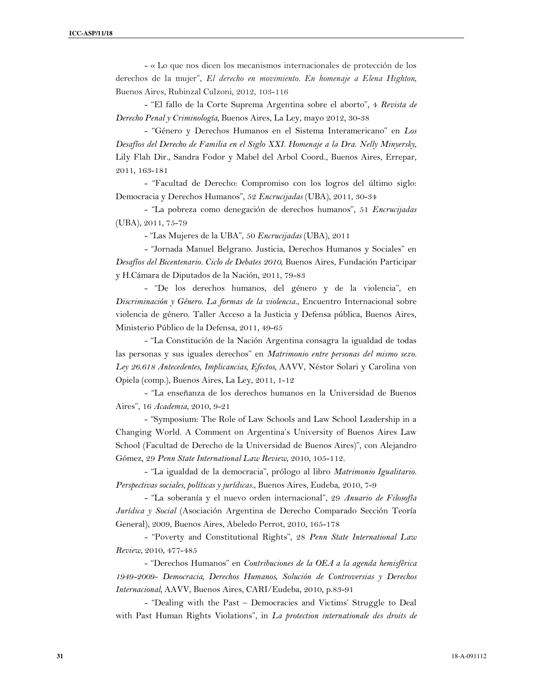- « Lo que nos dicen los mecanismos internacionales de protección de los derechos de la mujer", El derecho en movimiento. En homenaje a Elena Highton, Buenos Aires, Rubinzal Culzoni, 2012, 103-116

- "El fallo de la Corte Suprema Argentina sobre el aborto", 4 Revista de Derecho Penal y Criminología, Buenos Aires, La Ley, mayo 2012, 30-38

- "Género y Derechos Humanos en el Sistema Interamericano" en Los Desafíos del Derecho de Familia en el Siglo XXI. Homenaje a la Dra. Nelly Minyersky, Lily Flah Dir., Sandra Fodor y Mabel del Arbol Coord., Buenos Aires, Errepar, 2011, 163-181

- "Facultad de Derecho: Compromiso con los logros del último siglo: Democracia y Derechos Humanos", 52 Encrucijadas (UBA), 2011, 30-34

- "La pobreza como denegación de derechos humanos", 51 Encrucijadas (UBA), 2011, 75-79

- "Las Mujeres de la UBA", 50 Encrucijadas (UBA), 2011

- "Jornada Manuel Belgrano. Justicia, Derechos Humanos y Sociales" en Desafíos del Bicentenario. Ciclo de Debates 2010, Buenos Aires, Fundación Participar y H.Cámara de Diputados de la Nación, 2011, 79-83

- "De los derechos humanos, del género y de la violencia", en Discriminación y Género. La formas de la violencia., Encuentro Internacional sobre violencia de género. Taller Acceso a la Justicia y Defensa pública, Buenos Aires, Ministerio Público de la Defensa, 2011, 49-65

- "La Constitución de la Nación Argentina consagra la igualdad de todas las personas y sus iguales derechos" en Matrimonio entre personas del mismo sexo. Ley 26.618 Antecedentes, Implicancias, Efectos, AAVV, Néstor Solari y Carolina von Opiela (comp.), Buenos Aires, La Ley, 2011, 1-12

- "La enseñanza de los derechos humanos en la Universidad de Buenos Aires", 16 Academia, 2010, 9-21

- "Symposium: The Role of Law Schools and Law School Leadership in a Changing World. A Comment on Argentina's University of Buenos Aires Law School (Facultad de Derecho de la Universidad de Buenos Aires)", con Alejandro Gómez, 29 Penn State International Law Review, 2010, 105-112.

- "La igualdad de la democracia", prólogo al libro Matrimonio Igualitario. Perspectivas sociales, políticas y jurídicas., Buenos Aires, Eudeba, 2010, 7-9

- "La soberanía y el nuevo orden internacional", 29 Anuario de Filosofía Jurídica y Social (Asociación Argentina de Derecho Comparado Sección Teoría General), 2009, Buenos Aires, Abeledo Perrot, 2010, 165-178

- "Poverty and Constitutional Rights", 28 Penn State International Law Review, 2010, 477-485

- "Derechos Humanos" en Contribuciones de la OEA a la agenda hemisférica 1949-2009- Democracia, Derechos Humanos, Solución de Controversias y Derechos Internacional, AAVV, Buenos Aires, CARI/Eudeba, 2010, p.83-91

- "Dealing with the Past – Democracies and Victims' Struggle to Deal with Past Human Rights Violations", in La protection internationale des droits de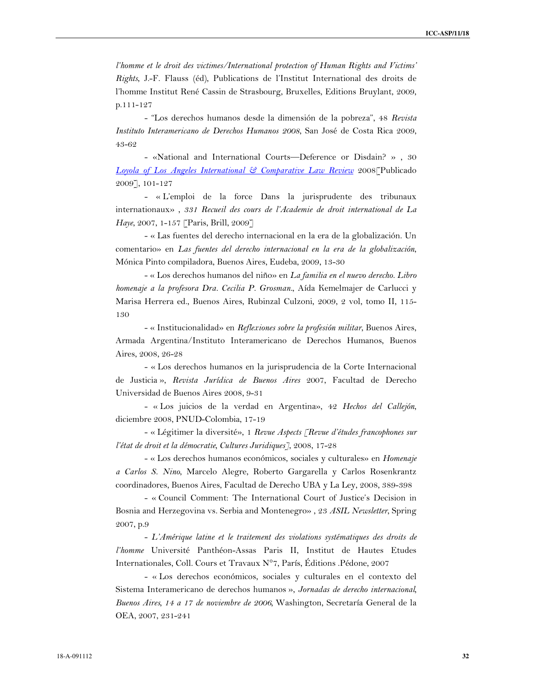l'homme et le droit des victimes/International protection of Human Rights and Victims' Rights, J.-F. Flauss (éd), Publications de l'Institut International des droits de l'homme Institut René Cassin de Strasbourg, Bruxelles, Editions Bruylant, 2009, p.111-127

- "Los derechos humanos desde la dimensión de la pobreza", 48 Revista Instituto Interamericano de Derechos Humanos 2008, San José de Costa Rica 2009, 43-62

- «National and International Courts—Deference or Disdain? » , 30 Loyola of Los Angeles International & Comparative Law Review 2008 [Publicado 2009], 101-127

- « L'emploi de la force Dans la jurisprudente des tribunaux internationaux» , 331 Recueil des cours de l'Academie de droit international de La Haye, 2007, 1-157 [Paris, Brill, 2009]

- « Las fuentes del derecho internacional en la era de la globalización. Un comentario» en Las fuentes del derecho internacional en la era de la globalización, Mónica Pinto compiladora, Buenos Aires, Eudeba, 2009, 13-30

- « Los derechos humanos del niño» en La familia en el nuevo derecho. Libro homenaje a la profesora Dra. Cecilia P. Grosman., Aída Kemelmajer de Carlucci y Marisa Herrera ed., Buenos Aires, Rubinzal Culzoni, 2009, 2 vol, tomo II, 115- 130

- « Institucionalidad» en Reflexiones sobre la profesión militar, Buenos Aires, Armada Argentina/Instituto Interamericano de Derechos Humanos, Buenos Aires, 2008, 26-28

- « Los derechos humanos en la jurisprudencia de la Corte Internacional de Justicia », Revista Jurídica de Buenos Aires 2007, Facultad de Derecho Universidad de Buenos Aires 2008, 9-31

- « Los juicios de la verdad en Argentina», 42 Hechos del Callejón, diciembre 2008, PNUD-Colombia, 17-19

- « Légitimer la diversité», 1 Revue Aspects [Revue d'études francophones sur l'état de droit et la démocratie, Cultures Juridiques], 2008, 17-28

- « Los derechos humanos económicos, sociales y culturales» en Homenaje a Carlos S. Nino, Marcelo Alegre, Roberto Gargarella y Carlos Rosenkrantz coordinadores, Buenos Aires, Facultad de Derecho UBA y La Ley, 2008, 389-398

- « Council Comment: The International Court of Justice's Decision in Bosnia and Herzegovina vs. Serbia and Montenegro» , 23 ASIL Newsletter, Spring 2007, p.9

- L'Amérique latine et le traitement des violations systématiques des droits de l'homme Université Panthéon-Assas Paris II, Institut de Hautes Etudes Internationales, Coll. Cours et Travaux N°7, París, Éditions .Pédone, 2007

- « Los derechos económicos, sociales y culturales en el contexto del Sistema Interamericano de derechos humanos », Jornadas de derecho internacional, Buenos Aires, 14 a 17 de noviembre de 2006, Washington, Secretaría General de la OEA, 2007, 231-241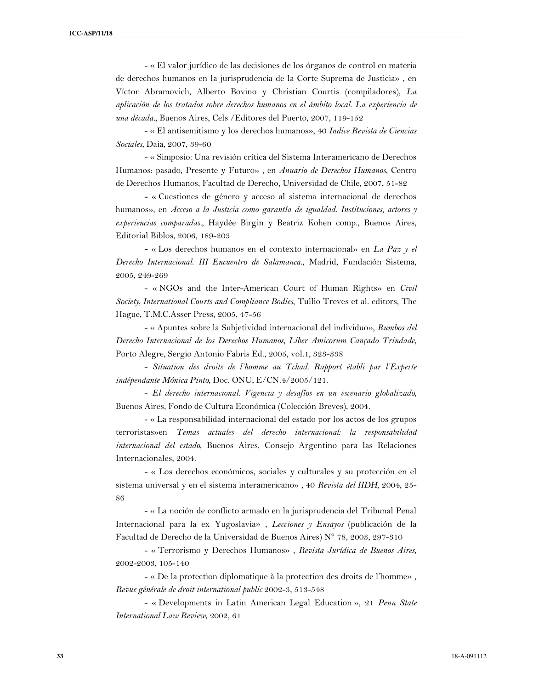- « El valor jurídico de las decisiones de los órganos de control en materia de derechos humanos en la jurisprudencia de la Corte Suprema de Justicia» , en Víctor Abramovich, Alberto Bovino y Christian Courtis (compiladores), La aplicación de los tratados sobre derechos humanos en el ámbito local. La experiencia de una década., Buenos Aires, Cels /Editores del Puerto, 2007, 119-152

- « El antisemitismo y los derechos humanos», 40 Indice Revista de Ciencias Sociales, Daia, 2007, 39-60

- « Simposio: Una revisión crítica del Sistema Interamericano de Derechos Humanos: pasado, Presente y Futuro» , en Anuario de Derechos Humanos, Centro de Derechos Humanos, Facultad de Derecho, Universidad de Chile, 2007, 51-82

- « Cuestiones de género y acceso al sistema internacional de derechos humanos», en Acceso a la Justicia como garantía de igualdad. Instituciones, actores y experiencias comparadas., Haydée Birgin y Beatriz Kohen comp., Buenos Aires, Editorial Biblos, 2006, 189-203

- « Los derechos humanos en el contexto internacional» en La Paz y el Derecho Internacional. III Encuentro de Salamanca., Madrid, Fundación Sistema, 2005, 249-269

- « NGOs and the Inter-American Court of Human Rights» en Civil Society, International Courts and Compliance Bodies, Tullio Treves et al. editors, The Hague, T.M.C.Asser Press, 2005, 47-56

- « Apuntes sobre la Subjetividad internacional del individuo», Rumbos del Derecho Internacional de los Derechos Humanos, Liber Amicorum Cançado Trindade, Porto Alegre, Sergio Antonio Fabris Ed., 2005, vol.1, 323-338

- Situation des droits de l'homme au Tchad. Rapport établi par l'Experte indépendante Mónica Pinto, Doc. ONU, E/CN.4/2005/121.

- El derecho internacional. Vigencia y desafíos en un escenario globalizado, Buenos Aires, Fondo de Cultura Económica (Colección Breves), 2004.

- « La responsabilidad internacional del estado por los actos de los grupos terroristas»en Temas actuales del derecho internacional: la responsabilidad internacional del estado, Buenos Aires, Consejo Argentino para las Relaciones Internacionales, 2004.

- « Los derechos económicos, sociales y culturales y su protección en el sistema universal y en el sistema interamericano» , 40 Revista del IIDH, 2004, 25- 86

- « La noción de conflicto armado en la jurisprudencia del Tribunal Penal Internacional para la ex Yugoslavia» , Lecciones y Ensayos (publicación de la Facultad de Derecho de la Universidad de Buenos Aires) N° 78, 2003, 297-310

- « Terrorismo y Derechos Humanos» , Revista Jurídica de Buenos Aires, 2002-2003, 105-140

- « De la protection diplomatique à la protection des droits de l'homme» , Revue générale de droit international public 2002-3, 513-548

- « Developments in Latin American Legal Education », 21 Penn State International Law Review, 2002, 61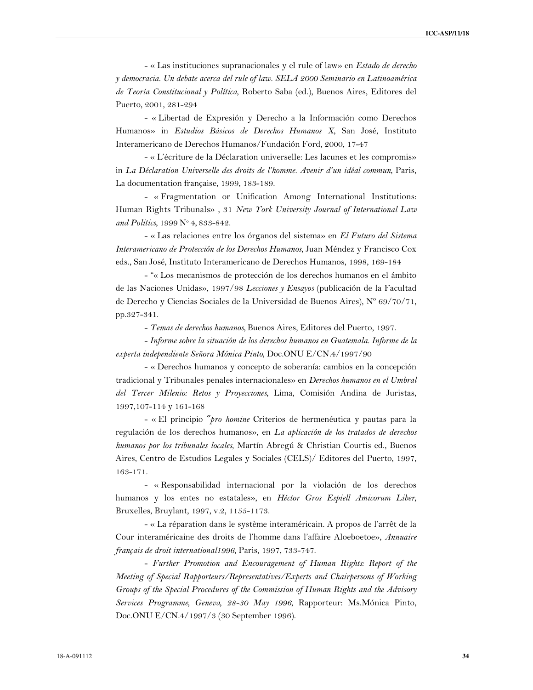- « Las instituciones supranacionales y el rule of law» en Estado de derecho y democracia. Un debate acerca del rule of law. SELA 2000 Seminario en Latinoamérica de Teoría Constitucional y Política, Roberto Saba (ed.), Buenos Aires, Editores del Puerto, 2001, 281-294

- « Libertad de Expresión y Derecho a la Información como Derechos Humanos» in Estudios Básicos de Derechos Humanos X, San José, Instituto Interamericano de Derechos Humanos/Fundación Ford, 2000, 17-47

- « L'écriture de la Déclaration universelle: Les lacunes et les compromis» in La Déclaration Universelle des droits de l'homme. Avenir d'un idéal commun, Paris, La documentation française, 1999, 183-189.

- « Fragmentation or Unification Among International Institutions: Human Rights Tribunals», 31 New York University Journal of International Law and Politics, 1999 Nº 4, 833-842.

- « Las relaciones entre los órganos del sistema» en El Futuro del Sistema Interamericano de Protección de los Derechos Humanos, Juan Méndez y Francisco Cox eds., San José, Instituto Interamericano de Derechos Humanos, 1998, 169-184

- "« Los mecanismos de protección de los derechos humanos en el ámbito de las Naciones Unidas», 1997/98 Lecciones y Ensayos (publicación de la Facultad de Derecho y Ciencias Sociales de la Universidad de Buenos Aires), Nº 69/70/71, pp.327-341.

- Temas de derechos humanos, Buenos Aires, Editores del Puerto, 1997.

- Informe sobre la situación de los derechos humanos en Guatemala. Informe de la experta independiente Señora Mónica Pinto, Doc.ONU E/CN.4/1997/90

- « Derechos humanos y concepto de soberanía: cambios en la concepción tradicional y Tribunales penales internacionales» en Derechos humanos en el Umbral del Tercer Milenio: Retos y Proyecciones, Lima, Comisión Andina de Juristas, 1997,107-114 y 161-168

- « El principio ″pro homine Criterios de hermenéutica y pautas para la regulación de los derechos humanos», en La aplicación de los tratados de derechos humanos por los tribunales locales, Martín Abregú & Christian Courtis ed., Buenos Aires, Centro de Estudios Legales y Sociales (CELS)/ Editores del Puerto, 1997, 163-171.

- « Responsabilidad internacional por la violación de los derechos humanos y los entes no estatales», en Héctor Gros Espiell Amicorum Liber, Bruxelles, Bruylant, 1997, v.2, 1155-1173.

- « La réparation dans le système interaméricain. A propos de l'arrêt de la Cour interaméricaine des droits de l'homme dans l'affaire Aloeboetoe», Annuaire français de droit international1996, Paris, 1997, 733-747.

- Further Promotion and Encouragement of Human Rights: Report of the Meeting of Special Rapporteurs/Representatives/Experts and Chairpersons of Working Groups of the Special Procedures of the Commission of Human Rights and the Advisory Services Programme, Geneva, 28-30 May 1996, Rapporteur: Ms.Mónica Pinto, Doc.ONU E/CN.4/1997/3 (30 September 1996).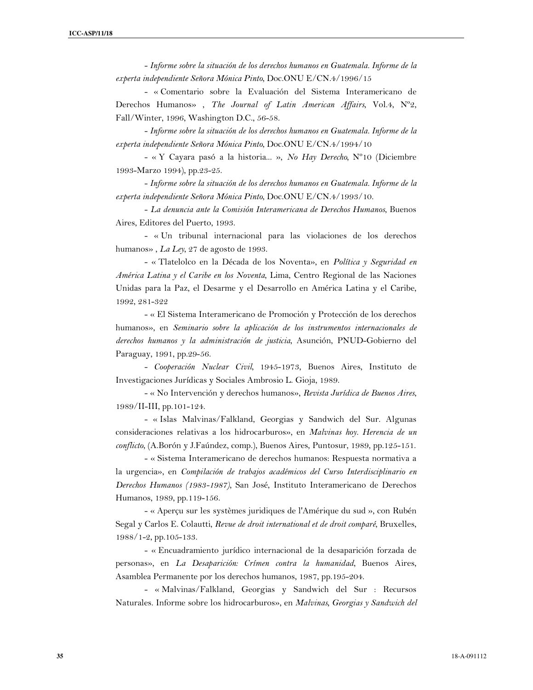- Informe sobre la situación de los derechos humanos en Guatemala. Informe de la experta independiente Señora Mónica Pinto, Doc.ONU E/CN.4/1996/15

- « Comentario sobre la Evaluación del Sistema Interamericano de Derechos Humanos», The Journal of Latin American Affairs, Vol.4, N°2, Fall/Winter, 1996, Washington D.C., 56-58.

- Informe sobre la situación de los derechos humanos en Guatemala. Informe de la experta independiente Señora Mónica Pinto, Doc.ONU E/CN.4/1994/10

- « Y Cayara pasó a la historia... », No Hay Derecho, Nº10 (Diciembre 1993-Marzo 1994), pp.23-25.

- Informe sobre la situación de los derechos humanos en Guatemala. Informe de la experta independiente Señora Mónica Pinto, Doc.ONU E/CN.4/1993/10.

- La denuncia ante la Comisión Interamericana de Derechos Humanos, Buenos Aires, Editores del Puerto, 1993.

- « Un tribunal internacional para las violaciones de los derechos humanos», La Ley, 27 de agosto de 1993.

- « Tlatelolco en la Década de los Noventa», en Política y Seguridad en América Latina y el Caribe en los Noventa, Lima, Centro Regional de las Naciones Unidas para la Paz, el Desarme y el Desarrollo en América Latina y el Caribe, 1992, 281-322

- « El Sistema Interamericano de Promoción y Protección de los derechos humanos», en Seminario sobre la aplicación de los instrumentos internacionales de derechos humanos y la administración de justicia, Asunción, PNUD-Gobierno del Paraguay, 1991, pp.29-56.

- Cooperación Nuclear Civil, 1945-1973, Buenos Aires, Instituto de Investigaciones Jurídicas y Sociales Ambrosio L. Gioja, 1989.

- « No Intervención y derechos humanos», Revista Jurídica de Buenos Aires, 1989/II-III, pp.101-124.

- « Islas Malvinas/Falkland, Georgias y Sandwich del Sur. Algunas consideraciones relativas a los hidrocarburos», en Malvinas hoy. Herencia de un conflicto, (A.Borón y J.Faúndez, comp.), Buenos Aires, Puntosur, 1989, pp.125-151.

- « Sistema Interamericano de derechos humanos: Respuesta normativa a la urgencia», en Compilación de trabajos académicos del Curso Interdisciplinario en Derechos Humanos (1983-1987), San José, Instituto Interamericano de Derechos Humanos, 1989, pp.119-156.

- « Aperçu sur les systèmes juridiques de l'Amérique du sud », con Rubén Segal y Carlos E. Colautti, *Revue de droit international et de droit comparé*, Bruxelles, 1988/1-2, pp.105-133.

- « Encuadramiento jurídico internacional de la desaparición forzada de personas», en La Desaparición: Crímen contra la humanidad, Buenos Aires, Asamblea Permanente por los derechos humanos, 1987, pp.195-204.

- « Malvinas/Falkland, Georgias y Sandwich del Sur : Recursos Naturales. Informe sobre los hidrocarburos», en Malvinas, Georgias y Sandwich del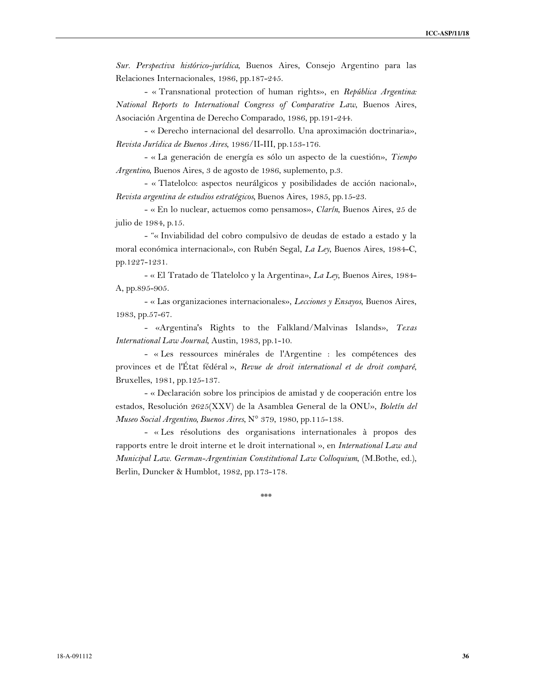Sur. Perspectiva histórico-jurídica, Buenos Aires, Consejo Argentino para las Relaciones Internacionales, 1986, pp.187-245.

- « Transnational protection of human rights», en República Argentina: National Reports to International Congress of Comparative Law, Buenos Aires, Asociación Argentina de Derecho Comparado, 1986, pp.191-244.

- « Derecho internacional del desarrollo. Una aproximación doctrinaria», Revista Jurídica de Buenos Aires, 1986/II-III, pp.153-176.

- « La generación de energía es sólo un aspecto de la cuestión», Tiempo Argentino, Buenos Aires, 3 de agosto de 1986, suplemento, p.3.

- « Tlatelolco: aspectos neurálgicos y posibilidades de acción nacional», Revista argentina de estudios estratégicos, Buenos Aires, 1985, pp.15-23.

- « En lo nuclear, actuemos como pensamos», Clarín, Buenos Aires, 25 de julio de 1984, p.15.

- "« Inviabilidad del cobro compulsivo de deudas de estado a estado y la moral económica internacional», con Rubén Segal, La Ley, Buenos Aires, 1984-C, pp.1227-1231.

- « El Tratado de Tlatelolco y la Argentina», La Ley, Buenos Aires, 1984- A, pp.895-905.

- « Las organizaciones internacionales», Lecciones y Ensayos, Buenos Aires, 1983, pp.57-67.

- «Argentina's Rights to the Falkland/Malvinas Islands», Texas International Law Journal, Austin, 1983, pp.1-10.

- « Les ressources minérales de l'Argentine : les compétences des provinces et de l'État fédéral », Revue de droit international et de droit comparé, Bruxelles, 1981, pp.125-137.

- « Declaración sobre los principios de amistad y de cooperación entre los estados, Resolución 2625(XXV) de la Asamblea General de la ONU», Boletín del Museo Social Argentino, Buenos Aires, N° 379, 1980, pp.115-138.

- « Les résolutions des organisations internationales à propos des rapports entre le droit interne et le droit international », en International Law and Municipal Law. German-Argentinian Constitutional Law Colloquium, (M.Bothe, ed.), Berlin, Duncker & Humblot, 1982, pp.173-178.

\*\*\*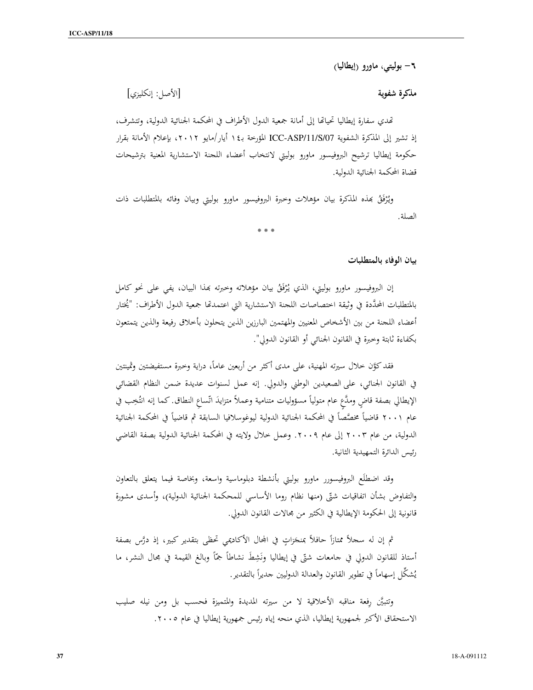٦– بوليتي، ماورو (إيطاليا)

مذكرة شفوية

[الأصل: إنكليزي]

تمدي سفارة إيطاليا تحياتها إلى أمانة جمعية الدول الأطراف في المحكمة الجنائية الدولية، وتتشرف، إذ تشير إلى المذكرة الشفوية ICC-ASP/11/S/07 المؤرخة بـ١٤ أيار/مايو ٢٠١٢، بإعلام الأمانة بقرار حكومة إيطاليا ترشيح البروفيسور ماورو بوليتي لانتخاب أعضاء اللجنة الاستشارية المعنية بترشيحات قضاة المحكمة الجنائية الدولية.

ويُرْفَقُ بِمَذْه المذكرة بيان مؤهلات وخبرة البروفيسور ماورو بوليتي وبيان وفائه بالمتطلبات ذات الصلة.

## بيان الوفاء بالمتطلبات

إن البروفيسور ماورو بوليتي، الذي يُرْفَقُ بيان مؤهلاته وخبرته بهذا البيان، يفي على نحو كامل بالمتطلبات المحدَّدة في وثيقة اختصاصات اللحنة الاستشارية التي اعتمدتما جمعية الدول الأطراف: "يُختار أعضاء اللحنة من بين الأشخاص المعنيين والمهتمين البارزين الذين يتحلون بأخلاق رفيعة والذين يتمتعون بكفاءة ثابتة وخبرة في القانون الجنائي أو القانون الدولي".

فقد كؤن خلال سيرته المهنية، على مدى أكثر من أربعين عاماً، دراية وخبرة مستفيضتين وثمينتين في القانون الجنائي، على الصعيدين الوطني والدولي. إنه عمل لسنوات عديدة ضمن النظام القضائي الإيطالي بصفة قاضٍ ومدَّع عام متولياً مسؤوليات متنامية وعملاً متزايدَ اتّساع النطاق. كما إنه انتُخِب في عام ٢٠٠١ قاضياً مخصَّصاً في المحكمة الجنائية الدولية ليوغوسلافيا السابقة ثم قاضياً في المحكمة الجنائية الدولية، من عام ٢٠٠٣ إلى عام ٢٠٠٩. وعمل خلال ولايته في المحكمة الجنائية الدولية بصفة القاضي رئيس الدائرة التمهيدية الثانية.

وقد اضطلَع البروفيسورر ماورو بوليتي بأنشطة دبلوماسية واسعة، وبخاصة فيما يتعلق بالتعاون والتفاوض بشأن اتفاقيات شتّى (منها نظام روما الأساسي للمحكمة الجنائية الدولية)، وأسدى مشورة قانونية إلى الحكومة الإيطالية في الكثير من مجالات القانون الدولي.

ثم إن له سحلاً ممتازاً حافلاً بمنحَزاتٍ في المحال الأكاديمي تحظى بتقدير كبير، إذ درَّس بصفة أستاذ للقانون الدولي في جامعات شتَّى في إيطاليا ونَشِطَ نشاطاً جمّاً وبالغ القيمة في مجال النشر، ما يُشكِّل إسهاماً في تطوير القانون والعدالة الدوليين جديراً بالتقدير.

وتتبيَّن رفعة مناقبه الأخلاقية لا من سيرته المديدة والمتميزة فحسب بل ومن نيله صليب الاستحقاق الأكبر لجمهورية إيطاليا، الذي منحه إياه رئيس جمهورية إيطاليا في عام ٢٠٠٥.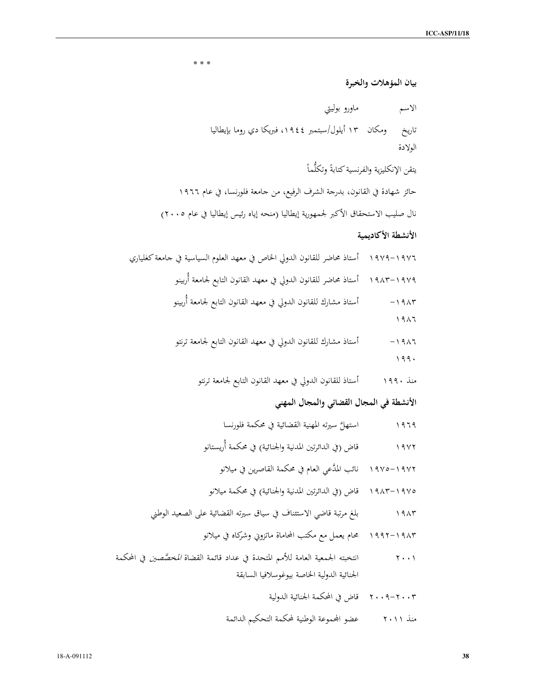\* \* \* بيان المؤهلات والخبرة الاسم ماورو بوليتي تاریخ ومکان ۱۳ أیلول/سبتمبر ١٩٤٤، فبریکا دي روما بإيطاليا الولادة يتقن الإنكليزية والفرنسية كتابةً وتكلُّماً حائز شهادة في القانون، بدرجة الشرف الرفيع، من جامعة فلورنسا، في عام ١٩٦٦ نال صليب الاستحقاق الأكبر لجمهورية إيطاليا (منحه إياه رئيس إيطاليا في عام ٢٠٠٥) الأنشطة الأكاديمية ١٩٧٦–١٩٧٩ أستاذ محاضر للقانون الدولي الخاص في معهد العلوم السياسية في حامعة كغلياري ١٩٧٩–١٩٨٣ - أستاذ محاضر للقانون الدولي في معهد القانون التابع لجامعة أُربينو أستاذ مشارك للقانون الدولي في معهد القانون التابع لجامعة أُربينو  $-19AT$  $1917$ أستاذ مشارك للقانون الدولي في معهد القانون التابع لجامعة ترنتو  $-1917$  $199.$ أستاذ للقانون الدولي في معهد القانون التابع لجامعة ترنتو منذ ۱۹۹۰ الأنشطة في المجال القضائي والمجال المهني استهلَّ سيرته المهنية القضائية في محكمة فلورنسا  $1979$ قاض (في الدائرتين المدنية والجنائية) في محكمة أُريستانو  $19Y5$ ١٩٧٢–١٩٧٥ نائب المدَّعى العام في محكمة القاصرين في ميلانو ١٩٧٥–١٩٨٣ - قاض (في الدائرتين المدنية والجنائية) في محكمة ميلانو بلغ مرتبة قاضي الاستئناف في سياق سيرته القضائية على الصعيد الوطني  $19AT$ ١٩٨٣–١٩٩٢ محام يعمل مع مكتب المحاماة ماتزوين وشركاه في ميلانو انتخبته الجمعية العامة للأمم المتحدة في عداد قائمة القضاة *المخصَّصين* في المحكمة  $\mathbf{y} \cdot \cdot \mathbf{y}$ الجنائية الدولية الخاصة بيوغوسلافيا السابقة ٢٠٠٣–٢٠٠٩ \_ قاضٍ في المحكمة الجنائية الدولية

منذ ٢٠١١ مـ عضو المجموعة الوطنية لمحكمة التحكيم الدائمة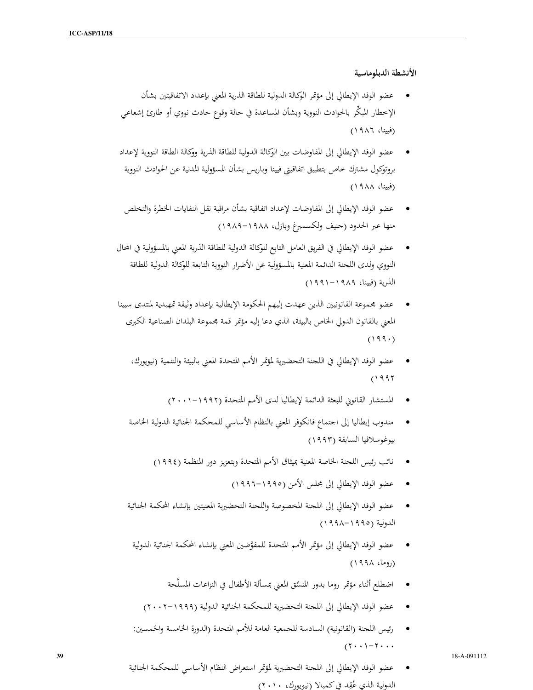الأنشطة الدبلوماسية

- عضو الوفد الإيطالي إلى مؤتمر الوكالة الدولية للطاقة الذرية المعنى بإعداد الاتفاقيتين بشأن الإخطار المبكَّر بالحوادث النووية وبشأن المساعدة في حالة وقوع حادث نووي أو طارئ إشعاعي (فيينا، ١٩٨٦)
- عضو الوفد الإيطالي إلى المفاوضات بين الوكالة الدولية للطاقة الذرية ووكالة الطاقة النووية لإعداد بروتوكول مشترك خاص بتطبيق اتفاقيتي فيينا وباريس بشأن المسؤولية المدنية عن الحوادث النووية (فيينا، ١٩٨٨)
- عضو الوفد الإيطالي إلى المفاوضات لإعداد اتفاقية بشأن مراقبة نقل النفايات الخطرة والتخلص  $\bullet$ منها عبر الحدود (جنيف ولكسمبرغ وبازل، ١٩٨٨–١٩٨٩)
- عضو الوفد الإيطالي في الفريق العامل التابع للوكالة الدولية للطاقة الذرية المعنى بالمسؤولية في المحال النووي ولدى اللحنة الدائمة المعنية بالمسؤولية عن الأضرار النووية التابعة للوكالة الدولية للطاقة الذرية (فيينا، ١٩٨٩–١٩٩١)
- عضو مجموعة القانونيين الذين عهدت إليهم الحكومة الإيطالية بإعداد وثيقة تمهيدية لمنتدى سيينا المعنى بالقانون الدولي الخاص بالبيئة، الذي دعا إليه مؤتمر قمة مجموعة البلدان الصناعية الكبرى  $(199)$ 
	- عضو الوفد الإيطالي في اللجنة التحضيرية لمؤتمر الأمم المتحدة المعنى بالبيئة والتنمية (نيويورك،  $(1995$ 
		- المستشار القانوني للبعثة الدائمة لإيطاليا لدى الأمم المتحدة (١٩٩٢–٢٠٠١)
	- مندوب إيطاليا إلى اجتماع فانكوفر المعنى بالنظام الأساسي للمحكمة الجنائية الدولية الخاصة بيوغوسلافيا السابقة (١٩٩٣)
		- نائب رئيس اللحنة الخاصة المعنية بميثاق الأمم المتحدة وبتعزيز دور المنظمة (١٩٩٤)
			- عضو الوفد الإيطالي إلى مجلس الأمن (١٩٩٥–١٩٩٦)  $\bullet$
	- عضو الوفد الإيطالي إلى اللحنة المخصوصة واللحنة التحضيرية المعنيتين بإنشاء المحكمة الجنائية الدولية (١٩٩٥-١٩٩٨)
	- عضو الوفد الإيطالي إلى مؤتمر الأمم المتحدة للمفوَّضين المعنى بإنشاء المحكمة الجنائية الدولية (روما، ۱۹۹۸)
		- اضطلع أثناء مؤتمر روما بدور المنسِّق المعنى بمسألة الأطفال في النزاعات المسلَّحة
		- عضو الوفد الإيطالي إلى اللجنة التحضيرية للمحكمة الجنائية الدولية (١٩٩٩–٢٠٠٢)
	- رئيس اللجنة (القانونية) السادسة للجمعية العامة للأمم المتحدة (الدورة الخامسة والخمسين:  $(7 \cdot \cdot ) - 7 \cdot \cdot \cdot$
	- عضو الوفد الإيطالي إلى اللحنة التحضيرية لمؤتمر استعراض النظام الأساسى للمحكمة الجنائية  $\bullet$ الدولية الذي عُقِد في كمبالا (نيويورك، ٢٠١٠)

18-A-091112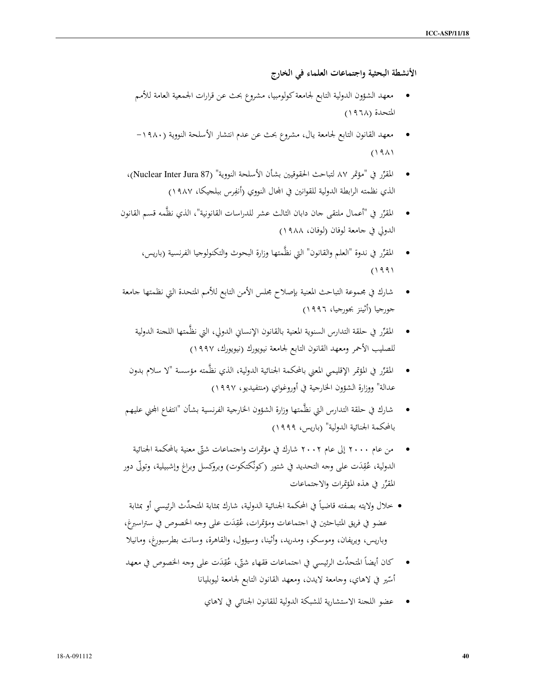الأنشطة البحثية واجتماعات العلماء في الخارج

- معهد الشؤون الدولية التابع لجامعة كولومبيا، مشروع بحث عن قرارات الجمعية العامة للأمم المتحدة (١٩٦٨)
- معهد القانون التابع لجامعة يال، مشروع بحث عن عدم انتشار الأسلحة النووية (١٩٨٠–  $(191)$
- المقرِّر في "مؤتمر ٨٧ لتباحث الحقوقيين بشأن الأسلحة النووية" (Nuclear Inter Jura 87)، الذي نظمته الرابطة الدولية للقوانين في المحال النووي (أنفِرس ببلجيكا، ١٩٨٧)
- المقرِّر في "أعمال ملتقى جان دابان الثالث عشر للدراسات القانونية"، الذي نظَّمه قسم القانون الدولي في جامعة لوفان (لوفان، ١٩٨٨)
	- المقرِّر في ندوة "العلم والقانون" التي نظَّمتها وزارة البحوث والتكنولوجيا الفرنسية (باريس،  $(1991)$
- شارك في مجموعة التباحث المعنية بإصلاح مجلس الأمن التابع للأمم المتحدة التي نظمتها جامعة جورجيا (أثينز بجورجيا، ١٩٩٦)
	- المقرِّر في حلقة التدارس السنوية المعنية بالقانون الإنساني الدولي، التي نظَّمتها اللحنة الدولية للصليب الأحمر ومعهد القانون التابع لجامعة نيويورك (نيويورك، ١٩٩٧)
	- المقرِّر في المؤتمر الإقليمي المعنى بالمحكمة الجنائية الدولية، الذي نظَّمته مؤسسة "لا سلام بدون عدالة" ووزارة الشؤون الخارجية في أوروغواي (منتفيديو، ١٩٩٧)
- شارك في حلقة التدارس التي نظَّمتها وزارة الشؤون الخارجية الفرنسية بشأن "انتفاع المجنى عليهم  $\bullet$ بالمحكمة الجنائية الدولية" (باريس، ١٩٩٩)
- من عام ٢٠٠٠ إلى عام ٢٠٠٢ شارك في مؤتمرات واجتماعات شتَّى معنية بالمحكمة الجنائية  $\bullet$ الدولية، عُقِدَت على وجه التحديد في شتور (كونٌكتكوت) وبروكسل وبراغ وإشبيلية، وتولَّى دور المقرِّر في هذه المؤتمرات والاجتماعات
- خلال ولايته بصفته قاضياً في المحكمة الجنائية الدولية، شارك بمثابة المتحدِّث الرئيسي أو بمثابة عضوٍ في فريق المتباحثين في اجتماعات ومؤتمرات، عُقِدَت على وجه الخصوص في ستراسبرغ، وباريس، ويريفان، وموسكو، ومدريد، وأثينا، وسيؤول، والقاهرة، وسانت بطرسبورغ، ومانيلا
- كان أيضاً المتحدِّث الرئيسي في اجتماعات فقهاءِ شتَّى، عُقِدَت على وجه الخصوص في معهد أسّير في لاهاي، وجامعة لايدن، ومعهد القانون التابع لجامعة ليوبليانا
	- عضو اللجنة الاستشارية للشبكة الدولية للقانون الجنائي في لاهاي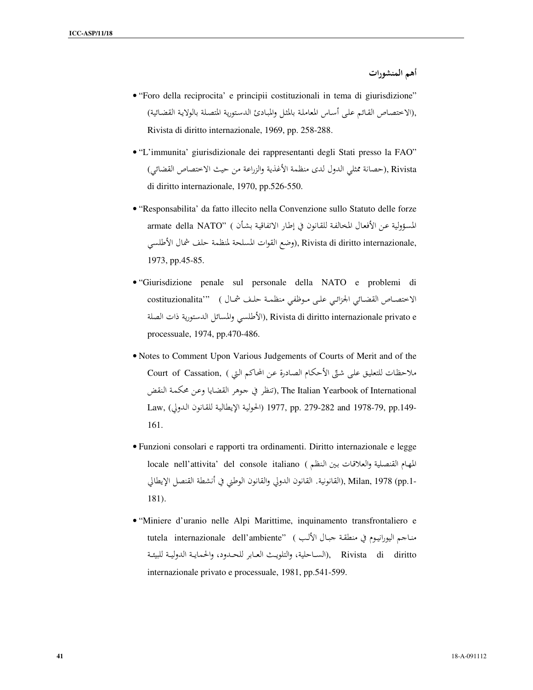أهم المنشورات

- "Foro della reciprocita' e principii costituzionali in tema di giurisdizione" (الاختصاص القائم على أساس المعاملة بالمثل والمبادئ الدستورية المتصلة بالولاية القضائية), Rivista di diritto internazionale, 1969, pp. 258-288.
- "L'immunita' giurisdizionale dei rappresentanti degli Stati presso la FAO" (حصانة ممثلي الدول لدى منظمة الأغذية والزراعة من حيث الاختصاص القضائي), Rivista di diritto internazionale, 1970, pp.526-550.
- "Responsabilita' da fatto illecito nella Convenzione sullo Statuto delle forze armate della NATO" ( المتفاقية بشأن armate della NATO" ( المسؤولية عن الأفعال وضع القوات المسلحة لمنظمة حلف شمال الأطلسي), Rivista di diritto internazionale, 1973, pp.45-85.
- "Giurisdizione penale sul personale della NATO e problemi di الاختصـاص القضـائي الجزائـي علـى مـوظفي منظمـة حلـف شمـال ) ``costituzionalita الأطلسي والمسائل الدستورية ذات الصلة)), Rivista di diritto internazionale privato e processuale, 1974, pp.470-486.
- Notes to Comment Upon Various Judgements of Courts of Merit and of the ملاحظات للتعليق على شتّى الأحكام الصادرة عن المحاكم التي ) .Court of Cassation تنظر في جوهر القضايا وعن محكمة النقض, The Italian Yearbook of International Law, (الحولية الإيطالية للقانون الدولي) 1977, pp. 279-282 and 1978-79, pp.149-161.
- Funzioni consolari e rapporti tra ordinamenti. Diritto internazionale e legge المهام القنصلية والعلاقات بين النظم ) locale nell'attivita' del console italiano -Milan, 1978 (pp.1, القانونية. القانون الدولي والقانون الوطني في أنشطة القنصل الإيطالي), Milan, 1978 181).
- "Miniere d'uranio nelle Alpi Marittime, inquinamento transfrontaliero e مناجم اليورانيوم في منطقة جبال الألب ) ``tutela internazionale dell'ambiente السـاحلية، والتلويـث العـابر للحـدود، والحمايـة الدوليـة للبيئـة), Rivista di diritto internazionale privato e processuale, 1981, pp.541-599.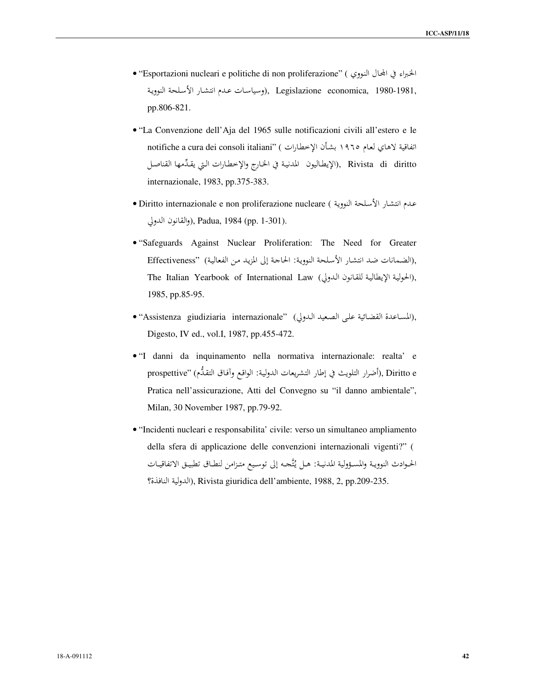- الخبراء في المجال النووي ) "Esportazioni nucleari e politiche di non proliferazione" ( \* وسياسات عدم انتشار الأسلحة النووية), Legislazione economica, 1980-1981, pp.806-821.
- "La Convenzione dell'Aja del 1965 sulle notificazioni civili all'estero e le اتفاقية لاهاي لعام ١٩٦٥ بشأن الإخطارات ) "notifiche a cura dei consoli italiani الإيطاليون المدنية في الخارج والإخطارات التي يقدِّمها القناصل), Rivista di diritto internazionale, 1983, pp.375-383.
- عدم انتشار الأسلحة النووية ) Diritto internazionale e non proliferazione nucleare والقانون الدولي), Padua, 1984 (pp. 1-301).
- "Safeguards Against Nuclear Proliferation: The Need for Greater Effectiveness" (الضمانات ضد انتشار الأسلحة النووية: الحاجة إلى المزيد من الفعالية), The Italian Yearbook of International Law (الحولية الإيطالية للقانون الدولي), 1985, pp.85-95.
- "Assistenza giudiziaria internazionale" (المساعدة القضائية على الصعيد الدولي), Digesto, IV ed., vol.I, 1987, pp.455-472.
- "I danni da inquinamento nella normativa internazionale: realta' e prospettive" (أضرار التلويث في إطار التشريعات الدولية: الواقع وأفاق التقدُّم) "prospettive Pratica nell'assicurazione, Atti del Convegno su "il danno ambientale", Milan, 30 November 1987, pp.79-92.
- "Incidenti nucleari e responsabilita' civile: verso un simultaneo ampliamento della sfera di applicazione delle convenzioni internazionali vigenti?" ( الحوادث النووية والمسؤولية المدنية: هـل يُتَّحـه إلى توسيع متـزامن لنطـاق تطبيـق الاتفاقيـات Ç80-= #\*+), Rivista giuridica dell'ambiente, 1988, 2, pp.209-235.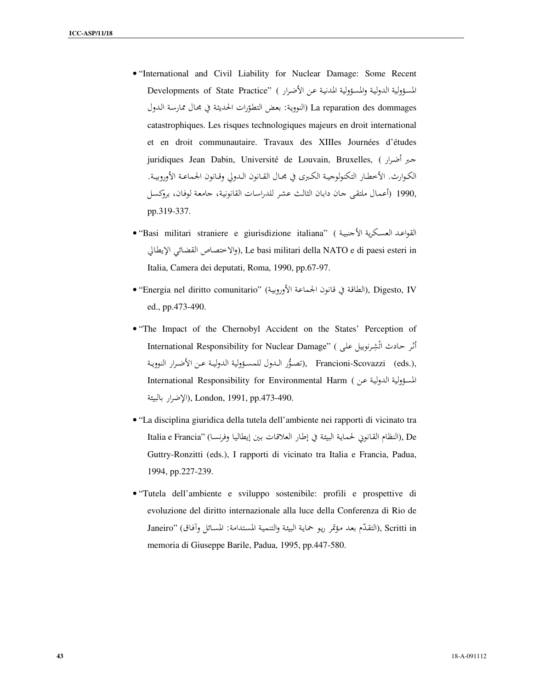- "International and Civil Liability for Nuclear Damage: Some Recent المسؤولية الدولية والمسؤولية المدنية عن الأضرار ) "Developments of State Practice La reparation des dommages (النووية: بعض التطوّرات الحديثة في مجال ممارسة الدول catastrophiques. Les risques technologiques majeurs en droit international et en droit communautaire. Travaux des XIIIes Journées d'études juridiques Jean Dabin, Université de Louvain, Bruxelles, (جير أضرار الكوارث. الأخطار التكنولوجية الكبرى في محال القانون الدولي وقانون الجماعة الأوروبية. ,1990 (أعمال ملتقى جان دابان الثالث عشر للدراسات القانونية، جامعة لوفان، بروكسل pp.319-337.
- "Basi militari straniere e giurisdizione italiana" ( القواعد العسكرية الأجنبية "Basi militari straniere e والاختصاص القضائي الإيطالي), Le basi militari della NATO e di paesi esteri in Italia, Camera dei deputati, Roma, 1990, pp.67-97.
- "Energia nel diritto comunitario" (الطاقة في قانون الجماعة الأوروبية), Digesto, IV ed., pp.473-490.
- "The Impact of the Chernobyl Accident on the States' Perception of أثر حادث اتْشِرنوبيل على ) "International Responsibility for Nuclear Damage تصوُّر الـدول للمسؤولية الدولية عـن الأضرار النوويـة), Francioni-Scovazzi (eds.), International Responsibility for Environmental Harm ( المسؤولية الدولية عن الإضرار بالبيئة), London, 1991, pp.473-490.
- "La disciplina giuridica della tutela dell'ambiente nei rapporti di vicinato tra Italia e Francia" (النظام القانوني لحماية البيئة في إطار العلاقات بين إيطاليا وفرنسا), De Guttry-Ronzitti (eds.), I rapporti di vicinato tra Italia e Francia, Padua, 1994, pp.227-239.
- "Tutela dell'ambiente e sviluppo sostenibile: profili e prospettive di evoluzione del diritto internazionale alla luce della Conferenza di Rio de Janeiro" (التقدّم بعد مؤتمر ريو حماية البيئة والتنمية المستدامة: المسائل وآفاق) .'Janeiro memoria di Giuseppe Barile, Padua, 1995, pp.447-580.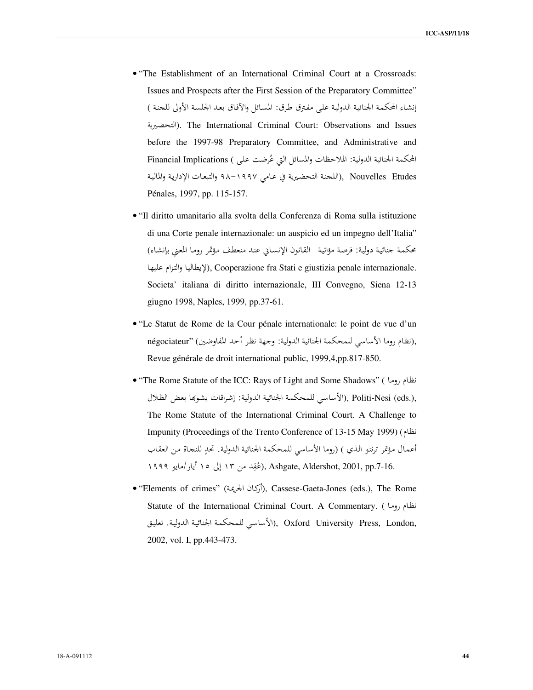- "The Establishment of an International Criminal Court at a Crossroads: Issues and Prospects after the First Session of the Preparatory Committee" إنشاء المحكمة الجنائية الدولية على مفترق طرق: المسائل والأفاق بعد الجلسة الأولى للجنة ) التحضيرية). The International Criminal Court: Observations and Issues before the 1997-98 Preparatory Committee, and Administrative and المحكمة الجنائية الدولية: الملاحظات والمسائل التي عُرضت على ) Financial Implications اللجنة التحضيرية في عـامي ١٩٩٧–٩٨ والتبعـات الإدارية والماليـة), Nouvelles Etudes Pénales, 1997, pp. 115-157.
- "Il diritto umanitario alla svolta della Conferenza di Roma sulla istituzione di una Corte penale internazionale: un auspicio ed un impegno dell'Italia" محكمة جنائية دولية: فرصة مؤاتية القانون الإنساني عند منعطف مؤتمر روما المعني بإنشاء) لإيطاليا والتزام عليها), Cooperazione fra Stati e giustizia penale internazionale. Societa' italiana di diritto internazionale, III Convegno, Siena 12-13 giugno 1998, Naples, 1999, pp.37-61.
- "Le Statut de Rome de la Cour pénale internationale: le point de vue d'un négociateur" (زنظام روما الأساسي للمحكمة الجنائية الدولية: وجهة نظر أحد المفاوضين), Revue générale de droit international public, 1999,4,pp.817-850.
- نظام روما ) ''The Rome Statute of the ICC: Rays of Light and Some Shadows'' ( نظام روما الأساسي للمحكمة الجنائية الدولية: إشراقات يشوبَما بعض الظلال), Politi-Nesi (eds.), The Rome Statute of the International Criminal Court. A Challenge to نظام) (1999 Proceedings of the Trento Conference of 13-15 May) (تطام) أعمال مؤتمر ترنتو الذي ) (روما الأساسي للمحكمة الجنائية الدولية. تحدٍ للنجاة من العقاب مُقِد من ١٣ إلى ١٥ أيار/مايو ١٩٩٩), Ashgate, Aldershot, 2001, pp.7-16.
- "Elements of crimes" (أَرَكَانْ الجَرِيمَة), Cassese-Gaeta-Jones (eds.), The Rome نظام روما ) .Statute of the International Criminal Court. A Commentary. الأساسي للمحكمة الجنائية الدولية. تعليق), Oxford University Press, London, 2002, vol. I, pp.443-473.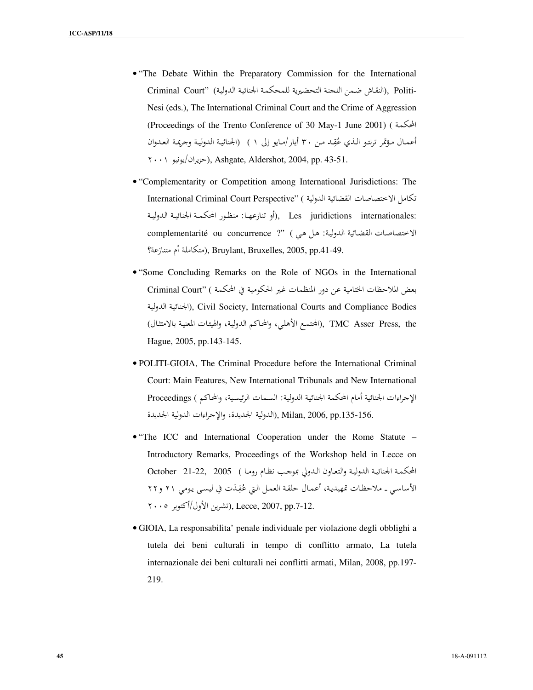- "The Debate Within the Preparatory Commission for the International -Politi,(النقاش ضمن اللجنة التحضيرية للمحكمة الجنائية الدولية) Criminal Court" (ألنقاش ضمن اللجنة Nesi (eds.), The International Criminal Court and the Crime of Aggression (Proceedings of the Trento Conference of 30 May-1 June 2001) ( المحكمة ) أعمال مؤتمر ترنتو الذي عُقِد من ٣٠ أيار/مايو إلى ١ ) (الجنائية الدولية وجريمة العدوان ۲۰۰۱ (حزیران/یونیو ), Ashgate, Aldershot, 2004, pp. 43-51.
- "Complementarity or Competition among International Jurisdictions: The تكامل الاختصاصات القضائية الدولية ) ''International Criminal Court Perspective .Les juridictions internationales ,(أو تنازعهـا: منظور المحكمـة الجنائيـة الدوليـة الاختصاصات القضائية الدولية: هل هي ) "? complementarité ou concurrence .39-Bruylant, Bruxelles, 2005, pp.41-49, (متكاملة أم متنازعة؟
- "Some Concluding Remarks on the Role of NGOs in the International بعض الملاحظات الختامية عن دور المنظمات غير الحكومية في المحكمة ) ''Criminal Court الجنائية الدولية), Civil Society, International Courts and Compliance Bodies (المجتمع الأهلي، والمحاكم الدولية، والهيئات المعنية بالامتثال), TMC Asser Press, the Hague, 2005, pp.143-145.
- · POLITI-GIOIA, The Criminal Procedure before the International Criminal Court: Main Features, New International Tribunals and New International الإجراءات الجنائية أمام المحكمة الجنائية الدولية: السمات الرئيسية، والمحاكم ) Proceedings ), Milan, 2006, pp.135-156. (الدولية الجديدة، والإجراءات الدولية الجديدة)
- "The ICC and International Cooperation under the Rome Statute Introductory Remarks, Proceedings of the Workshop held in Lecce on المحكمة الجنائية الدولية والتعاون الدولي بموجب نظام روما ) October 21-22, 2005 الأساسي ـ ملاحظات تمهيدية، أعمال حلقة العمل التي عُقِدَت في ليسى يومى ٢١ و٢٢ .Lecce, 2007, pp.7-12 ,(تشرين الأول/أكتوبر ٢٠٠٥
- GIOIA, La responsabilita' penale individuale per violazione degli obblighi a tutela dei beni culturali in tempo di conflitto armato, La tutela internazionale dei beni culturali nei conflitti armati, Milan, 2008, pp.197-219.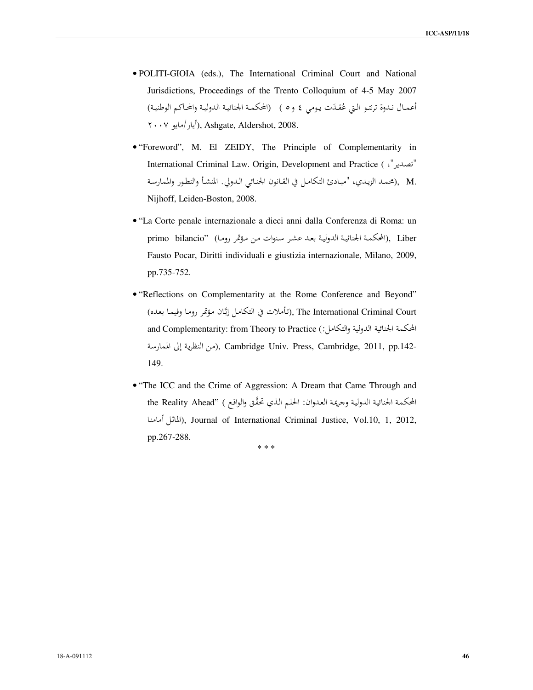- POLITI-GIOIA (eds.), The International Criminal Court and National Jurisdictions, Proceedings of the Trento Colloquium of 4-5 May 2007 أعمال ندوة ترنتو التي عُقدَت يومي ٤ و٥ ) (المحكمة الجنائية الدولية والمحاكم الوطنية) ۲۰۰۷ (أيار/مايو), Ashgate, Aldershot, 2008.
- "Foreword", M. El ZEIDY, The Principle of Complementarity in "تصدير"، ) International Criminal Law. Origin, Development and Practice .M ,(محمد الزيدي، "مبادئ التكامل في القانون الجنائي الدولي. المنشأ والتطور والممارسة Nijhoff, Leiden-Boston, 2008.
- · "La Corte penale internazionale a dieci anni dalla Conferenza di Roma: un primo bilancio" (المحكمة الجنائية الدولية بعد عشر سنوات من مؤتمر روما), Liber Fausto Pocar, Diritti individuali e giustizia internazionale, Milano, 2009, pp.735-752.
- "Reflections on Complementarity at the Rome Conference and Beyond" The International Criminal Court, (تأملات في التكامل إبَّان مؤتمر روما وفيما بعده) and Complementarity: from Theory to Practice (: المحكمة الجنائية الدولية والتكامل من النظرية إلى الممارسة), Cambridge Univ. Press, Cambridge, 2011, pp.142-149.
- "The ICC and the Crime of Aggression: A Dream that Came Through and المحكمة الجنائية الدولية وحريمة العدوان: الحلم الذي تحقَّق والواقع ) "the Reality Ahead الماثل أمامنا), Journal of International Criminal Justice, Vol.10, 1, 2012, pp.267-288.

 $* * *$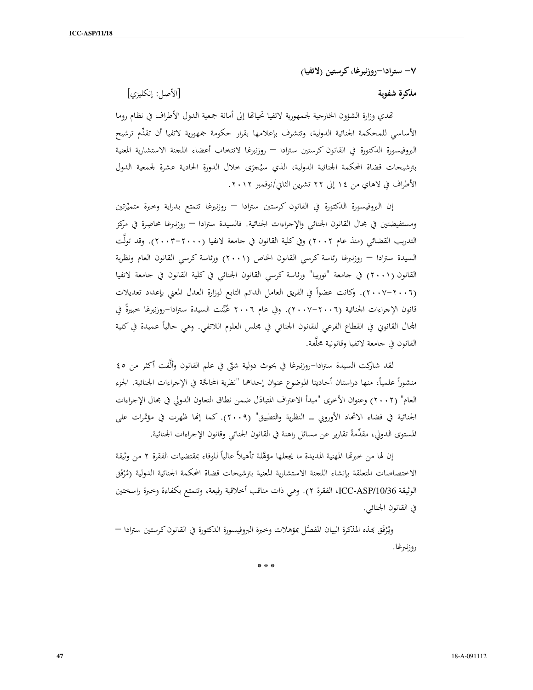٧– سترادا–روزنبرغا، كرستين (لاتفيا)

[الأصل: إنكليزي]

مذكرة شفوية

تمدي وزارة الشؤون الخارجية لجمهورية لاتفيا تحياتما إلى أمانة جمعية الدول الأطراف في نظام روما الأساسي للمحكمة الجنائية الدولية، وتتشرف بإعلامها بقرار حكومة جمهورية لاتفيا أن تقدِّم ترشيح البروفيسورة الدكتورة في القانون كرستين سترادا — روزنبرغا لانتخاب أعضاء اللحنة الاستشارية المعنية بترشيحات قضاة المحكمة الجنائية الدولية، الذي سيُجرَى خلال الدورة الحادية عشرة لجمعية الدول الأطراف في لاهاي من ١٤ إلى ٢٢ تشرين الثاني/نوفمبر ٢٠١٢.

إن البروفيسورة الدكتورة في القانون كرستين سترادا — روزنبرغا تتمتع بدراية وخبرة متميِّزتين ومستفيضتين في مجال القانون الجنائبي والإجراءات الجنائية. فالسيدة سترادا — روزنبرغا محاضِرة في مركز التدريب القضائي (منذ عام ٢٠٠٢) وفي كلية القانون في جامعة لاتفيا (٢٠٠٠-٢٠٠٣). وقد تولُّت السيدة سترادا – روزنبرغا رئاسة كرسي القانون الخاص (٢٠٠١) ورئاسة كرسي القانون العام ونظرية القانون (٢٠٠١) في جامعة "توريبا" ورئاسة كرسي القانون الجنائي في كلية القانون في جامعة لاتفيا (٢٠٠٧–٢٠٠٧). وكانت عضواً في الفريق العامل الدائم التابع لوزارة العدل المعنى بإعداد تعديلات قانون الإجراءات الجنائية (٢٠٠٦–٢٠٠٧). وفي عام ٢٠٠٦ عُيِّنت السيدة سترادا–روزنبرغا خبيرةً في المجال القانوني في القطاع الفرعي للقانون الجنائي في مجلس العلوم اللاتفي. وهي حالياً عميدة في كلية القانون في جامعة لاتفيا وقانونية محلَّفة.

لقد شاركت السيدة سترادا–روزنبرغا في بحوث دولية شتّى في علم القانون وألَّفت أكثر من ٤٥ منشوراً علمياً، منها دراستان أحاديتا الموضوع عنوان إحداهما "نظرية المحاجَّة في الإجراءات الجنائية. الجزء العام" (٢٠٠٢) وعنوان الأخرى "مبدأ الاعتراف المتبادَل ضمن نطاق التعاون الدولي في مجال الإجراءات الجنائية في فضاء الاتحاد الأوروبي ــ النظرية والتطبيق" (٢٠٠٩). كما إنَّها ظهرت في مؤتمرات على المستوى الدولي، مقدِّمةً تقارير عن مسائل راهنة في القانون الجنائي وقانون الإجراءات الجنائية.

إن لها من خبرتما المهنية المديدة ما يجعلها مؤهَّلة تأهيلاً عالياً للوفاء بمقتضيات الفقرة ٢ من وثيقة الاختصاصات المتعلقة بإنشاء اللحنة الاستشارية المعنية بترشيحات قضاة المحكمة الجنائية الدولية (مُرْفَق الوثيقة ICC-ASP/10/36، الفقرة ٢). وهي ذات مناقب أخلاقية رفيعة، وتتمتع بكفاءة وخبرة راسختين في القانون الجنائبي.

ويُرْفَق بَمِذه المذكرة البيان المفصَّل بمؤهلات وخبرة البروفيسورة الدكتورة في القانون كرستين سترادا — روزنبرغا.

\* \* \*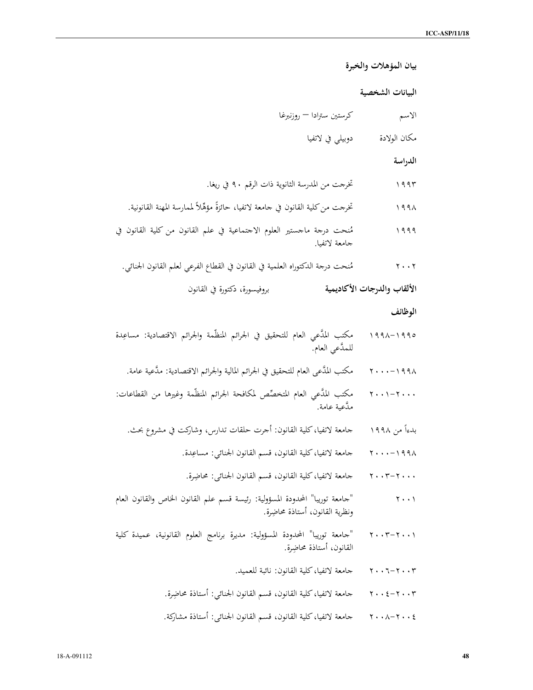بيان المؤهلات والخبرة البيانات الشخصية الاسم كرستين سترادا — روزنبرغا دوبيلي في لاتفيا مكان الولادة الدراسة تخرجت من المدرسة الثانوية ذات الرقم ٩٠ في ريغًا.  $1995$ تخرجت من كلية القانون في جامعة لاتفيا، حائزةً مؤهّلاً لممارسة المهنة القانونية.  $199A$ مُنحت درجة ماجستير العلوم الاجتماعية في علم القانون من كلية القانون في 1999 جامعة لاتفيا. مُنحت درجة الدكتوراه العلمية في القانون في القطاع الفرعي لعلم القانون الجنائبي.  $Y \cdot Y$ الألقاب والدرجات الأكاديمية بروفيسورة، دكتورة في القانون الوظائف ١٩٩٥–١٩٩٨ مكتب المدَّعى العام للتحقيق في الجرائم المنظَّمة والجرائم الاقتصادية: مساعِدة للمدَّعي العام. ١٩٩٨–٢٠٠٠ مكتب المدَّعى العام للتحقيق في الجرائم المالية والجرائم الاقتصادية: مدَّعية عامة. ٢٠٠١–٢٠٠١ مكتب المدَّعى العام المتخصِّص لمكافحة الجرائم المنظَّمة وغيرها من القطاعات: مدَّعية عامة. ُ جامعة لاتفيا، كلية القانون: أجرت حلقات تدارس، وشارَكت في مشروع بحث. بدءاً من ۱۹۹۸ جامعة لاتفيا، كلية القانون، قسم القانون الجنائبي: مساعِدة.  $Y \cdot \cdot \cdot - 1991$ جامعة لاتفيا، كلية القانون، قسم القانون الجنائبي: محاضِرة.  $\mathbf{y} \cdot \mathbf{y} - \mathbf{y} \cdot \mathbf{y}$ "جامعة توريبا" المحدودة المسؤولية: رئيسة قسم علم القانون الخاص والقانون العام  $\gamma \cdot \cdot \gamma$ ونظرية القانون، أستاذة محاضِرة. "جامعة توريبا" المحدودة المسؤولية: مديرة برنامج العلوم القانونية، عميدة كلية  $Y \cdot Y - Y \cdot Y$ القانون، أستاذة محاضِرة. جامعة لاتفيا، كلية القانون: نائبة للعميد.  $Y \cdot 7 - Y \cdot 7$ جامعة لاتفيا، كلية القانون، قسم القانون الجنائبي: أستاذة محاضِرة.  $\gamma \cdot \cdot \xi - \gamma \cdot \cdot \tau$ جامعة لاتفيا، كلية القانون، قسم القانون الجنائي: أستاذة مشاركة.  $Y \cdot \cdot \lambda - Y \cdot \cdot 2$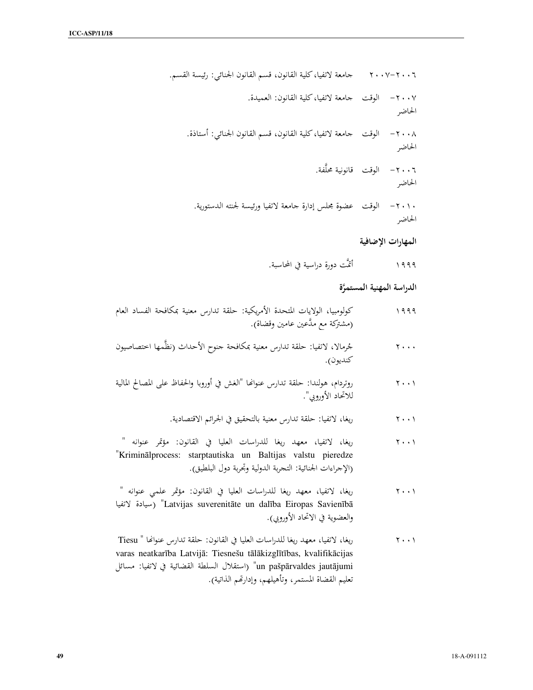```
٢٠٠٧–٢٠٠٧        جامعة لاتفيا، كلية القانون، قسم القانون الجنائبي: رئيسة القسم.
                                            ٢٠٠٧ – الوقت جامعة لاتفيا،كلية القانون: العميدة.
                                                                                              الحاضر
                       ٢٠٠٨ – الوقت - جامعة لاتفيا، كلية القانون، قسم القانون الجنائي: أستاذة.
                                                                                              الحاضر
                                                                  ٢٠٠٦ – الوقت قانونية محلَّفة.
                                                                                              الحاضر
                          ٢٠١٠ – الوقت عضوة مجلس إدارة جامعة لاتفيا ورئيسة لجنته الدستورية.
                                                                                              الحاضر
                                                                                 المهارات الإضافية
                                                   أُتمَّت دورة دراسية في المحاسبة.
                                                                                             1999
                                                                          الدراسة المهنية المستمرَّة
كولومبيا، الولايات المتحدة الأمريكية: حلقة تدارس معنية بمكافحة الفساد العام
                                                                                             1999(مشتركة مع مدَّعين عامين وقضاة).
جُرمالا، لاتفيا: حلقة تدارس معنية بمكافحة جنوح الأحداث (نظَّمها اختصاصيون
                                                                                              \mathbf{y} \cdot \cdot \cdotكنديون).
روتردام، هولندا: حلقة تدارس عنوانها "الغش في أوروبا والحفاظ على المصالح المالية
                                                                                             \mathbf{y} \cdot \cdot \mathbf{y}للاتحاد الأوروبي".
                  ريغا، لاتفيا: حلقة تدارس معنية بالتحقيق في الجرائم الاقتصادية.
                                                                                             \gamma \cdot \cdot \gammaريغا، لاتفيا، معهد ريغا للدراسات العليا في القانون: مؤتمر عنوانه "
                                                                                              \gamma \cdot \cdot \gamma"Kriminālprocess: starptautiska un Baltijas valstu pieredze
                        (الإجراءات الجنائية: التجربة الدولية وتحربة دول البلطيق).
 ريغا، لاتفيا، معهد ريغا للدراسات العليا في القانون: مؤتمر علمي عنوانه "
                                                                                             \mathbf{y} \cdot \cdot \mathbf{y}لاتفيا "Latvijas suverenitāte un dalība Eiropas Savienībā
                                                  والعضوية في الاتحاد الأوروبي).
ريغا، لاتفيا، معهد ريغا للدراسات العليا في القانون: حلقة تدارس عنوانها " Tiesu
                                                                                              \gamma \cdot \cdot \gammavaras neatkarība Latvijā: Tiesnešu tālākizglītības, kvalifikācijas
un pašpārvaldes jautājumi" (استقلال السلطة القضائية في لاتفيا: مسائل
                               تعليم القضاة المستمر، وتأهيلهم، وإدارتهم الذاتية).
```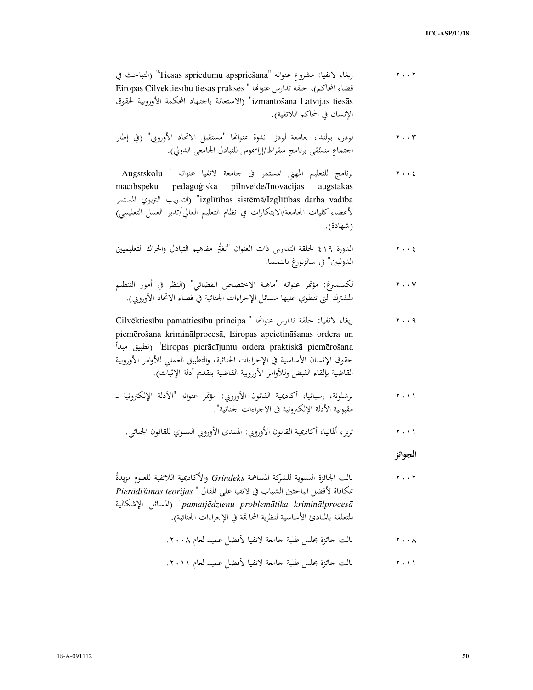| ريغا، لاتفيا: مشروع عنوانه "Tiesas spriedumu apspriešana" (التباحث في    | $\mathbf{y} \cdot \mathbf{y}$ |
|--------------------------------------------------------------------------|-------------------------------|
| قضاء المحاكم)، حلقة تدارس عنوالها " Eiropas Cilvēktiesību tiesas prakses |                               |
| izmantošana Latvijas tiesās" (الاستعانة باجتهاد المحكمة الأوروبية لحقوق  |                               |
| الإنسان في المحاكم اللاتفية).                                            |                               |

- ٢٠٠٣ لودز، بولندا، جامعة لودز: ندوة عنوانها "مستقبل الاتحاد الأوروبي" (في إطار اجتماع منسِّقى برنامج سقراط/إراسموس للتبادل الجامعى الدولي).
- Augstskolu " عنوانه " Augstskolu تفيا عنوانه  $y \cdot \cdot \xi$ mācībspēku pedagoģiskā pilnveide/Inovācijas augstākās izglītības sistēmā/Izglītības darba vadība" (التدريب التزبوي المستمر لأعضاء كليات الجامعة/الابتكارات في نظام التعليم العالي/تدبر العمل التعليمي) (شهادة).
- ٢٠٠٤ الدورة ٤١٩ لحلقة التدارس ذات العنوان "تغيُّر مفاهيم التبادل والحراك التعليميين الدوليين" في سالزبورغ بالنمسا.
- j[=. 
;C [=) "YQ->, ±-O.P #-;" ~
=3 ; :¾ e5 المشترك التي تنطوي عليها مسائل الإجراءات الجنائية في فضاء الاتحاد الأوروبي).
- ا، لاتفيا: حلقة تدارس عنوانما " Cilvēktiesību pamattiesību principa  $\mathbf{y} \cdot \mathbf{y}$ piemērošana kriminālprocesā, Eiropas apcietināšanas ordera un تطبيق مبدأ) "Eiropas pierādījumu ordera praktiskā piemērošana حقوق الإنسان الأساسية في الإجراءات الجنائية، والتطبيق العملي للأوامر الأوروبية القاضية بإلقاء القبض وللأوامر الأوروبية القاضية بتقديم أدلة الإثبات).
- ٢٠١١ برشلونة، إسبانيا، أكاديمية القانون الأوروبي: مؤتمر عنوانه "الأدلة الإلكترونية ـ مقبولية الأدلة الإلكترونية في الإجراءات الجنائية".

 .YQ-=\$ E
-,D 
=e Ý\*\*( z+.=6 :Ý\*\*( E
-, #UcC `--6C ` 

الجوائز

- $\ddot{\circ}$ الت الجائزة السنوية للشركة المساهمة Grindeks والأكاديمية اللاتفية للعلوم مزيدةً  $\mathbf{y} \cdot \mathbf{y}$  $\it Pier\bar{a}$ dīšanas teorijas " بكافاة لأفضل الباحثين الشباب في لاتفيا على المقال #-5M lQ-e6) "*pamatj*ē*dzienu problem*ā*tika krimin*ā*lproces*<sup>ā</sup> المتعلقة بالمبادئ الأساسية لنظرية المحاجَّة في الإجراءات الجنائية).
	- الت جائزة مجلس طلبة جامعة لاتفيا لأفضل عميد لعام ٢٠٠٨.  $\mathbf{y} \cdot \mathbf{y}$
	- الت جائزة مجلس طلبة جامعة لاتفيا لأفضل عميد لعام ٢٠١١.  $\gamma \cdot \gamma$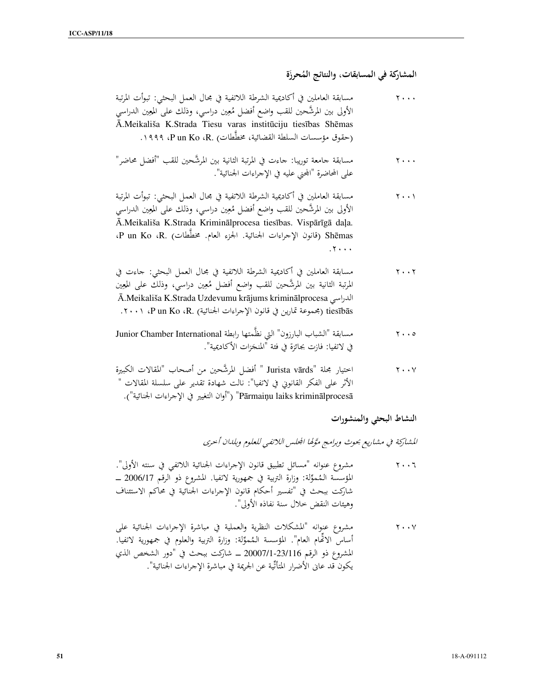المشاركة في المسابقات، والنتائج المُحرزَة

- مسابقة العاملين في أكاديمية الشرطة اللاتفية في مجال العمل البحثي: تبوأت المرتبة  $\mathbf{y} \cdot \cdot \cdot$ الأولى بين المرشَّحين للقب واضع أفضل مُعِين دراسي، وذلك على المعِين الدراسي Ā.Meikališa K.Strada Tiesu varas institūciju tiesības Shēmas (حقوق مؤسسات السلطة القضائية، مخطَّطات) .N٩٩٩ ،P un Ko ،R .
- مسابقة جامعة توريبا: جاءت في المرتبة الثانية بين المرشَّحين للقب "أفضل محاضر"  $\mathbf{y} \cdot \cdot \cdot$ على المحاضرة "المجنى عليه في الإجراءات الجنائية".

- مسابقة العاملين في أكاديمية الشرطة اللاتفية في مجال العمل البحثي: جاءت في  $\mathbf{y} \cdot \mathbf{y}$ المرتبة الثانية بين المرشَّحين للقب واضع أفضل مُعِين دراسي، وذلك على المعِين Ā.Meikališa K.Strada Uzdevumu krājums kriminālprocesa tiesībās (مجموعة تمارين في قانون الإجراءات الجنائية) .P un Ko ،R .
- مسابقة "الشباب البارزون" التي نظَّمتها رابطة Junior Chamber International  $\mathbf{y} \cdot \cdot \mathbf{0}$ في لاتفيا: فازت بجائزة في فئة "المنجزات الأكاديمية".
- اختيار مجلة "Jurista vārds " أفضل المرشَّحين من أصحاب "المقالات الكبيرة  $Y \cdot Y$ الأثر على الفكر القانوني في لاتفيا": نالت شهادة تقدير على سلسلة المقالات " Pārmaiņu laiks kriminālprocesā" ("أوان التغيير في الإجراءات الجنائية").

## النشاط البحثي والمنشورات

المشاركة في مشاريع بحوث وبرامج موَّلها المجلس اللاتفي للعلوم وبلدان أخرى

- مشروع عنوانه "مسائل تطبيق قانون الإجراءات الجنائية اللاتفى في سنته الأولى".  $y \cdot y$ المؤسسة المُموِّلة: وزارة التربية في جمهورية لاتفيا. المشروع ذو الرقم 2006/17 ــ شاركت ببحث في "تفسير أحكام قانون الإجراءات الجنائية في محاكم الاستئناف وهيئات النقض خلال سنة نفاذه الأولى".
- مشروع عنوانه "المشكلات النظرية والعملية في مباشرة الإجراءات الجنائية على  $\mathbf{y} \cdot \mathbf{y}$ أساس الاتَّحام العام". المؤسسة المُموِّلة: وزارة التربية والعلوم في جمهورية لاتفيا. المشروع ذو الرقم 23/116-20007 ــ شاركت ببحث في "دور الشخص الذي يكون قد عاني الأضرار المتأتِّية عن الجريمة في مباشرة الإجراءات الجنائية".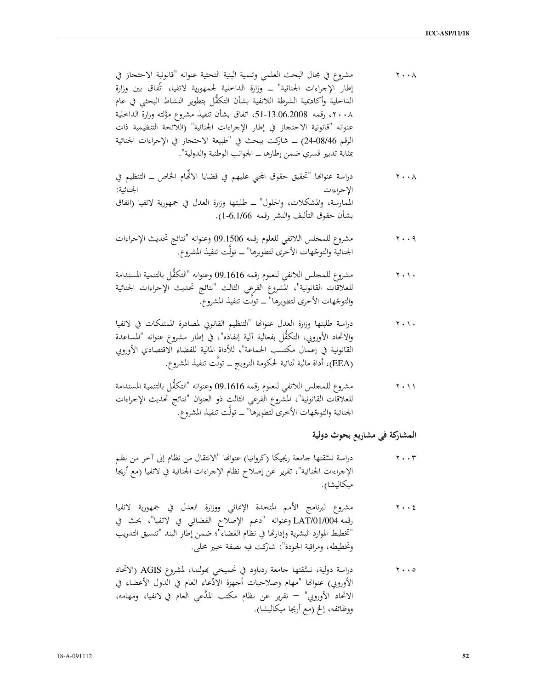$\mathbf{Y} \cdot \cdot \mathbf{A}$ 

| الداخلية وأكاديمية الشرطة اللاتفية بشأن التكفُّل بتطوير النشاط البحثى في عام<br>٢٠٠٨، رقمه  06.2008.01-51، اتفاق بشأن تنفيذ مشروع مؤلته وزارة الداخلية<br>عنوانه "قانونية الاحتحاز في إطار الإجراءات الجنائية" (اللائحة التنظيمية ذات<br>الرقم 08/46-24) ــ شاركت ببحث في "طبيعة الاحتحاز في الإجراءات الجنائية<br>بمثابة تدبير قسري ضمن إطارها ــ الجوانب الوطنية والدولية". |                                     |
|-------------------------------------------------------------------------------------------------------------------------------------------------------------------------------------------------------------------------------------------------------------------------------------------------------------------------------------------------------------------------------|-------------------------------------|
| دراسة عنوانها "تحقيق حقوق المجني عليهم في قضايا الاتِّمام الخاص ــ التنظيم في<br>الجنائية:<br>الإجراءات<br>الممارسة، والمشكلات، والحلول" ـــ طلبتها وزارة العدل في جمهورية لاتفيا (اتفاق<br>بشأن حقوق التأليف والنشر رقمه 1.66.1/66).                                                                                                                                         | $\mathbf{y} \cdot \mathbf{y}$       |
| مشروع للمحلس اللاتفي للعلوم رقمه 09.1506 وعنوانه "نتائج تحديث الإجراءات<br>الجنائية والتوجّـهات الأخرى لتطويرها" ــ تولَّت تنفيذ المشروع.                                                                                                                                                                                                                                     | $\mathbf{y} \cdot \mathbf{y}$       |
| مشروع للمحلس اللاتفي للعلوم رقمه 09.1616 وعنوانه "التكفُّل بالتنمية المستدامة<br>للعلاقات القانونية"، المُشروع الفرعي الثالث "نتائج تحديث الإجراءات الجنائية<br>والتوجّهات الأخرى لتطويرها" ــ تولَّت تنفيذ المشروع.                                                                                                                                                          | $\mathbf{y} \cdot \mathbf{y}$       |
| دراسة طلبتها وزارة العدل عنوانها "التنظيم القانوني لمصادرة الممتلكات في لاتفيا<br>والاتحاد الأوروبي، التكفُّل بفعالية آلية إنفاذه"، في إطار مشروع عنوانه "المساعدة<br>القانونية في إعمال مكتسب الجماعة"، للأداة ٍ المالية للفضاء الاقتصادي الأوروبي<br>(EEA)، أداة مالية ثنائية لحكومة النرويج ــ تولُّت تنفيذ المشروع.                                                       | $\mathbf{r} \cdot \mathbf{y}$ .     |
| مشروع للمحلس اللاتفي للعلوم رقمه 09.1616 وعنوانه "التكقُّل بالتنمية المستدامة<br>للعلاقات القانونية"، المشروع الفرعي الثالثِ ذو العنوان "نتائج تحديث الإجراءات<br>الجنائية والتوجّهات الأخرى لتطويرها" ــ تولُّت تنفيذ المشروع.                                                                                                                                               | $\mathbf{y} \cdot \mathbf{y}$       |
| المشاركة في مشاريع بحوث دولية                                                                                                                                                                                                                                                                                                                                                 |                                     |
| دراسة نسَّقتها جامعة ريجيكا (كرواتيا) عنوانها "الانتقال من نظام إلى أخر من نظم<br>الإجراءات الجنائية"، تقرير عن إصلاح نظام الإجراءات الجنائية في لاتفيا (مع أريجا<br>ميكاليشا).                                                                                                                                                                                               | $\mathbf{y} \cdot \mathbf{y}$       |
| مشروع لبرنامج الأمم المتحدة الإنمائي ووزارة العدل في جمهورية لاتفيا<br>رقمه LAT/01/004 وعنوانه "دعم الإصلاح القضائ <sub>ي</sub> في لاتفيا"، بحث في<br>"تخطيط الموارد البشرية وإدارتها في نظام القضاء"؛ ضمن إطار البند "تنسيق التدريب<br>وتخطيطه، ومراقبة الجودة": شاركت فيه بصفة خبير محلي.                                                                                   | $\mathbf{y} \cdot \cdot \mathbf{z}$ |
| دراسة دولية، نسَّقتها جامعة ردباود في نجميخي بمولندا، لمشروع AGIS (الاتحاد                                                                                                                                                                                                                                                                                                    | $\mathbf{y} \cdot \mathbf{y}$       |

مشروع في محال البحث العلمي وتنمية البنية التحتية عنوانه "قانونية الاحتحاز في

إطار الإجراءات الجنائية" ـــ وزارة الداخلية لجمهورية لاتفيا، اتِّفاق بين وزارة

تاد الأوروبي) عنوالها "مهام وصلاحيات أجهزة الادِّعاء العام في الدول الأعضاء في الاتحاد الأوروبي" — تقرير عن نظام مكتب المدَّعي العام في لاتفيا، ومهامه، ووظائفه، إلخ (مع أريجا ميكاليشا).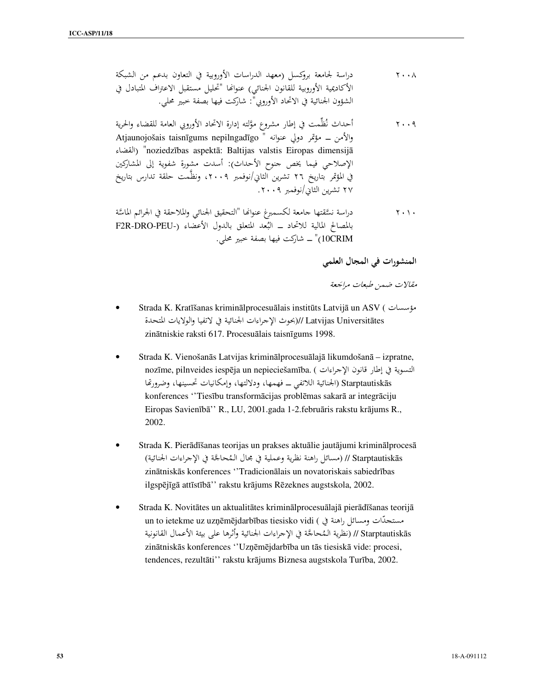- أحداث نُظِّمت في إطار مشروع مؤلته إدارة الاتحاد الأوروبي العامة للقضاء والحرية  $\mathbf{y} \cdot \mathbf{y}$ Atjaunojošais taisnīgums nepilngadīgo " مؤتمر دولي عنوانه " Atjaunojošais taisnīgums nepilngadīgo القضاء) "noziedzības aspektā: Baltijas valstis Eiropas dimensijā الإصلاحي فيما يخص جنوح الأحداث): أسدت مشورة شفوية إلى المشاركين في المؤتمر بَّتاريخ ٢٦ تشرين الثاني/نوفمبر ٢٠٠٩، ونظَّمت حلقة تدارس بتاريخ ح<br>۲۷ تشرین الثاني/نوفمبر ۲۰۰۹.
- دراسة نسَّقتها جامعة لكسمبرغ عنوانها "التحقيق الجنائي والملاحقة في الجرائم الماسَّة  $\mathbf{y} \cdot \mathbf{y}$ . بالمصالح المالية للاتحاد ــ البُعد المتعلق بالدول الأعضاء (-F2R-DRO-PEU 10CRIM)" ـــ شاركت فيها بصفة خبير محلي.

المنشورات في المجال العلمي

مقالات ضهين طبعات مراجحة

- Strada K. Kratīšanas kriminālprocesuālais institūts Latvijā un ASV ( مؤسسات Latvijas Universitātes //(بحوث الإجراءات الجنائية في لاتفيا والولايات المتحدة zinātniskie raksti 617. Procesuālais taisnīgums 1998.
- Strada K. Vienošanās Latvijas kriminālprocesuālajā likumdošanā izpratne, nozīme, pilnveides iespēja un nepieciešamība. ( التسوية في إطار قانون الإجراءات Starptautiskās (الجنائية اللاتفي ــ فهمها، ودلالتها، وإمكانيات تحسينها، وضرورتها konferences "Tiesību transformācijas problēmas sakarā ar integrāciju Eiropas Savienībā" R., LU, 2001.gada 1-2.februāris rakstu krājums R., 2002.
- Strada K. Pierādīšanas teorijas un prakses aktuālie jautājumi kriminālprocesā Starptautiskās // (مسائل راهنة نظرية وعملية في مجال المُحاجَّة في الإجراءات الجنائية) zinātniskās konferences "Tradicionālais un novatoriskais sabiedrības ilgspējīgā attīstībā" rakstu krājums Rēzeknes augstskola, 2002.
- Strada K. Novitātes un aktualitātes kriminālprocesuālajā pierādīšanas teorijā un to ietekme uz uzņēmējdarbības tiesisko vidi ( مستجدّات ومسائل راهنة في Starptautiskās // (نظرية الـمُحاجَّة في الإجراءات الجنائية وأثرها على بيئة الأعمال القانونية zinātniskās konferences "Uzņēmējdarbība un tās tiesiskā vide: procesi, tendences, rezultāti" rakstu krājums Biznesa augstskola Turība, 2002.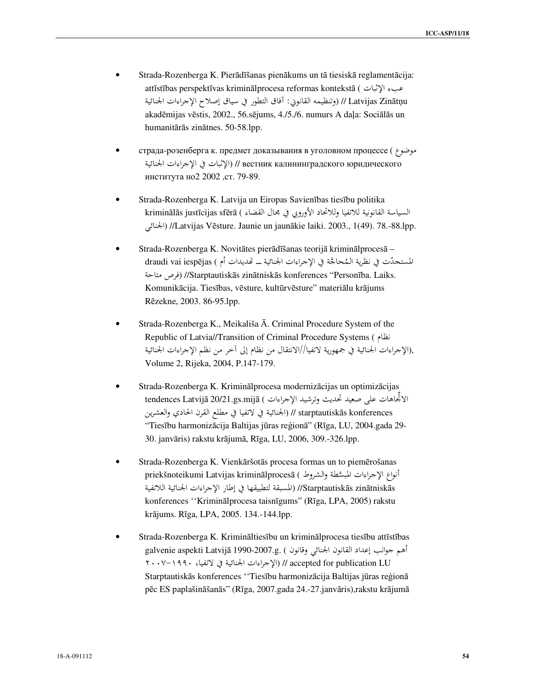- Strada-Rozenberga K. Pierādīšanas pienākums un tā tiesiskā reglamentācija: attīstības perspektīvas kriminālprocesa reformas kontekstā ( عبء الإثبات Latvijas Zinātņu // (وتنظيمه القانوني: أفاق التطور في سياق إصلاح الإجراءات الجنائية akadēmijas vēstis, 2002., 56.sējums, 4./5./6. numurs A daļa: Sociālās un humanitārās zinātnes. 50-58.lpp.
- страда-розенберга к. предмет доказывания в уголовном процессе ( ۶ موضوع الإثبات في الإجراءات الجنائية // вестник калининградского юридического/ института но2 2002 ,ст. 79-89.
- Strada-Rozenberga K. Latvija un Eiropas Savienības tiesību politika السياسة القانونية للاتفيا وللاتحاد الأوروبي في مجال القضاء ) kriminālās justīcijas sfērā الجنائى) //Latvijas Vēsture. Jaunie un jaunākie laiki. 2003., 1(49). 78.-88.lpp.
- Strada-Rozenberga K. Novitātes pierādīšanas teorijā kriminālprocesā المستحدّت في نظرية الـمُحاجَّة في الإجراءات الجنائية ـــ تَحديدات أم ) draudi vai iespējas<br>- يستحدّث في تطرية السمحين #-.; ±) //Starptautiskās zinātniskās konferences "Personība. Laiks. Komunikācija. Tiesības, vēsture, kultūrvēsture" materiālu krājums Rēzekne, 2003. 86-95.lpp.
- Strada-Rozenberga K., Meikališa Ā. Criminal Procedure System of the نظام ) Republic of Latvia//Transition of Criminal Procedure Systems (الإجراءات الجنائية في جمهورية لاتفيا//الانتقال من نظام إلى أخر من نظم الإجراءات الجنائية), Volume 2, Rijeka, 2004, P.147-179.
- Strada-Rozenberga K. Kriminālprocesa modernizācijas un optimizācijas الاتَّجاهات على صعيد تحديث وترشيد الإجراءات ) tendences Latvijā 20/21.gs.mijā الجنائية في لاتفيا في مطلع القرن الحادي والعشرين // starptautiskās konferences "Tiesību harmonizācija Baltijas jūras reģionā" (Rīga, LU, 2004.gada 29- 30. janvāris) rakstu krājumā, Rīga, LU, 2006, 309.-326.lpp.
- Strada-Rozenberga K. Vienkāršotās procesa formas un to piemērošanas priekšnoteikumi Latvijas kriminālprocesā ( انواع الإجراءات المبسَّطة والشروط ) المسبقة لتطبيقها في إطار الإجراءات الجنائية اللاتفية/Starptautiskās zinātniskās/ konferences ''Kriminālprocesa taisnīgums" (Rīga, LPA, 2005) rakstu krājums. Rīga, LPA, 2005. 134.-144.lpp.
- Strada-Rozenberga K. Krimināltiesību un kriminālprocesa tiesību attīstības galvenie aspekti Latvijā 1990-2007.g. ( وقانون ) و2007.galvenie aspekti Latvijā 1990-2007.g. 7 - • (الإجراءات الجنائية في لاتفيا، • ٩٩-١-٢٠٠٧) // accepted for publication LU Starptautiskās konferences ''Tiesību harmonizācija Baltijas jūras reģionā pēc ES paplašināšanās" (Rīga, 2007.gada 24.-27.janvāris),rakstu krājumā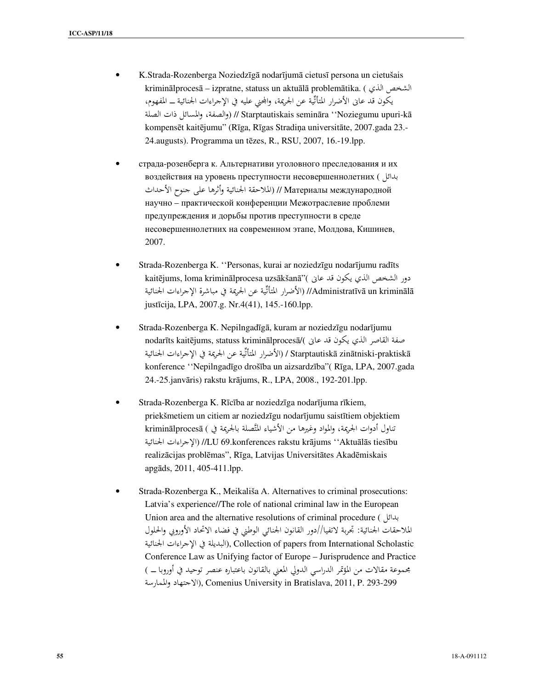- K.Strada-Rozenberga Noziedzīgā nodarījumā cietusī persona un cietušais kriminālprocesā – izpratne, statuss un aktuālā problemātika. ( الشخص الذي يكون قد عانى الأضرار المتأتَّية عن الجريمة، والمجني عليه في الإحراءات الجنائية ــ المفهوم، والصفة، والمسائل ذات الصلة // Starptautiskais semināra ''Noziegumu upuri-kā kompensēt kaitējumu" (Rīga, Rīgas Stradiņa universitāte, 2007.gada 23.- 24.augusts). Programma un tēzes, R., RSU, 2007, 16.-19.lpp.
- страда-розенберга к. Альтернативи уголовного преследования и их воздействия на уровень преступности несовершеннолетних (بدائل) Материалы международной // (الملاحقة الجنائية وأثرها على حنوح الأحداث научно – практической конференции Межотраслевие проблеми предупреждения и дорьбы против преступности в среде несовершеннолетних на современном этапе, Молдова, Кишинев, 2007.
- Strada-Rozenberga K. ''Personas, kurai ar noziedzīgu nodarījumu radīts kaitējums, loma kriminālprocesa uzsākšanā"( دور الشخص الذي يكون قد عانى Administratīvā un kriminālā// (الأضرار المتأتّية عن الجريمة في مباشرة الإجراءات الجنائية justīcija, LPA, 2007.g. Nr.4(41), 145.-160.lpp.
- Strada-Rozenberga K. Nepilngadīgā, kuram ar noziedzīgu nodarījumu صفة القاصر الذي يكون قد عانى )/nodarīts kaitējums, statuss kriminālprocesā Starptautiskā zinātniski-praktiskā / (الأضرار المتأنَّية عن الجريمة في الإجراءات الجنائية konference ''Nepilngadīgo drošība un aizsardzība"( Rīga, LPA, 2007.gada 24.-25.janvāris) rakstu krājums, R., LPA, 2008., 192-201.lpp.
- Strada-Rozenberga K. Rīcība ar noziedzīga nodarījuma rīkiem, priekšmetiem un citiem ar noziedzīgu nodarījumu saistītiem objektiem تناول أدوات الجريمة، والمواد وغيرها من الأشياء المُتَّصلة بالجريمة في ) kriminālprocesā #Q-=\$ @Ir) //LU 69.konferences rakstu krājums ''Aktuālās tiesību realizācijas problēmas", Rīga, Latvijas Universitātes Akadēmiskais apgāds, 2011, 405-411.lpp.
- Strada-Rozenberga K., Meikališa A. Alternatives to criminal prosecutions: Latvia's experience//The role of national criminal law in the European Union area and the alternative resolutions of criminal procedure ( lQ+/ الملاحقات الجنائية: تجربة لاتفيا//دور القانون الجنائي الوطني في فضاء الاتحاد الأوروبي والحلول البديلة في الإجراءات الجنائية), Collection of papers from International Scholastic Conference Law as Unifying factor of Europe – Jurisprudence and Practice محموعة مقالات من المؤتمر الدراسي الدولي المعني بالقانون باعتباره عنصر توحيد في أوروبا ـــ ) الاحتهاد والممارسة), Comenius University in Bratislava, 2011, P. 293-299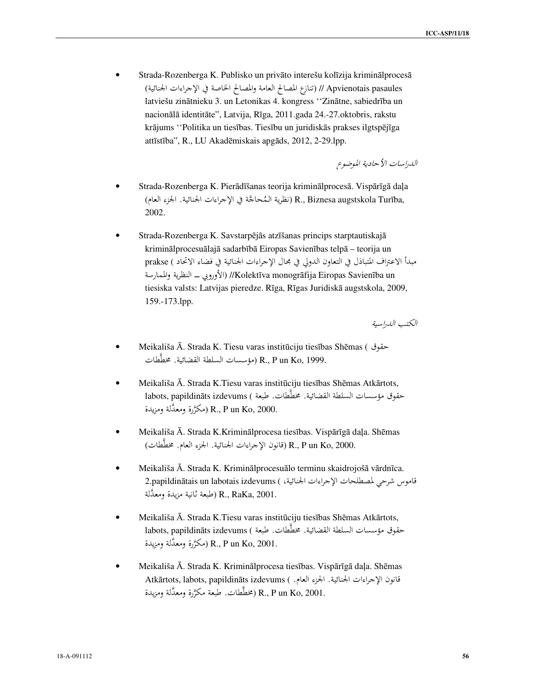• Strada-Rozenberga K. Publisko un privāto interešu kolīzija kriminālprocesā Apvienotais pasaules // (تنازع المصالح العامة والمصالح الخاصة في الإجراءات الجنائية) latviešu zinātnieku 3. un Letonikas 4. kongress ''Zinātne, sabiedrība un nacionālā identitāte", Latvija, Rīga, 2011.gada 24.-27.oktobris, rakstu krājums ''Politika un tiesības. Tiesību un juridiskās prakses ilgtspējīga attīstība", R., LU Akadēmiskais apgāds, 2012, 2-29.lpp.

الدراسات الأحادية الموضوع

- Strada-Rozenberga K. Pierādīšanas teorija kriminālprocesā. Vispārīgā daļa (نظرية الـمُحاجَّة في الإجراءات الجنائية. الجزء العام) R., Biznesa augstskola Turība,<br>2000 2002.
- Strada-Rozenberga K. Savstarpējās atzīšanas princips starptautiskajā kriminālprocesuālajā sadarbībā Eiropas Savienības telpā – teorija un مبدأ الاعتراف المتبادَل في التعاون الدولي في مجال الإجراءات الجنائية في فضاء الاتحاد ) prakse ¡ الأوروبي ـــ النظرية والممارسة //Kolektīva monogrāfija Eiropas Savienība un/ tiesiska valsts: Latvijas pieredze. Rīga, Rīgas Juridiskā augstskola, 2009, 159.-173.lpp.

الكتب الدراسية

- Meikališa Ā. Strada K. Tiesu varas institūciju tiesības Shēmas (حقوق فوسسات السلطة القضائية. مخطَّطات) R., P un Ko, 1999.
- Meikališa Ā. Strada K.Tiesu varas institūciju tiesības Shēmas Atkārtots, حقوق مؤسسات السلطة القضائية. مخطَّطات. طبعة ) labots, papildināts izdevums مكَّرَرة ومعدَّلة ومزيدة) R., P un Ko, 2000.
- Meikališa Ā. Strada K.Kriminālprocesa tiesības. Vispārīgā daļa. Shēmas (قانون الإجراءات الجنائية. الجزء العام. مخطَّطات) R., P un Ko, 2000.
- Meikališa Ā. Strada K. Kriminālprocesuālo terminu skaidrojošā vārdnīca. قاموس شرحي لمصطلحات الإجراءات الجنائية، ) 2.papildinātais un labotais izdevums (طبعة ثانية مزيدة ومعدّلة R., RaKa, 2001.
- Meikališa Ā. Strada K.Tiesu varas institūciju tiesības Shēmas Atkārtots, حقوق مؤسسات السلطة القضائية. مخطَّطات. طبعة ) labots, papildināts izdevums مكَّرَرة ومعدَّلة ومزيدة) R., P un Ko, 2001.
- Meikališa Ā. Strada K. Kriminālprocesa tiesības. Vispārīgā daļa. Shēmas Atkārtots, labots, papildināts izdevums ( . الجمنائية. الجزء العام. ) .R., P un Ko, 2001 (مخطّطات. طبعة مكرَّرة ومعدَّلة ومزيدة) R., P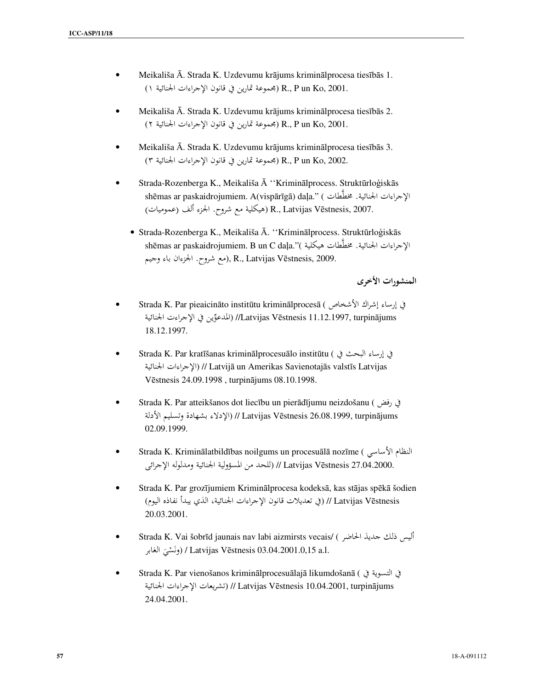- Meikališa Ā. Strada K. Uzdevumu krājums kriminālprocesa tiesībās 1. (جحموعة تمارين في قانون الإجراءات الجنائية ١) R., P un Ko, 2001.
- Meikališa Ā. Strada K. Uzdevumu krājums kriminālprocesa tiesībās 2. (جحموعة تمارين في قانون الإجراءات الجنائية ٢) R., P un Ko, 2001.
- Meikališa Ā. Strada K. Uzdevumu krājums kriminālprocesa tiesībās 3. (مجموعة تمارين في قانون الإجراءات الجنائية ٣) R., P un Ko, 2002.
- Strada-Rozenberga K., Meikališa Ā ''Kriminālprocess. Struktūrloģiskās shēmas ar paskaidrojumiem. A(vispārīgā) daļa." ( خراءات الجنائية. مخطَّطات ) A., Latvijas Vēstnesis, 2007. (هيكلية مع شروح. الجزء ألف (عموميات)
	- Strada-Rozenberga K., Meikališa Ā. ''Kriminālprocess. Struktūrloģiskās shēmas ar paskaidrojumiem. B un C daļa."( حراءات الجنائية. مخطَّطات هيكلية ) مع شروح. الجزءان باء وجيم), R., Latvijas Vēstnesis, 2009.

المنشورات الأخرى

- في إرساء إشراك الأشخاص ) Strada K. Par pieaicināto institūtu kriminālprocesā ـــــــــــــــــــــــــــــــــ المدعوِّين في الإجراءت الجنائية//Latvijas Vēstnesis 11.12.1997, turpinājums/ 18.12.1997.
- في إرساء البحث في ) Strada K. Par kratīšanas kriminālprocesuālo institūtu الإجراءات الجنائية) // Latvijā un Amerikas Savienotajās valstīs Latvijas Vēstnesis 24.09.1998 , turpinājums 08.10.1998.
- Strada K. Par atteikšanos dot liecību un pierādījumu neizdošanu ( µ الإدلاء بشهادة وتسليم الأدلة // Latvijas Vēstnesis 26.08.1999, turpinājums 02.09.1999.
- Strada K. Kriminālatbildības noilgums un procesuālā nozīme ( النظام الأساسي YQr ~
+;\* #Q-=\$ #\*e6 ; +GD) // Latvijas Vēstnesis 27.04.2000.
- Strada K. Par grozījumiem Kriminālprocesa kodeksā, kas stājas spēkā šodien Latvijas Vēstnesis // (في تعديلات قانون الإجراءات الجنائية، الذي يبدأ نفاذه اليوم) 20.03.2001.
- o Strada K. Vai šobrīd jaunais nav labi aizmirsts vecais/ ( اليس ذلك جديدَ الحاضر ٍ<br>ا /-k Y e¡ \*) / Latvijas Vēstnesis 03.04.2001.0,15 a.l. ¡ Ì
- قِ التسوية فِي ) Strada K. Par vienošanos kriminālprocesuālajā likumdošanā تشريعات الإحراءات الجنائية // Latvijas Vēstnesis 10.04.2001, turpinājums 24.04.2001.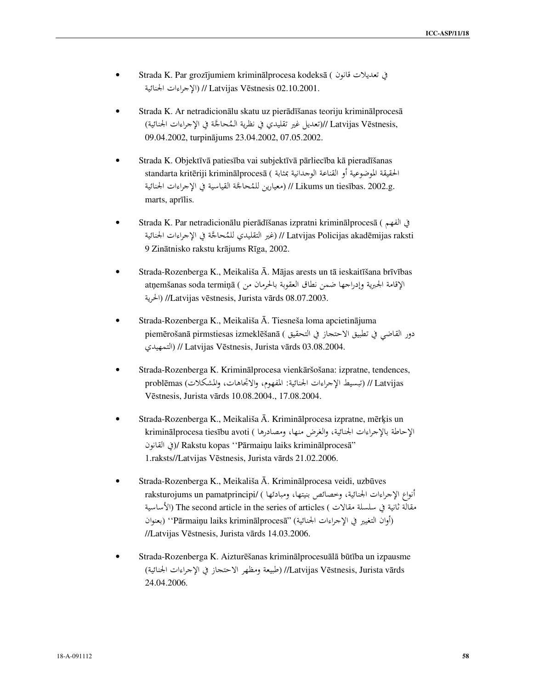- في تعديلات قانون ) Strada K. Par grozījumiem kriminālprocesa kodeksā الإجراءات الجنائية) // Latvijas Vēstnesis 02.10.2001.
- Strada K. Ar netradicionālu skatu uz pierādīšanas teoriju kriminālprocesā (التعديل غير تقليدي في نظرية الـمُحاجَّة في الإجراءات الجنائية)// Latvijas Vēstnesis,<br>2006 - 2009 - 2009 - 2009 - 2009 - 2009 - 2009 - 20 09.04.2002, turpinājums 23.04.2002, 07.05.2002.
- Strada K. Objektīvā patiesība vai subjektīvā pārliecība kā pieradīšanas الحقيقة الموضوعية أو القناعة الوجدانية بمثابة ) standarta kritēriji kriminālprocesā القياسية في الإجراءات الجنائية // Likums un tiesības. 2002.g.<br>--marts, aprīlis.
- Strada K. Par netradicionālu pierādīšanas izpratni kriminālprocesā ( j<9 ا (غير التقليدي للمُحاجَّة في الإجراءات الجنائية // Latvijas Policijas akadēmijas raksti<br>مُرَّة مِنْ الْمُحَاجَّة فِي الْإجراءات الجنائية 9 Zinātnisko rakstu krājums Rīga, 2002.
- Strada-Rozenberga K., Meikališa Ā. Mājas arests un tā ieskaitīšana brīvības الإقامة الجبرية وإدراجها ضمن نطاق العقوبة بالحرمان من ) atņemšanas soda termiņā #d) //Latvijas vēstnesis, Jurista vārds 08.07.2003.
- Strada-Rozenberga K., Meikališa Ā. Tiesneša loma apcietinājuma دور القاضي في تطبيق الاحتحاز في التحقيق ) piemērošanā pirmstiesas izmeklēšanā التمهيدى // Latvijas Vēstnesis, Jurista vārds 03.08.2004.
- Strada-Rozenberga K. Kriminālprocesa vienkāršošana: izpratne, tendences, Droblēmas (اتبسيط الإجراءات الجنائية: المفهوم، والاتجاهات، والمشكلات) problēmas Vēstnesis, Jurista vārds 10.08.2004., 17.08.2004.
- Strada-Rozenberga K., Meikališa Ā. Kriminālprocesa izpratne, mērķis un الإحاطة بالإجراءات الجنائية، والغرض منها، ومصادرها ) kriminālprocesa tiesību avoti ل )/ Rakstu kopas ''Pārmaiņu laiks kriminālprocesā'' 1.raksts//Latvijas Vēstnesis, Jurista vārds 21.02.2006.
- Strada-Rozenberga K., Meikališa Ā. Kriminālprocesa veidi, uzbūves i أنواع الإجراءات الجنائية، وخصائص بنيتها، ومبادئها ) /raksturojums un pamatprincipi مقالة ثانية في سلسلة مقالات ) The second article in the series of articles (الأساسية اوان التغيير في الإجراءات الجنائية) ''Pārmaiņu laiks kriminālprocesā'' (بعنوان) //Latvijas Vēstnesis, Jurista vārds 14.03.2006.
- Strada-Rozenberga K. Aizturēšanas kriminālprocesuālā būtība un izpausme ارطبيعة ومظهر الاحتحاز في الإجراءات الجنائية)//Latvijas Vēstnesis, Jurista vārds 24.04.2006.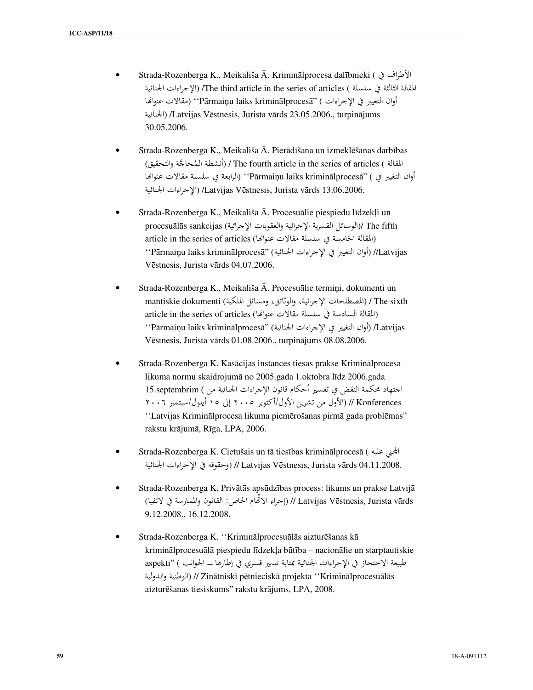- Strada-Rozenberga K., Meikališa Ā. Kriminālprocesa dalībnieki ( &'( المقالة الثالثة في سلسلة ) The third article in the series of articles/ (الإجراءات الجنائية أوان التغيير في الإجراءات ) ''Pārmaiņu laiks kriminālprocesā'' (مقالات عنوانحا الجنائية) /Latvijas Vēstnesis, Jurista vārds 23.05.2006., turpinājums 30.05.2006.
- Strada-Rozenberga K., Meikališa Ā. Pierādīšana un izmeklēšanas darbības المقالة ) The fourth article in the series of articles (أنشطة المُحاجَّة والتحقيق)<br>المصدر : المصدر المسلم المسلم العالمية المسلم العالمية العالمية العالمية العالمية العالمية العالمية العالمية أوان التغيير في ) ''Pārmaiņu laiks kriminālprocesā'' (الرابعة في سلسلة مقالات عنوانحا الإجراءات الجنائية) /Latvijas Vēstnesis, Jurista vārds 13.06.2006.
- Strada-Rozenberga K., Meikališa Ā. Procesuālie piespiedu līdzekļi un procesuālās sankcijas (الوسائل القسرية الإجرائية والعقوبات الإجرائية) firocesuālās sankcijas article in the series of articles (المقالة الخامسة في سلسلة مقالات عنوانها) ''Pārmaiņu laiks kriminālprocesā" (#Q-=\$ @Ir - Fk. E\*C) //Latvijas Vēstnesis, Jurista vārds 04.07.2006.
- Strada-Rozenberga K., Meikališa Ā. Procesuālie termiņi, dokumenti un mantiskie dokumenti (المصطلحات الإجرائية، والوثائق، ومسائل الملكية) mantiskie dokumenti article in the series of articles (المقالة السادسة في سلسلة مقالات عنوانها) ''Pārmaiņu laiks kriminālprocesā" (#Q-=\$ @Ir - Fk. E\*C) /Latvijas Vēstnesis, Jurista vārds 01.08.2006., turpinājums 08.08.2006.
- Strada-Rozenberga K. Kasācijas instances tiesas prakse Kriminālprocesa likuma normu skaidrojumā no 2005.gada 1.oktobra līdz 2006.gada اجتهاد محكمة النقض في تفسير أحكام قانون الإجراءات الجنائية من ) 15.septembrim Konferences // (الأول من تشرين الأول/أكتوبر ٢٠٠٥ إلى ١٥ أيلول/سبتمبر ٢٠٠٦ ''Latvijas Kriminālprocesa likuma piemērošanas pirmā gada problēmas" rakstu krājumā, Rīga, LPA, 2006.
- Strada-Rozenberga K. Cietušais un tā tiesības kriminālprocesā ( ~D3 ل (وحقوقه في الإجراءات الجنائية) // Latvijas Vēstnesis, Jurista vārds 04.11.2008.
- Strada-Rozenberga K. Privātās apsūdzības process: likums un prakse Latvijā الرَّهَام الخَاص: القانون والممارسة في لاتفيا) // Latvijas Vēstnesis, Jurista vārds 9.12.2008., 16.12.2008.
- Strada-Rozenberga K. ''Kriminālprocesuālās aizturēšanas kā kriminālprocesuālā piespiedu līdzekļa būtība – nacionālie un starptautiskie طبيعة الاحتحاز في الإجراءات الجنائية بمثابة تدبير قسري في إطارها ــ الجوانب ) "aspekti الوطنية والدولية) // Zinātniski pētnieciskā projekta ''Kriminālprocesuālās aizturēšanas tiesiskums" rakstu krājums, LPA, 2008.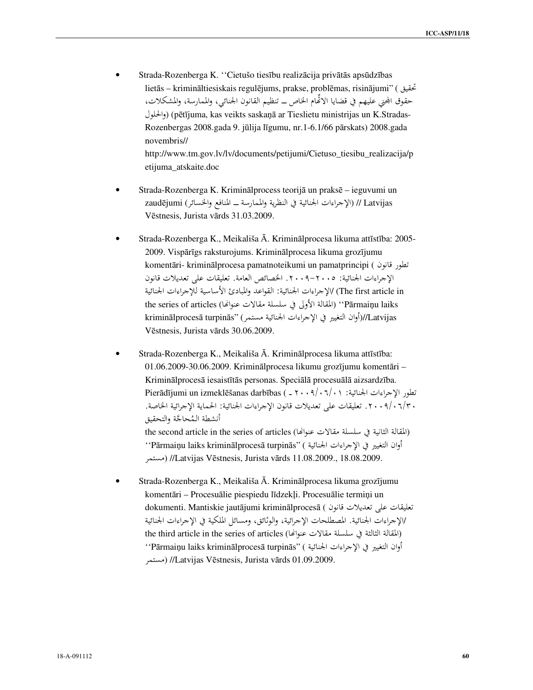- Strada-Rozenberga K. ''Cietušo tiesību realizācija privātās apsūdzības lietās – krimināltiesiskais regulējums, prakse, problēmas, risinājumi" ( h, حقوق المجني عليهم في قضايا الاتَّحام الخاص ـــ تنظيم القانون الجنائي، والممارسة، والمشكلات، )
Dd\*) (pētījuma, kas veikts saskaņā ar Tieslietu ministrijas un K.Stradas-Rozenbergas 2008.gada 9. jūlija līgumu, nr.1-6.1/66 pārskats) 2008.gada novembris// http://www.tm.gov.lv/lv/documents/petijumi/Cietuso\_tiesibu\_realizacija/p etijuma\_atskaite.doc
- Strada-Rozenberga K. Kriminālprocess teorijā un praksē ieguvumi un zaudējumi (الإجراءات الجنائية في النظرية والممارسة ــ المنافع والخسائر) zaudējumi Vēstnesis, Jurista vārds 31.03.2009.
- Strada-Rozenberga K., Meikališa Ā. Kriminālprocesa likuma attīstība: 2005- 2009. Vispārīgs raksturojums. Kriminālprocesa likuma grozījumu komentāri- kriminālprocesa pamatnoteikumi un pamatprincipi ( تطور قانون الإجراءات الجنائية: ٢٠٠٥-٢٠٠٩. الخصائص العامة. تعليقات على تعديلات قانون The first article in) /الإجراءات الجنائية: القواعد والمبادئ الأساسية للإجراءات الجنائية the series of articles (المقالة الأولى في سلسلة مقالات عنوانها) the series of articles kriminālprocesā turpinās" (أوان التغيير في الإجراءات الجنائية مستمر)//Latvijas Vēstnesis, Jurista vārds 30.06.2009.
- Strada-Rozenberga K., Meikališa Ā. Kriminālprocesa likuma attīstība: 01.06.2009-30.06.2009. Kriminālprocesa likumu grozījumu komentāri – Kriminālprocesā iesaistītās personas. Speciālā procesuālā aizsardzība. تطور الإجراءات الجنائية: ١٠٩/٠٦/٠١ Pierādījumi un izmeklēšanas darbības ( - ٢٠٠٩/٠٦/٠١ ٣٠/٠٦/ . تعليقات على تعديلات قانون الإجراءات الجنائية: الحماية الإجرائية الخاصة. أنشطة المُحاجَّة والتحقيق<br>... (المقالة الثانية في سلسلة مقالات عنوانها) the second article in the series of articles ''Pārmaiņu laiks kriminālprocesā turpinās" ( #Q-=\$ @Ir - Fk. E\*C .e;) //Latvijas Vēstnesis, Jurista vārds 11.08.2009., 18.08.2009.
- Strada-Rozenberga K., Meikališa Ā. Kriminālprocesa likuma grozījumu komentāri – Procesuālie piespiedu līdzekļi. Procesuālie termiņi un dokumenti. Mantiskie jautājumi kriminālprocesā ( تعليقات على تعديلات قانون /الإجراءات الجنائية. المصطلحات الإجرائية، والوثائق، ومسائل الملكية في الإجراءات الجنائية the third article in the series of articles (المقالة الثالثة في سلسلة مقالات عنوانحا) ''Pārmaiņu laiks kriminālprocesā turpinās" ( #Q-=\$ @Ir - Fk. E\*C .e;) //Latvijas Vēstnesis, Jurista vārds 01.09.2009.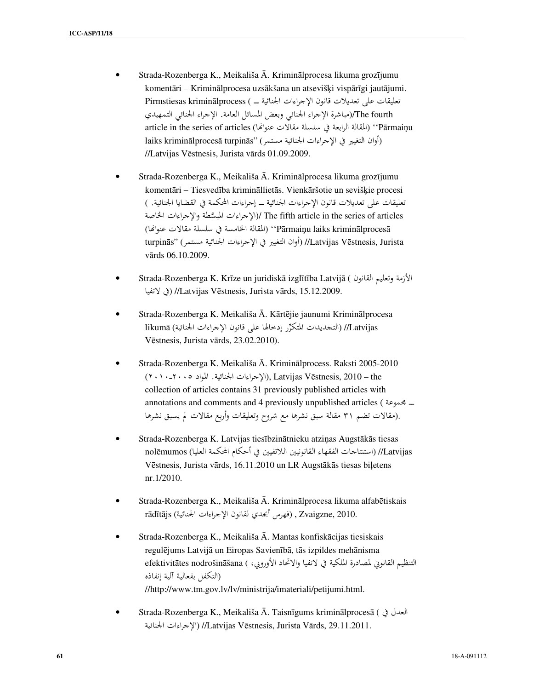- Strada-Rozenberga K., Meikališa Ā. Kriminālprocesa likuma grozījumu komentāri – Kriminālprocesa uzsākšana un atsevišķi vispārīgi jautājumi. تعليقات على تعديلات قانون الإجراءات الجنائية ــ ) Pirmstiesas kriminālprocess The fourth/(مباشرة الإجراء الجنائي وبعض المسائل العامة. الإجراء الجنائي التمهيدي article in the series of articles (المقالة الرابعة في سلسلة مقالات عنوانحا) •'Pārmaiņu laiks kriminālprocesā turpinās" (أوان التغيير في الإجراءات الجنائية مستمر) //Latvijas Vēstnesis, Jurista vārds 01.09.2009.
- Strada-Rozenberga K., Meikališa Ā. Kriminālprocesa likuma grozījumu komentāri – Tiesvedība krimināllietās. Vienkāršotie un sevišķie procesi تعليقات على تعديلات قانون الإجراءات الجنائية ــ إجراءات المحكمة في القضايا الجنائية. ) الإجراءات المبسَّطة والإجراءات الخاصة)/ The fifth article in the series of articles Pārmaiņu laiks kriminālprocesā'' (المقالة الخامسة في سلسلة مقالات عنوانحا) turpinās" (أوان التغيير في الإجراءات الجنائية مستمر)//Latvijas Vēstnesis, Jurista vārds 06.10.2009.
- Strada-Rozenberga K. Krīze un juridiskā izglītība Latvijā ( وتعليم القانون ) في لاتفيا) //Latvijas Vēstnesis, Jurista vārds, 15.12.2009.
- Strada-Rozenberga K. Meikališa Ā. Kārtējie jaunumi Kriminālprocesa Latvijas/(التحديدات المتكرِّر إدخالها على قانون الإجراءات الجنائية) likumā Vēstnesis, Jurista vārds, 23.02.2010).
- Strada-Rozenberga K. Meikališa Ā. Kriminālprocess. Raksti 2005-2010 (١٠٠١٠-٢٠٠١), Latvijas Vēstnesis, 2010 – the collection of articles contains 31 previously published articles with annotations and comments and 4 previously unpublished articles ( عجموعة ) فقالات تضم ٣١ مقالة سبق نشرها مع شروح وتعليقات وأربع مقالات لم يسبق نشرها.
- Strada-Rozenberga K. Latvijas tiesībzinātnieku atziņas Augstākās tiesas nolēmumos (استنتاجات الفقهاء القانونيين اللاتفيين في أحكام المحكمة العليا) nolēmumos Vēstnesis, Jurista vārds, 16.11.2010 un LR Augstākās tiesas biļetens nr.1/2010.
- Strada-Rozenberga K., Meikališa Ā. Kriminālprocesa likuma alfabētiskais rādītājs (افهرس أبجدي لقانون الإحراءات الجنائية) , Zvaigzne, 2010.
- Strada-Rozenberga K., Meikališa Ā. Mantas konfiskācijas tiesiskais regulējums Latvijā un Eiropas Savienībā, tās izpildes mehānisma التنظيم القانوني لمصادرة الملكية في لاتفيا والاتحاد الأوروبي، ) efektivitātes nodrošināšana (التكفل بفعالية ألية إنفاذه //http://www.tm.gov.lv/lv/ministrija/imateriali/petijumi.html.
- Strada-Rozenberga K., Meikališa Ā. Taisnīgums kriminālprocesā ( العدل في الإجراءات الجنائية) //Latvijas Vēstnesis, Jurista Vārds, 29.11.2011.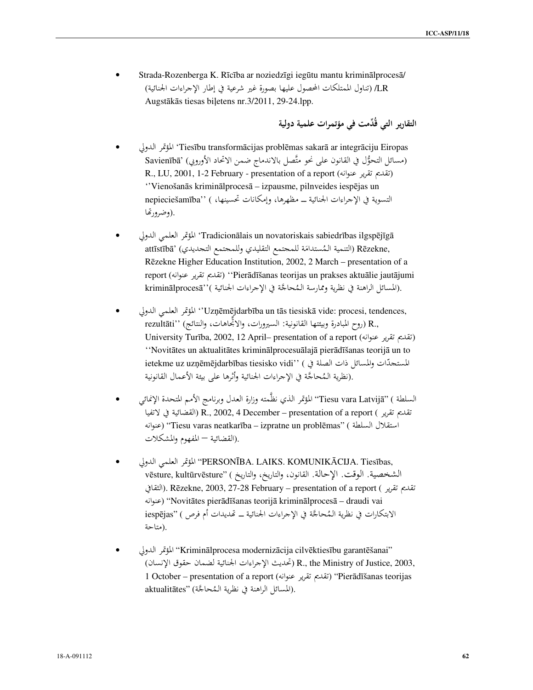Strada-Rozenberga K. Rīcība ar noziedzīgi iegūtu mantu kriminālprocesā/ LR/ (تناول الممتلكات المحصول عليها بصورة غير شرعية في إطار الإجراءات الجنائية) Augstākās tiesas biletens nr. 3/2011, 29-24. lpp.

التقارير التي قُدِّمت في مؤتمرات علمية دولية

- Tiesību transformācijas problēmas sakarā ar integrāciju Eiropas المؤتمر الدولي (مسائل التحوُّل في القانون على نحو متَّصل بالاندماج ضمن الاتحاد الأوروبي) 'Savienībā R., LU, 2001, 1-2 February - presentation of a report (تقليم تقرير عنوانه) "Vienošanās kriminālprocesā - izpausme, pilnveides iespējas un التسوية في الإجراءات الجنائية ــ مظهرها، وإمكانات تحسينها، ) ''nepieciešamība .(وضرورځا
- Tradicionālais un novatoriskais sabiedrības ilgspējīgā' المؤتمر العلمي الدولي ,Rēzekne (التنمية المُستدامَة للمحتمع التقليدي وللمحتمع التحديدي) Rēzekne, Rēzekne Higher Education Institution, 2002, 2 March – presentation of a report (تقليم تقرير عنوانه) 'Pierādīšanas teorijas un prakses aktuālie jautājumi .(المسائل الراهنة في نظرية وممارسة المُحاجَّة في الإجراءات الجنائية )''kriminālprocesā
- 'Uzņēmējdarbība un tās tiesiskā vide: procesi, tendences, فالمؤتمر العلمي الدولى ,R (روح المبادرة وبيئتها القانونية: السيرورات، والاتِّحاهات، والنتائج) ''rezultāti University Turība, 2002, 12 April- presentation of a report (تقليم تقرير عنوانه) "Novitātes un aktualitātes kriminālprocesuālajā pierādīšanas teorijā un to ietekme uz uzņēmējdarbības tiesisko vidi" ( فات الصلة في ) ``ietekme uz uzņēmējdarbības tiesisko vidi (نظرية الـمُحاجَّة في الإجراءات الجنائية وأثَّرها على بيئة الأعمال القانونية.
- السلطة ) ''Tiesu vara Latvijā'' المؤتمر الذي نظَّمته وزارة العدل وبرنامج الأمم المتحدة الإنمائي تقديم تقرير ) R., 2002, 4 December – presentation of a report (القضائية فى لاتفيا استقلال السلطة) "Tiesu varas neatkarība - izpratne un problēmas" (عنوانه (القضائية — المفهوم والمشكلات
- 'PERSONĪBA. LAIKS. KOMUNIKĀCIJA. Tiesības, 'PERSONĪBA. LAIKS. KOMUNIKĀCIJA. Tiesības الشخصية. الوقت. الإحالة. القانون، والتاريخ، والتاريخ ) "vēsture, kultūrvēsture تقديم تقرير ). Rēzekne, 2003, 27-28 February – presentation of a report (الثقافي ارعنوانه ''Novitātes pierādīšanas teorijā kriminālprocesā – draudi vai الابتكارات في نظرية المُحاجَّة في الإجراءات الجنائية ــ تهديدات أم فرص ) "iespējas (متاحة
- ''Kriminālprocesa modernizācija cilvēktiesību garantēšanai'' المؤتمر الدولي (تحديث الإجراءات الجنائية لضمان حقوق الإنسان) R., the Ministry of Justice, 2003, 1 October – presentation of a report (تقليم تقرير عنوانه) "Pierādīšanas teorijas aktualitātes" (المسائل الراهنة في نظرية المُحاجَّة).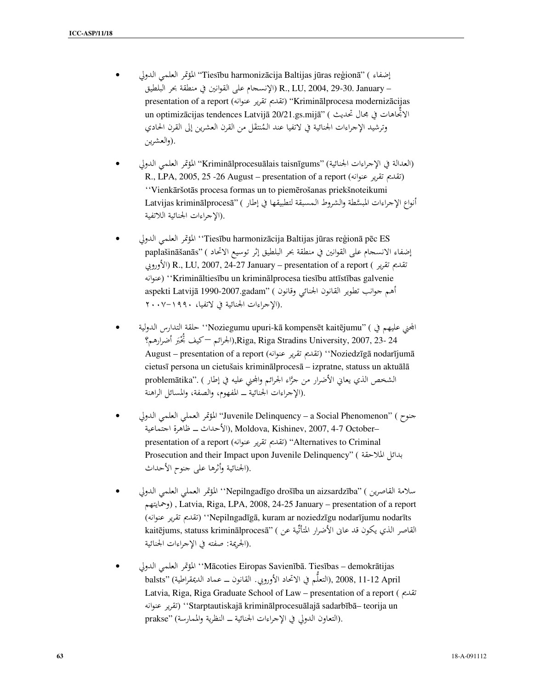- ®\*+ YD 6 "Tiesību harmonizācija Baltijas jūras reģionā" ( I-9\_ − R., LU, 2004, 29-30. January (الإنسحام على القوانين في منطقة بحر البلطيق presentation of a report (تقليم تقرير عنوانه) "Kriminālprocesa modernizācijas un optimizācijas tendences Latvijā 20/21.gs.mijā'' ( فُجَاهات في مجال تحديث ) وترشيد الإجراءات الجنائية في لاتفيا عند الـمُنتقَل من القرن العشرين إلى القرن الحادي<br>. .(والعشرين
- العدالة في الإجراءات الجنائية) ''Kriminālprocesuālais taisnīgums'' المؤتمر العلمي الدولي R., LPA, 2005, 25 -26 August – presentation of a report (تقليم تقرير عنوانه) ''Vienkāršotās procesa formas un to piemērošanas priekšnoteikumi أنواع الإجراءات المبسَّطة والشروط المسبقة لتطبيقها في إطار ) "Latvijas kriminālprocesā الإجراءات الجنائية اللاتفية.
- ®\*+ YD 6 ''Tiesību harmonizācija Baltijas jūras reģionā pēc ES إضفاء الانسجام على القوانين في منطقة بحر البلطيق إثر توسيع الاتحاد ) "paplašināšanās تقديم تقرير ) R., LU, 2007, 24-27 January – presentation of a report (الأوروبي ~
=3) ''Krimināltiesību un kriminālprocesa tiesību attīstības galvenie aspekti Latvijā 1990-2007.gadam" ( فقانون الجنائي وقانون ) "aspekti Latvijā 1990-2007.gadam .(الإجراءات الجنائية في لاتفيا، ١٩٩٠–٢٠٠٧
- الجني عليهم في ) ''Noziegumu upuri-kā kompensēt kaitējumu'' حلقة التدارس الدولية الجرائم – كيف تجحّبر أضرارهم؟),Riga, Riga Stradins University, 2007, 23- 24<br>مصدر المستخدمات August – presentation of a report (تقليم تقرير عنوانه) ''Noziedzīgā nodarījumā cietusī persona un cietušais kriminālprocesā – izpratne, statuss un aktuālā الشخص الذي يعاني الأضرار من جرَّاء الجرائم والمجني عليه في إطار ) .<reproblemātika الإجراءات الجنائية ــ المفهوم، والصفة، والمسائل الراهنة.
- ®\*+ YD YD 6 "Juvenile Delinquency a Social Phenomenon" ( °
=r الأحداث ــ ظاهرة اجتماعية)), Moldova, Kishinev, 2007, 4-7 October– presentation of a report (تقليم تقرير عنوانه) "Alternatives to Criminal Prosecution and their Impact upon Juvenile Delinquency" ( بدائل الملاحقة ) ـ (الجنائية وأثرها على جنوح الأحداث.
- سلامة القاصرين ) ''Nepilngadīgo drošība un aizsardzība'' المؤتمر العملي العلمي الدولي وحمايتهم) , Latvia, Riga, LPA, 2008, 24-25 January – presentation of a report (~
=3 , s+,) ''Nepilngadīgā, kuram ar noziedzīgu nodarījumu nodarīts القاصر الذي يكون قد عانى الأضرار المتأتّية عن ) "kaitējums, statuss kriminālprocesā (الجريمة: صفته في الإجراءات الجنائية.
- المؤتمر العلمي الدولى ''Mācoties Eiropas Savienībā. Tiesības demokrātijas balsts" (التعلُّم في الاتحاد الأوروبي. القانون ــ عماد الديمقراطية), 2008, 11-12 April Latvia, Riga, Riga Graduate School of Law – presentation of a report ( تقليم ~
=3 ,) ''Starptautiskajā kriminālprocesuālajā sadarbībā– teorija un prakse" (التعاون الدولي في الإجراءات الجنائية ــ النظرية والممارسة).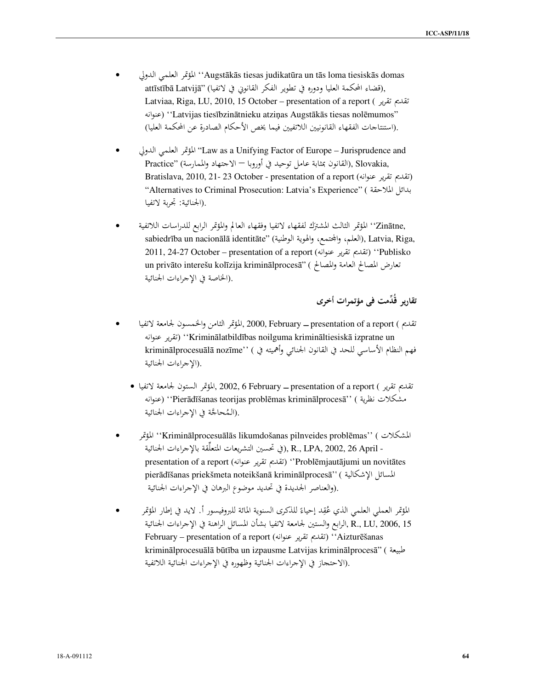- ®\*+ YD 6 ''Augstākās tiesas judikatūra un tās loma tiesiskās domas attīstībā Latvijā" (إقضاء المحليا ودوره في تطوير الفكر القانوني في لاتفيا), Latviaa, Riga, LU, 2010, 15 October – presentation of a report ( تقديم تقرير ~
=3) ''Latvijas tiesībzinātnieku atziņas Augstākās tiesas nolēmumos" (استنتاجات الفقهاء القانونيين اللاتفيين فيما يخص الأحكام الصادرة عن المحكمة العليا).
- ®\*+ YD 6 "Law as a Unifying Factor of Europe Jurisprudence and Practice" (القانون بمثابة عامل توحيد في أوروبا — الاجتهاد والممارسة), Slovakia, Bratislava, 2010, 21- 23 October - presentation of a report (اتقديم تقوير عنوانه) "Alternatives to Criminal Prosecution: Latvia's Experience" ( بدائل الملاحقة (الجنائية: تجربة لاتفيا.
- ,Zinātne>'' المؤتمر الثالث المشترك لفقهاء لاتفيا وفقهاء العالم والمؤتمر الرابع للدراسات اللاتفية → ●<br>من العالمية المنظمة العالمية العالمية العالمية العالمية العالمية العالمية العالمية العالمية العالمية العالمية sabiedrība un nacionālā identitāte" (العلم، والمحتمع، والهوية الوطنية), Latvia, Riga, 2011, 24-27 October – presentation of a report (~
=3 , s+,) ''Publisko un privāto interešu kolīzija kriminālprocesā" ( والمصالح ) جملتاط العامة والمصالح ) والمصالح العامة الحاصة في الإجراءات الجنائية.

تقاریر ًقُدِّمت فی مؤتمرات أخری

- تقديم ) presentation of a report ـ والخمسون لجامعة لاتفيا والخمسون لجامعة لاتفيا تقرير عنوانه) ''Kriminālatbildības noilguma krimināltiesiskā izpratne un فهم النظام الأساسي للحد في القانون الجنائي وأهميته في ) ''kriminālprocesuālā nozīme الإجراءات الجنائية).
	- -9 #;-\$ E
	.e 6, 2002, 6 February tttt presentation of a report ( , s+, مشكلات نظرية ) ''Pierādīšanas teorijas problēmas kriminālprocesā'' (عنوانه المُحاجَّة في الإجراءات الجنائية.<br>.
- 6 ''Kriminālprocesuālās likumdošanas pilnveides problēmas'' ( @256 - R., LPA, 2002, 26 April(في تحسين التشريعات المتعلِّقة بالإجراءات الجنائية presentation of a report (تقليم تقرير عنوانه) ''Problēmjautājumi un novitātes pierādīšanas priekšmeta noteikšanā kriminālprocesā'' ( المسائل الإشكالية والعناصر الحديدة في تحديد موضوع البرهان في الإجراءات الحنائية).
- المؤتمر العملي العلمي الذي عُقِد إحياءً للذكرى السنوية المائة للبروفيسور أ. لايد في إطار المؤتمر مستحدث ء<br>ا لرابع والستين لجامعة لاتفيا بشأن المسائل الراهنة في الإجراءات الجنائية, R., LU, 2006, 15 February – presentation of a report (تقليم تقرير عنوانه) ''Aizturēšanas kriminālprocesuālā būtība un izpausme Latvijas kriminālprocesā" ( #' الاحتحاز في الإجراءات الجنائية وظهوره في الإجراءات الجنائية اللاتفية.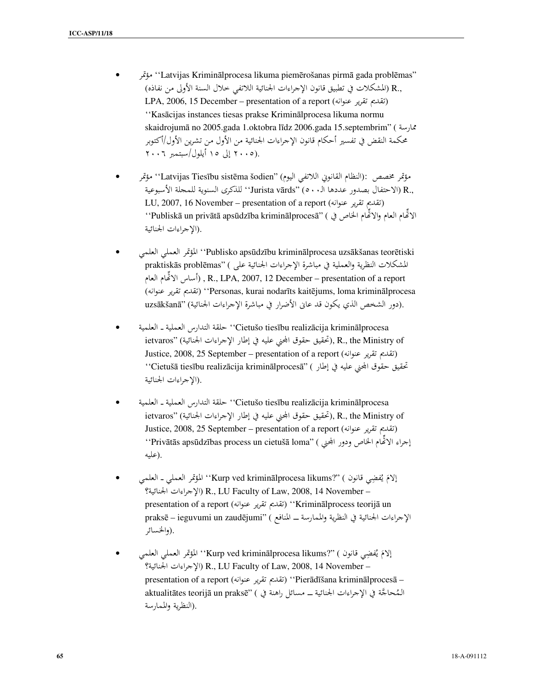- ; ''Latvijas Kriminālprocesa likuma piemērošanas pirmā gada problēmas" R., (المشكلات في تطبيق قانون الإجراءات الجنائية اللاتفي خلال السنة الأولى من نفاذه) R LPA, 2006, 15 December – presentation of a report (تقليم تقرير عنوانه) ''Kasācijas instances tiesas prakse Kriminālprocesa likuma normu skaidrojumā no 2005.gada 1.oktobra līdz 2006.gada 15.septembrim" ( ممارسة محكمة النقض في تفسير أحكام قانون الإجراءات الجنائية من الأول من تشرين الأول/أكتوبر .(۲۰۰۵ إلى ۱۰ أيلول/سبتمبر ۲۰۰٦
- مؤتمر مخصص :(النظام القانوني اللاتفي اليوم) ''Latvijas Tiesību sistēma šodien'' مؤتمر ,R (الاحتفال بصدور عددها الـ • • 0) ''Jurista vārds'' للذكرى السنوية للمحلة الأسبوعية LU, 2007, 16 November – presentation of a report (تقديم تقرير عنوانه) الاتَّحام العام والاتَّحام الخاص في ) ''Publiskā un privātā apsūdzība kriminālprocesā'' الإجراءات الجنائية).
- YD YD 6 ''Publisko apsūdzību kriminālprocesa uzsākšanas teorētiski raktiskās problēmas" ( المشكلات الخياء الجمراءات الجنائية على ) أساس الاتَّحام العام) , R., LPA, 2007, 12 December – presentation of a report (~
=3 , s+,) ''Personas, kurai nodarīts kaitējums, loma kriminālprocesa uzsākšanā" (دور الشخص الذي يكون قد عانى الأضرار في مباشرة الإجراءات الجنائية).
- #D tt #D +. #,D ''Cietušo tiesību realizācija kriminālprocesa ietvaros" (تحقيق حقوق المجني عليه في إطار الإحراءات الجنائية) ?ietvaros Justice, 2008, 25 September – presentation of a report (تقليم تقرير عنوانه) ``Cietušā tiesību realizācija kriminālprocesā'' ( إطار )''Cietušā tiesību realizācija kriminālprocesā الإجراءات الجنائية.
- #D tt #D +. #,D ''Cietušo tiesību realizācija kriminālprocesa ietvaros" (تحقيق حقوق المجني عليه في إطار الإحراءات الجنائية) ?ietvaros Justice, 2008, 25 September – presentation of a report (تقليم تقرير عنوانه) ''Privātās apsūdzības process un cietušā loma" ( \*U\* ±-¹ Z-{ Ir\_ ¥ .(عليه
- YD tt YD 6 ''Kurp ved kriminālprocesa likums?" ( E
-S Y>9 | Z\_ ¡ Ç#Q-=\$ @Ir) R., LU Faculty of Law, 2008, 14 November – presentation of a report (تقليم تقرير عنوانه) 'Kriminālprocess teorijā un praksē – ieguvumi un zaudējumi'' ( الإحراءات الجنائية في النظرية والممارسة ــ المنافع والخسائر).
- إلامَ يُفضِي قانون ) ''Kurp ved kriminālprocesa likums?'' المؤتمر العملي العلمي )<br>جو الفصائف 2000 2000 مرض العلمي العلمي ¡ Ç#Q-=\$ @Ir) R., LU Faculty of Law, 2008, 14 November – presentation of a report (تقليم تقرير عنوانه) ''Pierādīšana kriminālprocesā – aktualitātes teorijā un praksē" ( راهنة في aktualitātes teorijā un praksē" ( والمعاجَّة في الإجراءات الجنائية النظرية والممارسة).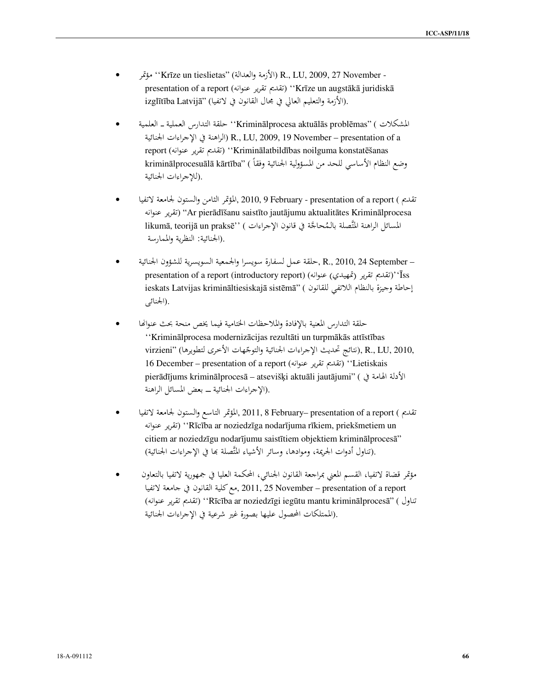- ; ''Krīze un tieslietas" (#+\* #;() R., LU, 2009, 27 November presentation of a report (تقليم تقرير عنوانه) 'Krīze un augstākā juridiskā izglītība Latvijā" (الأزمة والتعليم العالي في مجال القانون في لاتفيا).
- المشكلات ) ''Kriminālprocesa aktuālās problēmas'' حلقة التدارس العملية ــ العلمية الراهنة في الإجراءات الجنائية) R., LU, 2009, 19 November – presentation of a report (تقليم تقرير عنوانه) ''Kriminālatbildības noilguma konstatēšanas وضع النظام الأساسي للحد من المسؤولية الجنائية وفقاً ) ''kriminālprocesuālā kārtība للإجراءات الجنائية).
- -9 #;-\$ E
.e\* ;- 6, 2010, 9 February presentation of a report ( s+, تقرير عنوانه" (Ar pierādīšanu saistīto jautājumu aktualitātes Kriminālprocesa likumā, teorijā un praksē'' ( المسائل الراهنة المتَّصلة بالـمُحاجَّة في قانون الإجراءات<br>في المائة المسائل العاملية (الجنائية: النظرية والممارسة
- R., 2010, 24 September, حلقة عمل لسفارة سويسرا والجمعية السويسرية للشؤون الجنائية presentation of a report (introductory report) (عنوانه) (\$5 % ) iss (\*1) ieskats Latvijas krimināltiesiskajā sistēmā" ( الحاطة وجيزة بالنظام اللاتفي للقانون الجنائبي).
- $\bullet$   $\downarrow$ حلقة التدارس المعنية بالإفادة والملاحظات الختامية فيما يخص منحة بحث عنوانه ''Kriminālprocesa modernizācijas rezultāti un turpmākās attīstības virzieni" (انتائج تحديث الإجراءات الجنائية والتوجّهات الأخرى لتطويرها) .R., LU, 2010,<br>منظمة المستقدمات 16 December – presentation of a report (~
=3 , s+,) ''Lietiskais pierādījums kriminālprocesā – atsevišķi aktuāli jautājumi" ( الأدلة الهامة في الإجراءات الجنائية ــ بعض المسائل الراهنة.
- -9 #;-\$ E
.e\* }L-. 6, 2011, 8 February– presentation of a report ( s+, ~
=3 ,) ''Rīcība ar noziedzīga nodarījuma rīkiem, priekšmetiem un citiem ar noziedzīgu nodarījumu saistītiem objektiem kriminālprocesā" زتناول أدوات الجريمة، وموادها، وسائر الأشياء المُتَّصلة بما في الإجراءات الجنائية).
- مؤتمر قضاة لاتفيا، القسم المعني بمراجعة القانون الجنائي، المحكمة العليا في جمهورية لاتفيا بالتعاون • بع كلية القانون في جامعة لاتفيا , 2011, 25 November – presentation of a report تناول ) ''Rīcība ar noziedzīgi iegūtu mantu kriminālprocesā'' (تقديم تقرير عنوانه) الممتلكات المحصول عليها بصورة غير شرعية في الإجراءات الجنائية.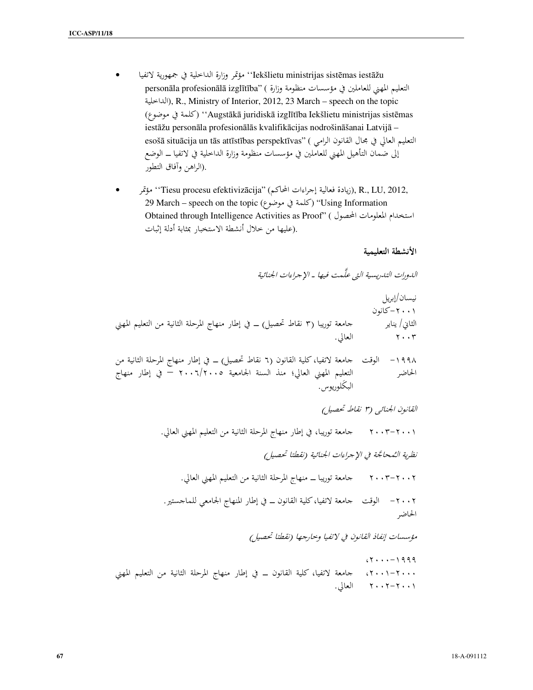- -9 #
< #DP+ 8\* ; ''Iekšlietu ministrijas sistēmas iestāžu personāla profesionālā izglītība" ( وزارة ) بون مؤسسات منظومة وزارة personāla profesionālā izglītība" ( ماين الداخلية), R., Ministry of Interior, 2012, 23 March – speech on the topic (كلمة في موضوع) ''Augstākā juridiskā izglītība Iekšlietu ministrijas sistēmas iestāžu personāla profesionālās kvalifikācijas nodrošināšanai Latvijā – esošā situācija un tās attīstības perspektīvas" ( التعليم العالي في مجال القانون الرامي إلى ضمان التأهيل المهني للعاملين في مؤسسات منظومة وزارة الداخلية في لاتفيا ــ الوضع الراهن وأفاق التطور.
- ; ''Tiesu procesu efektivizācija" (jc-R @Ir\_ #- 8U-), R., LU, 2012, 29 March – speech on the topic (كلمة في موضوع) "Using Information استخدام المعلومات المحصول ) "Obtained through Intelligence Activities as Proof وعليها من خلال أنشطة الاستخبار بمثابة أدلة إثبات.

الأنشطة التعليمية

الدورات التدريسية التي علَّمت فيها ـ الإجراءات الجنائية

نيسان/إبريل ۲۰۰۱–کانون الثاني/ يناير  $Y \cdot Y$ جامعة توريبا (٣ نقاط تحصيل) ـــ في إطار منهاج المرحلة الثانية من التعليم المهني العالي. ١٩٩٨– الوقت جامعة لاتفيا، كلية القانون (٦ نقاط تحصيل) ــ في إطار منهاج المرحلة الثانية من الحاضر التعليم المهني العالي؛ منذ السنة الجامعية ٢٠٠٦/٢٠٠٥ — في إطار منهاج البڭلوريوس. القانون الجنائي (٣ نقاط تحصيل) ٢٠٠٣– ٢٠٠٢ جامعة توريبا، في إطار منهاج المرحلة الثانية من التعليم المهني العالي.

نظرية الـُمحاجَّة في الإجراءات الجنائية (نقطتا تحصيل)

٢٠٠٣– ٢٠٠٢ جامعة توريبا ـــ منهاج المرحلة الثانية من التعليم المهني العالي.

٢٠٠٢ – الوقت جامعة لاتفيا،كلية القانون ــ في إطار المنهاج الجامعي للماجستير. الحاضر

مؤسسات إنفاذ القانون في لاتفيا وحارجها (نقطتا تحصيل)

 $(1 \cdot \cdot \cdot -)999$ ٢٠٠١–٢٠٠١، حامعة لاتفيا، كلية القانون ــ في إطار منهاج المرحلة الثانية من التعليم المهني ٢٠٠١–٢٠٠٢ العالي.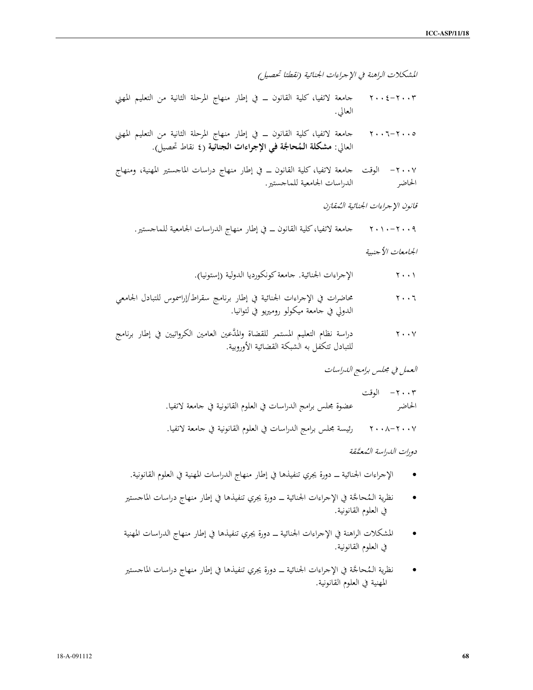المشكلات الراهنة في الإجراءات الجنائية (نقطتا تحصيل)

- ٢٠٠٤–٢٠٠٤ جامعة لاتفيا، كلية القانون ــ في إطار منهاج المرحلة الثانية من التعليم المهني العالي.
- جامعة لاتفيا، كلية القانون ــ في إطار منهاج المرحلة الثانية من التعليم المهني  $Y \cdot 7 - Y \cdot 6$ العالى: مشكلة المُحاجَّة في الإجراءات الجنائية (٤ نقاط تحصيل).
- ٢٠٠٧ الوقت جامعة لاتفيا، كلية القانون ــ في إطار منهاج دراسات الماجستير المهنية، ومنهاج الدراسات الجامعية للماجستير . الحاضر

قانون الإجراءات الجنائية الثمقارن

جامعة لاتفيا،كلية القانون ــ في إطار منهاج الدراسات الجامعية للماجستير.  $\mathbf{Y} \cdot \mathbf{Y} \cdot \mathbf{Y} \cdot \mathbf{Y}$ 

الجامعات الأجنسة

- الإجراءات الجنائية. جامعة كونكورديا الدولية (إستونيا).  $\mathbf{y} \cdot \cdot \mathbf{y}$
- محاضرات في الإجراءات الجنائية في إطار برنامج سقراط/إراسموس للتبادل الجامعي  $\mathbf{y} \cdot \mathbf{y}$ الدولي في جامعة ميكولو روميريو في لتوانيا.
- دراسة نظام التعليم المستمر للقضاة والمدَّعين العامين الكرواتيين في إطار برنامج  $\mathbf{y} \cdot \mathbf{y}$ للتبادل تتكفل به الشبكة القضائية الأوروبية.

العمل في مجلس برامج الدراسات

٢٠٠٣ - الوقت عضوة مجلس برامج الدراسات في العلوم القانونية في جامعة لاتفيا. الحاضر ٢٠٠٨-٢٠٠ ل رئيسة مجلس برامج الدراسات في العلوم القانونية في جامعة لاتفيا.

دورات الدراسة الكمعتَّقة

- الإجراءات الجنائية ــ دورة يجري تنفيذها في إطار منهاج الدراسات المهنية في العلوم القانونية.
- نظرية الـمُحاجَّة في الإجراءات الجنائية ـــ دورة يجري تنفيذها في إطار منهاج دراسات الماجستير  $\bullet$ في العلوم القانونية.
- المشكلات الراهنة في الإجراءات الجنائية ــ دورة يجري تنفيذها في إطار منهاج الدراسات المهنية في العلوم القانونية.
- نظرية الـمُحاجَّة في الإجراءات الجنائية ــ دورة يجري تنفيذها في إطار منهاج دراسات الماجستير المهنية في العلوم القانونية.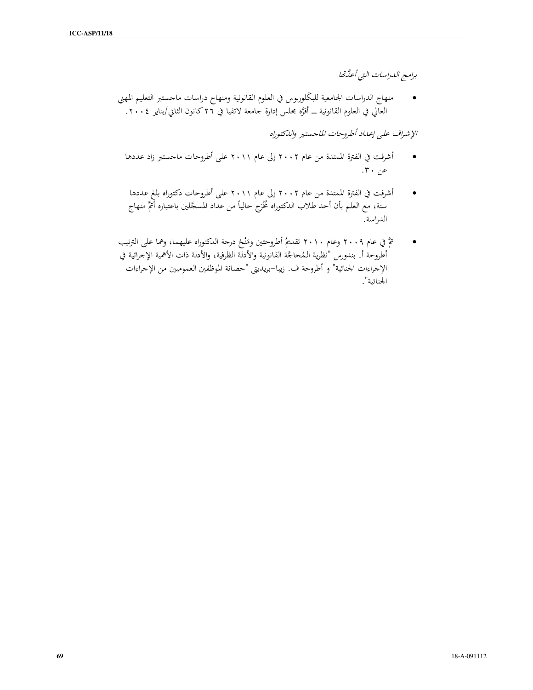برامج الدراسات التي أعلَّكْما

منهاج الدراسات الجامعية للبكَلوريوس في العلوم القانونية ومنهاج دراسات ماجستير التعليم المهني  $\bullet$ العالي في العلوم القانونية ــ أقرَّه مجلس إدارة جامعة لاتفيا في ٢٦ كانون الثاني/يناير ٢٠٠٤.

الإشراف على إعداد أطروحات الماجستير والدكتوراه

- أشرفت في الفترة الممتدة من عام ٢٠٠٢ إلى عام ٢٠١١ على أطروحات ماجستير زاد عددها  $\bullet$ عن ۳۰.
- أشرفت في الفترة الممتدة من عام ٢٠٠٢ إلى عام ٢٠١١ على أطروحات دكتوراه بلغ عددها ستة، مع العلم بأن أحد طلاب الدكتوراه مُخْرَج حالياً من عداد المسحَّلين باعتباره أتمَّ منهاج الدراسة.
- تمَّ في عام ٢٠٠٩ وعام ٢٠١٠ تقديمُ أطروحتين ومَنْحُ درجة الدكتوراه عليهما، وهما على الترتيب أطروحة أ. بندورس "نظرية المُحاجَّة القانونية والأدلَّة الظرفية، والأدلة ذات الأهمية الإجرائية في الإجراءات الجنائية" و أطروحة ف. زيبا-بريديتي "حصانة الموظفين العموميين من الإجراءات الجنائية".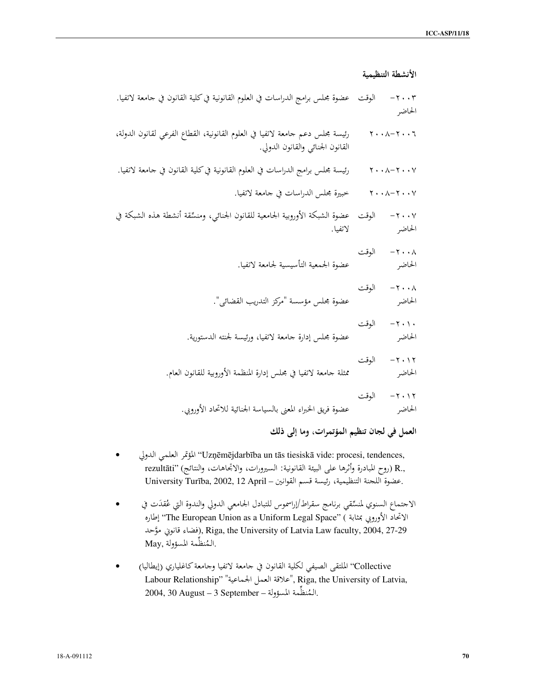```
الأنشطة التنظمية
الوقت - عضوة مجلس برامج الدراسات في العلوم القانونية في كلية القانون في جامعة لاتفيا.
                                                                                             -\gamma \cdot \cdot \tauالحاضر
٢٠٠٨-٢٠٠٦       رئيسة مجلس دعم جامعة لاتفيا في العلوم القانونية، القطاع الفرعي لقانون الدولة،
                                                 القانون الجنائي والقانون الدولي.
٢٠٠٨-٢٠٠٨         رئيسة بحلس برامج الدراسات في العلوم القانونية في كلية القانون في جامعة لاتفيا.
                                        ٢٠٠٨-٢٠٠٧ خبيرة مجلس الدراسات في جامعة لاتفيا.
الوقت عضوة الشبكة الأوروبية الجامعية للقانون الجنائبي، ومنسِّقة أنشطة هذه الشبكة في
                                                                                          -\gamma \cdot \cdot \gammaالحاضر
                                                                         لاتفيا.
                                                                                  الوقت
                                                                                           -7.1عضوة الجمعية التأسيسية لجامعة لاتفيا.
                                                                                              الحاضر
                                                                                   الوقت
                                                                                             -\tau \cdot \cdot \wedgeعضوة مجلس مؤسسة "مركز التدريب القضائي".
                                                                                              الحاضر
                                                                                  الوقت
                                                                                           -7.1.عضوة مجلس إدارة جامعة لاتفيا، ورئيسة لجنته الدستورية.
                                                                                              الحاضر
                                                                                             -\gamma \cdot \gamma \gammaالوقت
                 ممثلة جامعة لاتفيا في مجلس إدارة المنظمة الأوروبية للقانون العام.
                                                                                              الحاضر
                                                                                  الوقت
                                                                                             -\gamma \cdot \gamma \gammaعضوة فريق الخبراء المعنى بالسياسة الجنائية للاتحاد الأوروبي.
                                                                                               الحاضر
```
العمل في لجان تنظيم المؤتمرات، وما إلى ذلك

- "Uzņēmējdarbība un tās tiesiskā vide: procesi, tendences, ولعلمي الدولى" ,R (روح المبادرة وأثرها على البيئة القانونية: السيرورات، والاتجاهات، والنتائج) ''rezultāti .عضوة اللحنة التنظيمية، رئيسة قسم القوانين – University Turība, 2002, 12 April
- الاجتماع السنوي لمنسِّقى برنامج سقراط/إراسموس للتبادل الجامعي الدولي والندوة التي عُقدَت في  $\bullet$ الاتحاد الأوروبي بمثابة ) ''The European Union as a Uniform Legal Space'' إطاره فضاء قانوني موَّحد), Riga, the University of Latvia Law faculty, 2004, 27-29 May, المُنظَّمة المسؤولة.
- Collective'' الملتقى الصيفى لكلية القانون في جامعة لاتفيا وجامعة كاغلياري (إيطاليا)  $\bullet$ Labour Relationship" "علاقة العمل الجماعية" , Riga, the University of Latvia, .المُنظَّمة المسؤولة – 2004, 30 August – 3 September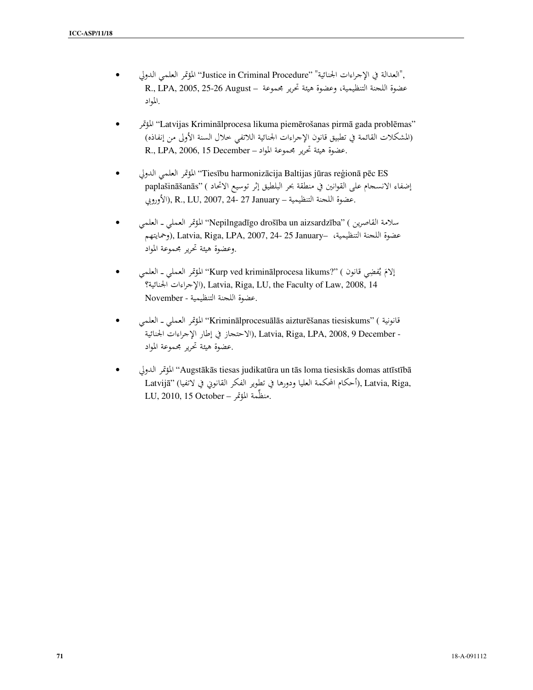- العدالة في الإجراءات الجنائية" ''Justice in Criminal Procedure'' المؤتمر العلمي الدولي''' . عضوة اللحنة التنظيمية، وعضوة هيئة تحرير مجموعة – R., LPA, 2005, 25-26 August المواد.
- 6 "Latvijas Kriminālprocesa likuma piemērošanas pirmā gada problēmas" (المشكلات القائمة في تطبيق قانون الإجراءات الجنائية اللاتفي خلال السنة الأولى من إنفاذه) R., LPA, 2006, 15 December – الحدومة المواد.
- ®\*+ YD 6 "Tiesību harmonizācija Baltijas jūras reģionā pēc ES إضفاء الانسجام على القوانين في منطقة بحر البلطيق إثر توسيع الاتحاد ) "paplašināšanās بحضوة اللحنة التنظيمية – J), R., LU, 2007, 24- 27 January (الأوروبي)
- YD tt YD 6 "Nepilngadīgo drošība un aizsardzība" ( A-, #;2L عضوة اللحنة التنظيمية، —J., Latvia, Riga, LPA, 2007, 24- 25 January, (وحمايتهم وعضوة هيئة تحرير مجموعة المواد.
- YD tt YD 6 "Kurp ved kriminālprocesa likums?" ( E
-S Y>9 | Z\_ ¡ Ç#Q-=\$ @Ir), Latvia, Riga, LU, the Faculty of Law, 2008, 14 November - عضوة اللجنة التنظيمية.
- قانونية ) "Kriminālprocesuālās aizturēšanas tiesiskums" المؤتمر العملي ــ العلمي • الاحتحاز في إطار الإجراءات الجنائية), Latvia, Riga, LPA, 2008, 9 December -عضوة هيئة تحرير مجموعة المواد
- ®\*+ 6 "Augstākās tiesas judikatūra un tās loma tiesiskās domas attīstīb<sup>ā</sup> Latvia, Riga, (أحكام المحكمة العليا ودورها في تطوير الفكر القانوني في لاتفيا), Latvijā LU, 2010, 15 October – منظّمة المؤتمر.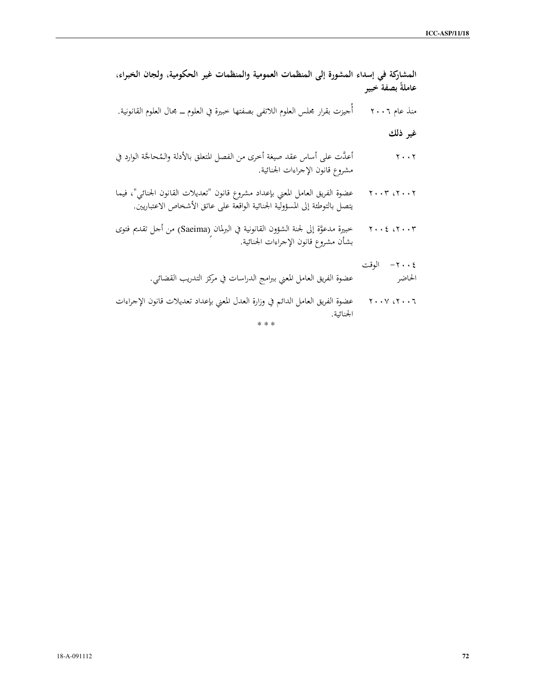| عاملةً بصفة خبير                                            | المشاركة في إسداء المشورة إلى المنظمات العمومية والمنظمات غير الحكومية، ولجان الخبراء،                                                                     |
|-------------------------------------------------------------|------------------------------------------------------------------------------------------------------------------------------------------------------------|
| منذ عام ٢٠٠٦                                                | أُجيزت بقرار مجلس العلوم اللاتفي بصفتها خبيرة في العلوم ــ مجال العلوم القانونية.                                                                          |
| غير ذلك                                                     |                                                                                                                                                            |
| $\mathbf{y} \cdot \mathbf{y}$                               | أعدَّت على أساس عقد صيغة أخرى من الفصل المتعلق بالأدلة والمُحاجَّة الوارد في<br>مشروع قانون الإجراءات الجنائية.                                            |
| $Y \cdot Y \cdot Y \cdot Y \cdot Y$                         | عضوة الفريق العامل المعني بإعداد مشروع قانون "تعديلات القانون الجنائي"، فيما<br>يتصل بالتوطئة إلى المسؤولية الجنائية الواقعة على عاتق الأشخاص الاعتباريين. |
| $Y \cdot \cdot \xi \cdot \zeta Y \cdot \cdot Y$             | خبيرة مدعوَّة إلى لجنة الشؤون القانونية في البرلمان <sub>(</sub> Saeima) من أجل تقديم فتوى<br>بشأن مشروع قانون الإجراءات الجنائية.                         |
| $-\gamma + \epsilon$<br>الوقت<br>الحاضر                     | عضوة الفريق العامل المعني ببرامج الدراسات في مركز التدريب القضائي.                                                                                         |
| $\mathbf{y} \cdot \mathbf{y}$ $\mathbf{y} \cdot \mathbf{y}$ | عضوة الفريق العامل الدائم في وزارة العدل المعني بإعداد تعديلات قانون الإجراءات<br>الجنائية.                                                                |

 $\ast\ast\ast$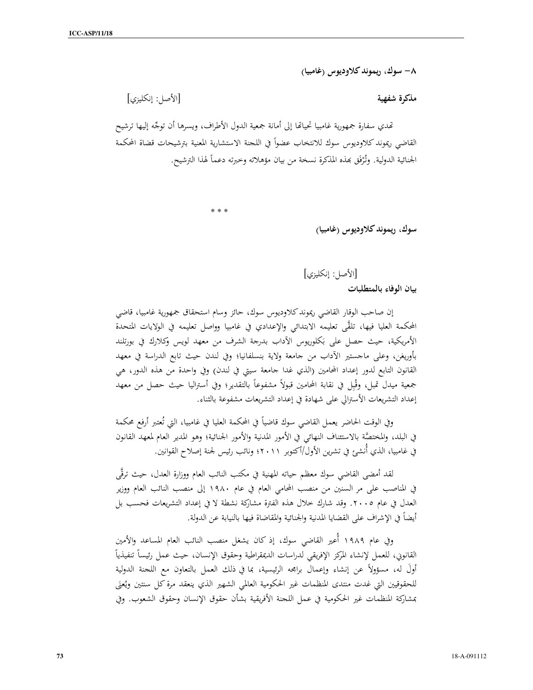۸– سوك، ريموند كلاوديوس (غامبيا)

[الأصل: إنكليزي]

مذكرة شفهية

تهدي سفارة جمهورية غامبيا تحياتها إلى أمانة جمعية الدول الأطراف، ويسرها أن توجِّه إليها ترشيح القاضي ريموند كلاوديوس سوك للانتخاب عضوأ في اللحنة الاستشارية المعنية بترشيحات قضاة المحكمة الجنائية الدولية. وتُرْفَق بَمذه المذكرة نسخة من بيان مؤهلاته وخبرته دعماً لهذا الترشيح.

\* \* \*

سوك، ريموند كلاوديوس (غامبيا)

[الأصل: إنكليزي]

بيان الوفاء بالمتطلبات

إن صاحب الوقار القاضي ريموند كلاوديوس سوك، حائز وسام استحقاق جمهورية غامبيا، قاضي المحكمة العليا فيها، تلقَّى تعليمه الابتدائي والإعدادي في غامبيا وواصل تعليمه في الولايات المتحدة الأمريكية، حيث حصل على بَكلوريوس الآداب بدرجة الشرف من معهد لويس وكلارك في بورتلند بأوريغن، وعلى ماجستير الآداب من جامعة ولاية بنسلفانيا؛ وفي لندن حيث تابع الدراسة في معهد القانون التابع لدور إعداد المحامين (الذي غدا جامعة سيتي في لندن) وفي واحدة من هذه الدور، هي جمعية ميدل تمبل، وقُبِل في نقابة المحامين قبولاً مشفوعاً بالتقدير؛ وفي أستراليا حيث حصل من معهد إعداد التشريعات الأسترالي على شهادة في إعداد التشريعات مشفوعة بالثناء.

وفي الوقت الحاضر يعمل القاضي سوك قاضياً في المحكمة العليا في غامبيا، التي تُعتبر أرفع محكمة في البلد، والمختصَّة بالاستئناف النهائي في الأمور المدنية والأمور الجنائية؛ وهو المدير العام لمعهد القانون في غامبيا، الذي أُنشئ في تشرين الأول/أكتوبر ٢٠١١؛ ونائب رئيس لجنة إصلاح القوانين.

لقد أمضى القاضي سوك معظم حياته المهنية في مكتب النائب العام ووزارة العدل، حيث ترقَّى في المناصب على مر السنين من منصب المحامي العام في عام ١٩٨٠ إلى منصب النائب العام ووزير العدل في عام ٢٠٠٥. وقد شارك خلال هذه الفترة مشاركة نشطة لا في إعداد التشريعات فحسب بل أيضاً في الإشراف على القضايا المدنية والجنائية والمقاضاة فيها بالنيابة عن الدولة.

وفي عام ١٩٨٩ أُعير القاضي سوك، إذ كان يشغل منصب النائب العام المساعد والأمين القانوني، للعمل لإنشاء المركز الإفريقي لدراسات الديمقراطية وحقوق الإنسان، حيث عمل رئيساً تنفيذياً أُولَ له، مسؤولاً عن إنشاء وإعمال برامجه الرئيسية، بما في ذلك العمل بالتعاون مع اللحنة الدولية للحقوقيين التي غدت منتدى المنظمات غير الحكومية العالمي الشهير الذي ينعقد مرة كل سنتين ويُعنَى بمشاركة المنظمات غير الحكومية في عمل اللجنة الأفريقية بشأن حقوق الإنسان وحقوق الشعوب. وفي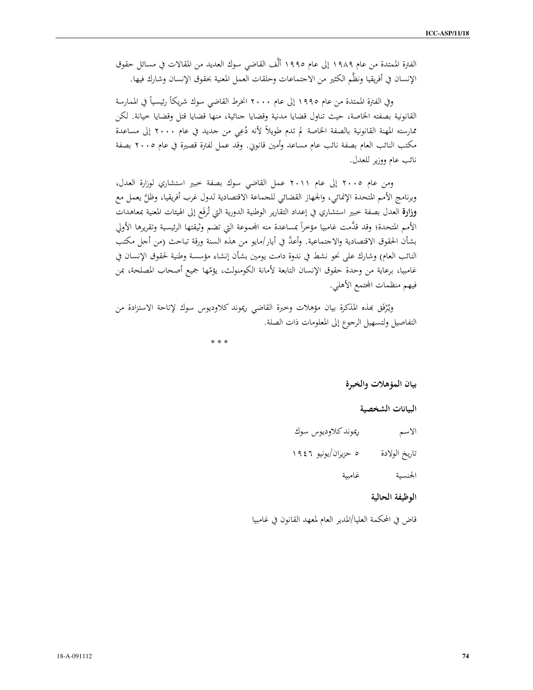الفترة الممتدة من عام ١٩٨٩ إلى عام ١٩٩٥ ألَّف القاضي سوك العديد من المقالات في مسائل حقوق الإنسان في أفريقيا ونظَّم الكثير من الاجتماعات وحلقات العمل المعنية بحقوق الإنسان وشارك فيها.

وفي الفترة الممتدة من عام ١٩٩٥ إلى عام ٢٠٠٠ انخرط القاضي سوك شريكاً رئيسياً في الممارسة القانونية بصفته الخاصة، حيث تناول قضايا مدنية وقضايا جنائية، منها قضايا قتل وقضايا حيانة. لكن ممارسته المهنة القانونية بالصفة الخاصة لم تدم طويلاً لأنه دُعِي من جديد في عام ٢٠٠٠ إلى مساعدة مكتب النائب العام بصفة نائب عام مساعد وأمين قانويي. وقد عمل لفترة قصيرة في عام ٢٠٠٥ بصفة نائب عام ووزير للعدل.

ومن عام ٢٠٠٥ إلى عام ٢٠١١ عمل القاضي سوك بصفة حبير استشاري لوزارة العدل، وبرنامج الأمم المتحدة الإنمائي، والجهاز القضائي للحماعة الاقتصادية لدول غرب أفريقيا، وظلَّ يعمل مع وزارة العدل بصفة خبير استشاري في إعداد التقارير الوطنية الدورية التي تُرفَع إلى الهيئات المعنية بمعاهدات الأمم المتحدة؛ وقد قدَّمت غامبيا مؤخراً بمساعدة منه المجموعة التي تضم وثيقتها الرئيسية وتقريرها الأولى بشأن الحقوق الاقتصادية والاجتماعية. وأعدَّ في أيار/مايو من هذه السنة ورقة تباحث (من أجل مكتب النائب العام) وشارك على نحوٍ نشط في ندوة دامت يومين بشأن إنشاء مؤسسة وطنية لحقوق الإنسان في غامبيا، برعاية من وحدة حقوق الإنسان التابعة لأمانة الكومنولث، يؤمّها جميع أصحاب المصلحة، بمن فيهم منظمات المجتمع الأهلي.

ويُرْفَق بمذه المذكرة بيان مؤهلات وخبرة القاضي ريموند كلاوديوس سوك لإتاحة الاستزادة من التفاصيل ولتسهيل الرجوع إلى المعلومات ذات الصلة.

\* \* \*

بيان المؤهلات والخبرة

البيانات الشخصية

ريموند كلاوديوس سوك الاسم

تاريخ الولادة ٥ حزيران/يونيو ١٩٤٦

> غامىية الجنسبة

> > الوظيفة الحالية

قاض في المحكمة العليا/المدير العام لمعهد القانون في غامبيا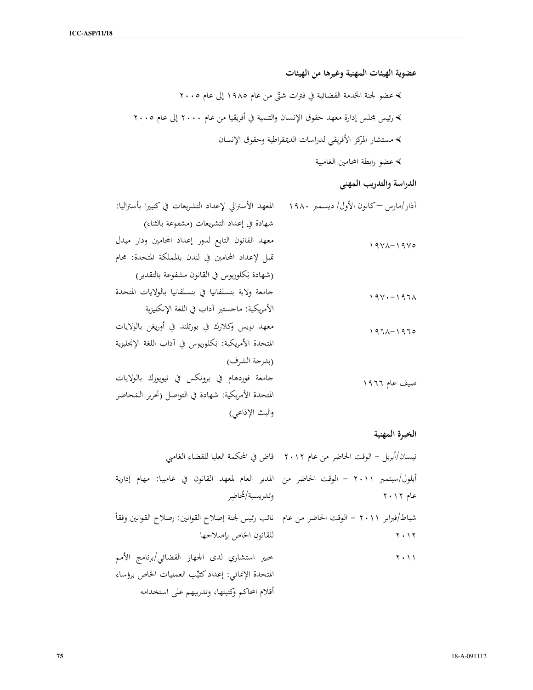عضوية الهيئات المهنية وغيرها من الهيئات

﴾ عضو رابطة المحامين الغامبية

# الدراسة والتدريب المهني

# الخبرة المهنية

أقلام المحاكم وكتبتها، وتدريبهم على استخدامه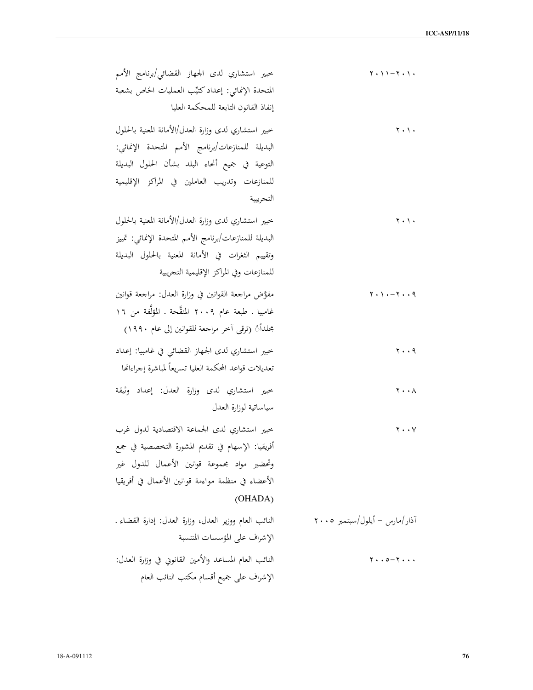| $Y \cdot 11 - 7 \cdot 1$                                           | خبير استشاري لدى الجهاز القضائي/برنامج الأمم                     |
|--------------------------------------------------------------------|------------------------------------------------------------------|
|                                                                    | المتحدة الإنمائ <sub>ى</sub> : إعداد كتيِّب العمليات الخاص بشعبة |
|                                                                    | إنفاذ القانون التابعة للمحكمة العليا                             |
| $\mathbf{y} \cdot \mathbf{y}$ .                                    | خبير استشاري لدى وزارة العدل/الأمانة المعنية بالحلول             |
|                                                                    | البديلة للمنازعات/برنامج الأمم المتحدة الإنمائي:                 |
|                                                                    | التوعية في جميع أنحاء البلد بشأن الحلول البديلة                  |
|                                                                    | للمنازعات وتدريب العاملين في المراكز الإقليمية                   |
|                                                                    | التجريبية                                                        |
| $\mathbf{y} \cdot \mathbf{y}$                                      | خبير استشاري لدى وزارة العدل/الأمانة المعنية بالحلول             |
|                                                                    | البديلة للمنازعات/برنامج الأمم المتحدة الإنمائي: تمييز           |
|                                                                    | وتقييم الثغرات في الأمانة المعنية بالحلول البديلة                |
|                                                                    | للمنازعات وفي المراكز الإقليمية التحريبية                        |
| $Y \cdot Y \cdot - Y \cdot \cdot Y$                                | مفوَّض مراجعة القوانين في وزارة العدل: مراجعة قوانين             |
|                                                                    | غامبيا . طبعة عام ٢٠٠٩ المنقَّحة . المؤلَّفة من ١٦               |
|                                                                    | مجلداً (ترقى أخر مراجعة للقوانين إلى عام ١٩٩٠)                   |
| $\mathbf{y} \cdot \mathbf{y}$                                      | خبير استشاري لدى الجهاز القضائي في غامبيا: إعداد                 |
|                                                                    | تعديلات قواعد المحكمة العليا تسريعاً لمباشرة إجراءاتها           |
| $\mathbf{y} \cdot \mathbf{y}$                                      | خبير استشاري لدى وزارة العدل: إعداد وثيقة                        |
|                                                                    | سياساتية لوزارة العدل                                            |
| $\mathbf{y} \cdot \mathbf{y}$                                      | خبير استشاري لدى الجماعة الاقتصادية لدول غرب                     |
|                                                                    | أفريقيا: الإسهام في تقديم المشورة التخصصية في جمع                |
|                                                                    | وتحضير مواد مجموعة قوانين الأعمال للدول غير                      |
|                                                                    | الأعضاء في منظمة مواءمة قوانين الأعمال في أفريقيا                |
|                                                                    | (OHADA)                                                          |
| آذار/مارس – أيلول/سبتمبر ٢٠٠٥                                      | النائب العام ووزير العدل، وزارة العدل: إدارة القضاء .            |
|                                                                    | الإشراف على المؤسسات المنتسبة                                    |
| $\mathbf{y} \cdot \cdot \mathbf{0} - \mathbf{y} \cdot \cdot \cdot$ | النائب العام المساعد والأمين القانوني في وزارة العدل:            |
|                                                                    | الإشراف على جميع أقسام مكتب النائب العام                         |
|                                                                    |                                                                  |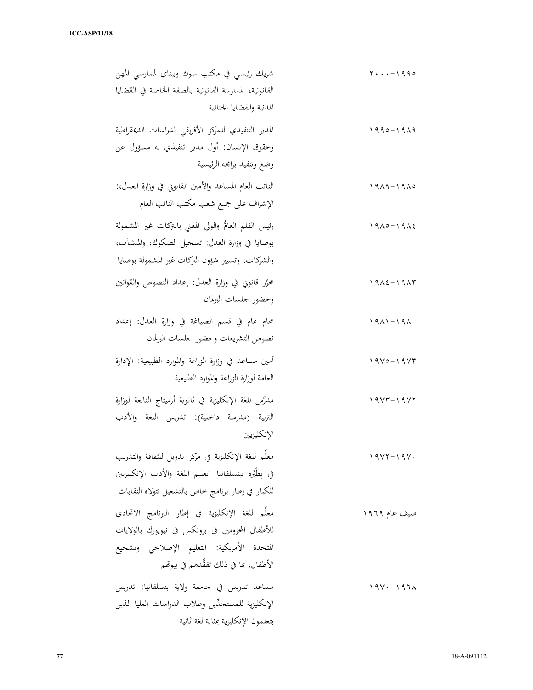| شريك رئيسي في مكتب سوك وبيتاي لممارسي المهن                                                                  | $\mathbf{Y} \cdot \cdot \cdot - 1990$ |
|--------------------------------------------------------------------------------------------------------------|---------------------------------------|
| القانونية، الممارسة القانونية بالصفة الخاصة في القضايا<br>المدنية والقضايا الجنائية                          |                                       |
|                                                                                                              |                                       |
| المدير التنفيذي للمركز الأفريقي لدراسات الديمقراطية<br>وحقوق الإنسان: أول مدير تنفيذي له مسؤول عن            | $1990 - 1919$                         |
| وضع وتنفيذ برامحه الرئيسية                                                                                   |                                       |
| النائب العام المساعد والأمين القانوني في وزارة العدل،:                                                       | $1919 - 1910$                         |
| الإشراف على جميع شعب مكتب النائب العام                                                                       |                                       |
| رئيس القلم العامُّ والولي المعني بالتركات غير المشمولة                                                       | $1910 - 1912$                         |
| بوصايا في وزارة العدل: تسحيل الصكوك، والمنشأت،                                                               |                                       |
| والشركات، وتسيير شؤون التركات غير المشمولة بوصايا                                                            |                                       |
| محرِّر قانوني في وزارة العدل: إعداد النصوص والقوانين                                                         | $19\lambda \xi - 19\lambda \eta$      |
| وحضور جلسات البرلمان                                                                                         |                                       |
| محام عام في قسم الصياغة في وزارة العدل: إعداد                                                                | $1911 - 191.$                         |
| نصوص التشريعات وحضور جلسات البرلمان                                                                          |                                       |
| أمين مساعد في وزارة الزراعة والموارد الطبيعية: الإدارة                                                       | $1900 - 1907$                         |
| العامة لوزارة الزراعة والموارد الطبيعية                                                                      |                                       |
| مدرِّس للغة الإنكليزية في ثانوية أرميتاج التابعة لوزارة                                                      | $19YY - 19YY$                         |
| التربية (مدرسة داخلية): تدريس اللغة والأدب                                                                   |                                       |
| الإنكليزيين                                                                                                  |                                       |
| معلِّم للغة الإنكليزية في مركز بدويل للثقافة والتدريب                                                        | $19VY - 19V.$                         |
| في بِطْبُره ببنسلفانيا: تعليم اللغة والأدب الإنكليزيين<br>للكبار في إطار برنامج خاص بالتشغيل تتولاه النقابات |                                       |
| معلِّم للغة الإنكليزية في إطار البرنامج الاتحادي                                                             |                                       |
| للأطفال المحرومين في برونكس في نيويورك بالولايات                                                             | صیف عام ۱۹۶۹                          |
| المتحدة الأمريكية: التعليم الإصلاحي وتشجيع                                                                   |                                       |
| الأطفال، بما في ذلك تفقُّدهم في بيوتمم                                                                       |                                       |
| مساعد تدريس في جامعة ولاية بنسلفانيا: تدريس                                                                  | $19Y - 197A$                          |
| الإنكليزية للمستحدِّين وطلاب الدراسات العليا الذين                                                           |                                       |
| يتعلمون الإنكليزية بمثابة لغة ثانية                                                                          |                                       |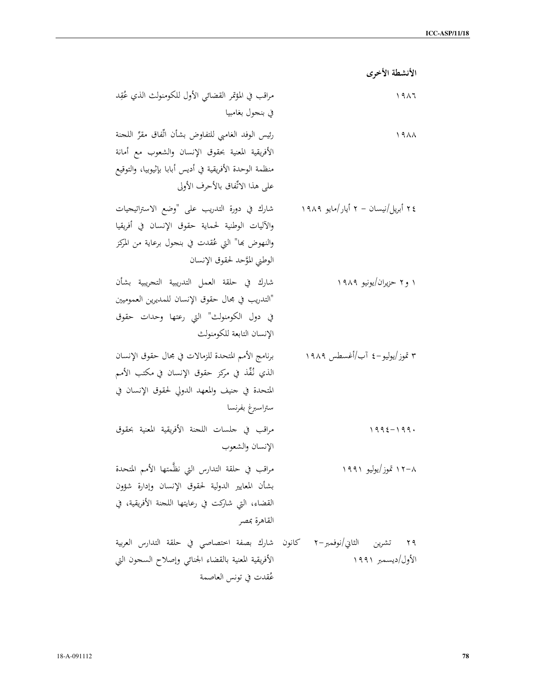| الأنشطة الأخرى                                |                                                                                                                                                                                                         |
|-----------------------------------------------|---------------------------------------------------------------------------------------------------------------------------------------------------------------------------------------------------------|
| ۱۹۸٦                                          | مراقب في المؤتمر القضائي الأول للكومنولث الذي عُقِد<br>في بنجول بغامبيا                                                                                                                                 |
| 1911                                          | رئيس الوفد الغامبي للتفاوض بشأن اتِّفاق مقرِّ اللحنة<br>الأفريقية المعنية بحقوق الإنسان والشعوب مع أمانة<br>منظمة الوحدة الأفريقية في أديس أبابا بإثيوبيا، والتوقيع<br>على هذا الاتِّفاق بالأحرف الأولى |
| ٢٤ أبريل/نيسان – ٢ أيار/مايو ١٩٨٩             | شارك في دورة التدريب على "وضع الاستراتيجيات<br>والآليات الوطنية لحماية حقوق الإنسان في أفريقيا<br>والنهوض بها" التي عُقدت في بنحول برعاية من المركز<br>الوطني المؤحد لحقوق الإنسان                      |
| ۱ و ۲ حزیران/یونیو ۱۹۸۹                       | شارك في حلقة العمل التدريبية التحريبية بشأن<br>"التدريب في محال حقوق الإنسان للمديرين العموميين<br>في دول الكومنولث" التي رعتها وحدات حقوق<br>الإنسان التابعة للكومنولث                                 |
| ۳ تموز/يوليو–٤ آب/أغسطس ١٩٨٩                  | برنامج الأمم المتحدة للزمالات في مجال حقوق الإنسان<br>الذي نُفِّذ في مركز حقوق الإنسان في مكتب الأمم<br>المتحدة في حنيف والمعهد الدولي لحقوق الإنسان في<br>ستراسبرغ بفرنسا                              |
| $1992 - 199.$                                 | مراقب في جلسات اللحنة الأفريقية المعنية بحقوق<br>الإنسان والشعوب                                                                                                                                        |
| ۱۲–۸ تموز/یولیو ۱۹۹۱                          | مراقب في حلقة التدارس التي نظَّمتها الأمم المتحدة<br>بشأن المعايير الدولية لحقوق الإنسان وإدارة شؤون<br>القضاء، التي شاركت في رعايتها اللحنة الأفريقية، في<br>القاهرة بمصر                              |
| ٢٩ تشرين الثاني/نوفمبر−٢<br>الأول/ديسمبر ١٩٩١ | كانون شارك بصفة اختصاصي في حلقة التدارس العربية<br>الأفريقية المعنية بالقضاء الجنائي وإصلاح السحون التي<br>عُقدت في تونس العاصمة                                                                        |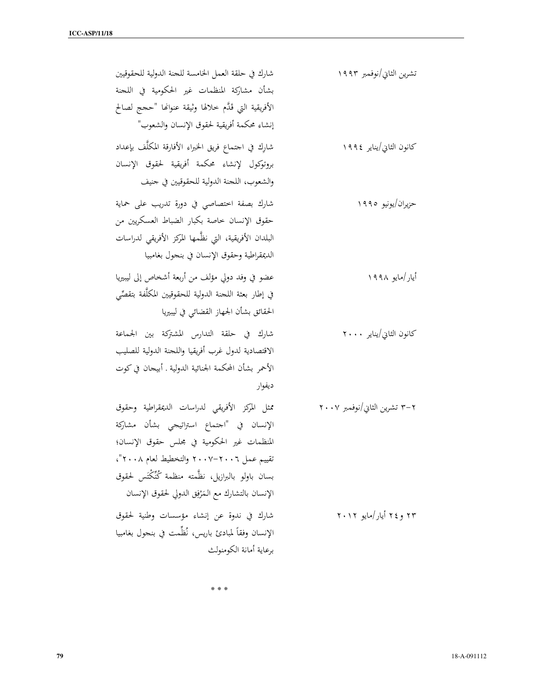| شارك في حلقة العمل الخامسة للحنة الدولية للحقوقيين<br>بشأن مشاركة المنظمات غير الحكومية في اللحنة<br>الأفريقية التي قَدَّم خلالها وثيقة عنوانها "ححج لصالح<br>إنشاء محكمة أفريقية لحقوق الإنسان والشعوب"                                                                                            | تشرين الثاني/نوفمبر ١٩٩٣     |
|-----------------------------------------------------------------------------------------------------------------------------------------------------------------------------------------------------------------------------------------------------------------------------------------------------|------------------------------|
| شارِك في احتماع فريق الخبراء الأفارقة المكلَّف بإعداد<br>بروتوكول لإنشاء محكمة أفريقية لحقوق الإنسان<br>والشعوب، اللحنة الدولية للحقوقيين في حنيف                                                                                                                                                   | كانون الثاني/يناير ١٩٩٤      |
| شارك بصفة اختصاصي في دورة تدريب على حماية<br>حقوق الإنسان خاصة بكبار الضباط العسكريين من<br>البلدان الأفريقية، التي نظَّمها المركز الأفريقي لدراسات<br>الديمقراطية وحقوق الإنسان في بنحول بغامبيا                                                                                                   | حزيران/يونيو ١٩٩٥            |
| عضو في وفد دولي مؤلف من أربعة أشخاص إلى ليبيريا<br>في إطار بعثة اللحنة الدولية للحقوقيين المكلَّفة بتقصِّي<br>الحقائق بشأن الجهاز القضائي في ليبيريا                                                                                                                                                | أيار/مايو ١٩٩٨               |
| شارك في حلقة التدارس المشتركة بين الجماعة<br>الاقتصادية لدول غرب أفريقيا واللحنة الدولية للصليب<br>الأحمر بشأن المحكمة الجنائية الدولية . أبيحان في كوت<br>ديفوار                                                                                                                                   | كانون الثاني/يناير ٢٠٠٠      |
| ممثل المركز الأفريقي لدراسات الديمقراطية وحقوق<br>الإنسان في "اجتماع استراتيجي بشأن مشاركة<br>المنظمات غير الحكومية في مجلس حقوق الإنسان؛<br>تقييم عمل ٢٠٠٦–٢٠٠٧ والتخطيط لعام ٢٠٠٨"،<br>بسان باولو بالبرازيل، نظَّمته منظمة كُنِّكْتَس لحقوق<br>الإنسان بالتشارك مع المَرْفِق الدولي لحقوق الإنسان | ٣–٣ تشرين الثاني/نوفمبر ٢٠٠٧ |
| شارك في ندوة عن إنشاء مؤسسات وطنية لحقوق<br>الإنسان وفقاً لمبادئ باريس، نُظِّمت في بنجول بغامبيا<br>برعاية أمانة الكومنولث                                                                                                                                                                          | ۲۲ و ۲٤ أيار/مايو ۲۰۱۲       |

\* \* \*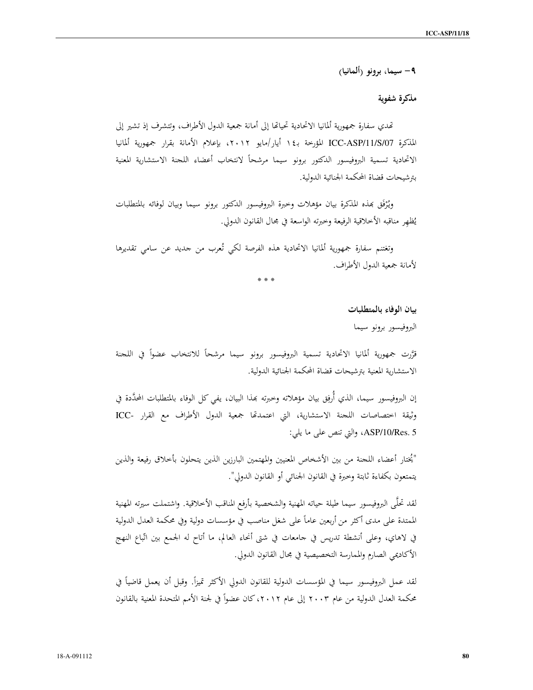۹– سيما، برونو (ألمانيا)

#### مذكرة شفوية

تهدى سفارة جمهورية ألمانيا الاتحادية تحياتها إلى أمانة جمعية الدول الأطراف، وتتشرف إذ تشير إلى المذكرة ICC-ASP/11/S/07 المؤرخة بـ١٤ أيار/مايو ٢٠١٢، بإعلام الأمانة بقرار جمهورية ألمانيا الاتحادية تسمية البروفيسور الدكتور برونو سيما مرشحاً لانتخاب أعضاء اللجنة الاستشارية المعنية بترشيحات قضاة المحكمة الجنائية الدولية.

ويُرْفَق بَمِذه المذكرة بيان مؤهلات وخبرة البروفيسور الدكتور برونو سيما وبيان لوفائه بالمتطلبات يُظهر مناقبه الأخلاقية الرفيعة وخبرته الواسعة في مجال القانون الدولي.

وتغتنم سفارة جمهورية ألمانيا الاتحادية هذه الفرصة لكي تُعرب من جديد عن سامي تقديرها لأمانة جمعية الدول الأطراف.

بيان الوفاء بالمتطلبات

البروفيسور برونو سيما

قرَّرت جمهورية ألمانيا الاتحادية تسمية البروفيسور برونو سيما مرشحاً للانتخاب عضواً في اللجنة الاستشارية المعنية بترشيحات قضاة المحكمة الجنائية الدولية.

إن البروفيسور سيما، الذي أُرفِق بيان مؤهلاته وخبرته بمذا البيان، يفي كل الوفاء بالمتطلبات المحدَّدة في وثيقة اختصاصات اللجنة الاستشارية، التي اعتمدتها جمعية الدول الأطراف مع القرار -ICC ASP/10/Res. 5: والتي تنص على ما يلي:

"يُختار أعضاء اللحنة من بين الأشخاص المعنيين والمهتمين البارزين الذين يتحلون بأخلاق رفيعة والذين يتمتعون بكفاءة ثابتة وخبرة في القانون الجنائي أو القانون الدولي".

لقد تحلَّى البروفيسور سيما طيلة حياته المهنية والشخصية بأرفع المناقب الأخلاقية. واشتملت سيرته المهنية الممتدة على مدى أكثر من أربعين عاماً على شغل مناصب في مؤسسات دولية وفي محكمة العدل الدولية في لاهاي، وعلى أنشطة تدريس في جامعات في شتى أنحاء العالم، ما أتاح له الجمع بين اتِّباع النهج الأكاديمي الصارم والممارسة التخصيصية في محال القانون الدولي.

لقد عمل البروفيسور سيما في المؤسسات الدولية للقانون الدولي الأكثر تميزاً. وقبل أن يعمل قاضياً في محكمة العدل الدولية من عام ٢٠٠٣ إلى عام ٢٠١٢، كان عضواً في لجنة الأمم المتحدة المعنية بالقانون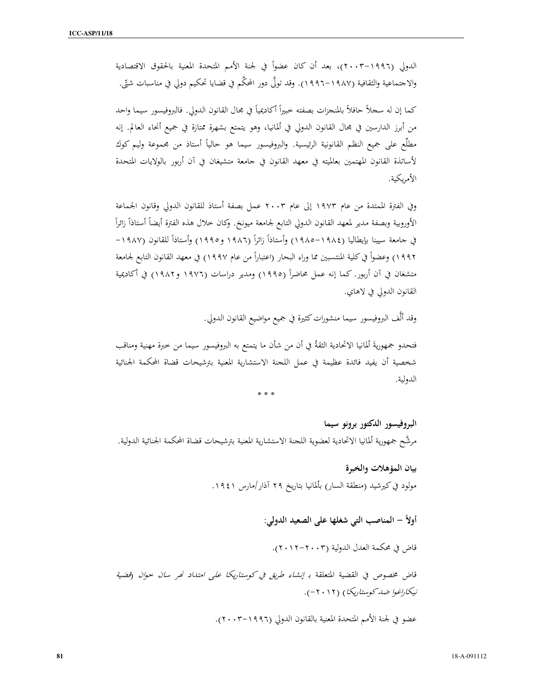الدولي (٢٠٠٣–٢٠٠٣)، بعد أن كان عضواً في لجنة الأمم المتحدة المعنية بالحقوق الاقتصادية والاجتماعية والثقافية (١٩٨٧–١٩٩٦). وقد تولَّى دور المحكَّم في قضايا تحكيم دولي في مناسبات شتِّي.

كما إن له سحلاً حافلاً بالمنحزات بصفته خبيراً أكاديمياً في مجال القانون الدولي. فالبروفيسور سيما واحد من أبرز الدارسين في مجال القانون الدولي في ألمانيا، وهو يتمتع بشهرة ممتازة في جميع أنحاء العالم. إنه مطلِّع على جميع النظم القانونية الرئيسية. والبروفيسور سيما هو حالياً أستاذ من مجموعة وليم كوك لأساتذة القانون المهتمين بعالميته في معهد القانون في جامعة متشيغان في آن أربور بالولايات المتحدة الأمربكية.

وفي الفترة الممتدة من عام ١٩٧٣ إلى عام ٢٠٠٣ عمل بصفة أستاذ للقانون الدولي وقانون الجماعة الأوروبية وبصفة مدير لمعهد القانون الدولي التابع لجامعة ميونخ. وكان خلال هذه الفترة أيضاً أستاذاً زائراً في جامعة سيينا بإيطاليا (١٩٨٤–١٩٨٥) وأستاذاً زائراً (١٩٨٦ و١٩٩٥) وأستاذاً للقانون (١٩٨٧– ١٩٩٢) وعضواً في كلية المنتسبين مما وراء البحار (اعتباراً من عام ١٩٩٧) في معهد القانون التابع لجامعة متشغان في آن أربور. كما إنه عمل محاضراً (١٩٩٥) ومدير دراسات (١٩٧٦ و١٩٨٢) في أكاديمية القانون الدولي في لاهاي.

وقد ألَّف البروفيسور سيما منشورات كثيرة في جميع مواضيع القانون الدولي.

فتحدو جمهوريةَ ألمانيا الاتحادية الثقةُ في أن من شأن ما يتمتع به البروفيسور سيما من خبرة مهنية ومناقب شخصية أن يفيد فائدة عظيمة في عمل اللجنة الاستشارية المعنية بترشيحات قضاة المحكمة الجنائية الدولية.

البروفيسور الدكتور برونو سيما مرشَّح جمهورية ألمانيا الاتحادية لعضوية اللحنة الاستشارية المعنية بترشيحات قضاة المحكمة الجنائية الدولية.

> بيان المؤهلات والخبرة مولود في كيرشيد (منطقة السار) بألمانيا بتاريخ ٢٩ آذار/مارس ١٩٤١.

> > أولاً – المناصب التي شغلها على الصعيد الدولي:

قاض في محكمة العدل الدولية (٢٠٠٣–٢٠١٢).

قاض مخصوص في القضية المتعلقة بـ *إنشاء طريق في كوستاريكا على امتداد نمر سان خوان* (قضية نيكاراغوا ضد كوستاريكا) (٢٠١٢-).

عضو في لجنة الأمم المتحدة المعنية بالقانون الدولي (١٩٩٦–٢٠٠٣).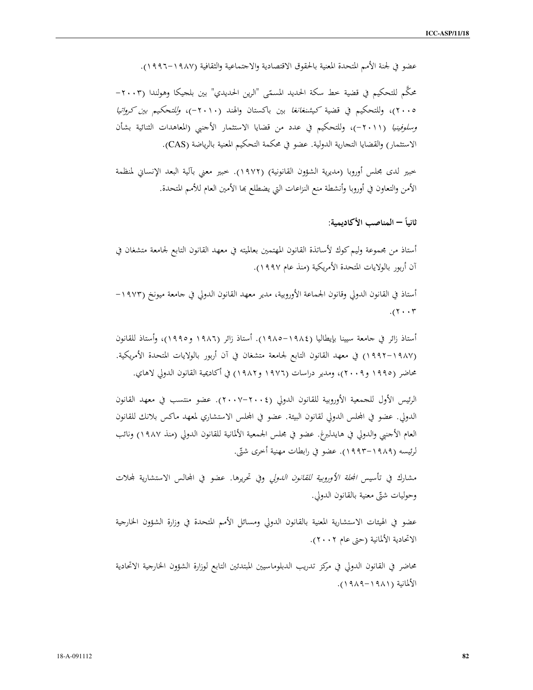عضوٍ في لجنة الأمم المتحدة المعنية بالحقوق الاقتصادية والاجتماعية والثقافية (١٩٨٧–١٩٩٦).

محكَّم للتحكيم في قضية خط سكة الحديد المسمّى "الرين الحديدي" بين بلجيكا وهولندا (٢٠٠٣– ٢٠٠٥)، وللتحكيم في قضية *كيشنغانغا* بين باكستان والهند (٢٠١٠)، *وللتحكيم بين كرواتيا وسلوفينيا (٢٠١١*)، وللتحكيم في عدد من قضايا الاستثمار الأجنبي (المعاهدات الثنائية بشأن الاستثمار) والقضايا التجارية الدولية. عضو في محكمة التحكيم المعنية بالرياضة (CAS).

خبير لدى مجلس أوروبا (مديرية الشؤون القانونية) (١٩٧٢). خبير معنى بآلية البعد الإنساني لمنظمة الأمن والتعاون في أوروبا وأنشطة منع النزاعات التي يضطلع بِما الأمين العام للأمم المتحدة.

ثانياً – المناصب الأكاديمية:

أستاذ من مجموعة وليم كوك لأساتذة القانون المهتمين بعالميته في معهد القانون التابع لجامعة متشغان في آن أربور بالولايات المتحدة الأمريكية (منذ عام ١٩٩٧).

أستاذ في القانون الدولي وقانون الجماعة الأوروبية، مدير معهد القانون الدولي في جامعة ميونخ (١٩٧٣–  $\cdot$  (۲  $\cdot$   $\cdot$  ۳)

أستاذ زائر في جامعة سيينا بإيطاليا (١٩٨٤–١٩٨٥). أستاذ زائر (١٩٨٦ و١٩٩٥)، وأستاذ للقانون (١٩٨٧–١٩٩٢) في معهد القانون التابع لجامعة متشغان في آن أربور بالولايات المتحدة الأمريكية. محاضر (١٩٩٥ و٢٠٠٩)، ومدير دراسات (١٩٧٦ و١٩٨٢) في أكاديمية القانون الدولي لاهاي.

الرئيس الأول للجمعية الأوروبية للقانون الدولي (٢٠٠٤–٢٠٠٧). عضو منتسب في معهد القانون الدولي. عضو في المجلس الدولي لقانون البيئة. عضو في المجلس الاستشاري لمعهد ماكس بلانك للقانون العام الأجنبي والدولي في هايدلبرغ. عضو في مجلس الجمعية الألمانية للقانون الدولي (منذ ١٩٨٧) ونائب لرئيسه (١٩٨٩–١٩٩٣). عضو في رابطات مهنية أخرى شتّي.

مشارك في تأسيس *المجلة الأوروبية للقانون الدولى* وفي تحريرها. عضو في المحالس الاستشارية لمحلات وحوليات شتَّى معنية بالقانون الدولي.

عضو في الهيئات الاستشارية المعنية بالقانون الدولي ومسائل الأمم المتحدة في وزارة الشؤون الخارجية الاتحادية الألمانية (حتى عام ٢٠٠٢).

محاضر في القانون الدولي في مركز تدريب الدبلوماسيين المبتدئين التابع لوزارة الشؤون الخارجية الاتحادية الألمانية (١٩٨١–١٩٨٩).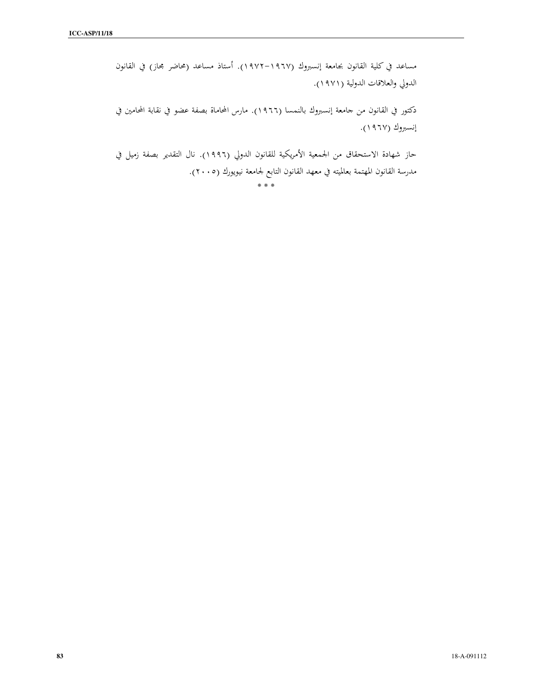مساعد في كلية القانون بجامعة إنسبروك (١٩٦٧–١٩٧٢). أستاذ مساعد (محاضر مجاز) في القانون الدولي والعلاقات الدولية (١٩٧١).

دكتور في القانون من جامعة إنسبروك بالنمسا (١٩٦٦). مارس المحاماة بصفة عضو في نقابة المحامين في إنسبروك (١٩٦٧).

حاز شهادة الاستحقاق من الجمعية الأمريكية للقانون الدولي (١٩٩٦). نال التقدير بصفة زميل في مدرسة القانون المهتمة بعالميته في معهد القانون التابع لجامعة نيويورك (٢٠٠٥). \* \* \*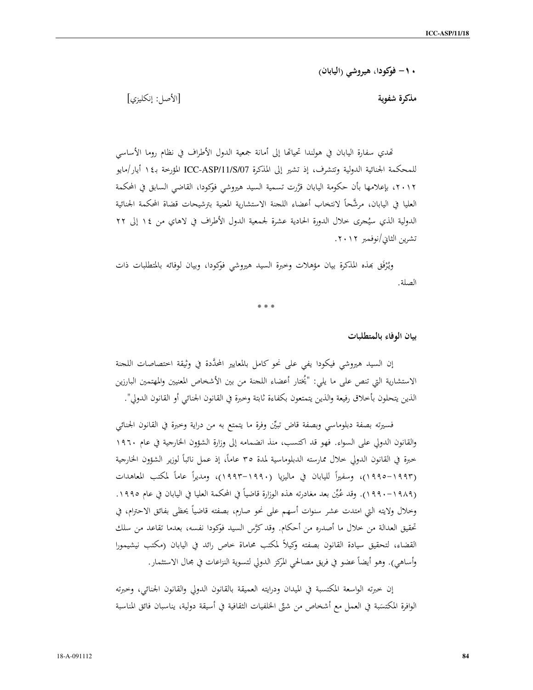۱۰– فوكودا، هيروشي (اليابان)

مذكرة شفوية

[الأصل: إنكليزي]

تَّحدي سفارة اليابان في هولندا تحياتما إلى أمانة جمعية الدول الأطراف في نظام روما الأساسي للمحكمة الجنائية الدولية وتتشرف، إذ تشير إلى المذكرة ICC-ASP/11/S/07 المؤرخة بـ١٤ أيار/مايو ٢٠١٢، بإعلامها بأن حكومة اليابان قرَّرت تسمية السيد هيروشي فوكودا، القاضي السابق في المحكمة العليا في اليابان، مرشَّحاً لانتخاب أعضاء اللحنة الاستشارية المعنية بترشيحات قضاة المحكمة الجنائية الدولية الذي سيُجرى خلال الدورة الحادية عشرة لجمعية الدول الأطراف في لاهاى من ١٤ إلى ٢٢ تشرين الثاني/نوفمبر ٢٠١٢.

ويُرْفَق بَمِذه المذكرة بيان مؤهلات وخبرة السيد هيروشي فوكودا، وبيان لوفائه بالمتطلبات ذات الصلة.

\* \* \*

بيان الوفاء بالمتطلبات

إن السيد هيروشي فيكودا يفي على نحو كامل بالمعايير المحدَّدة في وثيقة اختصاصات اللجنة الاستشارية التي تنص على ما يلي: "يُختار أعضاء اللجنة من بين الأشخاص المعنيين والمهتمين البارزين الذين يتحلون بأخلاق رفيعة والذين يتمتعون بكفاءة ثابتة وخبرة في القانون الجنائي أو القانون الدولي".

فسيرته بصفة دبلوماسي وبصفة قاض تبيِّن وفرة ما يتمتع به من دراية وحبرة في القانون الجنائبي والقانون الدولي على السواء. فهو قد اكتسب، منذ انضمامه إلى وزارة الشؤون الخارجية في عام ١٩٦٠ خبرة في القانون الدولي خلال ممارسته الدبلوماسية لمدة ٣٥ عاماً، إذ عمل نائباً لوزير الشؤون الخارجية (١٩٩٣–١٩٩٥)، وسفيراً لليابان في ماليزيا (١٩٩٠–١٩٩٢)، ومديراً عاماً لمكتب المعاهدات (١٩٨٩–١٩٩٠). وقد عُيِّن بعد مغادرته هذه الوزارة قاضياً في المحكمة العليا في اليابان في عام ١٩٩٥. وخلال ولايته التي امتدت عشر سنوات أسهم على نحو صارم، بصفته قاضياً يحظى بفائق الاحترام، في تحقيق العدالة من خلال ما أصدره من أحكام. وقد كرَّس السيد فوكودا نفسه، بعدما تقاعد من سلك القضاء، لتحقيق سيادة القانون بصفته وكيلاً لمكتب محاماة خاص رائد في اليابان (مكتب نيشيمورا وأساهي). وهو أيضاً عضوٍ في فريقٍ مصالحي المركز الدولي لتسوية النزاعات في مجال الاستثمار.

إن خبرته الواسعة المكتسبة في الميدان ودرايته العميقة بالقانون الدولي والقانون الجنائبي، وخبرته الوافرة المكتسَبة في العمل مع أشخاص من شتَّى الخلفيات الثقافية في أسيقة دولية، يناسبان فائق المناسبة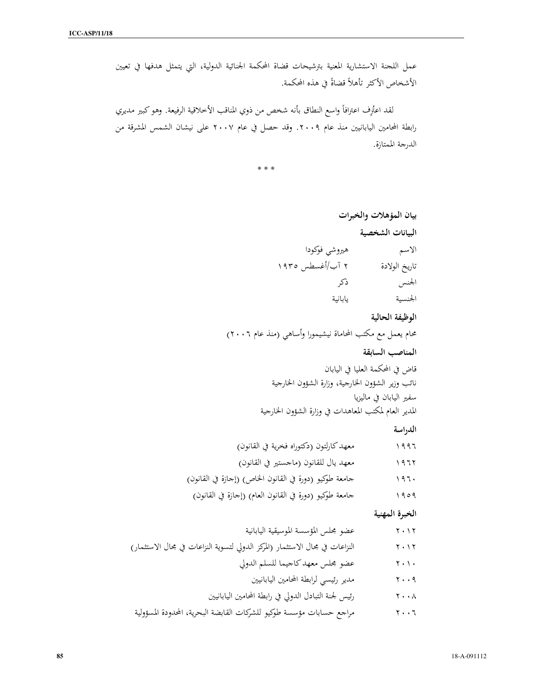عمل اللحنة الاستشارية المعنية بترشيحات قضاة المحكمة الجنائية الدولية، التي يتمثل هدفها في تعيين الأشخاص الأكثر تأهلاً قضاةً في هذه المحكمة.

لقد اعتُرِف اعترافاً واسع النطاق بأنه شخص من ذوي المناقب الأخلاقية الرفيعة. وهو كبير مديري رابطة المحامين اليابانيين منذ عام ٢٠٠٩. وقد حصل في عام ٢٠٠٧ على نيشان الشمس المشرقة من الدرجة الممتازة.

\* \* \*

بيان المؤهلات والخبرات البيانات الشخصية هيروشي فوكودا الاسم ذكر الجنس يابانية الجنسية الوظيفة الحالية

محام يعمل مع مكتب المحاماة نيشيمورا وأساهى (منذ عام ٢٠٠٦)

المناصب السابقة

قاضٍ في المحكمة العليا في اليابان نائب وزير الشؤون الخارجية، وزارة الشؤون الخارجية سفير اليابان في ماليزيا المدير العام لمكتب المعاهدات في وزارة الشؤون الخارجية

الدراسة

| 1997 | معهد كارلتون (دكتوراه فخرية في القانون)                |
|------|--------------------------------------------------------|
| 1977 | معهد يال للقانون (ماجستير في القانون)                  |
| 197. | جامعة طوكيو (دورة في القانون الخاص) (إجازة في القانون) |
| 1909 | جامعة طوكيو (دورة في القانون العام) (إجازة في القانون) |

#### الخبرة المهنية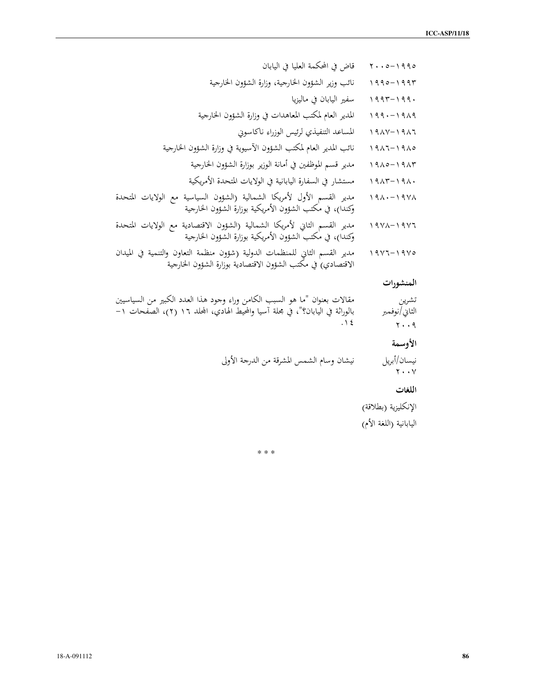الأوسمة

نیسان/أبریل<br>۲۰۰۷ نيشان وسام الشمس المشرقة من الدرجة الأولى

اللغات

الإنكليزية (بطلاقة) اليابانية (اللغة الأم)

 $* * *$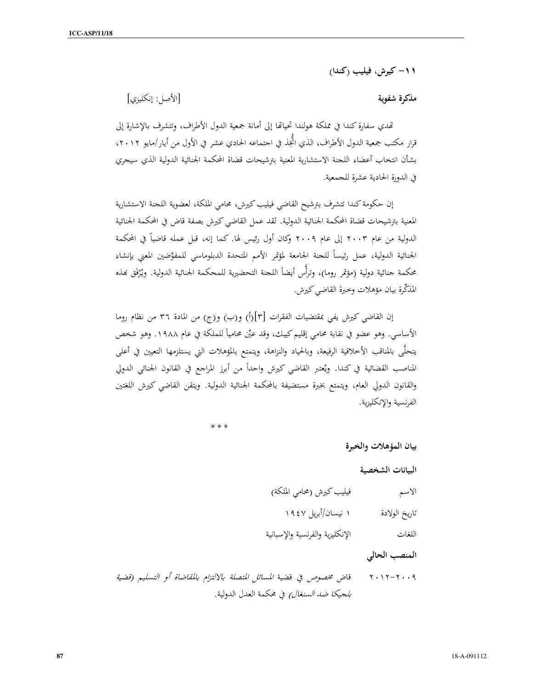١١- كيرش، فيليب (كندا)

[الأصل: إنكليزي]

مذكرة شفوية

تهدى سفارة كندا في مملكة هولندا تحياتها إلى أمانة جمعية الدول الأطراف، وتتشرف بالإشارة إلى قرار مكتب جمعية الدول الأطراف، الذي اتّْخِذ في اجتماعه الحادي عشر في الأول من أيار/مايو ٢٠١٢، بشأن انتخاب أعضاء اللحنة الاستشارية المعنية بترشيحات قضاة المحكمة الجنائية الدولية الذي سيحري في الدورة الحادية عشرة للجمعية.

إن حكومة كندا تتشرف بترشيح القاضي فيليب كيرش، محامى الملكة، لعضوية اللحنة الاستشارية المعنية بترشيحات قضاة المحكمة الجنائية الدولية. لقد عمل القاضي كيرش بصفة قاض في المحكمة الجنائية الدولية من عام ٢٠٠٣ إلى عام ٢٠٠٩ وكان أول رئيس لها. كما إنه، قبل عمله قاضياً في المحكمة الجنائية الدولية، عمل رئيساً للحنة الجامعة لمؤتمر الأمم المتحدة الدبلوماسي للمفوَّضين المعني بإنشاء محكمة جنائية دولية (مؤتمر روما)، وترأَّس أيضاً اللحنة التحضيرية للمحكمة الجنائية الدولية. ويُرْفَق بمذه المُذَكِّرة بيان مؤهلات وخبرة القاضي كيرش.

إن القاضي كيرش يفي بمقتضيات الفقرات [٣](أ) و(ب) و(ج) من المادة ٣٦ من نظام روما الأساسي. وهو عضو في نقابة محامي إقليم كيبك، وقد عيِّن محامياً للملكة في عام ١٩٨٨. وهو شخص يتحلَّى بالمناقب الأخلاقية الرفيعة، وبالحياد والنزاهة، ويتمتع بالمؤهلات التي يستلزمها التعيين في أعلى المناصب القضائية في كندا. ويُعتبر القاضي كيرش واحداً من أبرز المراجع في القانون الجنائي الدولي والقانون الدولي العام، ويتمتع بخبرة مستضيفة بالمحكمة الجنائية الدولية. ويتقن القاضي كيرش اللغتين الفرنسية والإنكليزية.

\* \* \*

بيان المؤهلات والخبرة

البيانات الشخصة

المنصب الحالي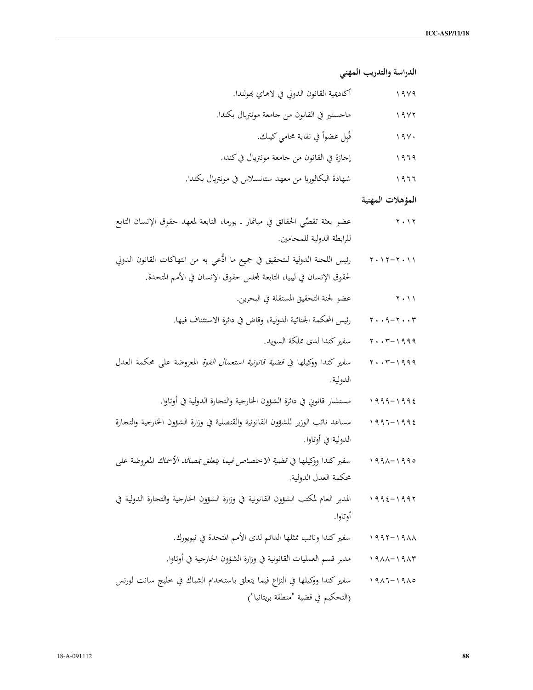الدراسة والتدريب المهنى

- أكاديمية القانون الدولي في لاهاي بمولندا.  $1919$
- ماجستير في القانون من جامعة مونتريال بكندا.  $19Y$ 
	- قُبل عضواً في نقابة محامي كيبك.  $19Y.$
- إجازة في القانون من جامعة مونتريال في كندا.  $1979$
- شهادة البكالوريا من معهد ستانسلاس في مونتريال بكندا.  $1977$

## المؤهلات المهنية

- عضو بعثة تقصِّي الحقائق في ميانمار ـ بورما، التابعة لمعهد حقوق الإنسان التابع  $Y \cdot Y$ للرابطة الدولية للمحامين.
- رئيس اللحنة الدولية للتحقيق في جميع ما ادُّعي به من انتهاكات القانون الدولي  $Y \cdot Y - Y \cdot Y$ لحقوق الإنسان في ليبيا، التابعة لمجلس حقوق الإنسان في الأمم المتحدة.
	- عضو لجنة التحقيق المستقلة في البحرين.  $Y \cdot Y$
	- رئيس المحكمة الجنائية الدولية، وقاض في دائرة الاستئناف فيها.  $Y \cdot 9 - Y \cdot 17$ 
		- سفير كندا لدى مملكة السويد.  $\mathbf{y} \cdot \mathbf{y} - \mathbf{y} \cdot \mathbf{y}$
- سفير كندا ووكيلها في قضي*ة قانونية استعمال القوة* المعروضة على محكمة العدل  $\mathbf{y} \cdot \mathbf{y} - \mathbf{y} \cdot \mathbf{y}$ الدولية.
	- مستشار قانوني في دائرة الشؤون الخارجية والتحارة الدولية في أوتاوا.  $1999 - 1992$
- مساعد نائب الوزير للشؤون القانونية والقنصلية في وزارة الشؤون الخارجية والتجارة  $1997 - 1992$ الدولية في أوتاوا.
- سفير كندا ووكيلها في قضي*ة الاختصاص فيما يتعلق بمصائد الأسماك* المعروضة على  $1991 - 1990$ محكمة العدل الدولية.
- المدير العام لمكتب الشؤون القانونية في وزارة الشؤون الخارجية والتحارة الدولية في  $1992 - 1997$ أوتاوا.
	- سفير كندا ونائب ممثلها الدائم لدى الأمم المتحدة في نيويورك.  $1997 - 1941$
	- مدير قسم العمليات القانونية في وزارة الشؤون الخارجية في أوتاوا.  $19\lambda\lambda-19\lambda\tau$
- سفير كندا ووكيلها في النزاع فيما يتعلق باستخدام الشباك في خليج سانت لورنس  $1911 - 1910$ (التحكيم في قضية "منطقة بريتانيا")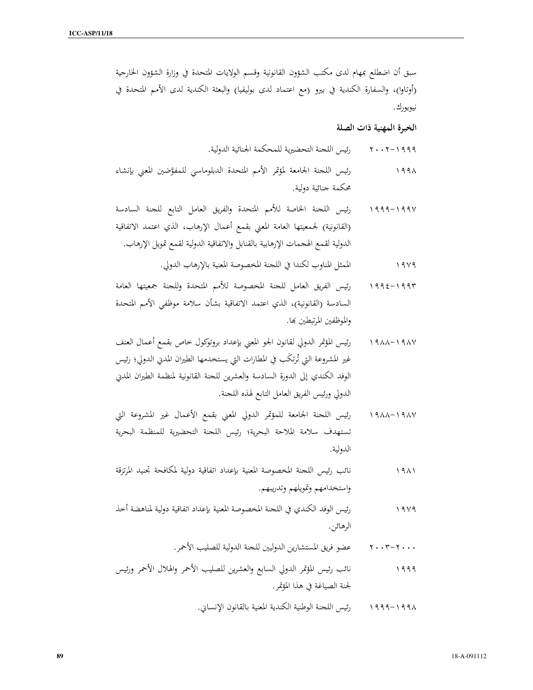سبق أن اضطلع بمهام لدى مكتب الشؤون القانونية وقسم الولايات المتحدة في وزارة الشؤون الخارجية (أوتاوا)، والسفارة الكندية في بيرو (مع اعتماد لدى بوليفيا) والبعثة الكندية لدى الأمم المتحدة في نيويورك.

الخبرة المهنية ذات الصلة

- ٢٠٠٢-١٩٩٩ ٢٠٠٢ مرئيس اللجنة التحضيرية للمحكمة الجنائية الدولية.
- رئيس اللحنة الجامعة لمؤتمر الأمم المتحدة الدبلوماسي للمفوَّضين المعنى بإنشاء  $199A$ محكمة جنائية دولية.

رئيس اللجنة الخاصة للأمم المتحدة والفريق العامل التابع للجنة السادسة  $\,1\,9\,9\,9\, - \,1\,9\,9\,V$ (القانونية) لجمعيتها العامة المعنى بقمع أعمال الإرهاب، الذي اعتمد الاتفاقية الدولية لقمع الهجمات الإرهابية بالقنابل والاتفاقية الدولية لقمع تمويل الإرهاب.

- الممثل المناوب لكندا في اللجنة المخصوصة المعنية بالإرهاب الدولي.  $1919$
- رئيس الفريق العامل للجنة المخصوصة للأمم المتحدة وللجنة جمعيتها العامة  $1992 - 1997$ السادسة (القانونية)، الذي اعتمد الاتفاقية بشأن سلامة موظفى الأمم المتحدة والموظفين المرتبطين بها.
- رئيس المؤتمر الدولي لقانون الجو المعنى بإعداد بروتوكول خاص بقمع أعمال العنف  $19\lambda\lambda-19\lambda V$ غير المشروعة التي تُرتكَب في المطارات التي يستخدمها الطيران المدني الدولي؛ رئيس الوفد الكندي إلى الدورة السادسة والعشرين للحنة القانونية لمنظمة الطيران المدني الدولي ورئيس الفريق العامل التابع لهذه اللجنة.
- رئيس اللجنة الجامعة للمؤتمر الدولي المعنى بقمع الأعمال غير المشروعة التي  $19\lambda\lambda - 19\lambda V$ تستهدف سلامة الملاحة البحرية؛ رئيس اللجنة التحضيرية للمنظمة البحرية الدولية.
- نائب رئيس اللجنة المخصوصة المعنية بإعداد اتفاقية دولية لمكافحة تجنيد المرتزقة  $1911$ واستخدامهم وتمويلهم وتدريبهم.
- رئيس الوفد الكندي في اللجنة المخصوصة المعنية بإعداد اتفاقية دولية لمناهضة أخذ  $1949$ الرهائن.
	- عضو فريق المستشارين الدوليين للحنة الدولية للصليب الأحمر.  $Y \cdot Y - Y \cdot \cdot \cdot$
- نائب رئيس المؤتمر الدولي السابع والعشرين للصليب الأحمر والهلال الأحمر ورئيس 1999 لجنة الصياغة في هذا المؤتمر.

رئيس اللحنة الوطنية الكندية المعنية بالقانون الإنساني.  $1999 - 1991$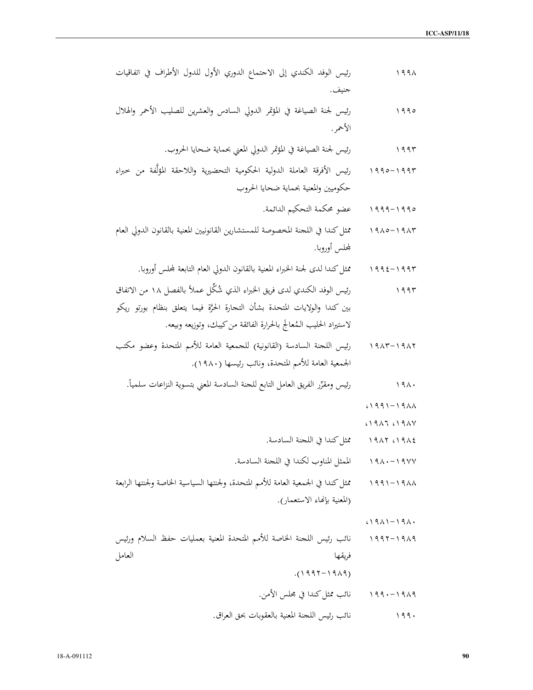$(1991 - 191)$ 

$$
\mathcal{L} \setminus \mathcal{R} \setminus \mathcal{L} \setminus \mathcal{L} \setminus \mathcal{R} \setminus \mathcal{L} \setminus \mathcal{L} \setminus \mathcal{L} \setminus \mathcal{L} \setminus \mathcal{L} \setminus \mathcal{L} \setminus \mathcal{L} \setminus \mathcal{L} \setminus \mathcal{L} \setminus \mathcal{L} \setminus \mathcal{L} \setminus \mathcal{L} \setminus \mathcal{L} \setminus \mathcal{L} \setminus \mathcal{L} \setminus \mathcal{L} \setminus \mathcal{L} \setminus \mathcal{L} \setminus \mathcal{L} \setminus \mathcal{L} \setminus \mathcal{L} \setminus \mathcal{L} \setminus \mathcal{L} \setminus \mathcal{L} \setminus \mathcal{L} \setminus \mathcal{L} \setminus \mathcal{L} \setminus \mathcal{L} \setminus \mathcal{L} \setminus \mathcal{L} \setminus \mathcal{L} \setminus \mathcal{L} \setminus \mathcal{L} \setminus \mathcal{L} \setminus \mathcal{L} \setminus \mathcal{L} \setminus \mathcal{L} \setminus \mathcal{L} \setminus \mathcal{L} \setminus \mathcal{L} \setminus \mathcal{L} \setminus \mathcal{L} \setminus \mathcal{L} \setminus \mathcal{L} \setminus \mathcal{L} \setminus \mathcal{L} \setminus \mathcal{L} \setminus \mathcal{L} \setminus \mathcal{L} \setminus \mathcal{L} \setminus \mathcal{L} \setminus \mathcal{L} \setminus \mathcal{L} \setminus \mathcal{L} \setminus \mathcal{L} \setminus \mathcal{L} \setminus \mathcal{L} \setminus \mathcal{L} \setminus \mathcal{L} \setminus \mathcal{L} \setminus \mathcal{L} \setminus \mathcal{L} \setminus \mathcal{L} \setminus \mathcal{L} \setminus \mathcal{L} \setminus \mathcal{L} \setminus \mathcal{L} \setminus \mathcal{L} \setminus \mathcal{L} \setminus \mathcal{L} \setminus \mathcal{L} \setminus \mathcal{L} \setminus \mathcal{L} \setminus \mathcal{L} \setminus \mathcal{L} \setminus \mathcal{L} \setminus \mathcal{L} \setminus \mathcal{L} \setminus \mathcal{L} \setminus \mathcal{
$$

- ١٩٧٧ -١٩٨٠ الممثل المناوب لكندا في اللحنة السادسة.
- ١٩٨٨–١٩٩١ ممثل كندا في الجمعية العامة للأمم المتحدة، ولجنتها السياسية الخاصة ولجنتها الرابعة (المعنية بإنَّفاء الاستعمار).

$$
(\set{9 \land 1} - 19 \land \cdot
$$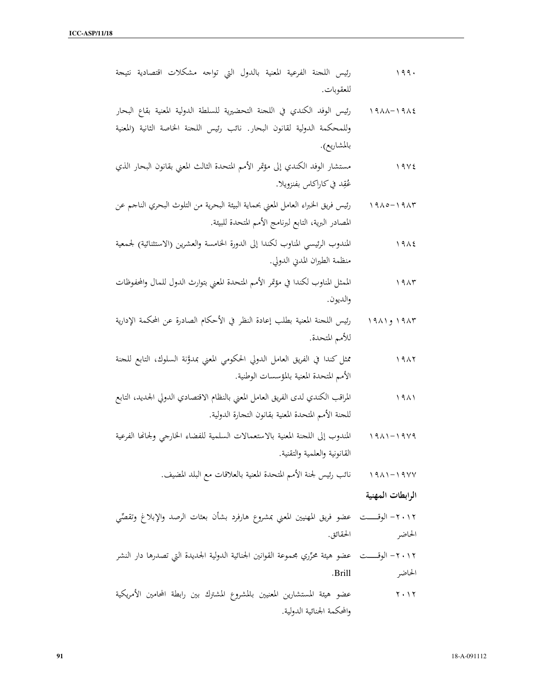## الرابطات المهنية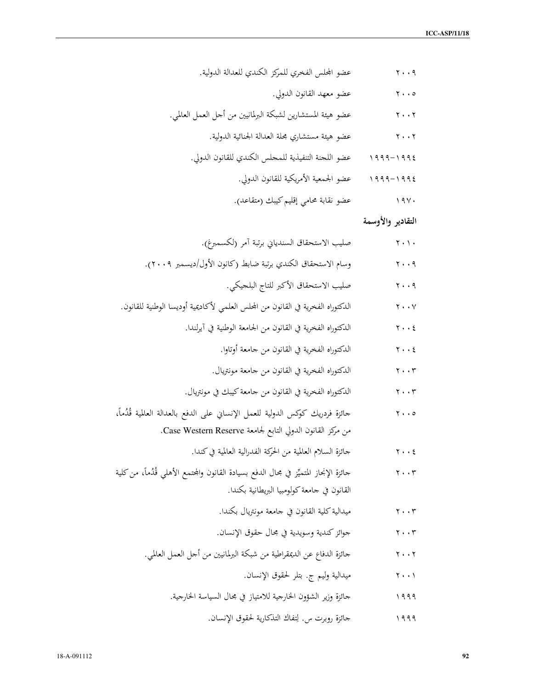| عضو المحلس الفخري للمركز الكندي للعدالة الدولية.            | $\mathbf{y} \cdot \cdot \mathbf{q}$ |
|-------------------------------------------------------------|-------------------------------------|
| عضو معهد القانون الدولي.                                    | $\mathbf{y} \cdot \mathbf{z}$       |
| عضو هيئة المستشارين لشبكة البرلمانيين من أجل العمل العالمي. | $\mathbf{y} \cdot \mathbf{y}$       |
| عضو هيئة مستشاري مجلة العدالة الجنائية الدولية.             | $\mathbf{y} \cdot \mathbf{y}$       |
| عضو اللحنة التنفيذية للمحلس الكندي للقانون الدولي.          | $1999 - 1992$                       |
| عضو الجمعية الأمريكية للقانون الدولي.                       | $1999 - 1992$                       |
| عضو نقابة محامي إقليم كيبك (متقاعد).                        | 194.                                |

التقادير والأوسمة

| $\mathbf{y} \cdot \mathbf{y}$ .     | صليب الاستحقاق السندياني برتبة أمر (لكسمبرغ).                                         |
|-------------------------------------|---------------------------------------------------------------------------------------|
| $\mathbf{y} \cdot \cdot \mathbf{q}$ | وسام الاستحقاق الكندي برتبة ضابط (كانون الأول/ديسمبر ٢٠٠٩).                           |
| $\mathbf{r} \cdot \cdot \mathbf{q}$ | صليب الاستحقاق الأكبر للتاج البلجيكي.                                                 |
| $\mathbf{y} \cdot \mathbf{y}$       | الدكتوراه الفخرية في القانون من المجلس العلمي لأكاديمية أوديسا الوطنية للقانون.       |
| $\mathbf{y} \cdot \cdot \mathbf{z}$ | الدكتوراه الفخرية في القانون من الجامعة الوطنية في آيرلندا.                           |
| $\mathbf{y} \cdot \cdot \mathbf{z}$ | الدكتوراه الفخرية في القانون من جامعة أوتاوا.                                         |
| $\mathbf{y} \cdot \mathbf{y}$       | الدكتوراه الفخرية في القانون من جامعة مونتريال.                                       |
| $\mathbf{y} \cdot \cdot \mathbf{y}$ | الدكتوراه الفخرية في القانون من جامعة كيبك في مونتريال.                               |
| $\mathbf{y} \cdot \mathbf{0}$       | جائزة فردريك كوكس الدولية للعمل الإنساني على الدفع بالعدالة العالمية قُدُماً،         |
|                                     | من مركز القانون الدولي التابع لجامعة Case Western Reserve.                            |
| $\mathbf{y} \cdot \cdot \mathbf{z}$ | جائزة السلام العالمية من الحركة الفدرالية العالمية في كندا.                           |
| $\mathbf{y} \cdot \mathbf{y}$       | حائزة الإنجاز المتميِّز في مجال الدفع بسيادة القانون والمجتمع الأهلي قُدُماً، من كلية |
|                                     | القانون في جامعة كولومبيا البريطانية بكندا.                                           |
| $\mathbf{y} \cdot \mathbf{y}$       | ميدالية كلية القانون في جامعة مونتريال بكندا.                                         |
| $\mathbf{y} \cdot \mathbf{y}$       | جوائز كندية وسويدية في مجال حقوق الإنسان.                                             |
| $\mathbf{y} \cdot \mathbf{y}$       | جائزة الدفاع عن الديمقراطية من شبكة البرلمانيين من أجل العمل العالمي.                 |
| $\mathbf{r} \cdot \cdot \mathbf{v}$ | ميدالية وليم ج. بتلر لحقوق الإنسان.                                                   |
| 1999                                | جائزة وزير الشؤون الخارجية للامتياز في مجال السياسة الخارجية.                         |

١٩٩٩ المستسمة التي يسم الله السلام التفاكيان التي المعلمين الإنسان.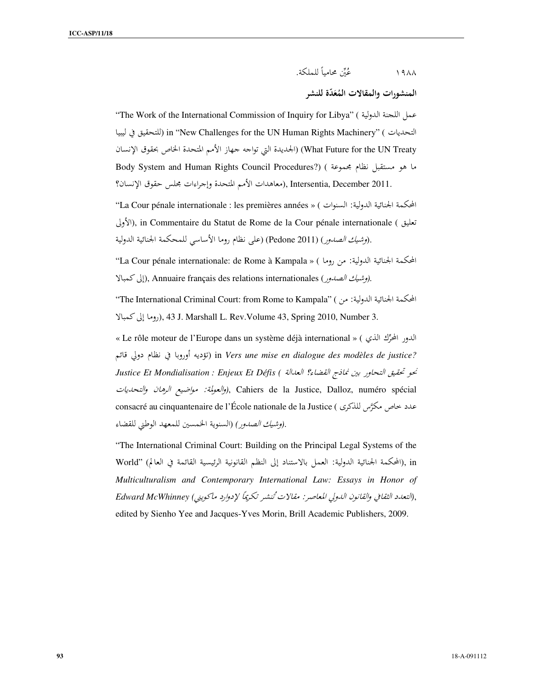المنشورات والمقالات المُعَدّة للنشر

عمل اللحنة الدولية ) ''The Work of the International Commission of Inquiry for Libya'' التحديات ) ''in "New Challenges for the UN Human Rights Machinery (للتحقيق في ليبيا What Future for the UN Treaty) (الجديدة التي تواجه جهاز الأمم المتحدة الخاص بحقوق الإنسان ما هو مستقبل نظام مجموعة ) (?Body System and Human Rights Council Procedures .11 Intersentia, December (معاهدات الأمم المتحدة وإجراءات مجلس حقوق الإنسان؟)

المحكمة الجنائية الدولية: السنوات ) « La Cour pénale internationale : les premières années" تعليق ), in Commentaire du Statut de Rome de la Cour pénale internationale ( الأولى .(*وشيك الصدور*) (Pedone 2011) (على نظام روما الأساسي للمحكمة الجنائية الدولية

المحكمة الجنائية الدولية: من روما ) « La Cour pénale internationale: de Rome à Kampala" الى كعبالا), Annuaire français des relations internationales (إلى كعبالا).

المحكمة الجنائية الدولية: من ) ''The International Criminal Court: from Rome to Kampala'' روما إلى كعبالا), 43 J. Marshall L. Rev.Volume 43, Spring 2010, Number 3.

الدور المحرِّك الذي ) « Le rôle moteur de l'Europe dans un système déjà international » in Vers une mise en dialogue des modèles de justice? (تؤديه أوروبا في نظام دولي قائم نحو تحقيق التحاور بين نماذج القضاء؟ العدالة ) Justice Et Mondialisation : Enjeux Et Défis والعولة: مواضيع الرهان والتحديات, Cahiers de la Justice, Dalloz, numéro spécial عدد خاص مكرَّس للذكرى ) consacré au cinquantenaire de l'École nationale de la Justice <u>(وشيك الصدور)</u> (السنوية الخمسين للمعهد الوطني للقضاء

"The International Criminal Court: Building on the Principal Legal Systems of the in ,(المحكمة الجنائية الدولية: العمل بالاستناد إلى النظم القانونية الرئيسية القائمة في العالم) 'World Multiculturalism and Contemporary International Law: Essays in Honor of ,(التعدد الثقافي والقانون الدولي المعاصر: مقالات ُننشر تكريمًا لإدوارد ماكويني) Edward McWhinney edited by Sienho Yee and Jacques-Yves Morin, Brill Academic Publishers, 2009.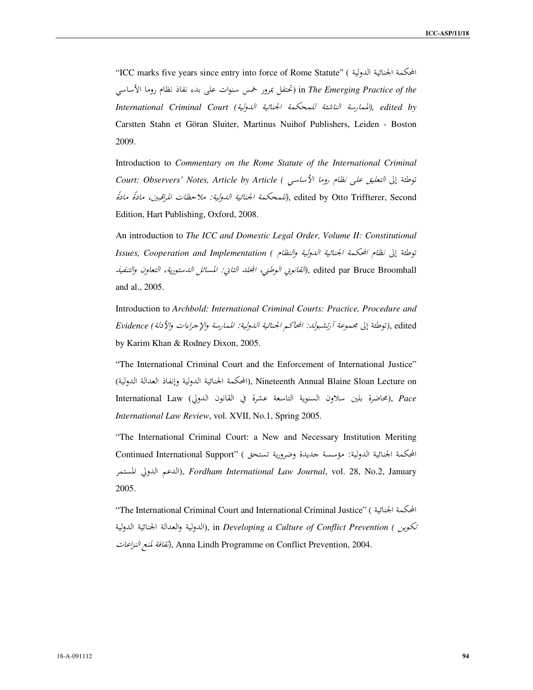"ICC marks five years since entry into force of Rome Statute" ( المحكمة الجنائية الدولية in *The Emerging Practice of the (تحتف*ل بمرور خمس سنوات على بدء نفاذ نظام روما الأساسي lnternational Criminal Court (الممارسة الناشئة للمحكمة الجنائية الدولية), edited by Carstten Stahn et Göran Sluiter, Martinus Nuihof Publishers, Leiden - Boston 2009.

Introduction to *Commentary on the Rome Statute of the International Criminal*  توطئة إلى *التعليق على نظام روما الأساسي ) Court: Observers' Notes, Article by Article* edited by Otto Triffterer, Second, اللمحكم*ة الجنائية الدولية: ملاحظات المراقبين، مادةً مادةً* Edition, Hart Publishing, Oxford, 2008.

An introduction to *The ICC and Domestic Legal Order, Volume II: Constitutional*  توطئة إلى *نظام المحكمة الجنائية الدولية والنظام ) Issues, Cooperation and Implementation* edited par Bruce Broomhall *(القانوني الوطني، الجلد الثاني: المسائل الدستورية، التعاون والتنفيذ* and al., 2005.

Introduction to *Archbold: International Criminal Courts: Practice, Procedure and*  edited ,(توطئة إلى مجمو*عة أرتشبولد: المحاكم الجنائية الدولية: الممارسة والإجراءات والأدلة) Evidence* by Karim Khan & Rodney Dixon, 2005.

"The International Criminal Court and the Enforcement of International Justice" (المحكمة الجنائية الدولية وإنفاذ العدالة الدولية), Nineteenth Annual Blaine Sloan Lecture on جاضرة بلين سلاون السنوية التاسعة عشرة في القانون الدولي) International Law *International Law Review*, vol. XVII, No.1, Spring 2005.

"The International Criminal Court: a New and Necessary Institution Meriting المحكمة الجنائية الدولية: مؤسسة جديدة وضرورية تستحق ) "Continued International Support .e6 ®\*+ j3+), *Fordham International Law Journal*, vol. 28, No.2, January 2005.

"The International Criminal Court and International Criminal Justice" ( المحكمة الجنائية ) تك*وين* ) Developing a Culture of Conflict Prevention (الدولية والعدالة الجنائية الدولية, in *Developing a Culture of Conf*lict Prevention @-3= }=6 #-,*)*, Anna Lindh Programme on Conflict Prevention, 2004.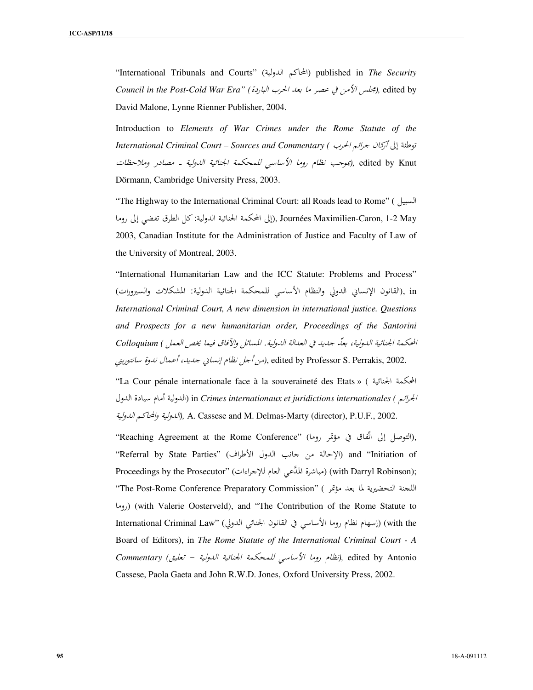"International Tribunals and Courts" (#\*+ jc-R) published in *The Security*  cdited by ,فجلس الأمن في عصر ما بعد الحرب الباردة) ( Council in the Post-Cold War Era David Malone, Lynne Rienner Publisher, 2004.

Introduction to *Elements of War Crimes under the Rome Statute of the*  توطئة إلى *أركان جرائم الحرب ) International Criminal Court – Sources and Commentary* edited by Knut, (بموجب نظام روما الأساسي للمحكمة الجنائية الدولية ـ مصادر وملاحظات Dörmann, Cambridge University Press, 2003.

"The Highway to the International Criminal Court: all Roads lead to Rome" ( السبيل الى المحكمة الجنائية الدولية: كل الطرق تفضي إلى روما(), Journées Maximilien-Caron, 1-2 May 2003, Canadian Institute for the Administration of Justice and Faculty of Law of the University of Montreal, 2003.

"International Humanitarian Law and the ICC Statute: Problems and Process" (القانون الإنساني الدولي والنظام الأساسي للمحكمة الجنائية الدولية: المشكلات والسيرورات), in *International Criminal Court, A new dimension in international justice. Questions and Prospects for a new humanitarian order, Proceedings of the Santorini*  المحكمة الجنائية الدولية، بعلٌّـ جديد في العدالة الدولية. المسائل والآفاق فيما يخص العمل ) Colloquium edited by Professor S. Perrakis, 2002. (من *أحل نظام إنساني جديد، أعمال ندوة سانتوريني* 

"La Cour pénale internationale face à la souveraineté des Etats » ( المحكمة الجنائية ) الجر*ائم ) i*n *Crimes internationaux et juridictions internationales* (الدولية أمام سيادة الدول ل*الدولية والمحاكم الدولية)*, A. Cassese and M. Delmas-Marty (director), P.U.F., 2002.

"Reaching Agreement at the Rome Conference" (بالتوصل إلى اتَّفاق في مؤتمر روما), "Referral by State Parties" (الإحالة من جانب الدول الأطراف) "Referral by State Parties" Proceedings by the Prosecutor" (سباشرة المدَّعي العام للإجراءات) (with Darryl Robinson); اللحنة التحضيرية لما بعد مؤتمر ) "The Post-Rome Conference Preparatory Commission" ريوما) (with Valerie Oosterveld), and "The Contribution of the Rome Statute to with the (إسهام نظام روما الأساسي في القانون الجنائي الدولي) ("International Criminal Law Board of Editors), in *The Rome Statute of the International Criminal Court - A*  cdited by Antonio*,(نظام روما الأساسي للمحكمة الجنائية الدولية – تعليق),* edited by Antonio Cassese, Paola Gaeta and John R.W.D. Jones, Oxford University Press, 2002.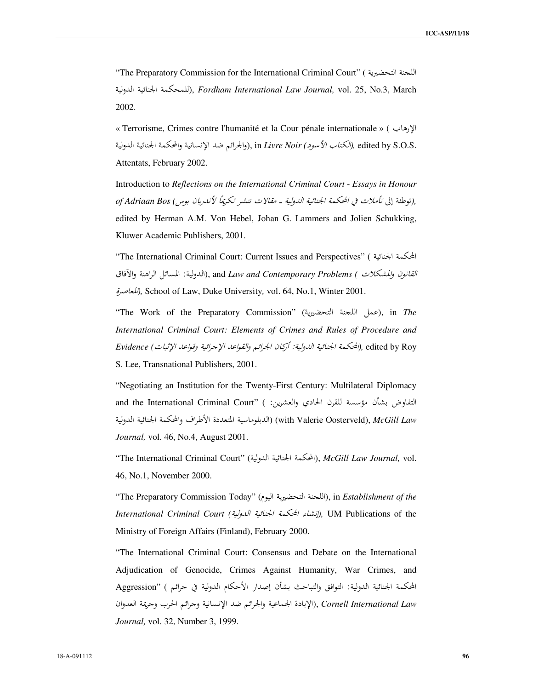"The Preparatory Commission for the International Criminal Court" ( #F>G. #=HD للمحكمة الجنائية الدولية), *Fordham International Law Journal*, vol. 25, No.3, March 2002.

« Terrorisme, Crimes contre l'humanité et la Cour pénale internationale » ( الإرهاب فياد الإنسانية والمحكمة الجنائية الدولية, in *Livre Noir (), e*dited by S.O.S. Attentats, February 2002.

Introduction to *Reflections on the International Criminal Court* - *Essays in Honour*  of Adriaan Bos (توطئة إلى *تأملات في المحكمة الجنائية الدولية ـ مقالات تنشر تكريماً لأندريان بوس),* edited by Herman A.M. Von Hebel, Johan G. Lammers and Jolien Schukking, Kluwer Academic Publishers, 2001.

"The International Criminal Court: Current Issues and Perspectives" ( المحكمة الجنائية ) *القانون والمشكلات ),* and *Law and Contemporary Problems ( الدولية: المسائل الراهنة والآفاق* 8A-6*),* School of Law, Duke University*,* vol. 64, No.1, Winter 2001.

"The Work of the Preparatory Commission" (#F>G. #=HD l3), in *The International Criminal Court: Elements of Crimes and Rules of Procedure and*  Evidence ( (المحكم*ة الجنائية الدولية: أركان الجرائم والقواعد الإجرائية وقواعد الإثبات),* edited by Roy S. Lee, Transnational Publishers, 2001.

"Negotiating an Institution for the Twenty-First Century: Multilateral Diplomacy and the International Criminal Court" ( التفاوض بشأن مؤسسة للقرن الحادي والعشرين: ) #\*+ #Q-=\$ #5R\* &'( 8U+.6 #L-;
D/+) (with Valerie Oosterveld), *McGill Law Journal,* vol. 46, No.4, August 2001.

"The International Criminal Court" (المحكمة الجنائية الدولية), *McGill Law Journal*, vol. 46, No.1, November 2000.

"The Preparatory Commission Today" (اللحنة التحضيرية اليوم), in *Establishment of the* International Criminal Court (إِ*بَشَاءِ المُحكَمَّة الجَنائيَّة الدولية)*, UM Publications of the Ministry of Foreign Affairs (Finland), February 2000.

"The International Criminal Court: Consensus and Debate on the International Adjudication of Genocide, Crimes Against Humanity, War Crimes, and المحكمة الجنائية الدولية: التوافق والتباحث بشأن إصدار الأحكام الدولية في جرائم ) "Aggression الإنادة الجماعية والجرائم ضد الإنسانية وجرائم الحرب وجريمة العدوان), *Cornell International Law Journal,* vol. 32, Number 3, 1999.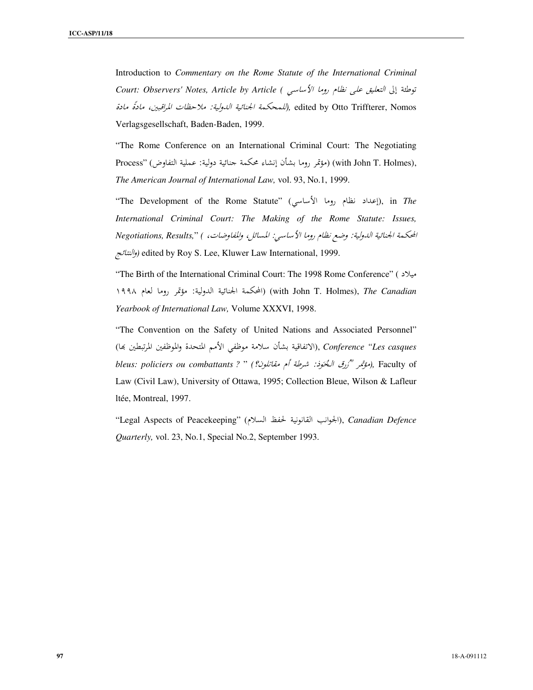Introduction to *Commentary on the Rome Statute of the International Criminal*  توطئة إلى *التعليق على نظام روما الأساسي ) Court: Observers' Notes, Article by Article* edited by Otto Triffterer, Nomos ,*المحكمة الجنائية الدولية: ملاحظات المراقبين، مادةً مادة* Verlagsgesellschaft, Baden-Baden, 1999.

"The Rome Conference on an International Criminal Court: The Negotiating Process" (مؤتمر روما بشأن إنشاء محكمة جنائية دولية: عملية التفاوض) "Process *The American Journal of International Law,* vol. 93, No.1, 1999.

"The Development of the Rome Statute" (إعداد نظام روما الأساسي)" *International Criminal Court: The Making of the Rome Statute: Issues,*  المحكمة الجنائية اللىولية: وضع نظام روما الأساسي: المسائل، والمفاوضات، ) ",Negotiations, Results ÅQ-.=\**)* edited by Roy S. Lee, Kluwer Law International, 1999.

"The Birth of the International Criminal Court: The 1998 Rome Conference" ( U2; uith John T. Holmes), *The Canadian (المحكمة الجنائية الدولية: مؤتمر روما لعام ١٩٩*٨ *Yearbook of International Law,* Volume XXXVI, 1998.

"The Convention on the Safety of United Nations and Associated Personnel" (الاتفاقية بشأن سلامة موظفي الأمم المتحدة والموظفين المرتبطين بما), *Conference "Les casques* bleus: policiers ou combattants ? " ( م*ُؤْمَّر "'ُزْرِقْ الْخُوَ*ّذ: شَرْ*طَة* أَم مُقَاتَلُونَ؟ ), Faculty of Law (Civil Law), University of Ottawa, 1995; Collection Bleue, Wilson & Lafleur ltée, Montreal, 1997.

"Legal Aspects of Peacekeeping" (الجوانب القانونية لحفظ السلام)*, Canadian Defence Quarterly,* vol. 23, No.1, Special No.2, September 1993.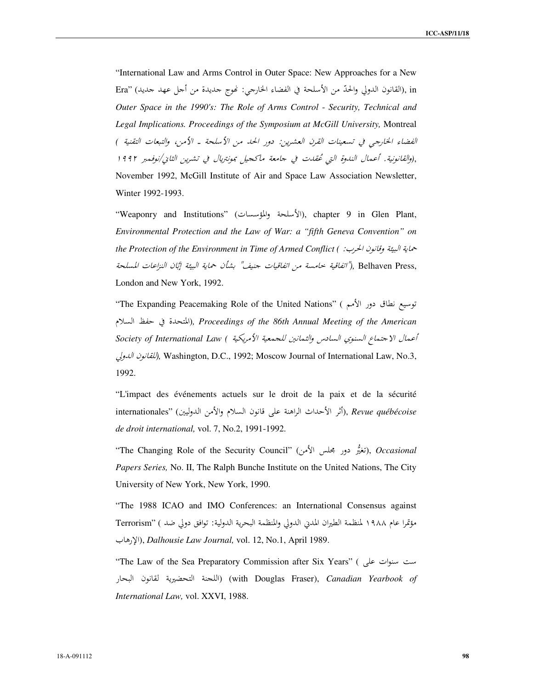"International Law and Arms Control in Outer Space: New Approaches for a New in ,(القانون الدولي والحدّ من الأسلحة في الفضاء الخارجي: نحوج حديدة من أحل عهد حديد) ''Era Outer Space in the 1990's: The Role of Arms Control - Security, Technical and Legal Implications. Proceedings of the Symposium at McGill University, Montreal الفضاء الخارجي في تسعينات القرن العشرين: دور الحد من الأسلحة ـ الأمن، والتبعات التقنية ) ,(والقانونية. أعمال الندوة التي مُقلدت في جامعة ماكحيل بمونتريال في تشرين الثاني/نوفمبر ١٩٩٢ November 1992, McGill Institute of Air and Space Law Association Newsletter, Winter 1992-1993.

"Weaponry and Institutions" (الأسلحة والمؤسسات), chapter 9 in Glen Plant, Environmental Protection and the Law of War: a "fifth Geneva Convention" on حماية البيئة وقانون الحرب: ) the Protection of the Environment in Time of Armed Conflict ,Belhaven Press ,("اتفاقية خامسة من اتفاقيات جنيف" بشأن حماية البيئة إبَّان النزاعات المسلحة London and New York, 1992.

توسيع نطاق دور الأمم ) "The Expanding Peacemaking Role of the United Nations" المتحدة في حفظ السلام), Proceedings of the 86th Annual Meeting of the American أعمال الاجتماع السنوي السادس والثمانين للجمعية الأمريكية ) Society of International Law للقانون اللدولي), Washington, D.C., 1992; Moscow Journal of International Law, No.3, 1992.

"L'impact des événements actuels sur le droit de la paix et de la sécurité internationales" (أثر الأحداث الراهنة على قانون السلام والأمن الدوليين) "internationales de droit international, vol. 7, No.2, 1991-1992.

"The Changing Role of the Security Council" (تغيُّر دور مجلس الأمن), *Occasional Papers Series*, No. II, The Ralph Bunche Institute on the United Nations, The City University of New York, New York, 1990.

"The 1988 ICAO and IMO Conferences: an International Consensus against مؤتمرًا عام ١٩٨٨ لمنظمة الطيران المدنى الدولي والمنظمة البحرية الدولية: توافق دولي ضد ) "Terrorism الإرهاب), *Dalhousie Law Journal*, vol. 12, No.1, April 1989.

ست سنوات على ) "The Law of the Sea Preparatory Commission after Six Years" اللجنة التحضيرية لقانون البحار) (with Douglas Fraser), Canadian Yearbook of International Law, vol. XXVI, 1988.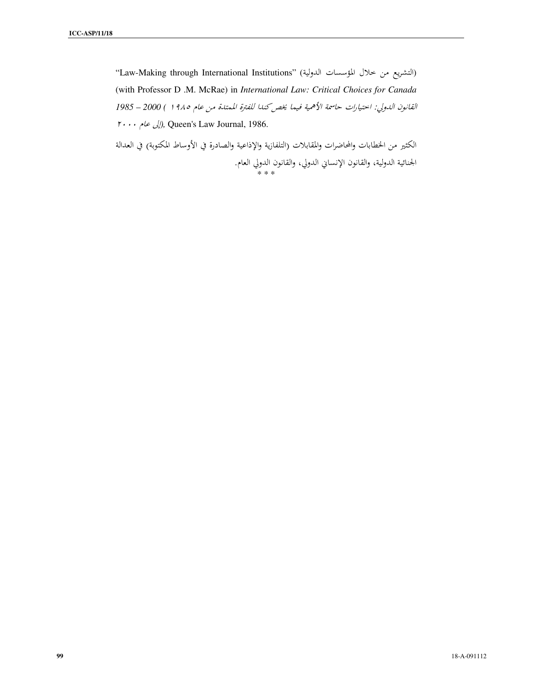"التشريع من خلال المؤسسات الدولية) "Law-Making through International Institutions" (with Professor D .M. McRae) in International Law: Critical Choices for Canada القانون الدولي: اختيارات حاسمة الأهمية فيما يخص كندا للفترة الممتدة من عام ١٩٨٥ / 2000 – 1985  $\uparrow \cdot \cdot \cdot$ وایی عام), Queen's Law Journal, 1986.

الكثير من الخطابات والمحاضرات والمقابلات (التلفازية والإذاعية والصادرة في الأوساط المكتوبة) في العدالة الجنائية الدولية، والقانون الإنساني الدولي، والقانون الدولي العام.<br>\* \* \*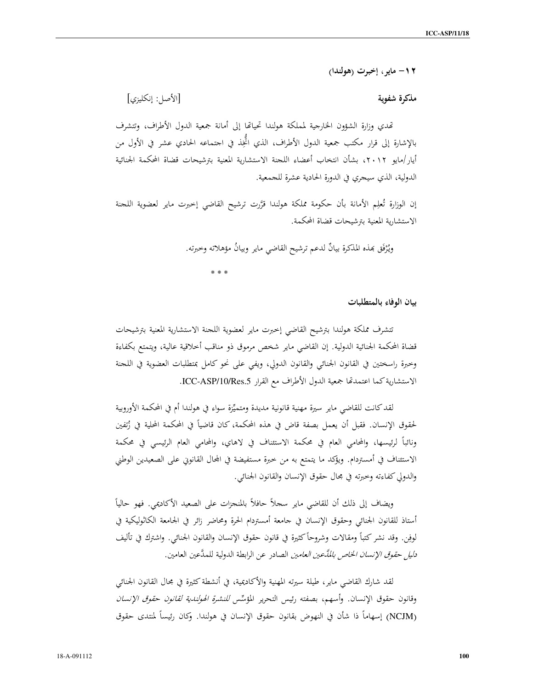١٢- ماير، إخبرت (هولندا)

[الأصل: إنكليزي]

مذكرة شفوية

تهدى وزارة الشؤون الخارجية لمملكة هولندا تحياتها إلى أمانة جمعية الدول الأطراف، وتتشرف بالإشارة إلى قرار مكتب جمعية الدول الأطراف، الذي اتَّخِذ في اجتماعه الحادي عشر في الأول من أيار/مايو ٢٠١٢، بشأن انتخاب أعضاء اللجنة الاستشارية المعنية بترشيحات قضاة المحكمة الجنائية الدولية، الذي سيجري في الدورة الحادية عشرة للجمعية.

إن الوزارة تُعلِم الأمانة بأن حكومة مملكة هولندا قرَّرت ترشيح القاضي إخبرت ماير لعضوية اللجنة الاستشارية المعنية بترشيحات قضاة المحكمة.

ويُرْفَق بَمذه المذكرة بيانٌ لدعم ترشيح القاضي ماير وبيانُ مؤهلاته وخبرته.

\* \* \*

بيان الوفاء بالمتطلبات

تتشرف مملكة هولندا بترشيح القاضى إخبرت ماير لعضوية اللجنة الاستشارية المعنية بترشيحات قضاة المحكمة الجنائية الدولية. إن القاضي ماير شخص مرموق ذو مناقب أخلاقية عالية، ويتمتع بكفاءة وخبرة راسختين في القانون الجنائبي والقانون الدولي، ويفي على نحو كامل بمتطلبات العضوية في اللجنة الاستشارية كما اعتمدتها جمعية الدول الأطراف مع القرار ICC-ASP/10/Res.5.

لقد كانت للقاضي ماير سيرة مهنية قانونية مديدة ومتميِّزة سواء في هولندا أم في المحكمة الأوروبية لحقوق الإنسان. فقبل أن يعمل بصفة قاض في هذه المحكمة، كان قاضياً في المحكمة المحلية في زُتفين ونائباً لرئيسها، والمحامى العام في محكمة الاستئناف في لاهاي، والمحامي العام الرئيسي في محكمة الاستئناف في أمستردام. ويؤكد ما يتمتع به من خبرة مستفيضة في المحال القانوني على الصعيدين الوطني والدولي كفاءته وخبرته في مجال حقوق الإنسان والقانون الجنائي.

ويضاف إلى ذلك أن للقاضي ماير سحلاً حافلاً بالمنحزات على الصعيد الأكاديمي. فهو حالياً أستاذ للقانون الجنائي وحقوق الإنسان في جامعة أمستردام الحرة ومحاضر زائر في الجامعة الكاثوليكية في لوفِن. وقد نشر كتباً ومقالات وشروحاً كثيرة في قانون حقوق الإنسان والقانون الجنائي. واشترك في تأليف *دليل حقوق الإنسان الخاص بالمدَّعين العامين* الصادر عن الرابطة الدولية للمدَّعين العامين.

لقد شارك القاضي ماير، طيلة سيرته المهنية والأكاديمية، في أنشطة كثيرة في مجال القانون الجنائي وقانون حقوق الإنسان. وأسهم، بصفته رئيس التحرير المؤسِّس *للنشرة الهولندية لقانون حقوق الإنسان* (NCJM) إسهاماً ذا شأن في النهوض بقانون حقوق الإنسان في هولندا. وكان رئيساً لمنتدى حقوق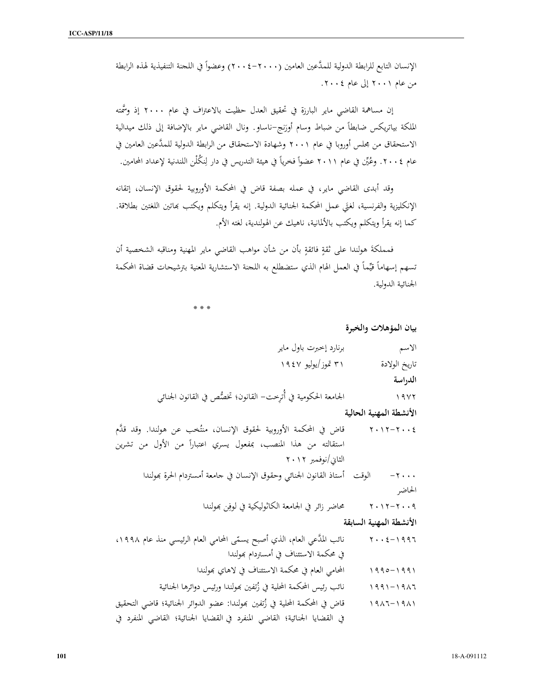الإنسان التابع للرابطة الدولية للمدَّعين العامين (٢٠٠٠-٢٠٠٤) وعضواً في اللحنة التنفيذية لهذه الرابطة من عام ۲۰۰۱ إلى عام ۲۰۰٤.

إن مساهمة القاضي ماير البارزة في تحقيق العدل حظيت بالاعتراف في عام ٢٠٠٠ إذ وسَّمته الملكة بياتريكس ضابطاً من ضباط وسام أورَنج-ناساو. ونال القاضي ماير بالإضافة إلى ذلك ميدالية الاستحقاق من مجلس أوروبا في عام ٢٠٠١ وشهادة الاستحقاق من الرابطة الدولية للمدَّعين العامين في عام ٢٠٠٤. وعُيِّن في عام ٢٠١١ عضواً فخرياً في هيئة التدريس في دار لِنكُلْن اللندنية لإعداد المحامين.

وقد أبدى القاضى ماير، في عمله بصفة قاض في المحكمة الأوروبية لحقوق الإنسان، إتقانه الإنكليزية والفرنسية، لغتَى عمل المحكمة الجنائية الدولية. إنه يقرأ ويتكلم ويكتب بماتين اللغتين بطلاقة. كما إنه يقرأ ويتكلم ويكتب بالألمانية، ناهيك عن الهولندية، لغته الأم.

فمملكةَ هولندا على ثقةِ فائقةِ بأن من شأن مواهب القاضي ماير المهنية ومناقبه الشخصية أن تسهم إسهاماً قيِّماً في العمل الهام الذي ستضطلع به اللجنة الاستشارية المعنية بترشيحات قضاة المحكمة الجنائية الدولية.

\* \* \*

بيان المؤهلات والخبرة

الأنشطة المهنية الحالية

الوقت \_ أستاذ القانون الجنائي وحقوق الإنسان في جامعة أمستردام الحرة بمولندا  $-\gamma + \cdots$ 

الحاضر

٩

## الأنشطة المهنية السابقة

١٩٨٦–١٩٩١ نائب رئيس المحكمة المحلية في زُتفين بمولندا ورئيس دوائرها الجنائية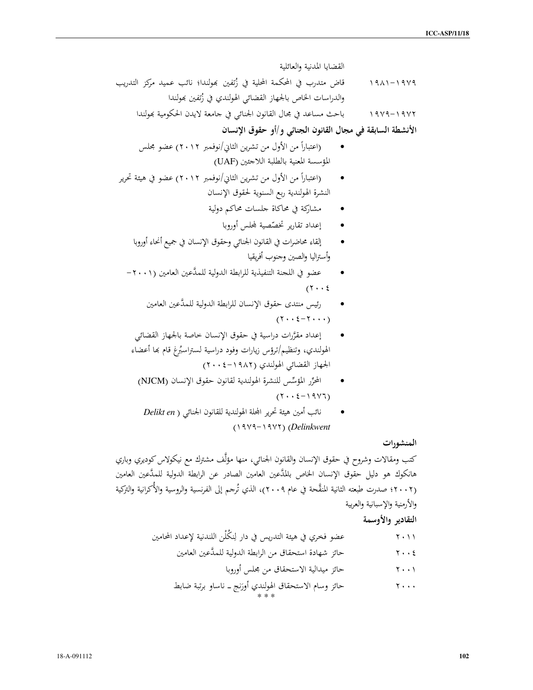القضايا المدنية والعائلية

قاض متدرب في المحكمة المحلية في زُنفين بمولندا؛ نائب عميد مركز التدريب والدراسات الخاص بالجهاز القضائي الهولندي في زُتفين بمولندا

باحث مساعد في مجال القانون الجنائبي في جامعة لايدن الحكومية بمولندا  $\begin{array}{c}\n\diagup 1 & 0 \\
\diagup 0 & 0 \\
\diagdown 0 & 0\n\end{array}$ 

- الأنشطة السابقة في مجال القانون الجنائي و/أو حقوق الإنسان
- (اعتباراً من الأول من تشرين الثاني/نوفمبر ٢٠١٢) عضو مجلس المؤسسة المعنية بالطلبة اللاجئين (UAF)
- (اعتباراً من الأول من تشرين الثاني/نوفمبر ٢٠١٢) عضوٍ في هيئة تحرير  $\bullet$ النشرة الهولندية ربع السنوية لحقوق الإنسان
	- مشاركة في محاكاة جلسات محاكم دولية  $\bullet$ 
		- إعداد تقارير تخصّصية لمحلس أوروبا
	- إلقاء محاضرات في القانون الجنائي وحقوق الإنسان في جميع أنحاء أوروبا  $\bullet$ وأستراليا والصين وجنوب أفريقيا
	- عضو في اللحنة التنفيذية للرابطة الدولية للمدَّعين العامين (٢٠٠١- $\bullet$  $(1 \cdot 2)$ 
		- رئيس منتدى حقوق الإنسان للرابطة الدولية للمدَّعين العامين  $(1 \cdot \cdot \xi - 1 \cdot \cdot \cdot)$
	- إعداد مقرَّرات دراسية في حقوق الإنسان خاصة بالجهاز القضائي الهولندي، وتنظيم/ترؤس زيارات وفود دراسية لستراسبُرغ قام بما أعضاء الجهاز القضائي الهولندي (١٩٨٢-٢٠٠٤)
		- المحرِّر المؤسِّس للنشرة الهولندية لقانون حقوق الإنسان (NJCM)  $(Y \cdot \xi - 19V)$ 
			- نائب أمين هيئة تحرير المجلة الهولندية للقانون الجنائي ( Delikt en  $(19Y9 - 19Y5)$  (Delinkwent

#### المنشورات

كتب ومقالات وشروح في حقوق الإنسان والقانون الجنائي، منها مؤلَّف مشترك مع نيكولاس كوديري وباري هانكوك هو دليل حقوق الإنسان الخاص بالمدَّعين العامين الصادر عن الرابطة الدولية للمدَّعين العامين (٢٠٠٢؛ صدرت طبعته الثانية المنقَّحة في عام ٢٠٠٩)، الذي تُرجم إلى الفرنسية والروسية والأُكرانية والتركية والأرمنية والإسبانية والعربية

#### التقادير والأوسمة

- حائز شهادة استحقاق من الرابطة الدولية للمدَّعين العامين  $\mathbf{y} \cdot \cdot \mathbf{z}$ 
	- حائز ميدالية الاستحقاق من محلس أوروبا  $\gamma \cdot \cdot \gamma$
- حائز وسام الاستحقاق الهولندي أوزنج ــ ناساو برتبة ضابط  $\mathbf{y} \cdot \cdot \cdot$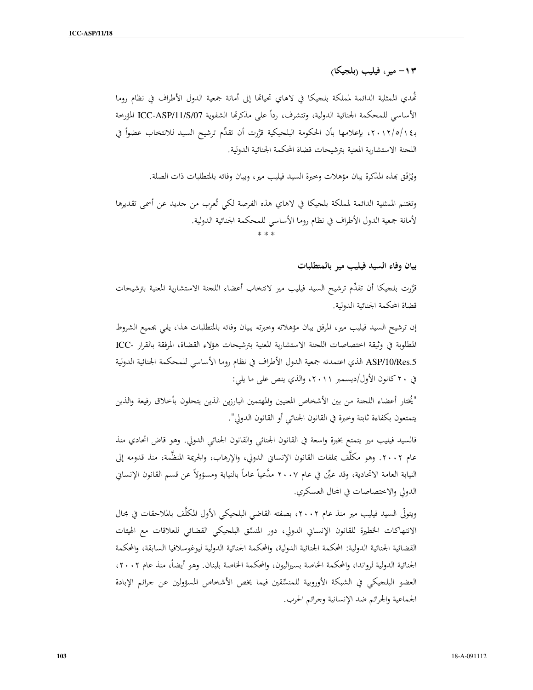۱۳– میر، فیلیب (بلجیکا)

تُّهدى الممثلية الدائمة لمملكة بلجيكا في لاهاى تحياتما إلى أمانة جمعية الدول الأطراف في نظام روما الأساسي للمحكمة الجنائية الدولية، وتتشرف، رداً على مذكرتما الشفوية ICC-ASP/11/S/07 المؤرخة بـ٤ ٢٠١٢/٥/١)، بإعلامها بأن الحكومة البلحيكية قرَّرت أن تقدِّم ترشيح السيد للانتخاب عضواً في اللجنة الاستشارية المعنية بترشيحات قضاة المحكمة الجنائية الدولية.

ويُرْفَق بَحذه المذكرة بيان مؤهلات وخبرة السيد فيليب مير، وبيان وفائه بالمتطلبات ذات الصلة.

وتغتنم الممثلية الدائمة لمملكة بلحيكا في لاهاي هذه الفرصة لكي تُعرِب من جديد عن أسمى تقديرها لأمانة جمعية الدول الأطراف في نظام روما الأساسي للمحكمة الجنائية الدولية.<br>\* \* \*

#### بيان وفاء السيد فيليب مير بالمتطلبات

قرَّرت بلحيكا أن تقدِّم ترشيح السيد فيليب مير لانتخاب أعضاء اللحنة الاستشارية المعنية بترشيحات قضاة المحكمة الجنائية الدولية.

إن ترشيح السيد فيليب مير، المرفق بيان مؤهلاته وخبرته ببيان وفائه بالمتطلبات هذا، يفي بجميع الشروط المطلوبة في وثيقة اختصاصات اللحنة الاستشارية المعنية بترشيحات هؤلاء القضاة، المرفقة بالقرار -ICC ASP/10/Res.5 الذي اعتمدته جمعية الدول الأطراف في نظام روما الأساسي للمحكمة الجنائية الدولية في ٢٠ كانون الأول/ديسمبر ٢٠١١، والذي ينص على ما يلي:

"يُختار أعضاء اللحنة من بين الأشخاص المعنيين والمهتمين البارزين الذين يتحلون بأخلاق رفيعة والذين يتمتعون بكفاءة ثابتة وخبرة في القانون الجنائي أو القانون الدولي".

فالسيد فيليب مير يتمتع بخبرة واسعة في القانون الجنائي والقانون الجنائي الدولي. وهو قاض اتحادي منذ عام ٢٠٠٢. وهو مكلَّف بملفات القانون الإنساني الدولي، والإرهاب، والجريمة المنظَّمة، منذ قدومه إلى النيابة العامة الاتحادية، وقد عيِّن في عام ٢٠٠٧ ملَّـعياً عاماً بالنيابة ومسؤولاً عن قسم القانون الإنساني الدولي والاختصاصات في المحال العسكري.

ويتولَّى السيد فيليب مير منذ عام ٢٠٠٢، بصفته القاضي البلجيكي الأول المكلَّف بالملاحقات في مجال الانتهاكات الخطيرة للقانون الإنساني الدولي، دور المنسِّق البلجيكي القضائي للعلاقات مع الهيئات القضائية الجنائية الدولية: المحكمة الجنائية الدولية، والمحكمة الجنائية الدولية ليوغوسلافيا السابقة، والمحكمة الجنائية الدولية لرواندا، والمحكمة الخاصة بسيراليون، والمحكمة الخاصة بلبنان. وهو أيضاً، منذ عام ٢٠٠٢، العضو البلجيكي في الشبكة الأوروبية للمنسِّقين فيما يخص الأشخاص المسؤولين عن جرائم الإبادة الجماعية والجرائم ضد الإنسانية وجرائم الحرب.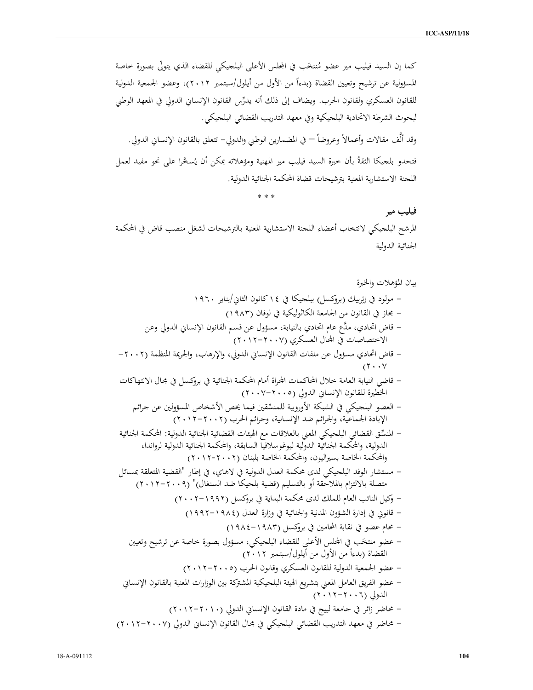كما إن السيد فيليب مير عضو مُنتخَب في المجلس الأعلى البلجيكي للقضاء الذي يتولَّى بصورة خاصة المسؤولية عن ترشيح وتعيين القضاة (بدءاً من الأول من أيلول/سبتمبر ٢٠١٢)، وعضو الجمعية الدولية للقانون العسكري ولقانون الحرب. ويضاف إلى ذلك أنه يدرِّس القانون الإنساني الدولي في المعهد الوطني لبحوث الشرطة الاتحادية البلجيكية وفي معهد التدريب القضائي البلجيكي. وقد ألَّف مقالات وأعمالاً وعروضاً — في المضمارين الوطني والدولي- تتعلق بالقانون الإنساني الدولي. فتحدو بلجيكا الثقةُ بأن خبرة السيد فيليب مير المهنية ومؤهلاته يمكن أن يُسحَّرا على نحو مفيد لعمل اللحنة الاستشارية المعنية بترشيحات قضاة المحكمة الجنائية الدولية.

 $* * *$ 

## فيليب مير

المرشح البلحيكي لانتخاب أعضاء اللحنة الاستشارية المعنية بالترشيحات لشغل منصب قاض في المحكمة الجنائية الدولية

### بيان المؤهلات والخبرة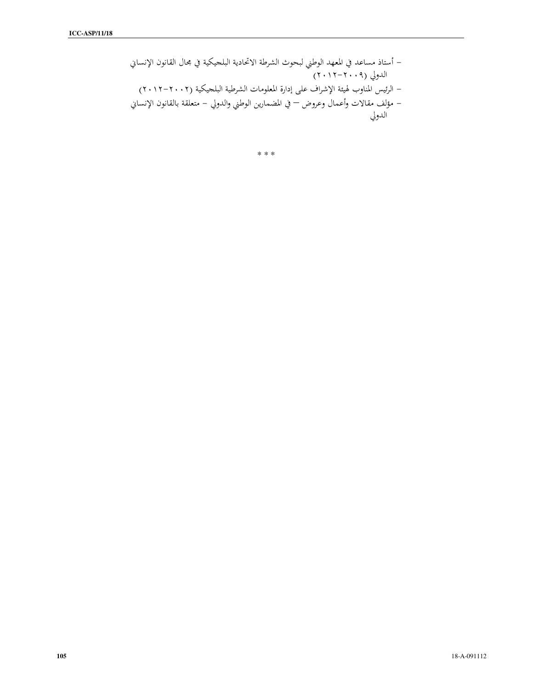$\ast\ast\ast$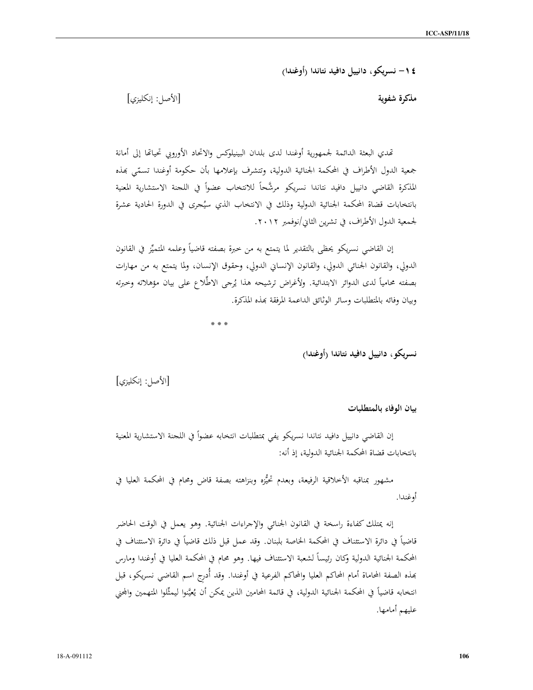٤ ١ – نسريكو ، دانييل دافيد نتاندا (أوغندا)

مذكرة شفوية

[الأصل: إنكليزي]

تَّمدي البعثة الدائمة لجمهورية أوغندا لدى بلدان البينيلوكس والاتحاد الأوروبي تحياتها إلى أمانة جمعية الدول الأطراف في المحكمة الجنائية الدولية، وتتشرف بإعلامها بأن حكومة أوغندا تسمّى بمذه المذكرة القاضي دانييل دافيد نتاندا نسريكو مرشَّحاً للانتخاب عضواً في اللحنة الاستشارية المعنية بانتخابات قضاة المحكمة الجنائية الدولية وذلك في الانتخاب الذي سيُجرى في الدورة الحادية عشرة لجمعية الدول الأطراف، في تشرين الثاني/نوفمبر ٢٠١٢.

إن القاضي نسريكو يحظى بالتقدير لما يتمتع به من حبرة بصفته قاضياً وعلمه المتميِّز في القانون الدولي، والقانون الجنائي الدولي، والقانون الإنساني الدولي، وحقوق الإنسان، ولما يتمتع به من مهارات بصفته محامياً لدى الدوائر الابتدائية. ولأغراض ترشيحه هذا يُرجى الاطِّلاع على بيان مؤهلاته وحبرته وبيان وفائه بالمتطلبات وسائر الوثائق الداعمة المرفقة بمذه المذكرة.

半半斗

نسریکو ، دانییل دافید نتاندا (أوغندا)

[الأصل: إنكليزي]

بيان الوفاء بالمتطلبات

إن القاضي دانييل دافيد نتاندا نسريكو يفي بمتطلبات انتخابه عضواً في اللحنة الاستشارية المعنية بانتخابات قضاة المحكمة الجنائية الدولية، إذ أنه:

مشهور بمناقبه الأخلاقية الرفيعة، وبعدم تحيُّزِه وبنزاهته بصفة قاض ومحام في المحكمة العليا في أوغندا.

إنه يمتلك كفاءة راسخة في القانون الجنائي والإجراءات الجنائية. وهو يعمل في الوقت الحاضر قاضياً في دائرة الاستئناف في المحكمة الخاصة بلبنان. وقد عمل قبل ذلك قاضياً في دائرة الاستئناف في المحكمة الجنائية الدولية وكان رئيساً لشعبة الاستئناف فيها. وهو محام في المحكمة العليا في أوغندا ومارس بَعده الصفة المحاماة أمام المحاكم العليا والمحاكم الفرعية في أوغندا. وقد أُدرج اسم القاضى نسريكو، قبل انتخابه قاضياً في المحكمة الجنائية الدولية، في قائمة المحامين الذين يمكن أن يُعيَّنوا ليمثِّلوا المتهمين والمجنى عليهم أمامها.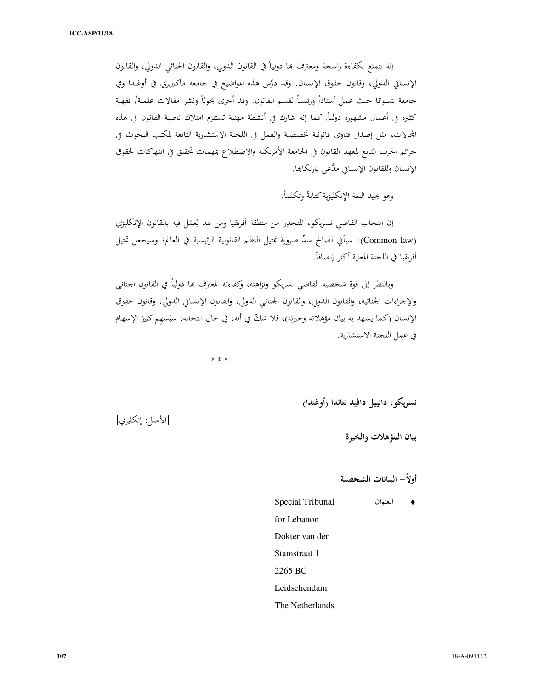إنه يتمتع بكفاءة راسخة ومعترف بما دولياً في القانون الدولي، والقانون الجنائي الدولي، والقانون الإنساني الدولي، وقانون حقوق الإنسان. وقد درَّس هذه المواضيع في جامعة ماكيريري في أوغندا وفي جامعة بتسوانا حيث عمل أستاذاً ورئيساً لقسم القانون. وقد أجرى بحوثاً ونشر مقالات علمية/ فقهية كثيرة في أعمال مشهورة دولياً. كما إنه شارك في أنشطة مهنية تستلزم امتلاك ناصية القانون في هذه المحالات، مثل إصدار فتاوى قانونية تخصصية والعمل في اللحنة الاستشارية التابعة لمكتب البحوث في جرائم الحرب التابع لمعهد القانون في الجامعة الأمريكية والاضطلاع بمهمات تحقيق في انتهاكات لحقوق الإنسان وللقانون الإنساني مدَّعي بارتكابها.

وهو يجيد اللغة الإنكليزية كتابةً وتكلماً.

إن انتخاب القاضي نسريكو، المنحدِر من منطقة أفريقيا ومن بلد يُعمَل فيه بالقانون الإنكليزي (Common law)، سيأتي لصالح سدٍّ ضرورة تمثيل النظم القانونية الرئيسية في العالم؛ وسيحعل تمثيل أفريقيا في اللجنة المعنية أكثر إنصافاً.

وبالنظر إلى قوة شخصية القاضي نسريكو ونزاهته، وكفاءته المعترِّف بما دولياً في القانون الجنائبي والإجراءات الجنائية، والقانون الدولي، والقانون الجنائبي الدولي، والقانون الإنساني الدولي، وقانون حقوق الإنسان (كما يشهد به بيان مؤهلاته وخبرته)، فلا شكَّ في أنه، في حال انتخابه، سيُسهم كبيرَ الإسهام في عمل اللجنة الاستشارية.

\* \* \*

نسریکو ، دانپیل دافید نتاندا (أوغندا)

[الأصل: إنكليزي]

بيان المؤهلات والخبرة

أولأ– البيانات الشخصية

Special Tribunal العنوان for Lebanon Dokter van der Stamstraat 1 2265 BC Leidschendam

The Netherlands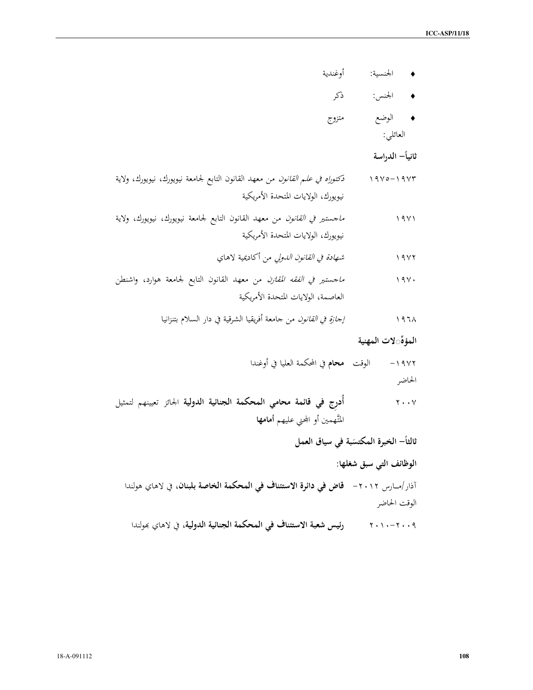- ♦ الجنسية: أوغندية
	- ذكر ♦ الجنس:
- ♦ الوضع متزوج العائلي:

ثانياً– الدراسة

- د*كتوراه في علم القانون* من معهد القانون التابع لجامعة نيويورك، نيويورك، ولاية  $19V0 - 19V5$ نيويورك، الولايات المتحدة الأمريكية
- ماجستير في *القانون* من معهد القانون التابع لجامعة نيويورك، نيويورك، ولاية  $19Y1$ نيويورك، الولايات المتحدة الأمريكية
	- شه*ادة في القانون الدولي* من أكاديمية لاهاي  $19Y$
- م*اجستير في الفقه المقارن* من معهد القانون التابع لجامعة هوارد، واشنطن  $19Y.$ العاصمة، الولايات المتحدة الأمريكية
	- *إجازةٍ في القانون م*ن جامعة أفريقيا الشرقية في دار السلام بتنزانيا  $197\lambda$

المؤةًنلات المهنية

أُدرج في قائمة محامي المحكمة الجنائية الدولية الحائز تعينهم لتمثيل  $\mathbf{y} \cdot \mathbf{y}$ المتَّهمين أو المحنى عليهم أمامها

ثالثاً– الخبرة المكتسَبة في سياق العمل

الوظائف التي سبق شغلها:

آذار/مارس ٢٠١٢ - قاض في دائرة الاستئناف في المحكمة الخاصة بلبنان، في لاهاي هولندا الوقت الحاضر

٢٠١٠-٢٠١٠ من رئيس شعبة الاستئناف في المحكمة الجنائية الدولية، في لاهاي بمولندا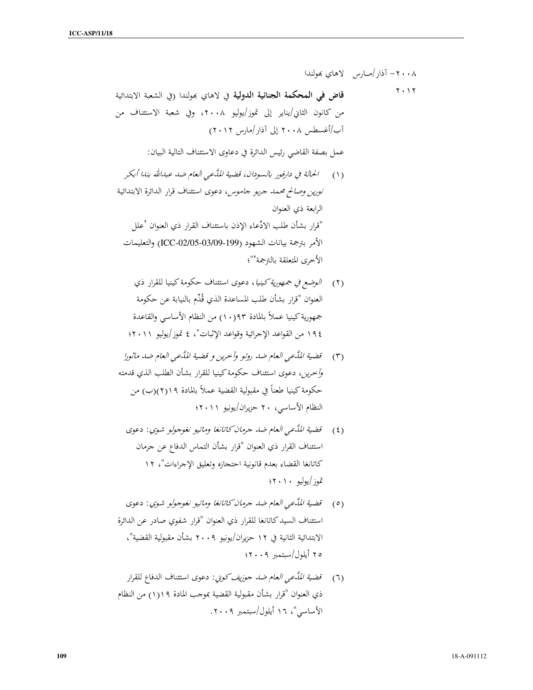۲۰۰۸ - آذار /مسارس لاهای بھولندا  $\mathbf{y} \cdot \mathbf{y}$ قاض في المحكمة الجنائية الدولية في لاهاي بمولندا (في الشعبة الابتدائية من كانون الثاني/يناير إلى تموز/يوليو ٢٠٠٨، وفي شعبة الاستئناف من آب/أغسطس ۲۰۰۸ إلى آذار/مارس ۲۰۱۲) عمل بصفة القاضي رئيس الدائرة في دعاوى الاستئناف التالية البيان: (١) الحالة في دارفور بالسودان، قضية المدَّعى العام ضد عبدالله بندا أبكر نورين وصالح محمد جريو جاموس، دعوى استئناف قرار الدائرة الابتدائية الرابعة ذي العنوان "قرار بشأن طلب الادِّعاء الإذن باستئناف القرار ذي العنوان 'علل الأمر بترجمة بيانات الشهود (199-03/09-02/05) والتعليمات الأخرى المتعلقة بالترجمة '"؛ (٢) ا*لوضع في جمهورية كينيا*، دعوى استئناف حكومة كينيا للقرار ذي العنوان "قرار بشأن طلب المساعدة الذي قُدِّم بالنيابة عن حكومة جمهورية كينيا عملاً بالمادة ٩٣(١٠) من النظام الأساسي والقاعدة ١٩٤ من القواعد الإجرائية وقواعد الإثبات"، ٤ تموز/يوليو ٢٠١١؛ (٣) قضية المدَّعبي العام ضد روتو وآحرين و قضية المدَّعبي العام ضد ماثورا و*أخرين*، دعوى استئناف حكومة كينيا للقرار بشأن الطلب الذي قدمته حكومة كينيا طعناً في مقبولية القضية عملاً بالمادة ١٩(٢)(ب) من النظام الأساسي، ٢٠ حزيران/يونيو ٢٠١١؛ (٤) \_ قضية المدَّعي العام ضد جرمان كاتانغا وماتيو نغوجولو شوي: دعوى استئناف القرار ذي العنوان "قرار بشأن التماس الدفاع عن جرمان كاتانغا القضاء بعدم قانونية احتجازه وتعليق الإجراءات"، ١٢ تموز/يوليو ١٠١٠؟

- (٥) قضية المدَّعي العام ضد جرمان كاتانغا وماتيو نغوجولو شوي: دعوى استئناف السيد كاتانغا للقرار ذي العنوان "قرار شفوى صادر عن الدائرة الابتدائية الثانية في ١٢ حزيران/يونيو ٢٠٠٩ بشأن مقبولية القضية"، ٢٥ أيلول/سبتمبر ٢٠٠٩؛
- (٦) قضي*ة المدَّعي العام ضد جوزيف كوني*: دعوى استئناف الدفاع للقرار ذي العنوان "قرار بشأن مقبولية القضية بموجب المادة ١١(١) من النظام الأساسي"، ١٦ أيلول/سبتمبر ٢٠٠٩.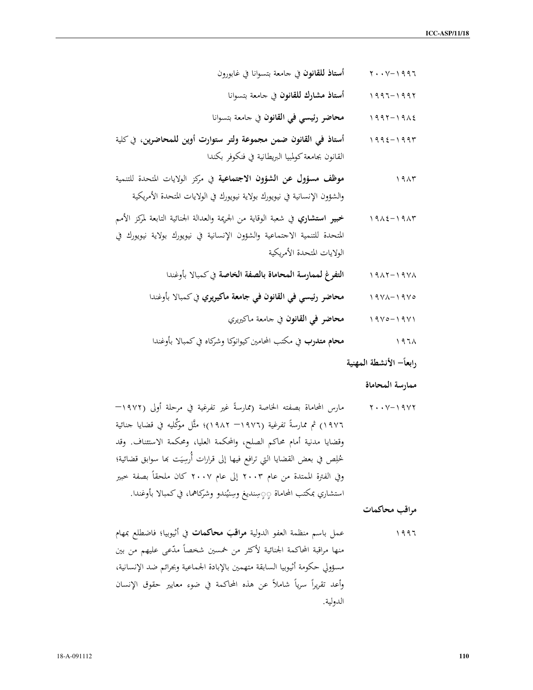- محاضر رئيسي في القانون في جامعة بتسوانا  $1997 - 1912$
- أستاذ في القانون ضمن مجموعة ولتر ستوارت أوين للمحاضرين، في كلية  $1992 - 1997$ القانون بجامعة كولمبيا البريطانية في فنكوفر بكندا
- موظف مسؤول عن الشؤون الاجتماعية في مركز الولايات المتحدة للتنمية  $19AT$ والشؤون الإنسانية في نيويورك بولاية نيويورك في الولايات المتحدة الأمريكية
- خبير استشاري في شعبة الوقاية من الجريمة والعدالة الجنائية التابعة لمركز الأمم  $19\lambda\xi - 19\lambda\tau$ المتحدة للتنمية الاجتماعية والشؤون الإنسانية في نيويورك بولاية نيويورك في الولايات المتحدة الأمريكية
	- التفرغ لممارسة المحاماة بالصفة الخاصة في كمبالا بأوغندا  $1917 - 1911$
	- محاضر رئيسي في القانون في جامعة ماكيريري في كمبالا بأوغندا  $19Y\lambda - 19Y0$ 
		- محاضر في القانون في جامعة ماكيريري  $19Y0 - 19Y1$
	- **محام متدرب** في مكتب المحامين كيوانوكا وشركاه في كمبالا بأوغندا  $197\lambda$

رابعاً– الأنشطة المهنية

ممارسة المحاماة

مراقب محاكمات

عمل باسم منظمة العفو الدولية م**راقبَ محاكمات** في أثيوبيا؛ فاضطلع بمهام  $1997$ منها مراقبة المحاكمة الجنائية لأكثر من خمسين شخصاً مدّعى عليهم من بين مسؤولي حكومة أثيوبيا السابقة متهمين بالإبادة الجماعية وبجرائم ضد الإنسانية، .<br>وأعد تقريراً سرياً شاملاً عن هذه المحاكمة في ضوءٍ معاييرٍ حقوق الإنسان الدولية.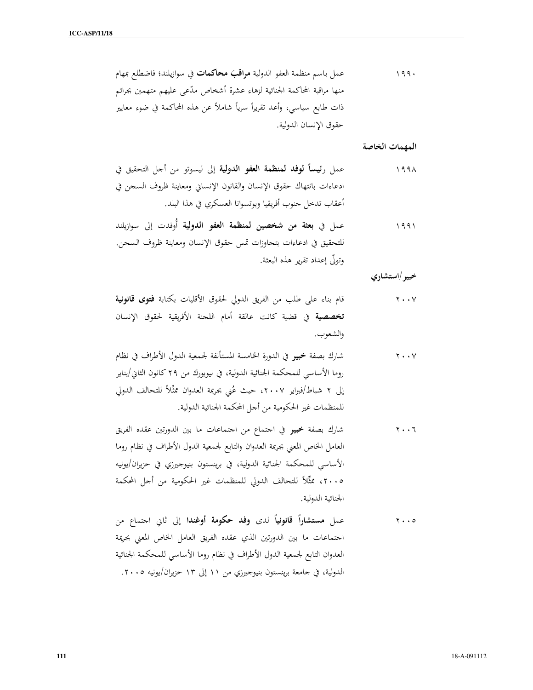المهمات الخاصة

خبير/استشاري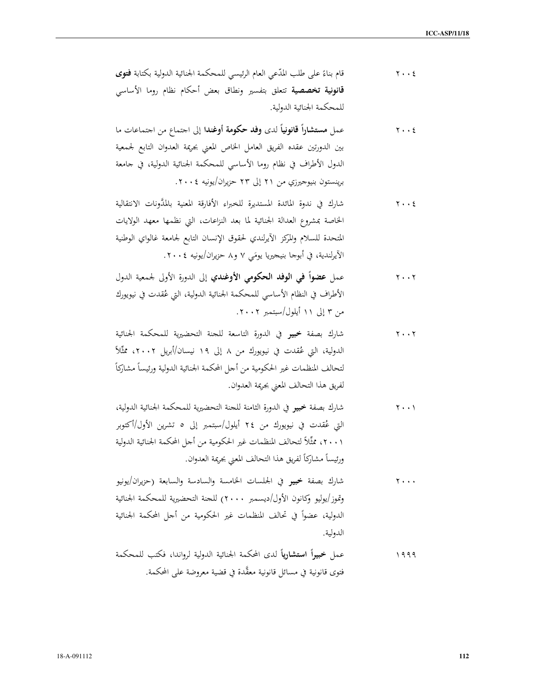| قام بناءً على طلب المدّعي العام الرئيسي للمحكمة الجنائية الدولية بكتابة <b>فتوى</b> | $\mathbf{y} \cdot \cdot \mathbf{z}$ |
|-------------------------------------------------------------------------------------|-------------------------------------|
| <b>قانونية تخصصية</b> تتعلق بتفسير ونطاق بعض أحكام نظام روما الأساسي                |                                     |
| للمحكمة الجنائية الدولية.                                                           |                                     |

- عمل مستشاراً قانونياً لدى وفد حكومة أوغندا إلى احتماع من اجتماعات ما  $Y \cdot \cdot 2$ بين الدورتين عقده الفريق العامل الخاص المعنى بجريمة العدوان التابع لجمعية الدول الأطراف في نظام روما الأساسي للمحكمة الجنائية الدولية، في جامعة برينستون بنيوجيرزي من ٢١ إلى ٢٣ حزيران/يونيه ٢٠٠٤.
- شارك في ندوة المائدة المستديرة للخبراء الأفارقة المعنية بالمدَّونات الانتقالية  $\mathbf{y} \cdot \cdot \mathbf{z}$ الخاصة بمشروع العدالة الجنائية لما بعد النزاعات، التي نظمها معهد الولايات المتحدة للسلام والمركز الأيرلندي لحقوق الإنسان التابع لجامعة غالواي الوطنية الآيرلندية، في أبوجا بنيجيريا يومَى ٧ و٨ حزيران/يونيه ٢٠٠٤.
- عمل عضواً في الوفد الحكومي الأوغندي إلى الدورة الأولى لجمعية الدول  $\mathbf{y} \cdot \mathbf{y}$ الأطراف في النظام الأساسي للمحكمة الجنائية الدولية، التي عُقدت في نيويورك من ٣ إلى ١١ أيلول/سبتمبر ٢٠٠٢.
- شارك بصفة خبير في الدورة التاسعة للحنة التحضيرية للمحكمة الجنائية  $\mathbf{y} \cdot \mathbf{y}$ الدولية، التي عُقدت في نيويورك من ٨ إلى ١٩ نيسان/أبريل ٢٠٠٢، مُثَّلاً لتحالف المنظمات غير الحكومية من أجل المحكمة الجنائية الدولية ورئيساً مشاركاً لفريق هذا التحالف المعنى بجريمة العدوان.
- شارك بصفة خبير في الدورة الثامنة للجنة التحضيرية للمحكمة الجنائية الدولية،  $\mathbf{y} \cdot \cdot \mathbf{y}$ التي عُقدت في نيويورك من ٢٤ أيلول/سبتمبر إلى ٥ تشرين الأول/أكتوبر ٢٠٠١، ممثِّلاً لتحالف المنظمات غير الحكومية من أجل المحكمة الجنائية الدولية ورئيساً مشاركاً لفريق هذا التحالف المعنى بجريمة العدوان.
- شارك بصفة خبير في الجلسات الخامسة والسادسة والسابعة (حزيران/يونيو  $\mathbf{y}$ ... وتموز/يوليو وكانون الأول/ديسمبر ٢٠٠٠) للجنة التحضيرية للمحكمة الجنائية الدولية، عضواً في تحالف المنظمات غير الحكومية من أجل المحكمة الجنائية الدولية.
- عمل خبيواً ا**ستشارياً** لدى المحكمة الجنائية الدولية لرواندا، فكتب للمحكمة 1999 فتوى قانونية في مسائل قانونية معقَّدة في قضية معروضة على المحكمة.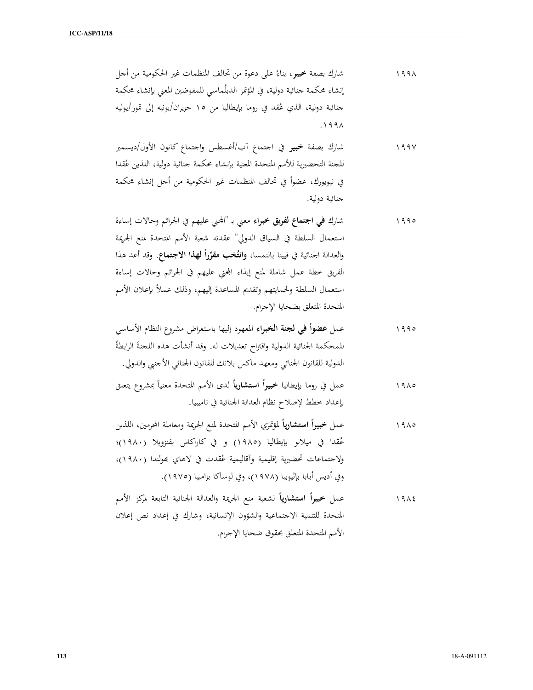| شارك بصفة خبير، بناءً على دعوة من تحالف المنظمات غير الحكومية من أجل         | 199/ |
|------------------------------------------------------------------------------|------|
| إنشاء محكمة جنائية دولية، في المؤتمر الدبلُماسي للمفوضين المعنى بإنشاء محكمة |      |
| جنائية دولية، الذي عُقد في روما بإيطاليا من ١٥ حزيران/يونيه إلى تموز/يوليه   |      |
| .1991                                                                        |      |

- شارك بصفة خبير في اجتماع أب/أغسطس واجتماع كانون الأول/ديسمبر  $199V$ للجنة التحضيرية للأمم المتحدة المعنية بإنشاء محكمة جنائية دولية، اللذين عُقدا في نيويورك، عضواً في تحالف المنظمات غير الحكومية من أجل إنشاءِ محكمة جنائية دولية.
- شارك في اجتماع لفريق خبراء معنى بـ "المجنى عليهم في الجرائم وحالات إساءة  $1990$ استعمال السلطة في السياق الدولي" عقدته شعبة الأمم المتحدة لمنع الجريمة والعدالة الجنائية في فيينا بالنمسا، وانتُخب مقرِّراً لهذا الاجتماع. وقد أعد هذا الفريق خطة عمل شاملة لمنع إيذاء المجنى عليهم في الجرائم وحالات إساءة استعمال السلطة ولحمايتهم وتقديم المساعدة إليهم، وذلك عملاً بإعلان الأمم المتحدة المتعلق بضحايا الإجرام.
- عمل عضواً في لجنة الخبراء المعهود إليها باستعراض مشروع النظام الأساسي  $1990$ للمحكمة الجنائية الدولية واقتراح تعديلات له. وقد أنشأت هذه اللحنةَ الرابطةُ الدولية للقانون الجنائي ومعهد ماكس بلانك للقانون الجنائي الأجنبي والدولي.
- عمل في روما بإيطاليا خبيراً ا**ستشاريا**ً لدى الأمم المتحدة معنياً بمشروع يتعلق ۱۹۸۰ بإعداد خطط لإصلاح نظام العدالة الجنائية في ناميبيا.
- عمل خبيراً استشارياً لمؤتمري الأمم المتحدة لمنع الجريمة ومعاملة المجرمين، اللذين  $19A0$ عُقدا في ميلانو بإيطاليا (١٩٨٥) و في كاراكاس بفنزويلا (١٩٨٠)؛ ولاجتماعات تحضيرية إقليمية وأقاليمية عُقدت في لاهاي بمولندا (١٩٨٠)، وفي أديس أبابا بإثيوبيا (١٩٧٨)، وفي لوساكا بزامبيا (١٩٧٥).
- عمل خبيواً استشارياً لشعبة منع الجريمة والعدالة الجنائية التابعة لمركز الأمم  $1912$ المتحدة للتنمية الاجتماعية والشؤون الإنسانية، وشارك في إعداد نص إعلان الأمم المتحدة المتعلق بحقوق ضحايا الإجرام.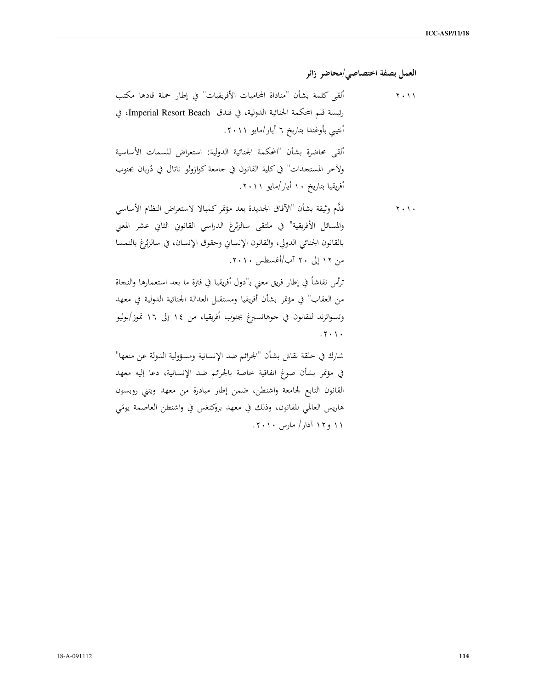العمل بصفة اختصاصي/محاضر زائر

ألقى كلمة بشأن "مناداة المحاميات الأفريقيات" في إطار حملة قادها مكتب  $Y \cdot Y$ رئيسة قلم المحكمة الجنائية الدولية، في فندق Imperial Resort Beach، في أنتيبي بأوغندا بتاريخ ٦ أيار/مايو ٢٠١١. .<br>ألقى محاضرة بشأن "المحكمة الجنائية الدولية: استعراض للسمات الأساسية ولآخر المستجدات" في كلية القانون في جامعة كوازولو ناتال في دُربان بجنوب أفريقيا بتاريخ ١٠ أيار/مايو ٢٠١١.

قدَّم وثيقة بشأن "الآفاق الجديدة بعد مؤتمر كمبالا لاستعراض النظام الأساسي  $\mathbf{y} \cdot \mathbf{y}$ . والمسائل الأفريقية" في ملتقى سالزبُرغ الدراسي القانوني الثاني عشر المعنى بالقانون الجنائي الدولي، والقانون الإنساني وحقوق الإنسان، في سالزيُرغ بالنمسا من ١٢ إلى ٢٠ آب/أغسطس ٢٠١٠.

ترأس نقاشاً في إطار فريق معنى بـ"دول أفريقيا في فترة ما بعد استعمارها والنحاة من العقاب" في مؤتمر بشأن أفريقيا ومستقبل العدالة الجنائية الدولية في معهد وتسواترند للقانون في جوهانسبرغ بجنوب أفريقيا، من ١٤ إلى ١٦ تموز/يوليو  $.7.1.$ 

شارك في حلقة نقاش بشأن "الجرائم ضد الإنسانية ومسؤولية الدولة عن منعها" في مؤتمر بشأن صوغ اتفاقية خاصة بالجرائم ضد الإنسانية، دعا إليه معهد القانون التابع لجامعة واشنطن، ضمن إطار مبادرة من معهد ويتني روبسون هاريس العالمي للقانون، وذلك في معهد بروكنغس في واشنطن العاصمة يومَى ۱۱ و ۱۲ آذار/ مارس ۲۰۱۰.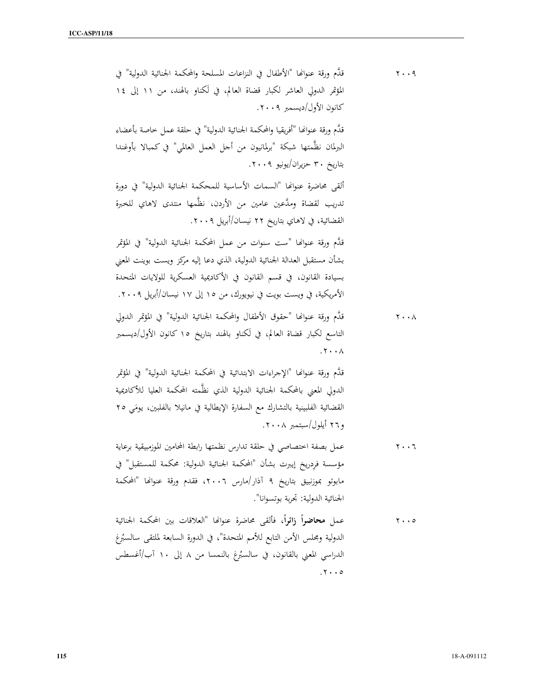| قدَّم ورقة عنواها "الأطفال في النزاعات المسلحة والمحكمة الجنائية الدولية" في<br>المؤتمر الدولي العاشر لكبار قضاة العالم، في لَكناو بالهند، من ١١ إلى ١٤<br>كانون الأول/ديسمبر ٢٠٠٩.                                                                                                                     | $\gamma \cdot \cdot \gamma$         |
|---------------------------------------------------------------------------------------------------------------------------------------------------------------------------------------------------------------------------------------------------------------------------------------------------------|-------------------------------------|
| قدَّم ورقة عنواها "أفريقيا والمحكمة الجنائية الدولية" في حلقة عمل خاصة بأعضاء<br>البرلمان نظَّمتها شبكة "برلمانيون من أحل العمل العالمي" في كمبالا بأوغندا<br>بتاريخ ۳۰ حزيران/يونيو ۲۰۰۹.                                                                                                              |                                     |
| ألقى محاضرة عنوانها "السمات الأساسية للمحكمة الجنائية الدولية" في دورة<br>تدريب لقضاة ومدَّعين عامين من الأردن، نظّمها منتدى لاهاي للخبرة<br>القضائية، في لاهاي بتاريخ ٢٢ نيسان/أبريل ٢٠٠٩.                                                                                                             |                                     |
| قدَّم ورقة عنوانَها "ست سنوات من عمل المحكمة الجنائية الدولية" في المؤتمر<br>بشأن مستقبل العدالة الجنائية الدولية، الذي دعا إليه مركز ويست بوينت المعنى<br>بسيادة القانون، في قسم القانون في الأكاديمية العسكرية للولايات المتحدة<br>الأمريكية، في ويست بويت في نيويورك، من ١٥ إلى ١٧ نيسان/أبريل ٢٠٠٩. |                                     |
| قدَّم ورقة عنوانُها "حقوق الأطفال والمحكمة الجنائية الدولية" في المؤتمر الدولي<br>التاسع لكبار قضاة العالم، في لَكناو بالهند بتاريخ ١٥ كانون الأول/ديسمبر<br>$\cdot$ $\cdot$ $\cdot$ $\wedge$                                                                                                           | $\mathbf{Y} \cdot \cdot \mathbf{A}$ |
| قدَّم ورقة عنوانُها "الإجراءات الابتدائية في المحكمة الجنائية الدولية" في المؤتمر<br>الدولى المعنى بالمحكمة الجنائية الدولية الذي نظَّمته المحكمة العليا للأكاديمية<br>القضائية الفلبينية بالتشارك مع السفارة الإيطالية في مانيلا بالفلبين، يومَى ٢٥                                                    |                                     |

عمل بصفة اختصاصي في حلقة تدارس نظمتها رابطة المحامين الموزمبيقية برعاية  $Y \cdot \cdot 7$ مؤسسة فرِدريخ إيبرت بشأن "المحكمة الجنائية الدولية: محكمة للمستقبل" في مابوتو بموزنبيق بتاريخ ٩ آذار/مارس ٢٠٠٦، فقدم ورقة عنوانها "المحكمة الجنائية الدولية: تحرية بوتسوانا".

و٢٦ أيلول/سبتمبر ٢٠٠٨.

عمل **محاضراً زائراً، فأ**لقى محاضرة عنوانها "العلاقات بين المحكمة الجنائية  $\mathbf{y} \cdot \cdot \mathbf{0}$ الدولية ومجلس الأمن التابع للأمم المتحدة"، في الدورة السابعة لملتقى سالسبُرغ الدراسي المعني بالقانون، في سالسبُرغ بالنمسا من ٨ إلى ١٠ أب/أغسطس  $.7 \cdot .0$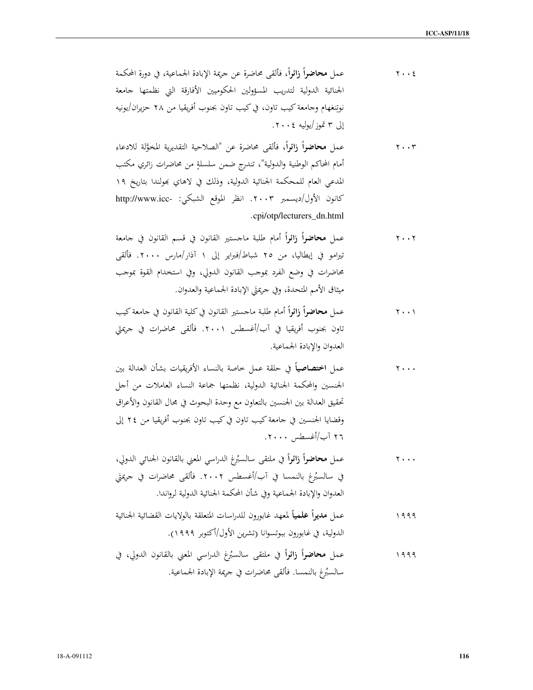| عمل <b>محاضراً زائراً</b> ، فألقى محاضرة عن جريمة الإبادة الجماعية، في دورة المحكمة  | $\mathbf{y} \cdot \cdot \mathbf{z}$ |
|--------------------------------------------------------------------------------------|-------------------------------------|
| الجنائية الدولية لتدريب المسؤولين الحكوميين الأفارقة التي نظمتها جامعة               |                                     |
| نوتِنغهام وجامعة كيب تاون، في كيب تاون بجنوب أفريقيا من ٢٨ حزيران/يونيه              |                                     |
| إلى ٣ تموز/يوليه ٢٠٠٤.                                                               |                                     |
| عمل <b>محاضراً زائراً</b> ، فألقى محاضرة عن "الصلاحية التقديرية المخوَّلة للادعاء    | $\mathbf{y} \cdot \mathbf{y}$       |
| أمام المحاكم الوطنية والدولية"، تندرج ضمن سلسلةٍ من محاضرات زائري مكتب               |                                     |
| المدعى العام للمحكمة الجنائية الدولية، وذلك في لاهاي بمولندا بتاريخ ١٩               |                                     |
| كانون الأول/ديسمبر ٢٠٠٣. انظر الموقع الشبكي: -http://www.icc                         |                                     |
| .cpi/otp/lecturers_dn.html                                                           |                                     |
| عمل <b>محاضراً زائراً</b> أمام طلبة ماجستير القانون في قسم القانون في جامعة          | $\mathbf{y} \cdot \mathbf{y}$       |
| تيرامو في إيطاليا، من ٢٥ شباط/فبراير إلى ١ آذار/مارس ٢٠٠٠. فألقى                     |                                     |
| محاضرات في وضع الفرد بموجب القانون الدولي، وفي استخدام القوة بموجب                   |                                     |
| ميثاق الأمم المتحدة، وفي جريمتَي الإبادة الجماعية والعدوان.                          |                                     |
| عمل <b>محاضراً زائراً</b> أمام طلبة ماجستير القانون في كلية القانون في جامعة كيب     | $\mathbf{y} \cdot \mathbf{y}$       |
| تاون بجنوب أفريقيا في آب/أغسطس ٢٠٠١. فألقى محاضرات في جريمتَي                        |                                     |
| العدوان والإبادة الجماعية.                                                           |                                     |
| عمل <b>اختصاصياً</b> في حلقة عمل خاصة بالنساء الأفريقيات بشأن العدالة بين            | $\mathbf{y}$                        |
| الجنسين والمحكمة الجنائية الدولية، نظمتها جماعة النساء العاملات من أجل               |                                     |
| تحقيق العدالة بين الجنسين بالتعاون مع وحدة البحوث في مجال القانون والأعراق           |                                     |
| وقضايا الجنسين في حامعة كيب تاون في كيب تاون بجنوب أفريقيا من ٢٤ إلى                 |                                     |
| ٢٦ آب/أغسطس ٢٠٠٠.                                                                    |                                     |
| عـمل <b>محاضراً زائراً</b> في ملتقى سالسبُرغ الدراسي المعني بالقانون الجنائي الدولي، | $\mathbf{y}$                        |
| في سالسبُرغ بالنمسا في آب/أغسطس ٢٠٠٢. فألقى محاضرات في جريمتَي                       |                                     |
| العدوان والإبادة الجماعية وفي شأن المحكمة الجنائية الدولية لرواندا.                  |                                     |
| عمل مليواً علمياً لمعهد غابورون للدراسات المتعلقة بالولايات القضائية الجنائية        | ۹۹۹ (                               |
| الدولية، في غابورون ببوتسوانا (تشرين الأول/أكتوبر ١٩٩٩).                             |                                     |
| عمل <b>محاضواً زائراً</b> في ملتقى سالسبُرغ الدراسي المعني بالقانون الدولي، في       | ۱۹۹۹                                |
| سالسبُرغ بالنمسا. فألقى محاضرات في جريمة الإبادة الجماعية.                           |                                     |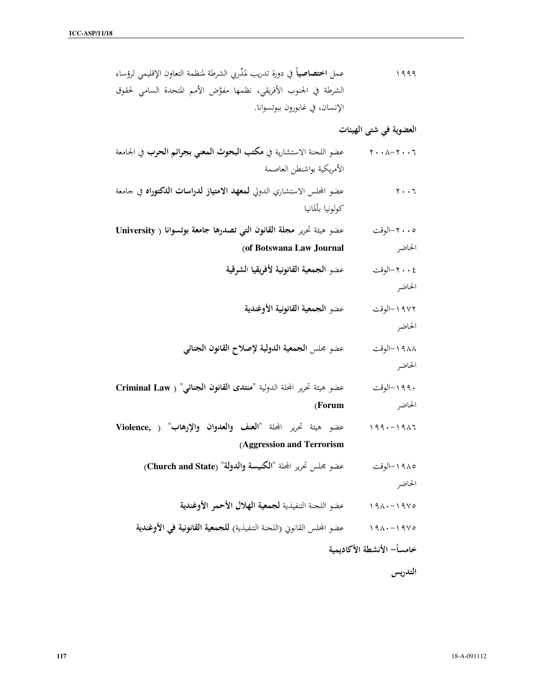العضوية في شتى الهيئات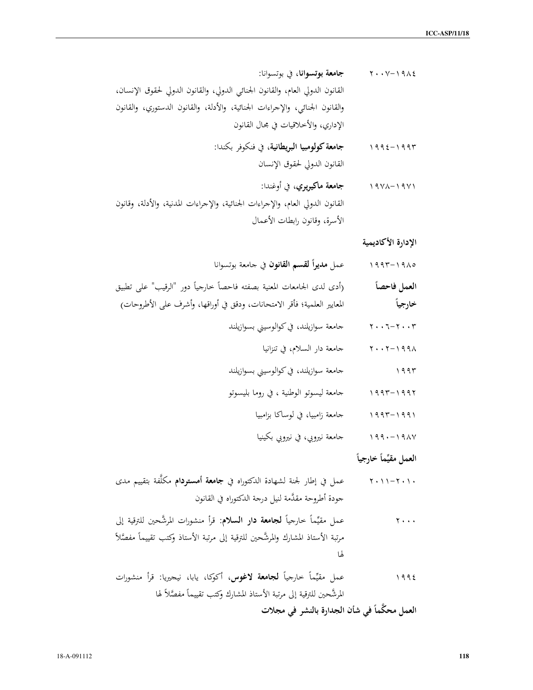| جامعة بوتسوانا، في بوتسوانا:<br>القانون الدولي العام، والقانون الجنائبي الدولي، والقانون الدولي لحقوق الإنسان،<br>والقانون الجنائي، والإجراءات الجنائية، والأدلة، والقانون الدستوري، والقانون<br>الإداري، والأخلاقيات في مجال القانون | $Y \cdot Y - 19\lambda$             |  |
|---------------------------------------------------------------------------------------------------------------------------------------------------------------------------------------------------------------------------------------|-------------------------------------|--|
| جامعة كولومبيا البريطانية، في فنكوفر بكندا:<br>القانون الدولي لحقوق الإنسان                                                                                                                                                           | ۱۹۹٤ – ۱۹۹۳                         |  |
| جامعة ماكيريري، في أوغندا:<br>القانون الدولي العام، والإجراءات الجنائية، والإجراءات المدنية، والأدلة، وقانون<br>الأسرة، وقانون رابطات الأعمال                                                                                         | $19Y1 - 19Y$                        |  |
|                                                                                                                                                                                                                                       | الإدارة الأكاديمية                  |  |
| عمل مديراً لقسم القانون في جامعة بوتسوانا                                                                                                                                                                                             | $1997 - 1910$                       |  |
| (أدى لدى الجامعات المعنية بصفته فاحصاً خارجياً دور "الرقيب" على تطبيق<br>المعايير العلمية؛ فأقر الامتحانات، ودقق في أوراقها، وأشرف على الأطروحات)                                                                                     | العمل فاحصأ<br>خارجياً              |  |
| جامعة سوازيلند، في كوالوسيني بسوازيلند                                                                                                                                                                                                | $Y \cdot \cdot 7 - Y \cdot \cdot Y$ |  |
| جامعة دار السلام، في تنزانيا                                                                                                                                                                                                          | $Y \cdot Y - Y 991$                 |  |
| جامعة سوازيلند، في كوالوسيني بسوازيلند                                                                                                                                                                                                | 1995                                |  |
| جامعة ليسوتو الوطنية ، في روما بليسوتو                                                                                                                                                                                                | $1997 - 1997$                       |  |
| جامعة زامبيا، في لوساكا بزامبيا                                                                                                                                                                                                       | $1997 - 1991$                       |  |
| جامعة نيروبي، في نيروبي بكينيا                                                                                                                                                                                                        | $199 - 191V$                        |  |
|                                                                                                                                                                                                                                       | العمل مقيِّماً خارجياً              |  |
| عمل في إطار لجنة لشهادة الدكتوراه في <b>جامعة أمستردام</b> مكلَّفة بتقييم مدى<br>جودة أطروحة مقدَّمة لنيل درجة الدكتوراه في القانون                                                                                                   | $Y \cdot Y - Y \cdot Y$             |  |
| عمل مقيِّماً حارجياً <b>لجامعة دار السلام</b> : قرأ منشورات المرشَّحين للترقية إلى<br>مرتبة الأستاذ المشارك والمرشَّحين للترقية إلى مرتبة الأستاذ وكتب تقييماً مفصَّلاً<br>لها                                                        | ۲۰۰۰                                |  |
|                                                                                                                                                                                                                                       |                                     |  |

عمل مقيِّماً خارجياً **لجامعة لاغوس،** أكوكا، يابا، نيحيريا: قرأ منشورات  $1995$ المرشَّحين للترقية إلى مرتبة الأستاذ المشارك وكتب تقييماً مفصَّلاً لها

```
العمل محكَّماً في شأن الجدارة بالنشر في مجلات
```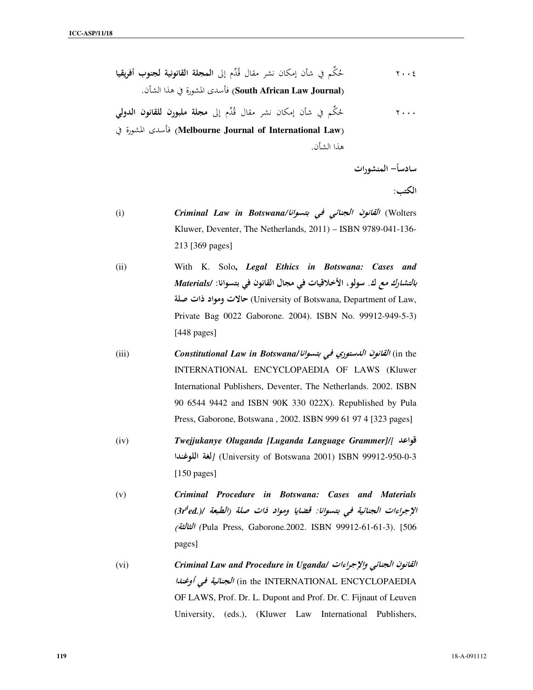j5¥ <sup>|</sup> -O.# ^9 -(9( O  o\_ Z+¥ | S )-,; E-5;\_ EgM - .Eg 0 - 8
6 z+Lg (**South African Law Journal**)

 o\_ Z+¥ | S )-,; E-5;\_ EgM - j5¥ <sup>|</sup> N =9( O =96 ) ) (Melbourne Journal of International Law) فأسدى المشورة في هذا الشأن.

> n سادساً– المنشورات

> > الكتب:

- (i) *Criminal Law in Botswana/U) القانون الجنائي في بتسوانا (i* Kluwer, Deventer, The Netherlands, 2011) – ISBN 9789-041-136- 213 [369 pages]
	- (ii) With K. Solo**,** *Legal Ethics in Botswana: Cases and بالتشارك مع* ك. سولو ، الأخلاقيات في مجال القانون في بتسوانا: /Materials بالات ومواد ذات صلة (University of Botswana, Department of Law, Private Bag 0022 Gaborone. 2004). ISBN No. 99912-949-5-3) [448 pages]
- iii) *القانون الدس*تور*ي في بتسوانا /Constitutional Law in Botswana* INTERNATIONAL ENCYCLOPAEDIA OF LAWS (Kluwer International Publishers, Deventer, The Netherlands. 2002. ISBN 90 6544 9442 and ISBN 90K 330 022X). Republished by Pula Press, Gaborone, Botswana , 2002. ISBN 999 61 97 4 [323 pages]
- (iv) *Twejjukanye Oluganda [Luganda Language Grammer]/[* 9/ ]9 Q*]* (University of Botswana 2001) ISBN 99912-950-0-3 [150 pages]
- (v) *Criminal Procedure in Botswana: Cases and Materials الإجراءات الجنائية في بتسوانا: قضايا ومواد ذات صلة (الطبعة /(.3r<sup>d</sup>ed)* (P P *(*Pula Press, Gaborone.2002. ISBN 99912-61-61-3). [506 pages]
- *القانون الجنائي والإجراءات Criminal Law and Procedure in Uganda*/ وvi) in the INTERNATIONAL ENCYCLOPAEDIA) *الجنائية في أوغندا* OF LAWS, Prof. Dr. L. Dupont and Prof. Dr. C. Fijnaut of Leuven University, (eds.), (Kluwer Law International Publishers,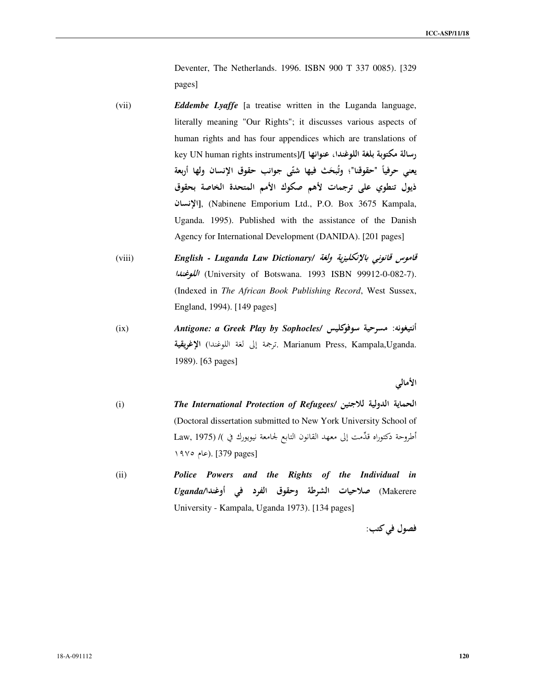Deventer, The Netherlands. 1996. ISBN 900 T 337 0085). [329 pages]

- (vii) *Eddembe Lyaffe* [a treatise written in the Luganda language, literally meaning "Our Rights"; it discusses various aspects of human rights and has four appendices which are translations of رسالة مكتوبة بلغة اللوغندا، عنوانها ]/[key UN human rights instruments يعني حرفياً "حقوقنا"؛ وتُبحَث فيها شتّى جوانب حقوق الإنسان ولها أربعة ذيول تنطوي على ترجمات لأهم صكوك الأمم المتحدة الخاصة بحقوق = H(K**]**, (Nabinene Emporium Ltd., P.O. Box 3675 Kampala, Uganda. 1995). Published with the assistance of the Danish Agency for International Development (DANIDA). [201 pages]
- قاموس قانوني بالإنكليزية ولغة /viii) *English Luganda Law Dictionary* اللوغنلدا (University of Botswana. 1993 ISBN 99912-0-082-7). (Indexed in *The African Book Publishing Record*, West Sussex, England, 1994). [149 pages]
- ix) *Antigone: a Greek Play by Sophocles/ س*وخية سوفوكليس ترجمة إلى لغة اللوغندا) الإغريقية. Marianum Press, Kampala,Uganda. 1989). [63 pages]

## الأمالي

- الحماية الدولية للاجئين /The International Protection of Refugees (Doctoral dissertation submitted to New York University School of أطروحة دكتوراه قدَّمت إلى معهد القانون التابع لجامعة نيويورك في )/ (Law, 1975 : Z-3). [379 pages]
	- (ii) *Police Powers and the Rights of the Individual in*  Makerere) صلاحيات الشرطة وحقوق الفرد في أوغندا/Ug*anda* University - Kampala, Uganda 1973). [134 pages]

فصول في كتب: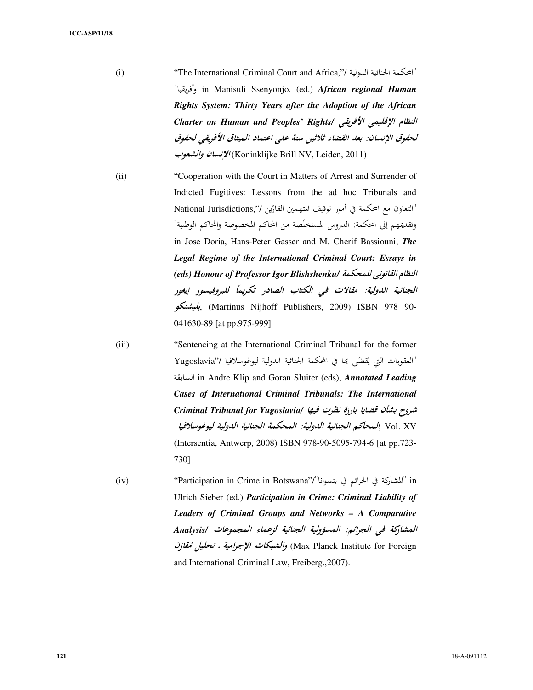"المحكمة الجنائية الدولية /'',The International Criminal Court and Africa'' المحكمة الجنائية الدولية '' "-,C\* in Manisuli Ssenyonjo. (ed.) *African regional Human Rights System: Thirty Years after the Adoption of the African*  النظام الإقليمي الأفريقي /Charter on Human and Peoples' Rights لحقوق الإنسان: بعد انقضاء ثلاثين سنة على اعتماد الميثاق الأفريقي لحقوق (Koninklijke Brill NV, Leiden, 2011) الإنسان والشعوب)

 (ii) "Cooperation with the Court in Matters of Arrest and Surrender of Indicted Fugitives: Lessons from the ad hoc Tribunals and "التعاون مع المحكمة في أمور توقيف المتهمين الفارِّين /'',National Jurisdictions وتقديمهم إلى المحكمة: الدروس المستخلَّصة من المحاكم المخصوصة والمحاكم الوطنية" in Jose Doria, Hans-Peter Gasser and M. Cherif Bassiouni, *The Legal Regime of the International Criminal Court: Essays in*  النظام القانوني للمحكمة /eds) Honour of Professor Igor Blishshenku الجنائية الدولية: مقالات في الكتاب الصادر تكريماً للبروفيسور إيغور بليشنكو, (Martinus Nijhoff Publishers, 2009) ISBN 978 90-041630-89 [at pp.975-999]

 (iii) "Sentencing at the International Criminal Tribunal for the former "العقوبات التي يُقضَى بما في المحكمة الجنائية الدولية ليوغوسلافيا /'Yugoslavia' #,/-e in Andre Klip and Goran Sluiter (eds), *Annotated Leading Cases of International Criminal Tribunals: The International*  شروح بشأن قضايا بارزة نظرت فيها /Criminal Tribunal for Yugoslavia , Vol. XV ,*المحاكم الجنائية الدولية: المحكمة الجنائية الدولية ليوغوسلافيا* (Intersentia, Antwerp, 2008) ISBN 978-90-5095-794-6 [at pp.723- 730]

in "المشاركة في الجرائم في بتسوانا"/'Participation in Crime in Botswana''/'' في الجرائم في بتسوانا Ulrich Sieber (ed.) *Participation in Crime: Criminal Liability of Leaders of Criminal Groups and Networks – A Comparative*  المشار*كة في الجرائم: المسؤولية الجنائية لزعماء المجموعات Analysis/* Max Planck Institute for Foreign) *والشبكات الإجرامية . تحليل مُقارَن* and International Criminal Law, Freiberg.,2007).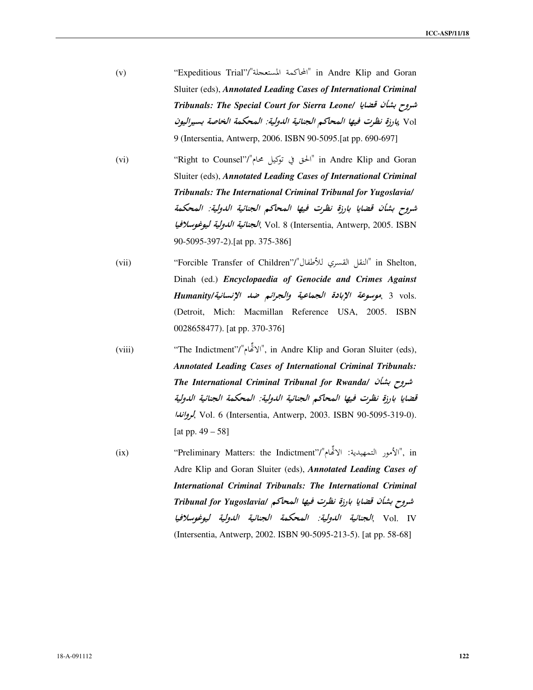| (v) | "Expeditious Trial"/"المحاكمة المستعجلة "Expeditious Trial"/"          |
|-----|------------------------------------------------------------------------|
|     | Sluiter (eds), Annotated Leading Cases of International Criminal       |
|     | تسروح بشأن قضايا /Tribunals: The Special Court for Sierra Leone        |
|     | Vol پارزة نظرت فيها المحاكم الجنائية الدولية: المحكمة الخاصة بسيراليون |
|     | 9 (Intersentia, Antwerp, 2006. ISBN 90-5095. [at pp. 690-697]          |

- (vi) "Right to Counsel"/"الحق في توكيل محام"/"in Andre Klip and Goran Sluiter (eds), *Annotated Leading Cases of International Criminal Tribunals: The International Criminal Tribunal for Yugoslavia/* شروح بشأن قضايا بارزة نظرت فيها المحاكم الجنائية اللولية: المحكمة لجن*ائية الدولية ليوغوسلافيا ,* Vol. 8 (Intersentia, Antwerp, 2005. ISBN 90-5095-397-2).[at pp. 375-386]
- (vii) "Forcible Transfer of Children"/"النقل القسري للأطفال" in Shelton, Dinah (ed.) *Encyclopaedia of Genocide and Crimes Against*  .yet جوسو*عة الإبادة الجماعية والجرائم ضد الإنسانية Humanity/* (Detroit, Mich: Macmillan Reference USA, 2005. ISBN 0028658477). [at pp. 370-376]
- (viii) "The Indictment"/" الاتَّخَام", in Andre Klip and Goran Sluiter (eds), *Annotated Leading Cases of International Criminal Tribunals:*  me International Criminal Tribunal for Rwanda/ شروح بشأن قضايا بارزة نظرت فيها المحاكم الجنائية الدولية: المحكمة الجنائية الدولية (, Vol. 6 (Intersentia, Antwerp, 2003. ISBN 90-5095-319-0). [at pp.  $49 - 58$ ]
- ix) "الأمور التمهيدية: الاتَّحام"/"Preliminary Matters: the Indictment") الأمور)", in Adre Klip and Goran Sluiter (eds), *Annotated Leading Cases of International Criminal Tribunals: The International Criminal*  شروح بشأن قضايا بارزة نظرت فيها المحاكم /Tribunal for Yugoslavia Vol. IV ,الجنائية اللولية: المحكمة الجنائية اللولية ليوغوسلافيا (Intersentia, Antwerp, 2002. ISBN 90-5095-213-5). [at pp. 58-68]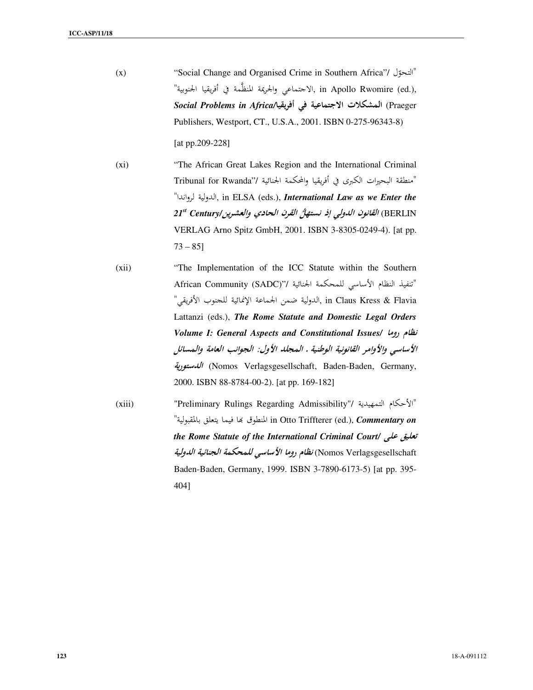(x) "Social Change and Organised Crime in Southern Africa"/ ) G." "الاحتماعي والجريمة المنظّمة في أفريقيا الجنوبية", in Apollo Rwomire (ed.), Bocial Problems in Africa/ألمشكلات الاجتماعية في أفريقيا *Social Problems in Africa* Publishers, Westport, CT., U.S.A., 2001. ISBN 0-275-96343-8)

[at pp.209-228]

- (xi) "The African Great Lakes Region and the International Criminal "منطقة البحيرات الكبرى في أفريقيا والمحكمة الجنائية /''Tribunal for Rwanda "الدولية لرواندا, in ELSA (eds.), *International Law as we Enter the* BERLIN) القانون الدولي إذ نستهلُّ القرن الحادي والعشرين/21st Century VERLAG Arno Spitz GmbH, 2001. ISBN 3-8305-0249-4). [at pp.  $73 - 85$ ]
- (xii) "The Implementation of the ICC Statute within the Southern "تنفيذ النظام الأساسي للمحكمة الجنائية /''(African Community (SADC الدولية ضمن الجماعة الإنمائية للجنوب الأفريقي", in Claus Kress & Flavia Lattanzi (eds.), *The Rome Statute and Domestic Legal Orders Volume I: General Aspects and Constitutional Issues/ نظام روما* الأساسي والأوامر القانونية الوطنية . المجلد الأول: الجوانب العامة والمسائل للدمستورية) (Nomos Verlagsgesellschaft, Baden-Baden, Germany, 2000. ISBN 88-8784-00-2). [at pp. 169-182]
- "الأحكام التمهيدية /"Preliminary Rulings Regarding Admissibility"/ "الأحكام التمهيدية" in Otto Triffterer (ed.),  ${\it Commentary~on}$  المنطوق بما فيما يتعلق بالمقبولية" *تعلیق علی اthe Rome Statute of the International Criminal Court* Nomos Verlagsgesellschaft) *نظام روما الأساسي للمحكمة الجنائية الدولية* Baden-Baden, Germany, 1999. ISBN 3-7890-6173-5) [at pp. 395- 404]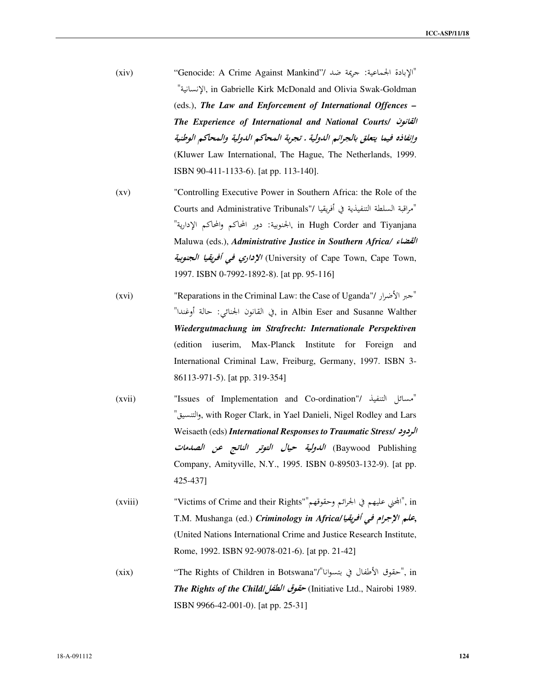| (xiv) | "الإبادة الجماعية: جريمة ضد /''Genocide: A Crime Against Mankind''           |
|-------|------------------------------------------------------------------------------|
|       | "الإنسانية", in Gabrielle Kirk McDonald and Olivia Swak-Goldman              |
|       | (eds.), The Law and Enforcement of International Offences $-$                |
|       | The Experience of International and National Courts/ القانون                 |
|       | وإنفاذه فيما يتعلق بالجرائم الدولية . تجربة المحاكم الدولية والمحاكم الوطنية |
|       | (Kluwer Law International, The Hague, The Netherlands, 1999.)                |
|       | ISBN 90-411-1133-6). [at pp. 113-140].                                       |

- (xv) "Controlling Executive Power in Southern Africa: the Role of the "مراقبة السلطة التنفيذية في أفريقيا /"Courts and Administrative Tribunals للجنوبية: دور المحاكم والمحاكم الإدارية", in Hugh Corder and Tiyanjana **Maluwa** (eds.), *Administrative Justice in Southern Africa/ القضاء* ,University of Cape Town, Cape Town) *الإداري في أفريقيا الجنوبية* 1997. ISBN 0-7992-1892-8). [at pp. 95-116]
- (xvi) "Reparations in the Criminal Law: the Case of Uganda"/ "جبر الأضرار "أوغندا (بل الجنائي: حالة أوغندا , in Albin Eser and Susanne Walther *Wiedergutmachung im Strafrecht: Internationale Perspektiven* (edition iuserim, Max-Planck Institute for Foreign and International Criminal Law, Freiburg, Germany, 1997. ISBN 3- 86113-971-5). [at pp. 319-354]
- "مسائل التنفيذ /"Issues of Implementation and Co-ordination"/ المسائل التنفيذ /" "والتنسيق, with Roger Clark, in Yael Danieli, Nigel Rodley and Lars Weisaeth (eds) *International Responses to Traumatic Stress/* Baywood Publishing) *اللدولية حيال التوتر الناتج عن الصدمات* Company, Amityville, N.Y., 1995. ISBN 0-89503-132-9). [at pp. 425-437]
- (xviii) "Victims of Crime and their Rights"" المجني عليهم في الجرائم وحقوقهم"", in T.M. Mushanga (ed.) *Criminology in Africa/* -O.# N. ~K 2 **,** (United Nations International Crime and Justice Research Institute, Rome, 1992. ISBN 92-9078-021-6). [at pp. 21-42]
- (xix) "The Rights of Children in Botswana"/"خقوق الأطفال في بتسوانا"/ *The Rights of the Child/رخقوق الطفل (Initiative Ltd., Nairobi 1989.* ISBN 9966-42-001-0). [at pp. 25-31]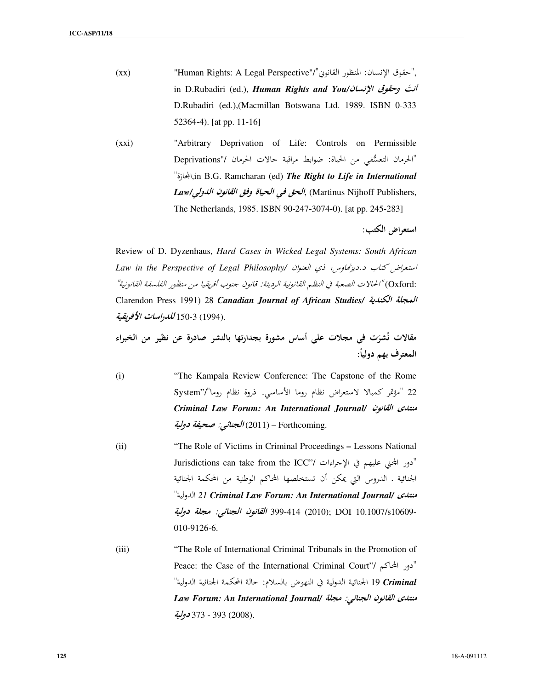- "Human Rights: A Legal Perspective"/"احقوق الإنسان: المنظور القانوني"/  $(xx)$ in D.Rubadiri (ed.), Human Rights and You/أنتَ وحقوق الإنسان/in D.Rubadiri (ed.), Human Rights and You D.Rubadiri (ed.),(Macmillan Botswana Ltd. 1989. ISBN 0-333 52364-4). [at pp. 11-16]
- $(xxi)$ "Arbitrary Deprivation of Life: Controls on Permissible "الحرمان التعسُّفي من الحياة: ضوابط مراقبة حالات الحرمان /"Deprivations in B.G. Ramcharan (ed) *The Right to Life in International*,المجازة" , Martinus Nijhoff Publishers) ,الحق في الحياة وفق القانون الدولي/Law The Netherlands, 1985. ISBN 90-247-3074-0). [at pp. 245-283]

استعراض الكتب:

Review of D. Dyzenhaus, Hard Cases in Wicked Legal Systems: South African استعراض كتاب د.ديزنهاوس، ذي العنوان /Law in the Perspective of Legal Philosophy :Oxford)"الحالات الصعبة في النظم القانونية الرديئة: قانون جنوب أفريقيا من منظور الفلسفة القانونية" المجلة الكندية /Clarendon Press 1991) 28 *Canadian Journal of African Studies* .(1994) 3-150 *للدراسات الأفريقية* 

مقالات نُشرَت في مجلات على أساس مشورة بجدارتها بالنشر صادرة عن نظير من الخبراء المعترف بهم دولياً:

- "The Kampala Review Conference: The Capstone of the Rome  $(i)$ 22 "مؤتمر كمبالا لاستعراض نظام روما الأساسي. ذروة نظام روما"/"System منتلدى القانون /Criminal Law Forum: An International Journal .Forthcoming – (2011) الجنائي: صحيفة دولية
- "The Role of Victims in Criminal Proceedings Lessons National  $(ii)$ "دور المجني عليهم في الإجراءات /''Jurisdictions can take from the ICC الجنائية . الدروس التي يمكن أن تستخلصها المحاكم الوطنية من المحكمة الجنائية منتلىك /21 Criminal Law Forum: An International Journal الدولية" -399-414 (2010); DOI 10.1007/s10609 *القانون الجنائي: مجلة دولية* 010-9126-6.
- $(iii)$ "The Role of International Criminal Tribunals in the Promotion of Peace: the Case of the International Criminal Court"/ دور المحاكم /"Peace l9 Criminal الجنائية الدولية في النهوض بالسلام: حالة المحكمة الجنائية الدولية" منتلى القانون الجنائي: مجلة /Law Forum: An International Journal .(2008) 373 - 373 دولية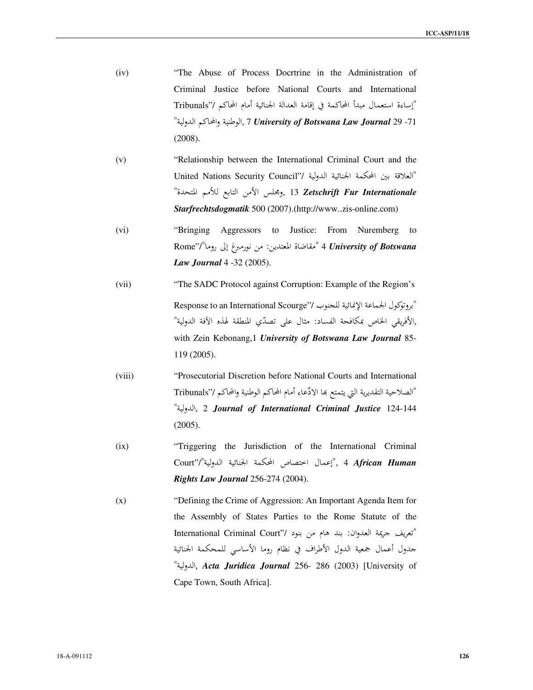- $(iv)$ "The Abuse of Process Docrtrine in the Administration of Criminal Justice before National Courts and International "إساءة استعمال مبدأ المحاكمة في إقامة العدالة الجنائية أمام المحاكم /''Tribunals "الوطنية والمحاكم الدولية, 7 University of Botswana Law Journal 29 -71  $(2008).$
- $(v)$ "Relationship between the International Criminal Court and the "العلاقة بين المحكمة الجنائية الدولية /''United Nations Security Council g. 13 Zetschrift Fur Internationale ,ومجلس الأمن التابع للأمم المتحدة" Starfrechtsdogmatik 500 (2007).(http://www..zis-online.com)
- "Bringing Aggressors to Justice: From Nuremberg  $(vi)$ to Rome"/"مقاضاة المعتدين: من نورمبرغ إلى روما"/"Rome Law Journal 4 -32 (2005).
- $(vii)$ "The SADC Protocol against Corruption: Example of the Region's "بروتوكول الجماعة الإنمائية للجنوب /''Response to an International Scourge ,الأفريقي الخاص بمكافحة الفساد: مثال على تصدّي المنطقة لهذه الآفة الدولية" with Zein Kebonang, 1 University of Botswana Law Journal 85-119 (2005).
- "Prosecutorial Discretion before National Courts and International  $(viii)$ "الصلاحية التقديرية التي يتمتع بما الادِّعاء أمام المحاكم الوطنية والمحاكم /''Tribunals الدولية". 2 Journal of International Criminal Justice 124-144  $(2005).$
- "Triggering the Jurisdiction of the International Criminal  $(ix)$ Court"/"إعمال اختصاص المحكمة الجنائية الدولية"/"Court Rights Law Journal 256-274 (2004).
- "Defining the Crime of Aggression: An Important Agenda Item for  $(x)$ the Assembly of States Parties to the Rome Statute of the "تعريف جريمة العدوان: بند هام من بنود /''International Criminal Court جدول أعمال جمعية الدول الأطراف في نظام روما الأساسى للمحكمة الجنائية "الدولية, Acta Juridica Journal 256- 286 (2003) [University of Cape Town, South Africa].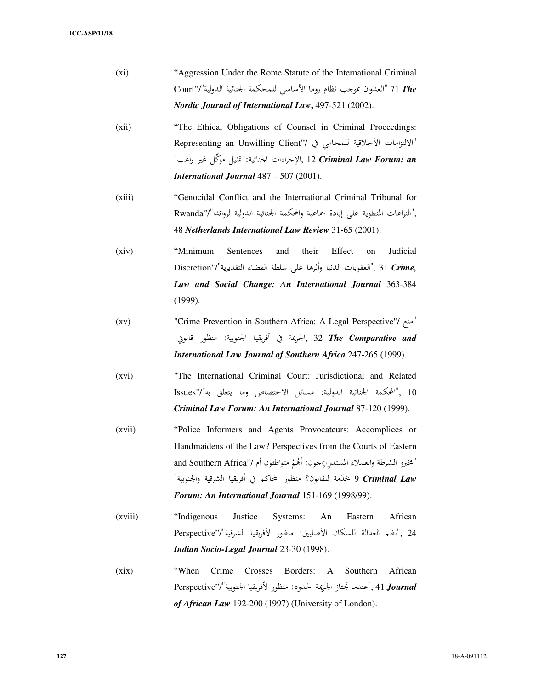|      | <b>Nordic Journal of International Law, 497-521 (2002).</b>              |
|------|--------------------------------------------------------------------------|
|      | 71 The "العدوان بموجب نظام روما الأساسي للمحكمة الجنائية الدولية"/"Court |
| (xi) | "Aggression Under the Rome Statute of the International Criminal         |

- "The Ethical Obligations of Counsel in Criminal Proceedings:  $(xii)$ "الالتزامات الأخلاقية للمحامى في /'Representing an Unwilling Client الإجراءات الجنائية: تمثيل موكِّل غير راغب" , 12 Criminal Law Forum: an International Journal 487 - 507 (2001).
- $(xiii)$ "Genocidal Conflict and the International Criminal Tribunal for ,"النزاعات المنطوية على إبادة جماعية والمحكمة الجنائية الدولية لرواندا"/'Rwanda 48 Netherlands International Law Review 31-65 (2001).
- $(xiv)$ "Minimum Sentences and their Effect on Judicial Discretion"/"العقوبات الدنيا وأثرها على سلطة القضاء التقديرية"/"Discretion" Law and Social Change: An International Journal 363-384  $(1999).$
- "منع /"Crime Prevention in Southern Africa: A Legal Perspective"  $(xy)$ الجريمة في أفريقيا الجنوبية: منظور قانون" International Law Journal of Southern Africa 247-265 (1999).
- "The International Criminal Court: Jurisdictional and Related  $(xvi)$ 10 ,"المحكمة الجنائية الدولية: مسائل الاختصاص وما يتعلق به"/"Issues Criminal Law Forum: An International Journal 87-120 (1999).
- $(xvii)$ "Police Informers and Agents Provocateurs: Accomplices or Handmaidens of the Law? Perspectives from the Courts of Eastern "مخبرو الشرطة والعملاء المستدرِ حون: أهُمْ متواطئون أم /''and Southern Africa 9 Criminal Law خَدَمة للقانون؟ منظور المحاكم في أفريقيا الشرقية والجنوبية" Forum: An International Journal 151-169 (1998/99).
- "Indigenous Justice  $(xviii)$ Systems: An Eastern African 24 ,"نظم العدالة للسكان الأصليين: منظور لأفريقيا الشرقية"/?Perspective Indian Socio-Legal Journal 23-30 (1998).
- Borders: A Southern  $(xix)$ "When Crime Crosses African Perspective"/"عندما تجتاز الجريمة الحدود: منظور لأفريقيا الجنوبية"/"Perspective of African Law 192-200 (1997) (University of London).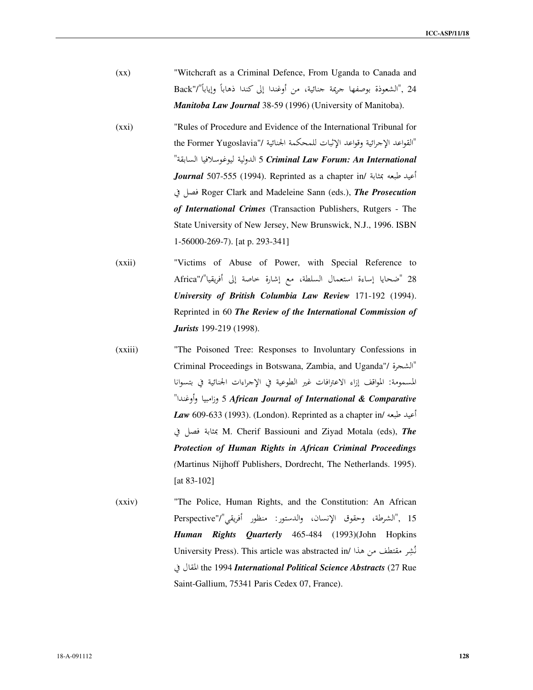| (xx) | "Witchcraft as a Criminal Defence, From Uganda to Canada and               |
|------|----------------------------------------------------------------------------|
|      | 24 ,"الشعوذة بوصفها جريمة جنائية، من أوغندا إلى كندا ذهاباً وإياباً"/"Back |
|      | <b>Manitoba Law Journal</b> 38-59 (1996) (University of Manitoba).         |

 (xxi) "Rules of Procedure and Evidence of the International Tribunal for "القواعد الإجرائية وقواعد الإثبات للمحكمة الجنائية /"the Former Yugoslavia للدولية ليوغوسلافيا السابقة" 5 *Criminal Law Forum: An International Journal 5*07-555 (1994). Reprinted as a chapter in/ أعيد طبعه بمثابة - lO Roger Clark and Madeleine Sann (eds.), *The Prosecution of International Crimes* (Transaction Publishers, Rutgers - The State University of New Jersey, New Brunswick, N.J., 1996. ISBN 1-56000-269-7). [at p. 293-341]

- (xxii) "Victims of Abuse of Power, with Special Reference to 28 "ضحايا إساءة استعمال السلطة، مع إشارة خاصة إلى أفريقيا"/"Africa *University of British Columbia Law Review* 171-192 (1994). Reprinted in 60 *The Review of the International Commission of Jurists* 199-219 (1998).
- (xxiii) "The Poisoned Tree: Responses to Involuntary Confessions in Criminal Proceedings in Botswana, Zambia, and Uganda"/ "الشحرة" المسمومة: المواقف إزاء الاعترافات غير الطوعية في الإجراءات الجنائية في بتسوانا "+=w\*C\* -;\* 5 *African Journal of International & Comparative Law* 609-633 (1993). (London). Reprinted as a chapter in/ أعيد طبعه - lO #/- M. Cherif Bassiouni and Ziyad Motala (eds), *The Protection of Human Rights in African Criminal Proceedings (*Martinus Nijhoff Publishers, Dordrecht, The Netherlands. 1995). [at 83-102]
- (xxiv) "The Police, Human Rights, and the Constitution: An African 15 ,"الشرطة، وحقوق الإنسان، والدستور: منظور أفريقي"/"Perspective *Human Rights Quarterly* 465-484 (1993)(John Hopkins University Press). This article was abstracted in/ أَشِر مقتطف من هذا Ĵ - )-,6 the 1994 *International Political Science Abstracts* (27 Rue Saint-Gallium, 75341 Paris Cedex 07, France).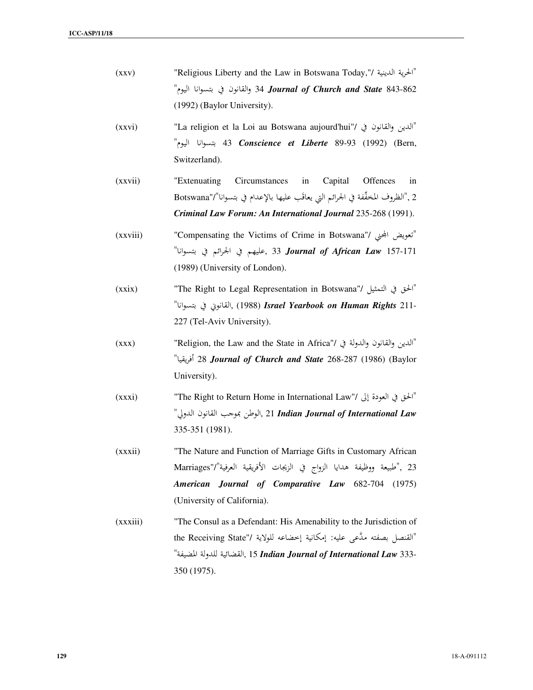| (xxy)            | "الحرية الدينية /",Religious Liberty and the Law in Botswana Today"<br>34 Journal of Church and State 843-862 والقانون في بتسوانا اليوم"<br>(1992) (Baylor University).                                                               |
|------------------|---------------------------------------------------------------------------------------------------------------------------------------------------------------------------------------------------------------------------------------|
| (xxvi)           | "الدين والقانون في /"La religion et la Loi au Botswana aujourd'hui"<br>"جسوانا اليوم" 43 <i>Conscience et Liberte</i> 89-93 (1992) (Bern,<br>Switzerland).                                                                            |
| (xxvii)          | "Extenuating<br>Circumstances in<br>Capital<br>Offences<br>1n<br>2 ,"الظروف المخفَّفة في الحرائم التي يعاقَب عليها بالإعدام في بتسوانا"/'Botswana<br>Criminal Law Forum: An International Journal 235-268 (1991).                     |
| (xxviii)         | "تعويض المجني /"Compensating the Victims of Crime in Botswana"<br>57-171 ,33 Journal of African Law, عليهم في الجرائم في بتسوانا"<br>(1989) (University of London).                                                                   |
| (xxix)           | "الحق في التمثيل /''The Right to Legal Representation in Botswana''<br>"القانوني في بتسوانا, (1988) Israel Yearbook on Human Rights 211-<br>227 (Tel-Aviv University).                                                                |
| $(\mathbf{XXX})$ | "الدين والقانون والدولة في /"Religion, the Law and the State in Africa"<br>28 Journal of Church and State 268-287 (1986) (Baylor أفريقيا"<br>University).                                                                             |
| (xxxi)           | "الحق في العودة إلى /''The Right to Return Home in International Law''<br>الوطن بموجب القانون الدولي" 21 Indian Journal of International Law<br>335-351 (1981).                                                                       |
| (xxxii)          | "The Nature and Function of Marriage Gifts in Customary African<br>23 ,"طبيعة ووظيفة هدايا الزواج في الزيجات الأفريقية العرفية"/'Marriages<br>American Journal of Comparative Law 682-704 (1975)<br>(University of California).       |
| (xxxiii)         | "The Consul as a Defendant: His Amenability to the Jurisdiction of<br>"القنصل بصفته مدَّعى عليه: إمكانية إخضاعه للولاية /"the Receiving State<br>"القضائية للدولة المضيفة, 15 Indian Journal of International Law 333-<br>350 (1975). |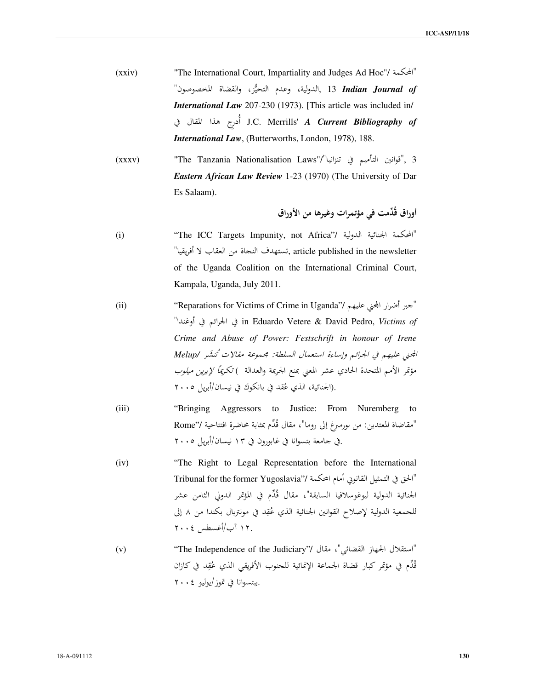- (xxiv) "The International Court, Impartiality and Judges Ad Hoc"/ "ألمحكمة" الدولية، وعدم التحيُّز، والقضاة الم*خص*وصون" , 13 *Indian Journal of International Law* 207-230 (1973). [This article was included in/ - )-,6 0 VU |C J.C. Merrills' *A Current Bibliography of International Law*, (Butterworths, London, 1978), 188.
- (xxxv) "The Tanzania Nationalisation Laws"/"اقوانين التأميم في تنزانيا"), 3 *Eastern African Law Review* 1-23 (1970) (The University of Dar Es Salaam).

أوراق قُدِّمت في مؤتمرات وغيرها من الأوراق

- (i) "المحكمة الجنائية الدولية ''The ICC Targets Impunity, not Africa'' "ستهدف النجاة من العقاب لا أفريقيا, article published in the newsletter of the Uganda Coalition on the International Criminal Court, Kampala, Uganda, July 2011.
- "جبر أضرار الجحني عليهم ''Reparations for Victims of Crime in Uganda'' الجمع الشهر (ii) in Eduardo Vetere & David Pedro, *Victims of* في الجرائم في أوغندا" *Crime and Abuse of Power: Festschrift in honour of Irene المجني عليهم في الجرائم وإساءة استعمال السلطة: مجموعة مقالات تُنشَر /Melup* مؤتمر الأمم المتحدة الحادي عشر المعني بمنع الجريمة والعدالة ) *تكريماً لإيرين ميلوب* الجنائية، الذي عُقد في بانكوك في نيسان/أبريل ٢٠٠٥).<br>.
- (iii) "Bringing Aggressors to Justice: From Nuremberg to "مقاضاة المعتدين: من نورمبرغ إلى روما"، مقال ڤَدَّم بمثابة محاضرة افتتاحية /'Rome في جامعة بتسوانا في غابورون في ١٣ نيسان/أبريل ٢٠٠٥
- (iv) "The Right to Legal Representation before the International Tribunal for the former Yugoslavia"/ المحكمة /''Tribunal for the former Yugoslavia الجنائية الدولية ليوغوسلافيا السابقة"، مقال قُدِّم في المؤتمر الدولي الثامن عشر للجمعية الدولية لإصلاح القوانين الجنائية الذي عُقِد في مونتريال بكندا من ٨ إلى .١٢ آب/أغسطس ٢٠٠٤
- "استقلال الجحهاز القضائي"، مقال /''The Independence of the Judiciary'' قُدِّم في مؤتمر كبار قضاة الجماعة الإنمائية للحنوب الأفريقي الذي عُقِد في كازان .بېتسوانا في تموز/يوليو ٢٠٠٤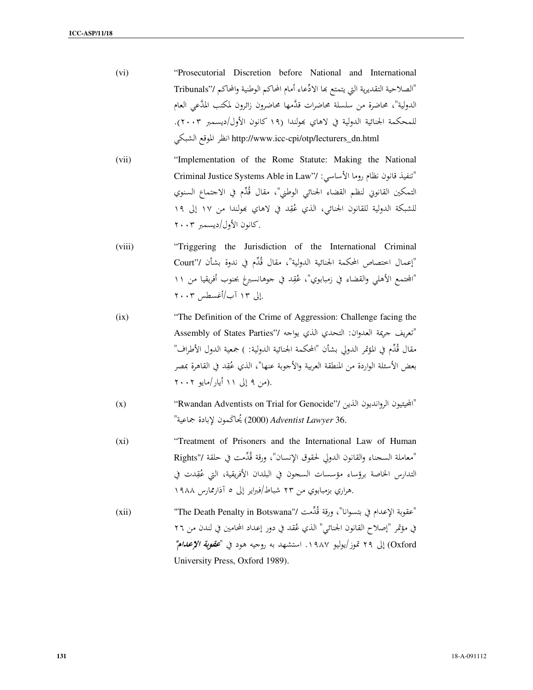| (vi) | "Prosecutorial Discretion before National and International"                             |
|------|------------------------------------------------------------------------------------------|
|      | "الصلاحية التقديرية التي يتمتع بَما الادِّعاء أمام المحاكم الوطنية والمحاكم /''Tribunals |
|      | الدولية"، محاضرة من سلسلة محاضرات قدَّمها محاضرون زائرون لمكتب المدَّعى العام            |
|      | للمحكمة الجنائية الدولية في لاهاي بمولندا (١٩ كانون الأول/ديسمبر ٢٠٠٣).                  |
|      | http://www.icc-cpi/otp/lecturers_dn.html انظر الموقع الشبكي                              |

- $(vii)$ "Implementation of the Rome Statute: Making the National "تنفيذ قانون نظام روما الأساسي: /"Criminal Justice Systems Able in Law التمكين القانوني لنظم القضاء الجنائي الوطني"، مقال قُدِّم في الاجتماع السنوي للشبكة الدولية للقانون الجنائي، الذي عُقِد في لاهاي بمولندا من ١٧ إلى ١٩ كانون الأول/ديسمبر ٢٠٠٣
- "Triggering the Jurisdiction of the International Criminal  $(viii)$ "إعمال اختصاص المحكمة الجنائية الدولية"، مقال قُدِّم في ندوة بشأن /''Court "المجتمع الأهلي والقضاء في زمبابوي"، عُقِد في جوهانسبرغ بجنوب أفريقيا من ١١ إلى ١٣ آب/أغسطس ٢٠٠٣
- $(ix)$ "The Definition of the Crime of Aggression: Challenge facing the "تعريف جريمة العدوان: التحدي الذي يواجه /''Assembly of States Parties مقال قُدِّم في المؤتمر الدولي بشأن "المحكمة الجنائية الدولية: ) جمعية الدول الأطراف" بعض الأسئلة الواردة من المنطقة العربية والأجوبة عنها"، الذي عُقِد في القاهرة بمصر (من ۹ إلى ۱۱ أيار/مايو ۲۰۰۲
- "الجحيثيون الروانديون الذين /''Rwandan Adventists on Trial for Genocide''  $(x)$ مُحَاكَمون لإبادة جماعية" (2000) Adventist Lawyer 36.
- "Treatment of Prisoners and the International Law of Human  $(xi)$ "معاملة السجناء والقانون الدولي لحقوق الإنسان"، ورقة قُدِّمت في حلقة /"Rights التدارس الخاصة برؤساء مؤسسات السحون في البلدان الأفريقية، التي عُقِدت في هراري بزمبابوي من ٢٣ شباط/فبراير إلى ٥ آذارممارس ١٩٨٨
- "عقوبة الإعدام في بتسوانا"، ورقة قُدِّمت /"The Death Penalty in Botswana"  $(xii)$ في مؤتمر "إصلاح القانون الجنائمي" الذي عُقد في دور إعداد المحامين في لندن من ٢٦ Oxford) إلى ٢٩ تموز/يوليو ١٩٨٧. استشهد به روجيه هود في "*عقوبة الإعدام"* University Press, Oxford 1989).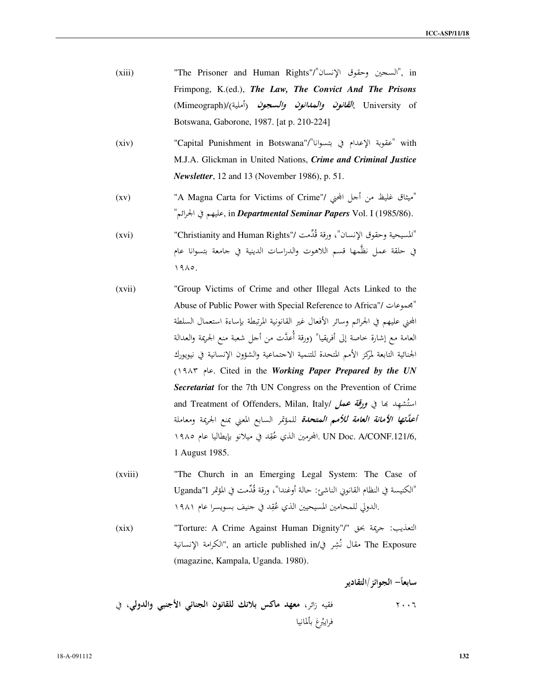| (xiii) | "السجين وحقوق الإنسان"/"The Prisoner and Human Rights"              |
|--------|---------------------------------------------------------------------|
|        | Frimpong, K.(ed.), The Law, The Convict And The Prisons             |
|        | University of <i>القانون والمدانون والسجون</i> (أملية)/(Mimeograph) |
|        | Botswana, Gaborone, 1987. [at p. 210-224]                           |

- "Capital Punishment in Botswana"/"سوانا"/"Capital Punishment in Botswana"  $(xiv)$ M.J.A. Glickman in United Nations, Crime and Criminal Justice Newsletter, 12 and 13 (November 1986), p. 51.
- "ميثاق غليظ من أجل المجنى /"A Magna Carta for Victims of Crime"  $\left( xy\right)$ ليهم في الجرائم", in *Departmental Seminar Papers* Vol. I (1985/86).
- "المسيحية وحقوق الإنسان"، ورقة قُدِّمت /"Christianity and Human Rights"  $(xvi)$ في حلقة عمل نظَّمها قسم اللاهوت والدراسات الدينية في جامعة بتسوانا عام  $19A0.$
- "Group Victims of Crime and other Illegal Acts Linked to the  $(xvii)$ "مجموعات /"Abuse of Public Power with Special Reference to Africa المجنى عليهم في الجرائم وسائر الأفعال غير القانونية المرتبطة بإساءة استعمال السلطة العامة مع إشارة خاصة إلى أفريقيا" (ورقة أُعدَّت من أجل شعبة منع الجريمة والعدالة الجنائية التابعة لمركز الأمم المتحدة للتنمية الاجتماعية والشؤون الإنسانية في نيويورك (١٩٨٣ ). Cited in the Working Paper Prepared by the UN Secretariat for the 7th UN Congress on the Prevention of Crime and Treatment of Offenders, Milan, Italy/ ورقة عمل ابات and Treatment of Offenders, Milan, Italy *أعلَّتها الأمانة العامة للأمم المتحدة* للمؤتمر السابع المعني بمنع الجريمة ومعاملة ,UN Doc. A/CONF.121/6 المجرمين الذي عُقِد في ميلانو بإيطاليا عام ١٩٨٥ 1 August 1985.
- "The Church in an Emerging Legal System: The Case of  $(xviii)$ "الكنيسة في النظام القانوني الناشئ: حالة أوغندا"، ورقة قُدِّمت في المؤتمر ["Uganda الدولي للمحامين المسيحيين الذي عُقِد في جنيف بسويسرا عام ١٩٨١
- "Torture: A Crime Against Human Dignity"/" حريمة بحق "/'Torture: A Crime Against Human Dignity  $(xix)$ The Exposure مقال نُشِر في/an article published in ,"الكرامة الإنسانية (magazine, Kampala, Uganda. 1980).

سابعاً– الجوائز /التقاديه